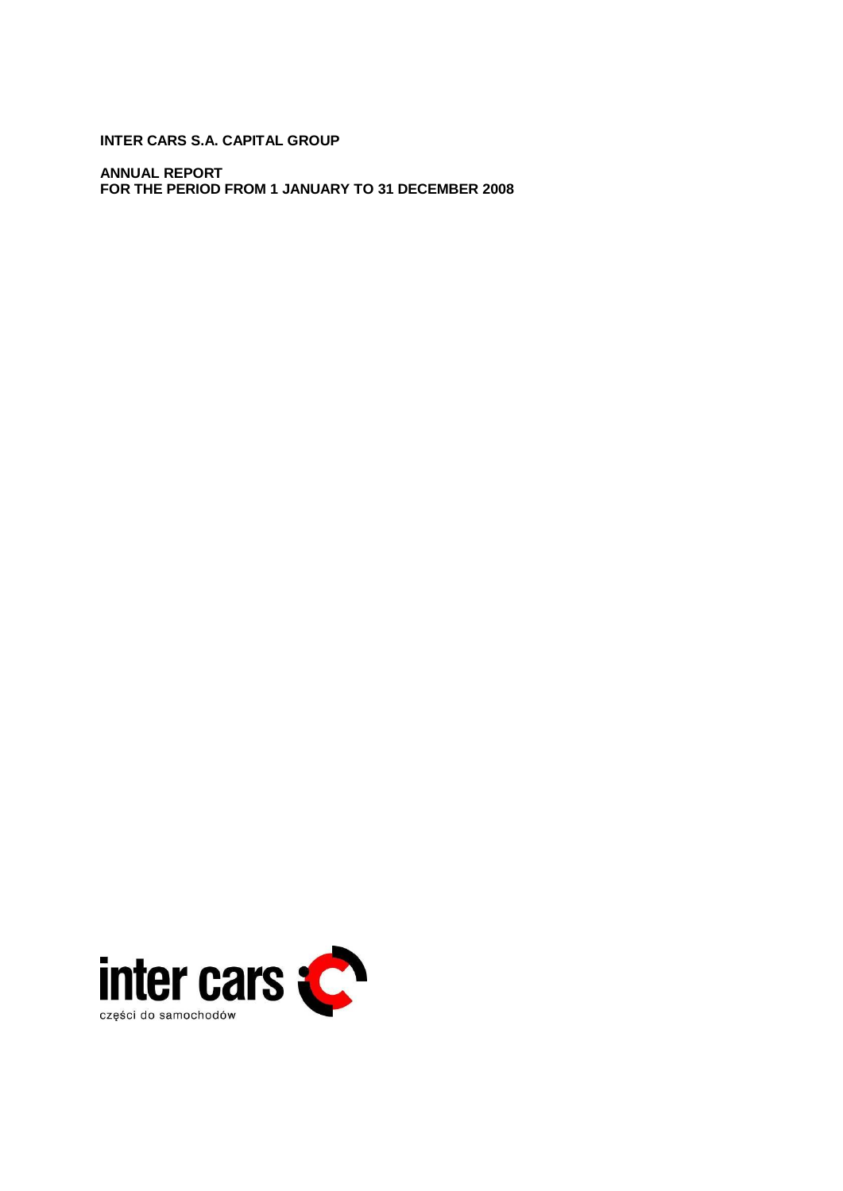**INTER CARS S.A. CAPITAL GROUP** 

**ANNUAL REPORT FOR THE PERIOD FROM 1 JANUARY TO 31 DECEMBER 2008** 

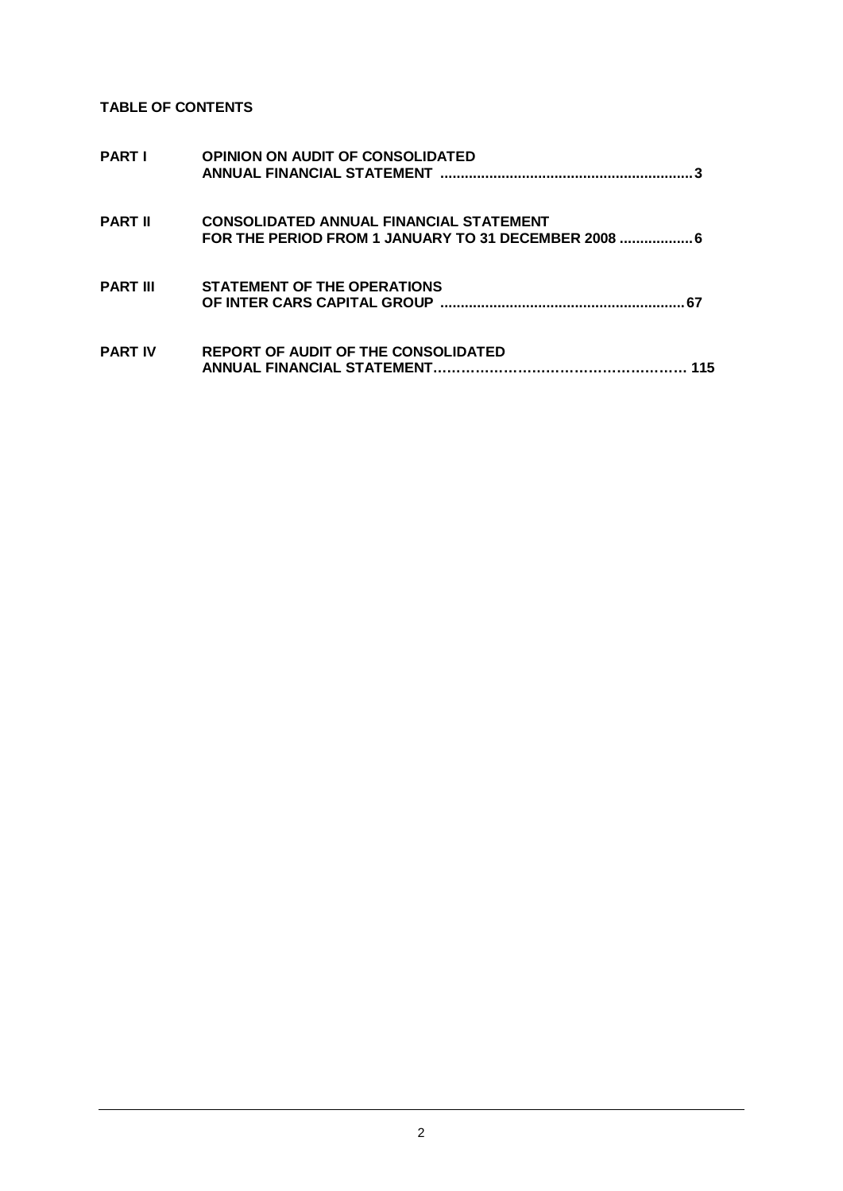**TABLE OF CONTENTS** 

| <b>PART I</b>   | <b>OPINION ON AUDIT OF CONSOLIDATED</b>                                                                |
|-----------------|--------------------------------------------------------------------------------------------------------|
| <b>PART II</b>  | <b>CONSOLIDATED ANNUAL FINANCIAL STATEMENT</b><br>FOR THE PERIOD FROM 1 JANUARY TO 31 DECEMBER 2008  6 |
| <b>PART III</b> | <b>STATEMENT OF THE OPERATIONS</b>                                                                     |
| <b>PART IV</b>  | REPORT OF AUDIT OF THE CONSOLIDATED<br>115                                                             |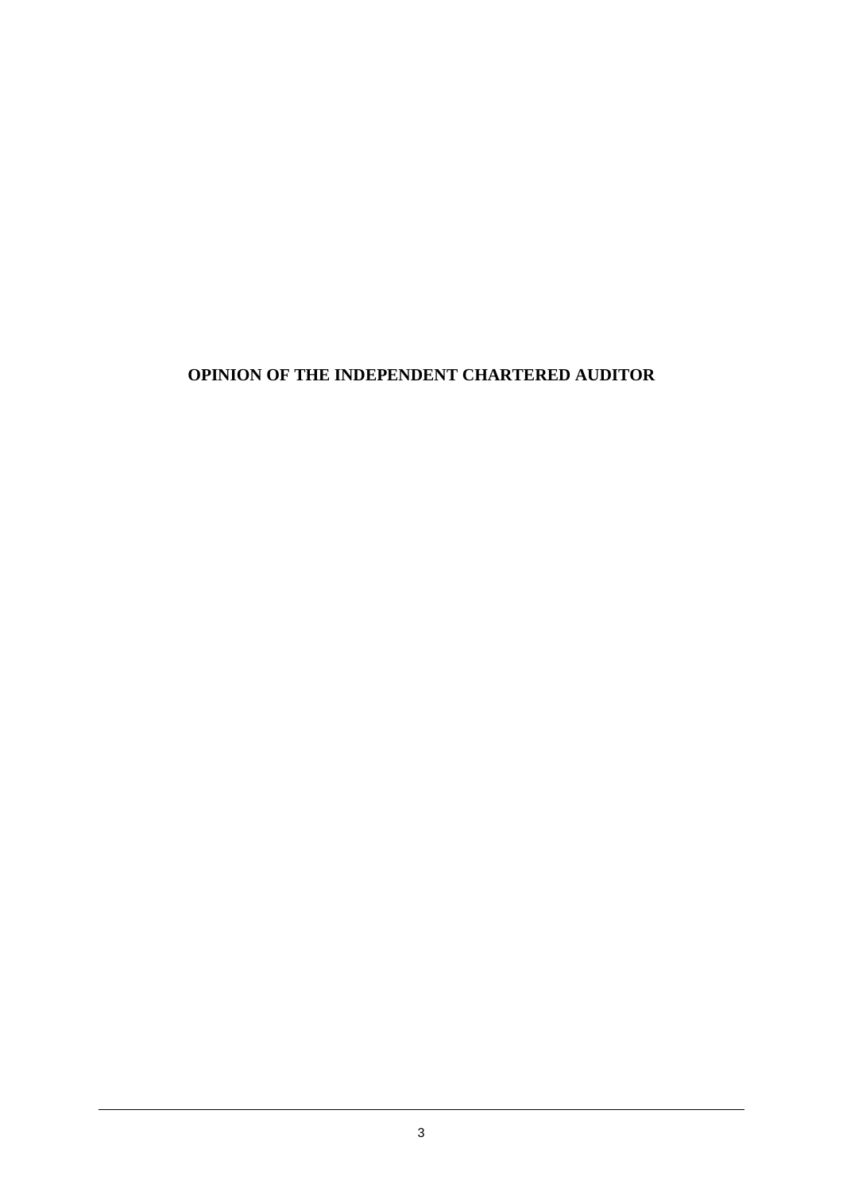## **OPINION OF THE INDEPENDENT CHARTERED AUDITOR**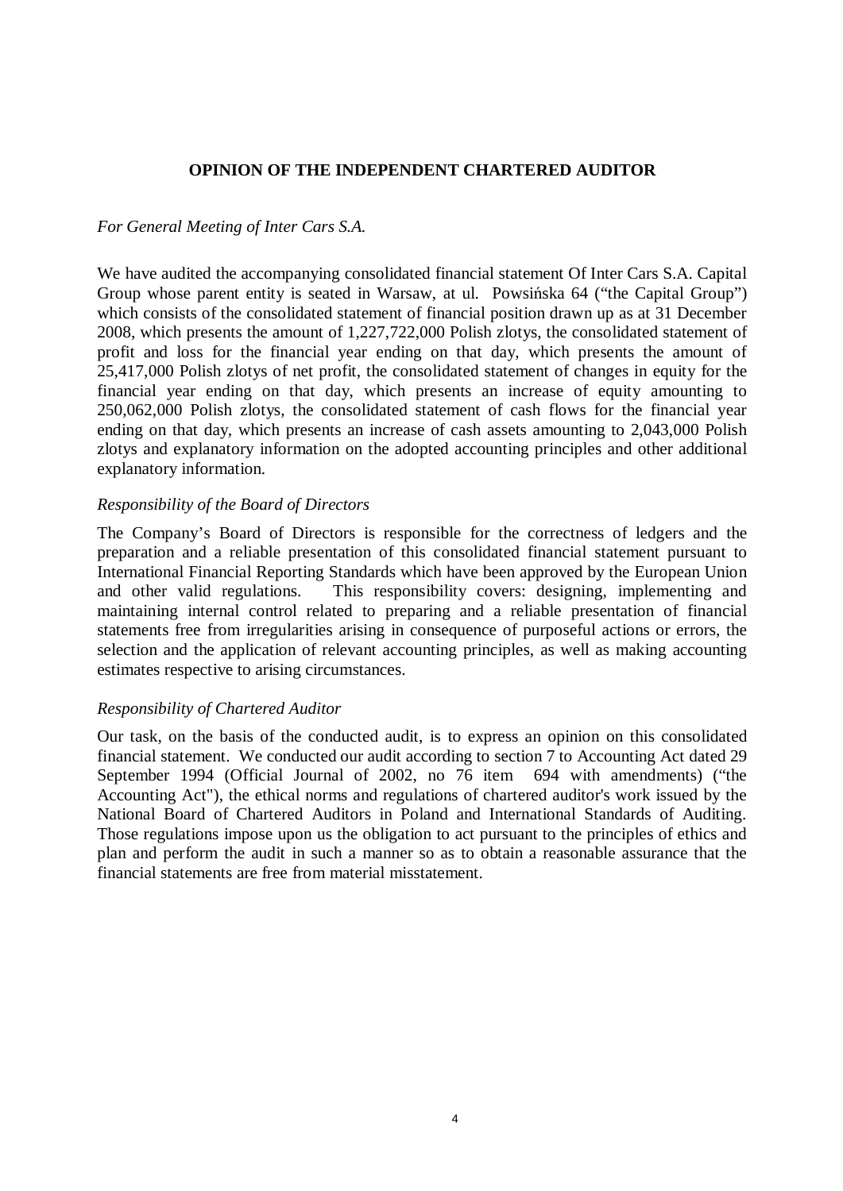## **OPINION OF THE INDEPENDENT CHARTERED AUDITOR**

## *For General Meeting of Inter Cars S.A.*

We have audited the accompanying consolidated financial statement Of Inter Cars S.A. Capital Group whose parent entity is seated in Warsaw, at ul. Powsing a 64 ("the Capital Group") which consists of the consolidated statement of financial position drawn up as at 31 December 2008, which presents the amount of 1,227,722,000 Polish zlotys, the consolidated statement of profit and loss for the financial year ending on that day, which presents the amount of 25,417,000 Polish zlotys of net profit, the consolidated statement of changes in equity for the financial year ending on that day, which presents an increase of equity amounting to 250,062,000 Polish zlotys, the consolidated statement of cash flows for the financial year ending on that day, which presents an increase of cash assets amounting to 2,043,000 Polish zlotys and explanatory information on the adopted accounting principles and other additional explanatory information.

## *Responsibility of the Board of Directors*

The Company's Board of Directors is responsible for the correctness of ledgers and the preparation and a reliable presentation of this consolidated financial statement pursuant to International Financial Reporting Standards which have been approved by the European Union and other valid regulations. This responsibility covers: designing, implementing and maintaining internal control related to preparing and a reliable presentation of financial statements free from irregularities arising in consequence of purposeful actions or errors, the selection and the application of relevant accounting principles, as well as making accounting estimates respective to arising circumstances.

## *Responsibility of Chartered Auditor*

Our task, on the basis of the conducted audit, is to express an opinion on this consolidated financial statement. We conducted our audit according to section 7 to Accounting Act dated 29 September 1994 (Official Journal of 2002, no 76 item 694 with amendments) ("the Accounting Act"), the ethical norms and regulations of chartered auditor's work issued by the National Board of Chartered Auditors in Poland and International Standards of Auditing. Those regulations impose upon us the obligation to act pursuant to the principles of ethics and plan and perform the audit in such a manner so as to obtain a reasonable assurance that the financial statements are free from material misstatement.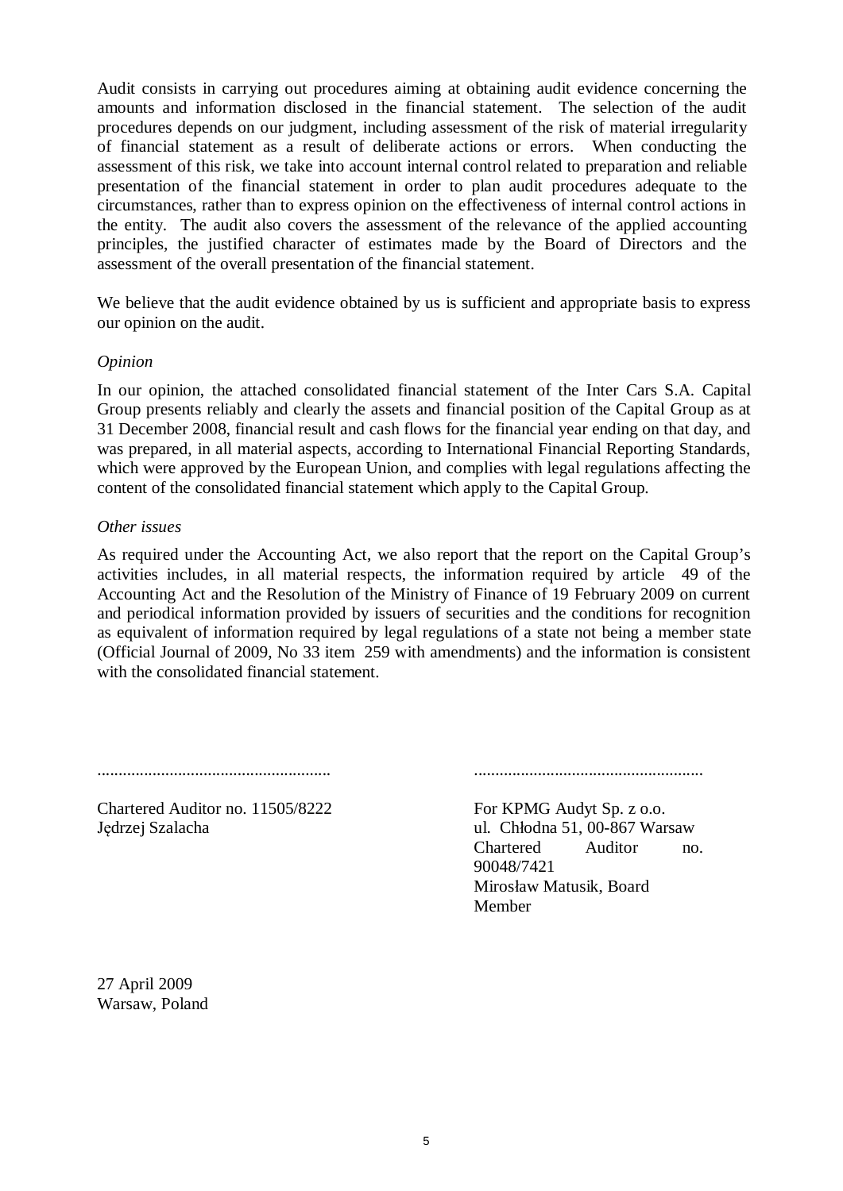Audit consists in carrying out procedures aiming at obtaining audit evidence concerning the amounts and information disclosed in the financial statement. The selection of the audit procedures depends on our judgment, including assessment of the risk of material irregularity of financial statement as a result of deliberate actions or errors. When conducting the assessment of this risk, we take into account internal control related to preparation and reliable presentation of the financial statement in order to plan audit procedures adequate to the circumstances, rather than to express opinion on the effectiveness of internal control actions in the entity. The audit also covers the assessment of the relevance of the applied accounting principles, the justified character of estimates made by the Board of Directors and the assessment of the overall presentation of the financial statement.

We believe that the audit evidence obtained by us is sufficient and appropriate basis to express our opinion on the audit.

## *Opinion*

In our opinion, the attached consolidated financial statement of the Inter Cars S.A. Capital Group presents reliably and clearly the assets and financial position of the Capital Group as at 31 December 2008, financial result and cash flows for the financial year ending on that day, and was prepared, in all material aspects, according to International Financial Reporting Standards, which were approved by the European Union, and complies with legal regulations affecting the content of the consolidated financial statement which apply to the Capital Group.

## *Other issues*

As required under the Accounting Act, we also report that the report on the Capital Group's activities includes, in all material respects, the information required by article 49 of the Accounting Act and the Resolution of the Ministry of Finance of 19 February 2009 on current and periodical information provided by issuers of securities and the conditions for recognition as equivalent of information required by legal regulations of a state not being a member state (Official Journal of 2009, No 33 item 259 with amendments) and the information is consistent with the consolidated financial statement.

....................................................... ......................................................

Chartered Auditor no. 11505/8222 Jedrzej Szalacha

For KPMG Audyt Sp. z o.o. ul. Chłodna 51, 00-867 Warsaw Chartered Auditor no. 90048/7421 Mirosáaw Matusik, Board Member

27 April 2009 Warsaw, Poland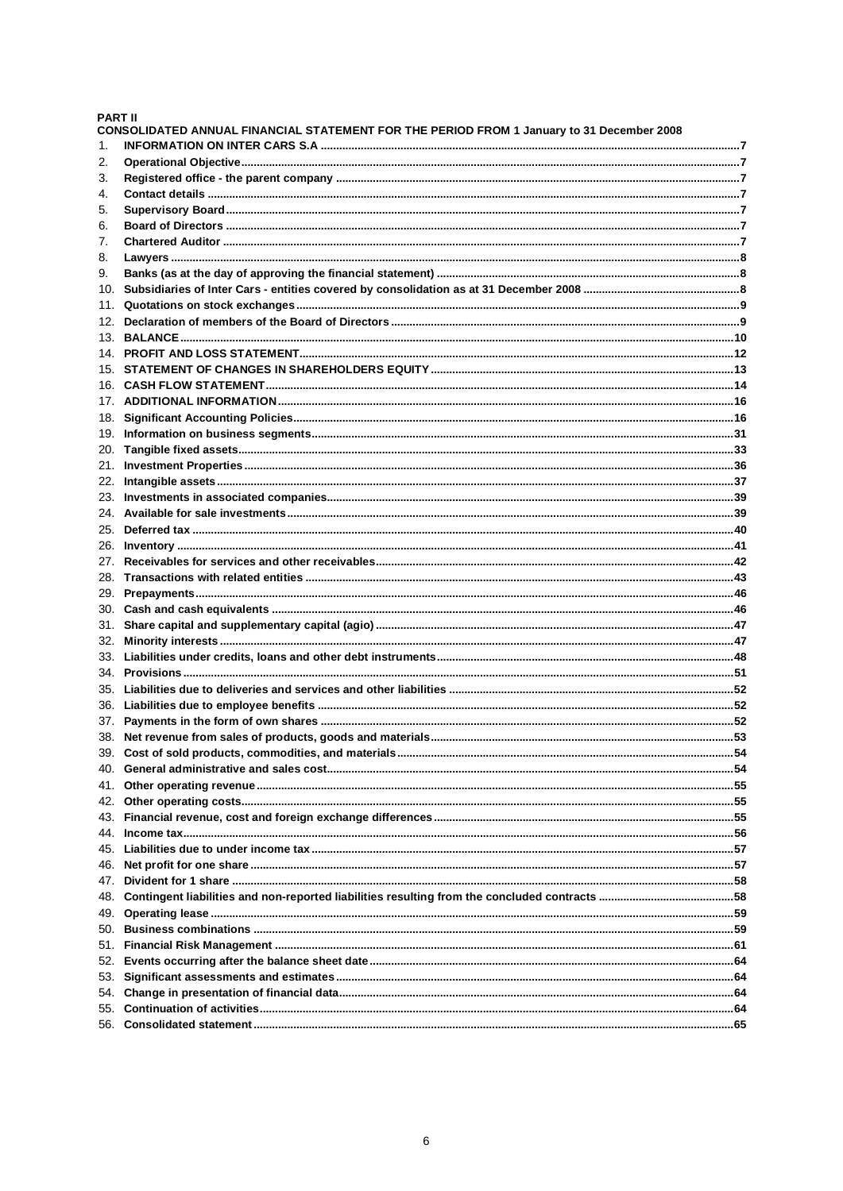## **PART II**

|     | CONSOLIDATED ANNUAL FINANCIAL STATEMENT FOR THE PERIOD FROM 1 January to 31 December 2008 |  |
|-----|-------------------------------------------------------------------------------------------|--|
| 1.  |                                                                                           |  |
| 2.  |                                                                                           |  |
| 3.  |                                                                                           |  |
| 4.  |                                                                                           |  |
| 5.  |                                                                                           |  |
| 6.  |                                                                                           |  |
| 7.  |                                                                                           |  |
| 8.  |                                                                                           |  |
| 9.  |                                                                                           |  |
| 10. |                                                                                           |  |
| 11. |                                                                                           |  |
| 12. |                                                                                           |  |
|     |                                                                                           |  |
|     |                                                                                           |  |
|     |                                                                                           |  |
|     |                                                                                           |  |
|     |                                                                                           |  |
|     |                                                                                           |  |
|     |                                                                                           |  |
| 20. |                                                                                           |  |
|     |                                                                                           |  |
|     |                                                                                           |  |
|     |                                                                                           |  |
|     |                                                                                           |  |
|     |                                                                                           |  |
|     |                                                                                           |  |
|     |                                                                                           |  |
|     |                                                                                           |  |
|     |                                                                                           |  |
|     |                                                                                           |  |
|     |                                                                                           |  |
|     |                                                                                           |  |
|     |                                                                                           |  |
|     |                                                                                           |  |
|     |                                                                                           |  |
|     |                                                                                           |  |
|     |                                                                                           |  |
|     |                                                                                           |  |
|     |                                                                                           |  |
| 41. |                                                                                           |  |
| 42. |                                                                                           |  |
| 43. |                                                                                           |  |
| 44. |                                                                                           |  |
| 45. |                                                                                           |  |
| 46. |                                                                                           |  |
| 47. |                                                                                           |  |
| 48. |                                                                                           |  |
| 49. |                                                                                           |  |
| 50. |                                                                                           |  |
| 51. |                                                                                           |  |
| 52. |                                                                                           |  |
| 53. |                                                                                           |  |
| 54. |                                                                                           |  |
| 55. |                                                                                           |  |
|     |                                                                                           |  |
|     |                                                                                           |  |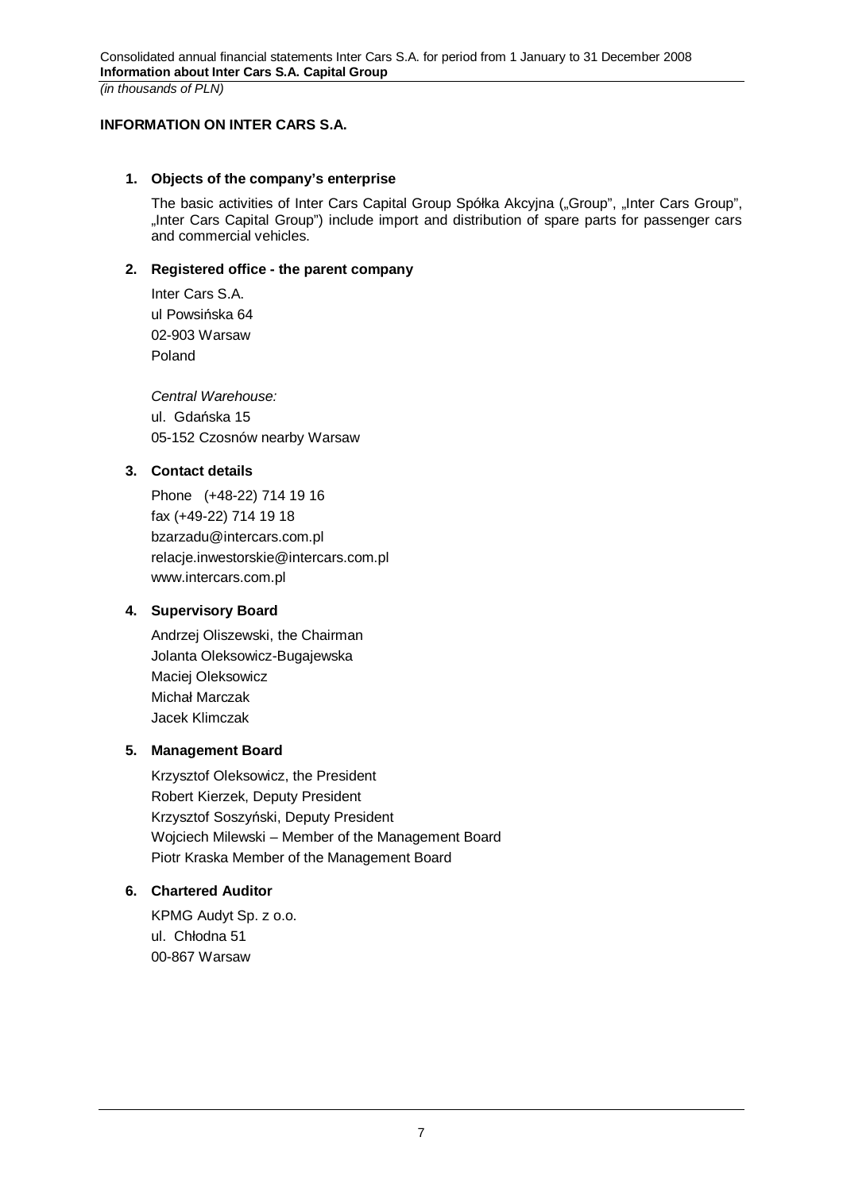## **INFORMATION ON INTER CARS S.A.**

## **1. Objects of the company's enterprise**

The basic activities of Inter Cars Capital Group Spółka Akcyjna ("Group", "Inter Cars Group", "Inter Cars Capital Group") include import and distribution of spare parts for passenger cars and commercial vehicles.

## **2. Registered office - the parent company**

Inter Cars S.A. ul Powsińska 64 02-903 Warsaw Poland

*Central Warehouse:*  ul. Gdańska 15 05-152 Czosnów nearby Warsaw

## **3. Contact details**

Phone (+48-22) 714 19 16 fax (+49-22) 714 19 18 bzarzadu@intercars.com.pl relacje.inwestorskie@intercars.com.pl www.intercars.com.pl

## **4. Supervisory Board**

Andrzej Oliszewski, the Chairman Jolanta Oleksowicz-Bugajewska Maciej Oleksowicz Michał Marczak Jacek Klimczak

## **5. Management Board**

Krzysztof Oleksowicz, the President Robert Kierzek, Deputy President Krzysztof Soszyński, Deputy President Wojciech Milewski – Member of the Management Board Piotr Kraska Member of the Management Board

## **6. Chartered Auditor**

KPMG Audyt Sp. z o.o. ul. Chłodna 51 00-867 Warsaw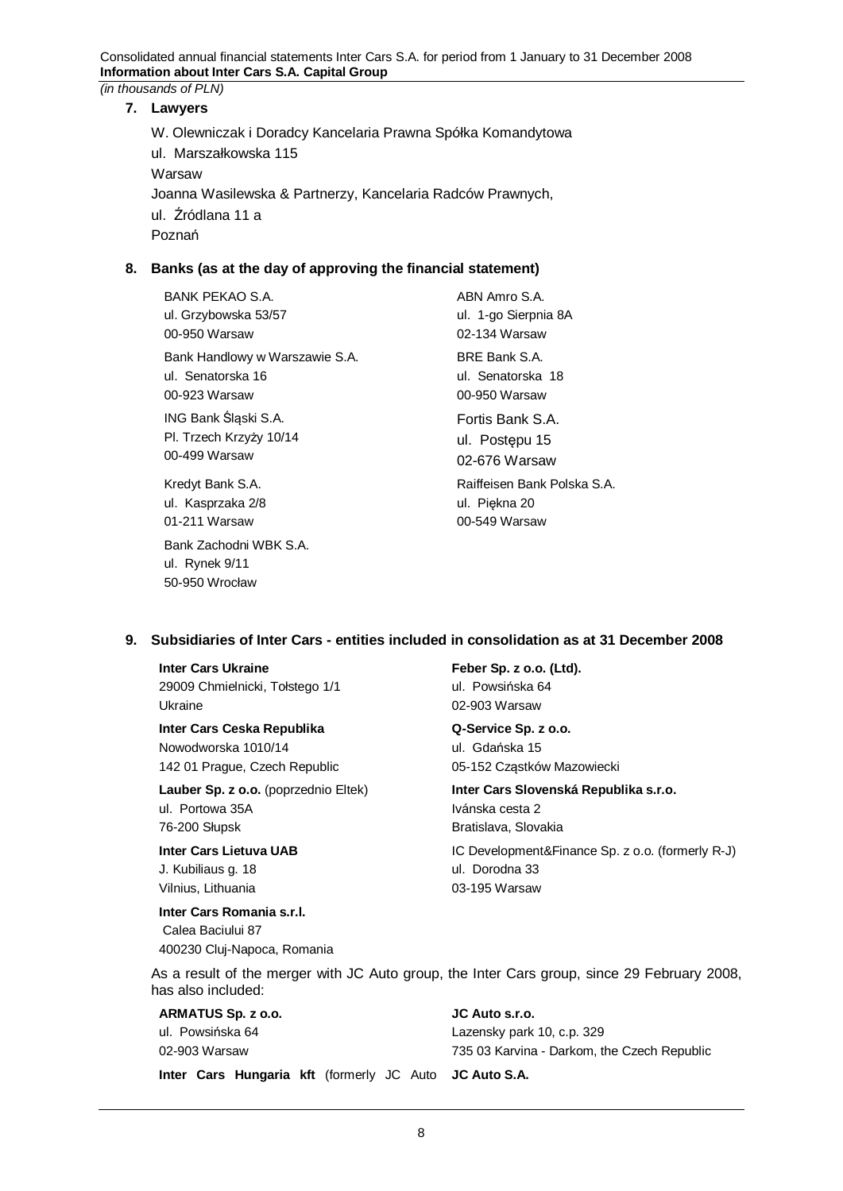## **7. Lawyers**

W. Olewniczak i Doradcy Kancelaria Prawna Spółka Komandytowa ul. Marszałkowska 115 Warsaw Joanna Wasilewska & Partnerzy, Kancelaria Radców Prawnych, ul. Źródlana 11 a Poznań

## **8. Banks (as at the day of approving the financial statement)**

BANK PEKAO S.A. ul. Grzybowska 53/57 00-950 Warsaw ABN Amro S.A. ul. 1-go Sierpnia 8A 02-134 Warsaw Bank Handlowy w Warszawie S.A. ul. Senatorska 16 00-923 Warsaw BRE Bank S.A. ul. Senatorska 18 00-950 Warsaw ING Bank Śląski S.A. Pl. Trzech Krzyży 10/14 00-499 Warsaw Fortis Bank S.A. ul. Postępu 15 02-676 Warsaw Kredyt Bank S.A. ul. Kasprzaka 2/8 01-211 Warsaw Raiffeisen Bank Polska S.A. ul. Piękna 20 00-549 Warsaw Bank Zachodni WBK S.A.

## **9. Subsidiaries of Inter Cars - entities included in consolidation as at 31 December 2008**

#### **Inter Cars Ukraine**

ul. Rynek 9/11 50-950 Wrocáaw

29009 Chmielnicki, Tołstego 1/1 Ukraine

## **Inter Cars Ceska Republika**

Nowodworska 1010/14 142 01 Prague, Czech Republic

**Lauber Sp. z o.o.** (poprzednio Eltek) ul. Portowa 35A 76-200 Słupsk

**Inter Cars Lietuva UAB**  J. Kubiliaus g. 18 Vilnius, Lithuania

**Inter Cars Romania s.r.l.**  Calea Baciului 87 400230 Cluj-Napoca, Romania **Feber Sp. z o.o. (Ltd).**  ul. Powsińska 64 02-903 Warsaw

## **Q-Service Sp. z o.o.**  ul. Gdańska 15 05-152 Cząstków Mazowiecki

## **Inter Cars Slovenská Republika s.r.o.**  Ivánska cesta 2 Bratislava, Slovakia

IC Development&Finance Sp. z o.o. (formerly R-J) ul. Dorodna 33 03-195 Warsaw

As a result of the merger with JC Auto group, the Inter Cars group, since 29 February 2008, has also included:

| ARMATUS Sp. z o.o. |  |  |  |
|--------------------|--|--|--|
| ul. Powsińska 64   |  |  |  |
| 02-903 Warsaw      |  |  |  |

**JC Auto s.r.o.**  Lazensky park 10, c.p. 329 735 03 Karvina - Darkom, the Czech Republic

**Inter Cars Hungaria kft** (formerly JC Auto **JC Auto S.A.** 

#### 8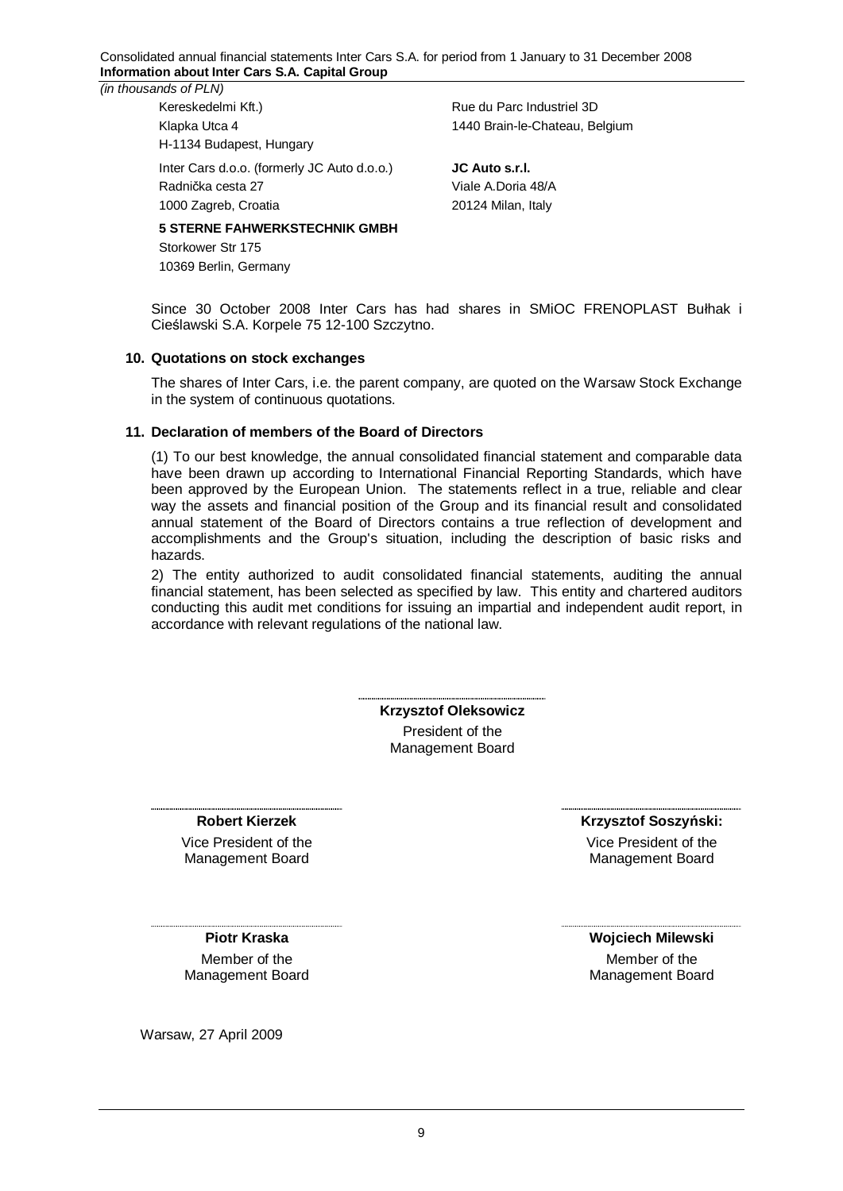Consolidated annual financial statements Inter Cars S.A. for period from 1 January to 31 December 2008 **Information about Inter Cars S.A. Capital Group** 

*(in thousands of PLN)* 

Kereskedelmi Kft.) Klapka Utca 4 H-1134 Budapest, Hungary

Inter Cars d.o.o. (formerly JC Auto d.o.o.) Radnička cesta 27 1000 Zagreb, Croatia

## **5 STERNE FAHWERKSTECHNIK GMBH**

Storkower Str 175 10369 Berlin, Germany Rue du Parc Industriel 3D 1440 Brain-le-Chateau, Belgium

**JC Auto s.r.l.**  Viale A.Doria 48/A 20124 Milan, Italy

Since 30 October 2008 Inter Cars has had shares in SMIOC FRENOPLAST Bułhak i CieĞlawski S.A. Korpele 75 12-100 Szczytno.

## **10. Quotations on stock exchanges**

The shares of Inter Cars, i.e. the parent company, are quoted on the Warsaw Stock Exchange in the system of continuous quotations.

## **11. Declaration of members of the Board of Directors**

(1) To our best knowledge, the annual consolidated financial statement and comparable data have been drawn up according to International Financial Reporting Standards, which have been approved by the European Union. The statements reflect in a true, reliable and clear way the assets and financial position of the Group and its financial result and consolidated annual statement of the Board of Directors contains a true reflection of development and accomplishments and the Group's situation, including the description of basic risks and hazards.

2) The entity authorized to audit consolidated financial statements, auditing the annual financial statement, has been selected as specified by law. This entity and chartered auditors conducting this audit met conditions for issuing an impartial and independent audit report, in accordance with relevant regulations of the national law.

> **Krzysztof Oleksowicz**  President of the Management Board

#### **Robert Kierzek**

Vice President of the Management Board

#### **Krzysztof Soszyński:**

Vice President of the Management Board

**Piotr Kraska** 

Member of the Management Board

Warsaw, 27 April 2009

**Wojciech Milewski** Member of the

Management Board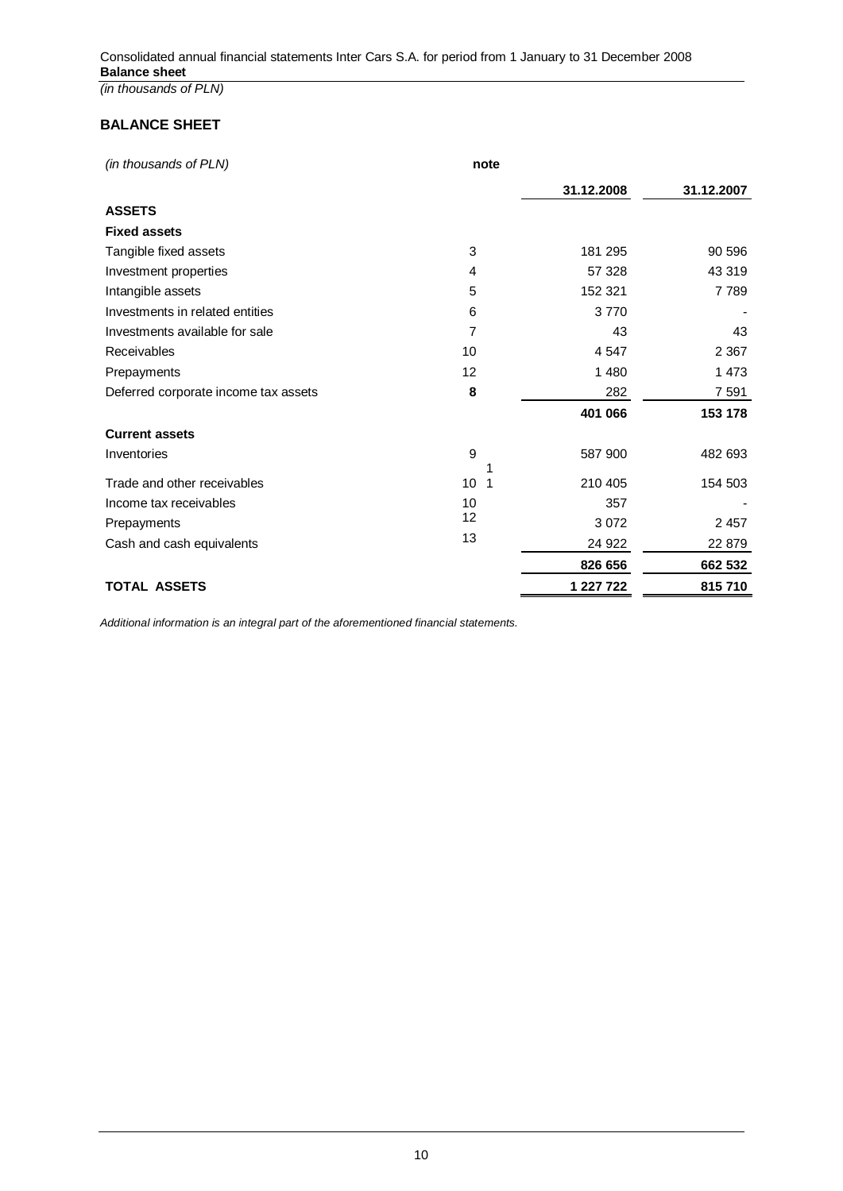**BALANCE SHEET** 

| (in thousands of PLN)                | note |            |            |
|--------------------------------------|------|------------|------------|
|                                      |      | 31.12.2008 | 31.12.2007 |
| <b>ASSETS</b>                        |      |            |            |
| <b>Fixed assets</b>                  |      |            |            |
| Tangible fixed assets                | 3    | 181 295    | 90 596     |
| Investment properties                | 4    | 57 328     | 43 319     |
| Intangible assets                    | 5    | 152 321    | 7789       |
| Investments in related entities      | 6    | 3770       |            |
| Investments available for sale       | 7    | 43         | 43         |
| Receivables                          | 10   | 4547       | 2 3 6 7    |
| Prepayments                          | 12   | 1 4 8 0    | 1 473      |
| Deferred corporate income tax assets | 8    | 282        | 7 5 9 1    |
|                                      |      | 401 066    | 153 178    |
| <b>Current assets</b>                |      |            |            |
| Inventories                          | 9    | 587 900    | 482 693    |
| Trade and other receivables          | 10   | 210 405    | 154 503    |
| Income tax receivables               | 10   | 357        |            |
| Prepayments                          | 12   | 3 0 7 2    | 2 4 5 7    |
| Cash and cash equivalents            | 13   | 24 922     | 22 879     |
|                                      |      | 826 656    | 662 532    |
| <b>TOTAL ASSETS</b>                  |      | 1 227 722  | 815710     |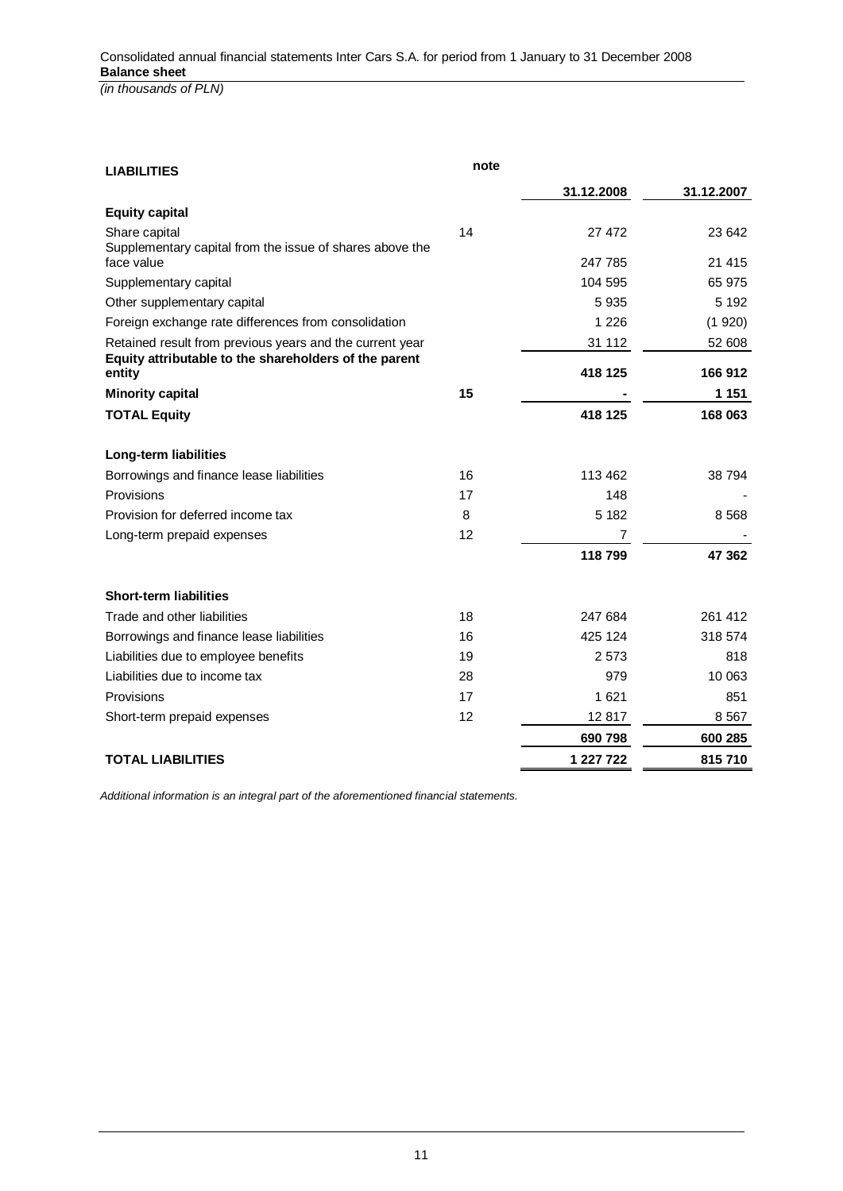**LIABILITIES note 31.12.2008 31.12.2007 Equity capital**  Share capital 27 472 23 642 Supplementary capital from the issue of shares above the face value 247 785 21 415 Supplementary capital and the state of the state of the state of the state of the state of the state of the state of the state of the state of the state of the state of the state of the state of the state of the state of t Other supplementary capital and the state of the state of the state of the state of the Supplementary capital  $5\,935$ Foreign exchange rate differences from consolidation 1 226 (1 920) Retained result from previous years and the current year 31 112 52 608 **Equity attributable to the shareholders of the parent entity 418 125 166 912 Minority capital 15 and 15 and 15 and 15 and 15 and 151 151 151 TOTAL Equity 418 125 168 063 Long-term liabilities**  Borrowings and finance lease liabilities 16 16 113 462 38 794 Provisions 17 148 - Provision for deferred income tax and the state of the state  $\overline{8}$  and  $\overline{8}$  5182 8568 Long-term prepaid expenses 12 7 -  **118 799 47 362 Short-term liabilities**  Trade and other liabilities 18 247 684 261 412 Borrowings and finance lease liabilities 16 16 16 124 425 124 318 574 Liabilities due to employee benefits 19 19 2 573 818 Liabilities due to income tax **28** 28 979 10 063 Provisions 17 1 621 851 Short-term prepaid expenses 12 12 12 12 12 817 8 567  **690 798 600 285 TOTAL LIABILITIES** 815 710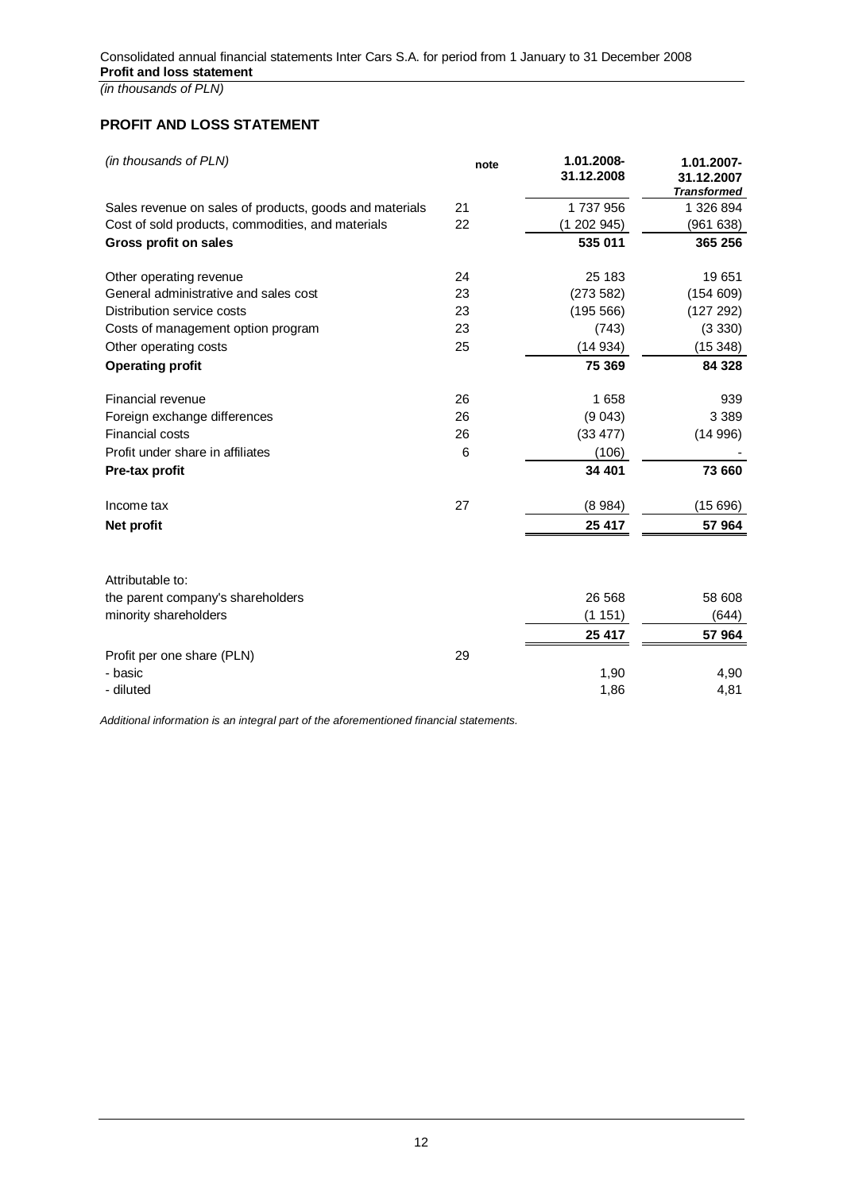## **PROFIT AND LOSS STATEMENT**

| (in thousands of PLN)                                   | note | 1.01.2008-<br>31.12.2008 | 1.01.2007-<br>31.12.2007<br><b>Transformed</b> |
|---------------------------------------------------------|------|--------------------------|------------------------------------------------|
| Sales revenue on sales of products, goods and materials | 21   | 1737956                  | 1 326 894                                      |
| Cost of sold products, commodities, and materials       | 22   | (1202945)                | (961638)                                       |
| <b>Gross profit on sales</b>                            |      | 535 011                  | 365 256                                        |
| Other operating revenue                                 | 24   | 25 183                   | 19651                                          |
| General administrative and sales cost                   | 23   | (273582)                 | (154609)                                       |
| Distribution service costs                              | 23   | (195 566)                | (127 292)                                      |
| Costs of management option program                      | 23   | (743)                    | (3330)                                         |
| Other operating costs                                   | 25   | (14934)                  | (15348)                                        |
| <b>Operating profit</b>                                 |      | 75 369                   | 84 328                                         |
| Financial revenue                                       | 26   | 1658                     | 939                                            |
| Foreign exchange differences                            | 26   | (9043)                   | 3 3 8 9                                        |
| <b>Financial costs</b>                                  | 26   | (33 477)                 | (14996)                                        |
| Profit under share in affiliates                        | 6    | (106)                    |                                                |
| Pre-tax profit                                          |      | 34 401                   | 73 660                                         |
| Income tax                                              | 27   | (8984)                   | (15696)                                        |
| Net profit                                              |      | 25 417                   | 57 964                                         |
| Attributable to:                                        |      |                          |                                                |
| the parent company's shareholders                       |      | 26 5 68                  | 58 608                                         |
| minority shareholders                                   |      | (1151)                   | (644)                                          |
|                                                         |      | 25 417                   | 57 964                                         |
| Profit per one share (PLN)                              | 29   |                          |                                                |
| - basic                                                 |      | 1,90                     | 4,90                                           |
| - diluted                                               |      | 1,86                     | 4,81                                           |
|                                                         |      |                          |                                                |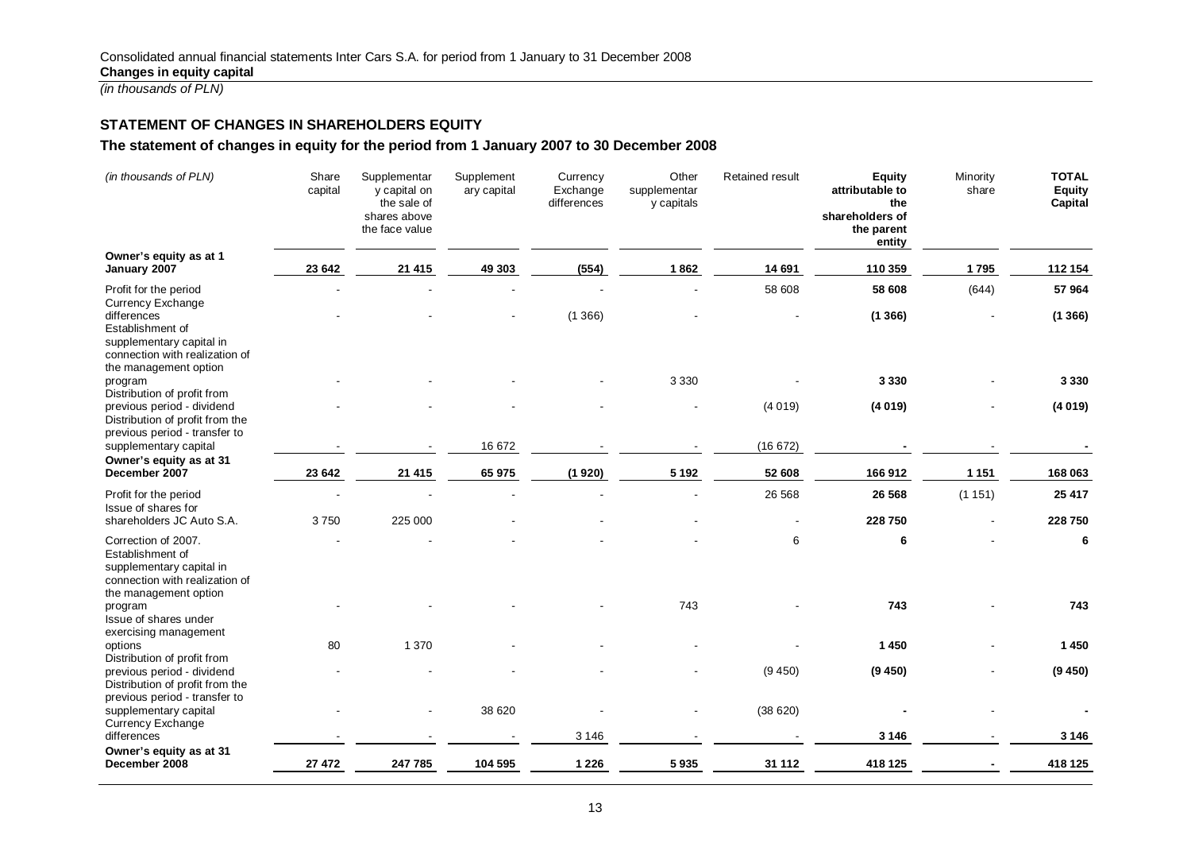## **STATEMENT OF CHANGES IN SHAREHOLDERS EQUITY**

## **The statement of changes in equity for the period from 1 January 2007 to 30 December 2008**

| (in thousands of PLN)                                                                                                                              | Share<br>capital | Supplementar<br>y capital on<br>the sale of<br>shares above<br>the face value | Supplement<br>ary capital | Currency<br>Exchange<br>differences | Other<br>supplementar<br>y capitals | <b>Retained result</b> | <b>Equity</b><br>attributable to<br>the<br>shareholders of<br>the parent<br>entity | Minority<br>share | <b>TOTAL</b><br><b>Equity</b><br>Capital |
|----------------------------------------------------------------------------------------------------------------------------------------------------|------------------|-------------------------------------------------------------------------------|---------------------------|-------------------------------------|-------------------------------------|------------------------|------------------------------------------------------------------------------------|-------------------|------------------------------------------|
| Owner's equity as at 1<br>January 2007                                                                                                             | 23 642           | 21 4 15                                                                       | 49 30 3                   | (554)                               | 1862                                | 14 691                 | 110 359                                                                            | 1795              | 112 154                                  |
| Profit for the period                                                                                                                              |                  |                                                                               |                           |                                     |                                     | 58 608                 | 58 608                                                                             | (644)             | 57 964                                   |
| <b>Currency Exchange</b><br>differences<br>Establishment of<br>supplementary capital in<br>connection with realization of<br>the management option |                  |                                                                               |                           | (1366)                              |                                     |                        | (1366)                                                                             |                   | (1366)                                   |
| program                                                                                                                                            |                  |                                                                               |                           |                                     | 3 3 3 0                             |                        | 3 3 3 0                                                                            |                   | 3 3 3 0                                  |
| Distribution of profit from<br>previous period - dividend<br>Distribution of profit from the<br>previous period - transfer to                      |                  |                                                                               |                           |                                     |                                     | (4019)                 | (4019)                                                                             |                   | (4019)                                   |
| supplementary capital                                                                                                                              |                  |                                                                               | 16 672                    |                                     |                                     | (16672)                |                                                                                    |                   |                                          |
| Owner's equity as at 31<br>December 2007                                                                                                           | 23 642           | 21 4 15                                                                       | 65 975                    | (1920)                              | 5 1 9 2                             | 52 608                 | 166912                                                                             | 1 1 5 1           | 168 063                                  |
| Profit for the period                                                                                                                              |                  |                                                                               |                           |                                     |                                     | 26 5 68                | 26 5 68                                                                            | (1151)            | 25 417                                   |
| Issue of shares for<br>shareholders JC Auto S.A.                                                                                                   | 3750             | 225 000                                                                       |                           |                                     |                                     |                        | 228 750                                                                            |                   | 228 750                                  |
| Correction of 2007.<br>Establishment of<br>supplementary capital in<br>connection with realization of<br>the management option                     |                  |                                                                               |                           |                                     |                                     | 6                      | 6                                                                                  |                   | 6                                        |
| program<br>Issue of shares under<br>exercising management                                                                                          |                  |                                                                               |                           |                                     | 743                                 |                        | 743                                                                                |                   | 743                                      |
| options                                                                                                                                            | 80               | 1 3 7 0                                                                       |                           |                                     |                                     |                        | 1450                                                                               |                   | 1450                                     |
| Distribution of profit from<br>previous period - dividend<br>Distribution of profit from the<br>previous period - transfer to                      |                  |                                                                               |                           |                                     |                                     | (9450)                 | (9450)                                                                             |                   | (9450)                                   |
| supplementary capital<br><b>Currency Exchange</b>                                                                                                  |                  |                                                                               | 38 620                    |                                     |                                     | (38620)                |                                                                                    |                   |                                          |
| differences                                                                                                                                        |                  |                                                                               |                           | 3 1 4 6                             |                                     |                        | 3 1 4 6                                                                            |                   | 3 1 4 6                                  |
| Owner's equity as at 31<br>December 2008                                                                                                           | 27 472           | 247 785                                                                       | 104 595                   | 1 2 2 6                             | 5935                                | 31 112                 | 418 125                                                                            |                   | 418 125                                  |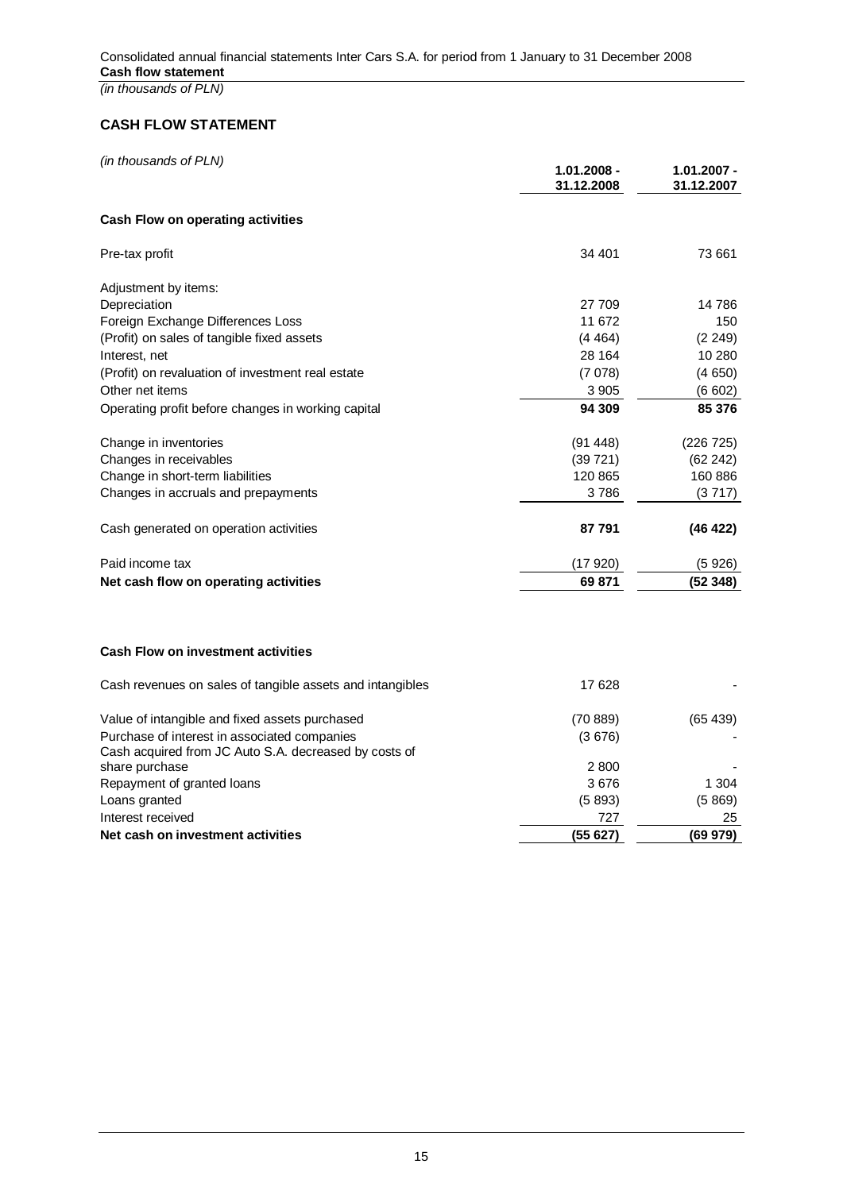## **CASH FLOW STATEMENT**

| (in thousands of PLN) |  |
|-----------------------|--|
|-----------------------|--|

|                                                           | $1.01.2008 -$<br>31.12.2008 | $1.01.2007 -$<br>31.12.2007 |
|-----------------------------------------------------------|-----------------------------|-----------------------------|
| <b>Cash Flow on operating activities</b>                  |                             |                             |
| Pre-tax profit                                            | 34 401                      | 73 661                      |
| Adjustment by items:                                      |                             |                             |
| Depreciation                                              | 27 709                      | 14 786                      |
| Foreign Exchange Differences Loss                         | 11 672                      | 150                         |
| (Profit) on sales of tangible fixed assets                | (4464)                      | (2 249)                     |
| Interest, net                                             | 28 164                      | 10 280                      |
| (Profit) on revaluation of investment real estate         | (7078)                      | (4650)                      |
| Other net items                                           | 3 9 0 5                     | (6602)                      |
| Operating profit before changes in working capital        | 94 309                      | 85 376                      |
| Change in inventories                                     | (91448)                     | (226 725)                   |
| Changes in receivables                                    | (39721)                     | (62242)                     |
| Change in short-term liabilities                          | 120 865                     | 160 886                     |
| Changes in accruals and prepayments                       | 3786                        | (3717)                      |
| Cash generated on operation activities                    | 87 791                      | (46 422)                    |
| Paid income tax                                           | (17920)                     | (5926)                      |
| Net cash flow on operating activities                     | 69 871                      | (52348)                     |
| <b>Cash Flow on investment activities</b>                 |                             |                             |
| Cash revenues on sales of tangible assets and intangibles | 17628                       |                             |
| Value of intangible and fixed assets purchased            | (70889)                     | (65439)                     |

| Net cash on investment activities                       | (55627)   | (69979)  |
|---------------------------------------------------------|-----------|----------|
| Interest received                                       | 727       | 25       |
| Loans granted                                           | (5893)    | (5869)   |
| Repayment of granted loans                              | 3676      | 1 304    |
| share purchase                                          | 2800      |          |
| Cash acquired from JC Auto S.A. decreased by costs of   |           |          |
| Purchase of interest in associated companies            | (3676)    |          |
| <u>Value of final ignore and fixed assets purchased</u> | (1 U OOS) | 109 4991 |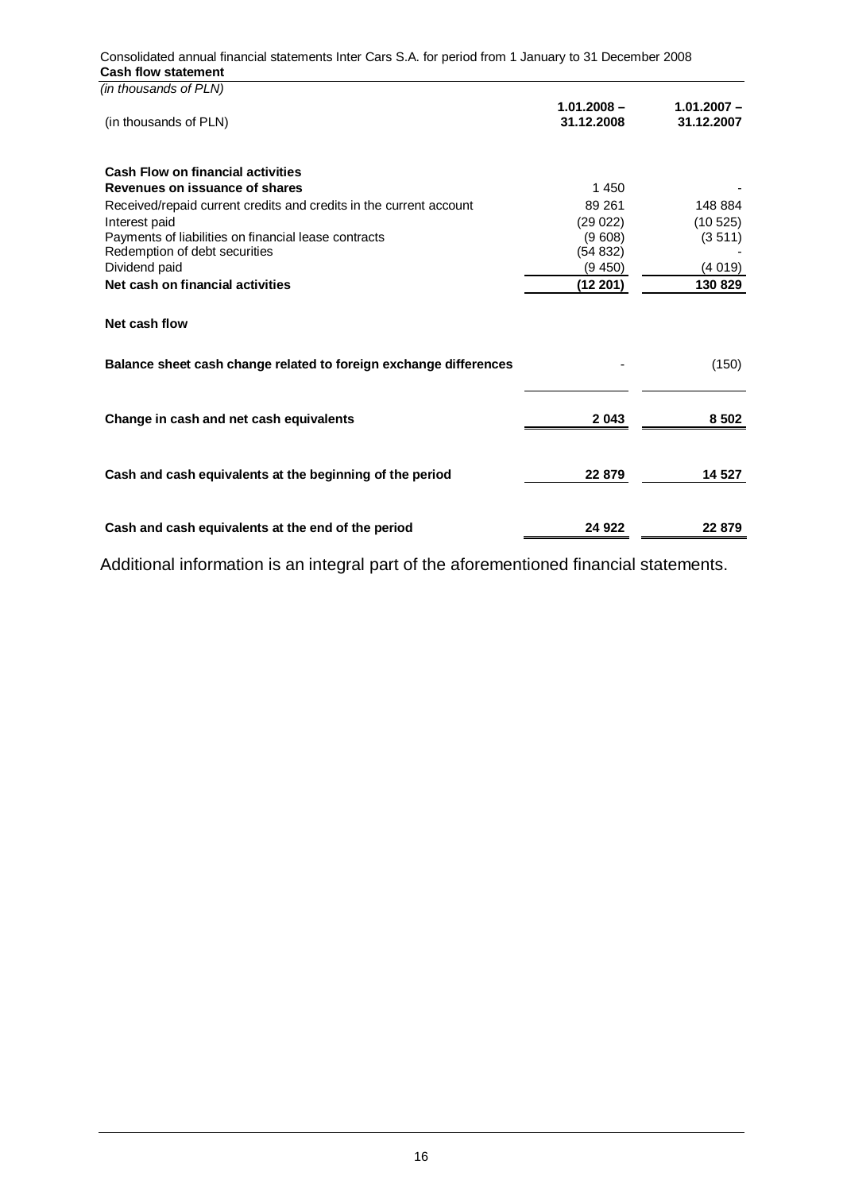| (in thousands of PLN)                                              |                             |                             |
|--------------------------------------------------------------------|-----------------------------|-----------------------------|
| (in thousands of PLN)                                              | $1.01.2008 -$<br>31.12.2008 | $1.01.2007 -$<br>31.12.2007 |
| <b>Cash Flow on financial activities</b>                           |                             |                             |
| Revenues on issuance of shares                                     | 1 4 5 0                     |                             |
| Received/repaid current credits and credits in the current account | 89 261                      | 148 884                     |
| Interest paid                                                      | (29022)                     | (10525)                     |
| Payments of liabilities on financial lease contracts               | (9608)                      | (3511)                      |
| Redemption of debt securities<br>Dividend paid                     | (54832)<br>(9, 450)         |                             |
| Net cash on financial activities                                   |                             | (4019)<br>130 829           |
|                                                                    | (12 201)                    |                             |
| Net cash flow                                                      |                             |                             |
| Balance sheet cash change related to foreign exchange differences  |                             | (150)                       |
| Change in cash and net cash equivalents                            | 2043                        | 8 5 0 2                     |
| Cash and cash equivalents at the beginning of the period           | 22 879                      | 14 527                      |
|                                                                    |                             |                             |
| Cash and cash equivalents at the end of the period                 | 24 9 22                     | 22 879                      |

Consolidated annual financial statements Inter Cars S.A. for period from 1 January to 31 December 2008 **Cash flow statement**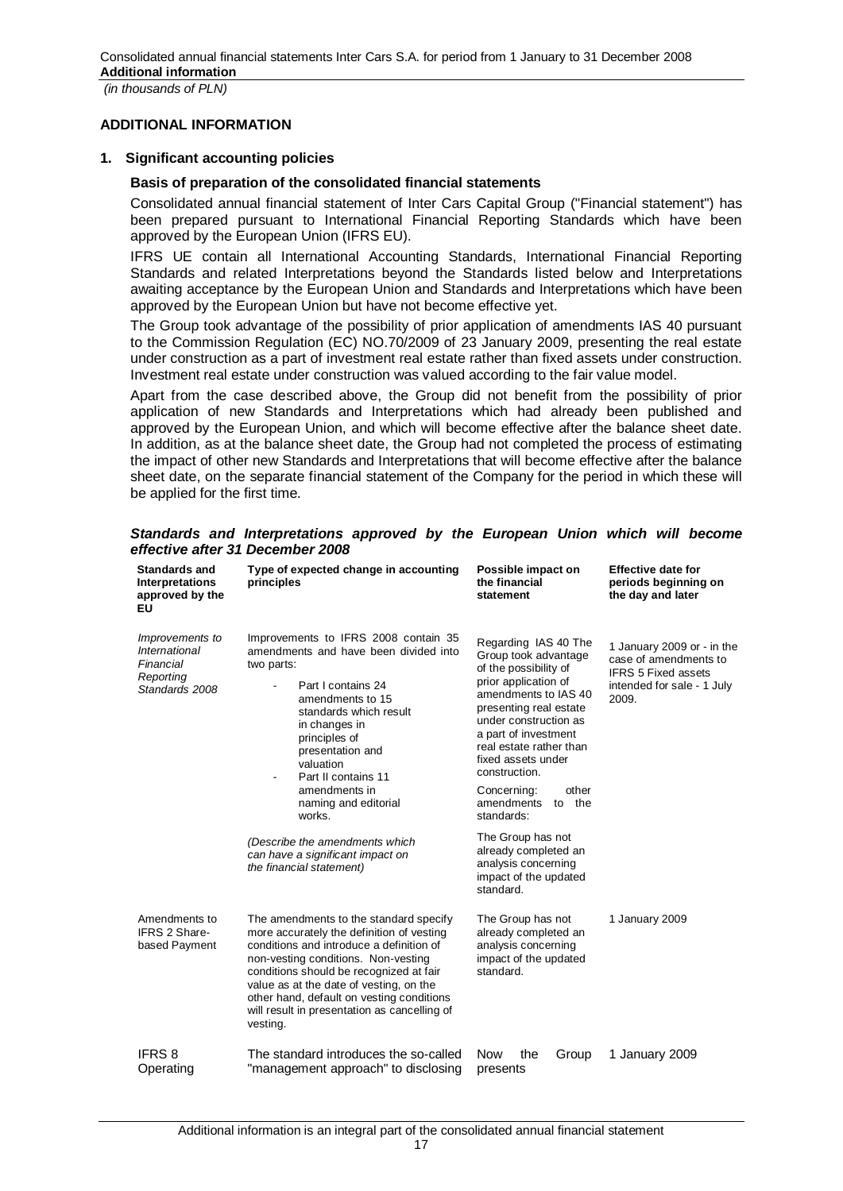## **ADDITIONAL INFORMATION**

## **1. Significant accounting policies**

## **Basis of preparation of the consolidated financial statements**

Consolidated annual financial statement of Inter Cars Capital Group ("Financial statement") has been prepared pursuant to International Financial Reporting Standards which have been approved by the European Union (IFRS EU).

IFRS UE contain all International Accounting Standards, International Financial Reporting Standards and related Interpretations beyond the Standards listed below and Interpretations awaiting acceptance by the European Union and Standards and Interpretations which have been approved by the European Union but have not become effective yet.

The Group took advantage of the possibility of prior application of amendments IAS 40 pursuant to the Commission Regulation (EC) NO.70/2009 of 23 January 2009, presenting the real estate under construction as a part of investment real estate rather than fixed assets under construction. Investment real estate under construction was valued according to the fair value model.

Apart from the case described above, the Group did not benefit from the possibility of prior application of new Standards and Interpretations which had already been published and approved by the European Union, and which will become effective after the balance sheet date. In addition, as at the balance sheet date, the Group had not completed the process of estimating the impact of other new Standards and Interpretations that will become effective after the balance sheet date, on the separate financial statement of the Company for the period in which these will be applied for the first time.

| <b>Standards and</b><br><b>Interpretations</b><br>approved by the<br>EU             | Type of expected change in accounting<br>principles                                                                                                                                                                                                                                                                                                                                                                              | Possible impact on<br>the financial<br>statement                                                                                                                                                                                                                                                                                                                                                                                           | <b>Effective date for</b><br>periods beginning on<br>the day and later                                                   |
|-------------------------------------------------------------------------------------|----------------------------------------------------------------------------------------------------------------------------------------------------------------------------------------------------------------------------------------------------------------------------------------------------------------------------------------------------------------------------------------------------------------------------------|--------------------------------------------------------------------------------------------------------------------------------------------------------------------------------------------------------------------------------------------------------------------------------------------------------------------------------------------------------------------------------------------------------------------------------------------|--------------------------------------------------------------------------------------------------------------------------|
| Improvements to<br><b>International</b><br>Financial<br>Reporting<br>Standards 2008 | Improvements to IFRS 2008 contain 35<br>amendments and have been divided into<br>two parts:<br>Part I contains 24<br>amendments to 15<br>standards which result<br>in changes in<br>principles of<br>presentation and<br>valuation<br>Part II contains 11<br>$\blacksquare$<br>amendments in<br>naming and editorial<br>works.<br>(Describe the amendments which<br>can have a significant impact on<br>the financial statement) | Regarding IAS 40 The<br>Group took advantage<br>of the possibility of<br>prior application of<br>amendments to IAS 40<br>presenting real estate<br>under construction as<br>a part of investment<br>real estate rather than<br>fixed assets under<br>construction.<br>other<br>Concerning:<br>amendments<br>to the<br>standards:<br>The Group has not<br>already completed an<br>analysis concerning<br>impact of the updated<br>standard. | 1 January 2009 or - in the<br>case of amendments to<br><b>IFRS 5 Fixed assets</b><br>intended for sale - 1 July<br>2009. |
| Amendments to<br>IFRS 2 Share-<br>based Payment                                     | The amendments to the standard specify<br>more accurately the definition of vesting<br>conditions and introduce a definition of<br>non-vesting conditions. Non-vesting<br>conditions should be recognized at fair<br>value as at the date of vesting, on the<br>other hand, default on vesting conditions<br>will result in presentation as cancelling of<br>vesting.                                                            | The Group has not<br>already completed an<br>analysis concerning<br>impact of the updated<br>standard.                                                                                                                                                                                                                                                                                                                                     | 1 January 2009                                                                                                           |
| <b>IFRS 8</b><br>Operating                                                          | The standard introduces the so-called<br>"management approach" to disclosing                                                                                                                                                                                                                                                                                                                                                     | <b>Now</b><br>the<br>Group<br>presents                                                                                                                                                                                                                                                                                                                                                                                                     | 1 January 2009                                                                                                           |

## *Standards and Interpretations approved by the European Union which will become effective after 31 December 2008*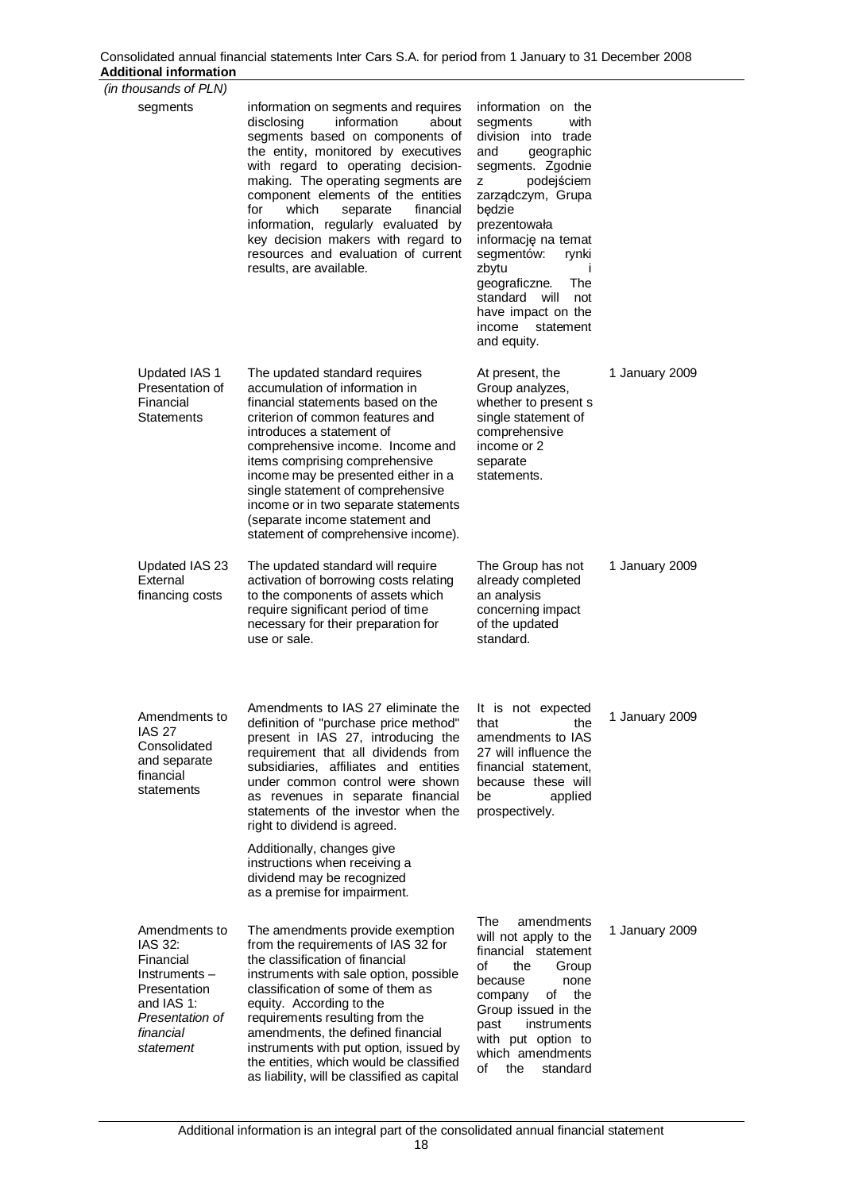| (in thousands of PLN)                                                                                                            |                                                                                                                                                                                                                                                                                                                                                                                                                                                                               |                                                                                                                                                                                                                                                                                                                                                              |                |
|----------------------------------------------------------------------------------------------------------------------------------|-------------------------------------------------------------------------------------------------------------------------------------------------------------------------------------------------------------------------------------------------------------------------------------------------------------------------------------------------------------------------------------------------------------------------------------------------------------------------------|--------------------------------------------------------------------------------------------------------------------------------------------------------------------------------------------------------------------------------------------------------------------------------------------------------------------------------------------------------------|----------------|
| segments                                                                                                                         | information on segments and requires<br>information<br>about<br>disclosing<br>segments based on components of<br>the entity, monitored by executives<br>with regard to operating decision-<br>making. The operating segments are<br>component elements of the entities<br>for<br>which<br>separate<br>financial<br>information, regularly evaluated by<br>key decision makers with regard to<br>resources and evaluation of current<br>results, are available.                | information on the<br>with<br>segments<br>division into trade<br>and<br>geographic<br>segments. Zgodnie<br>podejściem<br>z<br>zarządczym, Grupa<br>będzie<br>prezentowała<br>informację na temat<br>segmentów:<br>rynki<br>zbytu<br>$\mathbf{I}$<br>geograficzne.<br>The<br>standard will<br>not<br>have impact on the<br>income<br>statement<br>and equity. |                |
| Updated IAS 1<br>Presentation of<br>Financial<br>Statements                                                                      | The updated standard requires<br>accumulation of information in<br>financial statements based on the<br>criterion of common features and<br>introduces a statement of<br>comprehensive income. Income and<br>items comprising comprehensive<br>income may be presented either in a<br>single statement of comprehensive<br>income or in two separate statements<br>(separate income statement and<br>statement of comprehensive income).                                      | At present, the<br>Group analyzes,<br>whether to present s<br>single statement of<br>comprehensive<br>income or 2<br>separate<br>statements.                                                                                                                                                                                                                 | 1 January 2009 |
| Updated IAS 23<br>External<br>financing costs                                                                                    | The updated standard will require<br>activation of borrowing costs relating<br>to the components of assets which<br>require significant period of time<br>necessary for their preparation for<br>use or sale.                                                                                                                                                                                                                                                                 | The Group has not<br>already completed<br>an analysis<br>concerning impact<br>of the updated<br>standard.                                                                                                                                                                                                                                                    | 1 January 2009 |
| Amendments to<br><b>IAS 27</b><br>Consolidated<br>and separate<br>financial<br>statements                                        | Amendments to IAS 27 eliminate the<br>definition of "purchase price method"<br>present in IAS 27, introducing the<br>requirement that all dividends from<br>subsidiaries, affiliates and entities<br>under common control were shown<br>as revenues in separate financial<br>statements of the investor when the<br>right to dividend is agreed.<br>Additionally, changes give<br>instructions when receiving a<br>dividend may be recognized<br>as a premise for impairment. | It is not expected<br>that<br>the<br>amendments to IAS<br>27 will influence the<br>financial statement,<br>because these will<br>be<br>applied<br>prospectively.                                                                                                                                                                                             | 1 January 2009 |
| Amendments to<br>IAS 32:<br>Financial<br>Instruments-<br>Presentation<br>and IAS 1:<br>Presentation of<br>financial<br>statement | The amendments provide exemption<br>from the requirements of IAS 32 for<br>the classification of financial<br>instruments with sale option, possible<br>classification of some of them as<br>equity. According to the<br>requirements resulting from the<br>amendments, the defined financial<br>instruments with put option, issued by<br>the entities, which would be classified<br>as liability, will be classified as capital                                             | The<br>amendments<br>will not apply to the<br>financial statement<br>of<br>the<br>Group<br>because<br>none<br>of<br>the<br>company<br>Group issued in the<br>instruments<br>past<br>with put option to<br>which amendments<br>of<br>the<br>standard                                                                                                          | 1 January 2009 |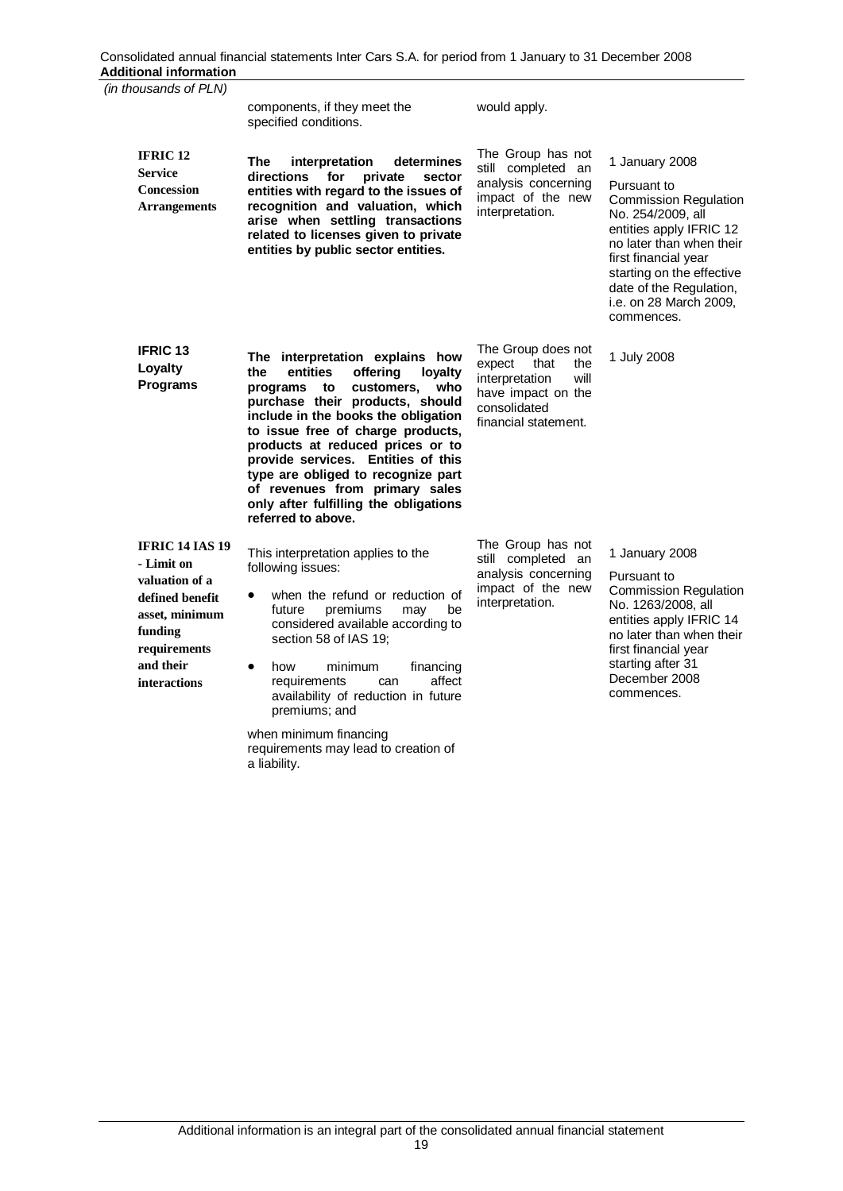| <br>(in thousands of PLN)                                                                                                                                  |                                                                                                                                                                                                                                                                                                                                                                                                                                                  |                                                                                                                                     |                                                                                                                                                                                                                                                                   |
|------------------------------------------------------------------------------------------------------------------------------------------------------------|--------------------------------------------------------------------------------------------------------------------------------------------------------------------------------------------------------------------------------------------------------------------------------------------------------------------------------------------------------------------------------------------------------------------------------------------------|-------------------------------------------------------------------------------------------------------------------------------------|-------------------------------------------------------------------------------------------------------------------------------------------------------------------------------------------------------------------------------------------------------------------|
|                                                                                                                                                            | components, if they meet the<br>specified conditions.                                                                                                                                                                                                                                                                                                                                                                                            | would apply.                                                                                                                        |                                                                                                                                                                                                                                                                   |
| <b>IFRIC 12</b><br><b>Service</b><br><b>Concession</b><br><b>Arrangements</b>                                                                              | The<br>interpretation<br>determines<br>for<br>directions<br>private<br>sector<br>entities with regard to the issues of<br>recognition and valuation, which<br>arise when settling transactions<br>related to licenses given to private<br>entities by public sector entities.                                                                                                                                                                    | The Group has not<br>still completed an<br>analysis concerning<br>impact of the new<br>interpretation.                              | 1 January 2008<br>Pursuant to<br><b>Commission Regulation</b><br>No. 254/2009, all<br>entities apply IFRIC 12<br>no later than when their<br>first financial year<br>starting on the effective<br>date of the Regulation,<br>i.e. on 28 March 2009,<br>commences. |
| <b>IFRIC 13</b><br>Loyalty<br><b>Programs</b>                                                                                                              | The interpretation explains how<br>entities<br>offering<br>the<br>loyalty<br>customers,<br>who<br>programs<br>to<br>purchase their products, should<br>include in the books the obligation<br>to issue free of charge products,<br>products at reduced prices or to<br>provide services. Entities of this<br>type are obliged to recognize part<br>of revenues from primary sales<br>only after fulfilling the obligations<br>referred to above. | The Group does not<br>expect<br>that<br>the<br>interpretation<br>will<br>have impact on the<br>consolidated<br>financial statement. | 1 July 2008                                                                                                                                                                                                                                                       |
| <b>IFRIC 14 IAS 19</b><br>- Limit on<br>valuation of a<br>defined benefit<br>asset, minimum<br>funding<br>requirements<br>and their<br><b>interactions</b> | This interpretation applies to the<br>following issues:<br>when the refund or reduction of<br>premiums<br>future<br>may<br>be<br>considered available according to<br>section 58 of IAS 19;<br>financing<br>how<br>minimum<br>$\bullet$<br>affect<br>requirements<br>can<br>availability of reduction in future<br>premiums; and<br>when minimum financing<br>requirements may lead to creation of                                               | The Group has not<br>still completed<br>an<br>analysis concerning<br>impact of the new<br>interpretation.                           | 1 January 2008<br>Pursuant to<br><b>Commission Regulation</b><br>No. 1263/2008, all<br>entities apply IFRIC 14<br>no later than when their<br>first financial year<br>starting after 31<br>December 2008<br>commences.                                            |

a liability.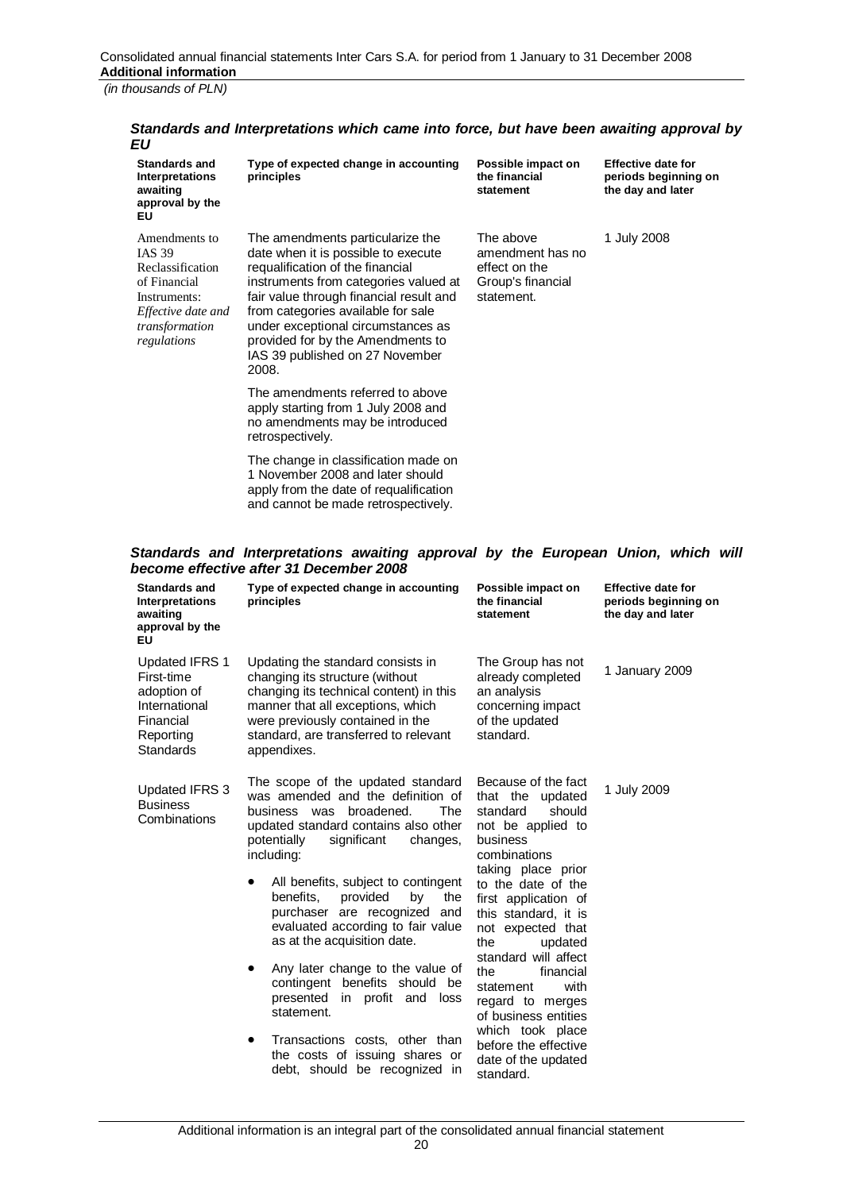| EU                                                                                                                                        |                                                                                                                                                                                                                                                                                                                                                              |                                                                                   |                                                                        |
|-------------------------------------------------------------------------------------------------------------------------------------------|--------------------------------------------------------------------------------------------------------------------------------------------------------------------------------------------------------------------------------------------------------------------------------------------------------------------------------------------------------------|-----------------------------------------------------------------------------------|------------------------------------------------------------------------|
| <b>Standards and</b><br><b>Interpretations</b><br>awaiting<br>approval by the<br>ΕU                                                       | Type of expected change in accounting<br>principles                                                                                                                                                                                                                                                                                                          | Possible impact on<br>the financial<br>statement                                  | <b>Effective date for</b><br>periods beginning on<br>the day and later |
| Amendments to<br><b>IAS 39</b><br>Reclassification<br>of Financial<br>Instruments:<br>Effective date and<br>transformation<br>regulations | The amendments particularize the<br>date when it is possible to execute<br>requalification of the financial<br>instruments from categories valued at<br>fair value through financial result and<br>from categories available for sale<br>under exceptional circumstances as<br>provided for by the Amendments to<br>IAS 39 published on 27 November<br>2008. | The above<br>amendment has no<br>effect on the<br>Group's financial<br>statement. | 1 July 2008                                                            |
|                                                                                                                                           | The amendments referred to above<br>apply starting from 1 July 2008 and<br>no amendments may be introduced<br>retrospectively.                                                                                                                                                                                                                               |                                                                                   |                                                                        |
|                                                                                                                                           | The change in classification made on<br>1 November 2008 and later should<br>apply from the date of requalification<br>and cannot be made retrospectively.                                                                                                                                                                                                    |                                                                                   |                                                                        |

# *Standards and Interpretations which came into force, but have been awaiting approval by*

## *Standards and Interpretations awaiting approval by the European Union, which will become effective after 31 December 2008*

| <b>Standards and</b><br>Interpretations<br>awaiting<br>approval by the<br>ΕU                                      | Type of expected change in accounting<br>principles                                                                                                                                                                                                                                                                                                                                                                                                                                                                                                                                                                        | Possible impact on<br>the financial<br>statement                                                                                                                                                                                                                                                                                                                                                                                                  | <b>Effective date for</b><br>periods beginning on<br>the day and later |
|-------------------------------------------------------------------------------------------------------------------|----------------------------------------------------------------------------------------------------------------------------------------------------------------------------------------------------------------------------------------------------------------------------------------------------------------------------------------------------------------------------------------------------------------------------------------------------------------------------------------------------------------------------------------------------------------------------------------------------------------------------|---------------------------------------------------------------------------------------------------------------------------------------------------------------------------------------------------------------------------------------------------------------------------------------------------------------------------------------------------------------------------------------------------------------------------------------------------|------------------------------------------------------------------------|
| <b>Updated IFRS 1</b><br>First-time<br>adoption of<br>International<br>Financial<br>Reporting<br><b>Standards</b> | Updating the standard consists in<br>changing its structure (without<br>changing its technical content) in this<br>manner that all exceptions, which<br>were previously contained in the<br>standard, are transferred to relevant<br>appendixes.                                                                                                                                                                                                                                                                                                                                                                           | The Group has not<br>already completed<br>an analysis<br>concerning impact<br>of the updated<br>standard.                                                                                                                                                                                                                                                                                                                                         | 1 January 2009                                                         |
| <b>Updated IFRS 3</b><br><b>Business</b><br>Combinations                                                          | The scope of the updated standard<br>was amended and the definition of<br>The<br>broadened.<br>business<br>was<br>updated standard contains also other<br>potentially<br>significant<br>changes,<br>including:<br>All benefits, subject to contingent<br>benefits,<br>provided<br>by<br>the<br>purchaser are recognized and<br>evaluated according to fair value<br>as at the acquisition date.<br>Any later change to the value of<br>contingent benefits should be<br>presented in profit and<br>loss<br>statement.<br>Transactions costs, other than<br>the costs of issuing shares or<br>debt, should be recognized in | Because of the fact<br>that the<br>updated<br>should<br>standard<br>not be applied to<br>business<br>combinations<br>taking place prior<br>to the date of the<br>first application of<br>this standard, it is<br>not expected that<br>updated<br>the<br>standard will affect<br>financial<br>the<br>with<br>statement<br>regard to merges<br>of business entities<br>which took place<br>before the effective<br>date of the updated<br>standard. | 1 July 2009                                                            |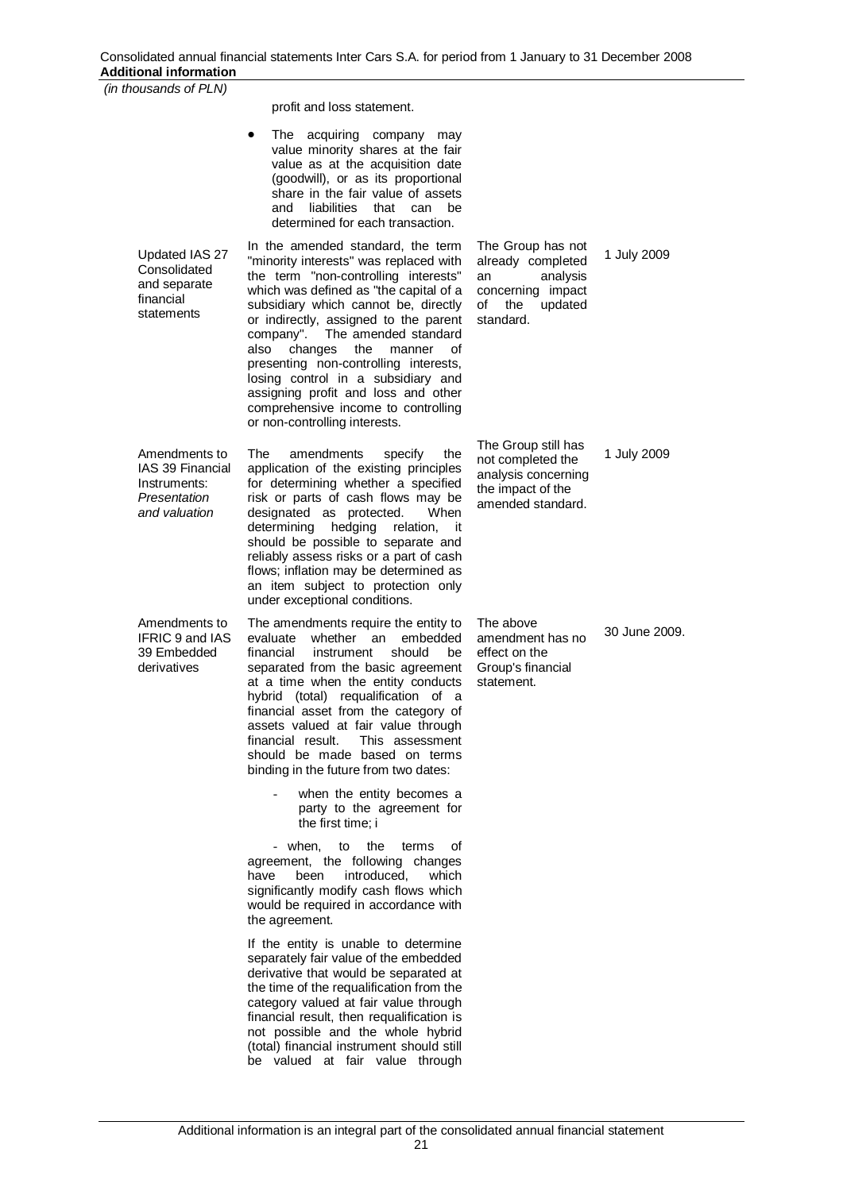| Additional information                                                             |                                                                                                                                                                                                                                                                                                                                                                                                                                                                                                                           |                                                                                                                    |               |
|------------------------------------------------------------------------------------|---------------------------------------------------------------------------------------------------------------------------------------------------------------------------------------------------------------------------------------------------------------------------------------------------------------------------------------------------------------------------------------------------------------------------------------------------------------------------------------------------------------------------|--------------------------------------------------------------------------------------------------------------------|---------------|
| (in thousands of PLN)                                                              |                                                                                                                                                                                                                                                                                                                                                                                                                                                                                                                           |                                                                                                                    |               |
|                                                                                    | profit and loss statement.                                                                                                                                                                                                                                                                                                                                                                                                                                                                                                |                                                                                                                    |               |
|                                                                                    | The acquiring company may<br>value minority shares at the fair<br>value as at the acquisition date<br>(goodwill), or as its proportional<br>share in the fair value of assets<br>liabilities<br>and<br>that can<br>be<br>determined for each transaction.                                                                                                                                                                                                                                                                 |                                                                                                                    |               |
| Updated IAS 27<br>Consolidated<br>and separate<br>financial<br>statements          | In the amended standard, the term<br>"minority interests" was replaced with<br>the term "non-controlling interests"<br>which was defined as "the capital of a<br>subsidiary which cannot be, directly<br>or indirectly, assigned to the parent<br>company". The amended standard<br>also<br>changes<br>the<br>manner<br>οf<br>presenting non-controlling interests,<br>losing control in a subsidiary and<br>assigning profit and loss and other<br>comprehensive income to controlling<br>or non-controlling interests.  | The Group has not<br>already completed<br>analysis<br>an<br>concerning impact<br>updated<br>of<br>the<br>standard. | 1 July 2009   |
| Amendments to<br>IAS 39 Financial<br>Instruments:<br>Presentation<br>and valuation | amendments<br>The<br>specify<br>the<br>application of the existing principles<br>for determining whether a specified<br>risk or parts of cash flows may be<br>designated as protected.<br>When<br>determining<br>hedging<br>relation,<br>-it<br>should be possible to separate and<br>reliably assess risks or a part of cash<br>flows; inflation may be determined as<br>an item subject to protection only<br>under exceptional conditions.                                                                             | The Group still has<br>not completed the<br>analysis concerning<br>the impact of the<br>amended standard.          | 1 July 2009   |
| Amendments to<br>IFRIC 9 and IAS<br>39 Embedded<br>derivatives                     | The amendments require the entity to<br>evaluate<br>whether an<br>embedded<br>financial<br>instrument<br>should<br>be<br>separated from the basic agreement<br>at a time when the entity conducts<br>hybrid (total) requalification of a<br>financial asset from the category of<br>assets valued at fair value through<br>financial result.<br>This assessment<br>should be made based on terms<br>binding in the future from two dates:<br>when the entity becomes a<br>party to the agreement for<br>the first time; i | The above<br>amendment has no<br>effect on the<br>Group's financial<br>statement.                                  | 30 June 2009. |
|                                                                                    | - when,<br>οf<br>to<br>the<br>terms<br>agreement, the following changes<br>have<br>been<br>introduced.<br>which<br>significantly modify cash flows which<br>would be required in accordance with<br>the agreement.                                                                                                                                                                                                                                                                                                        |                                                                                                                    |               |
|                                                                                    | If the entity is unable to determine<br>separately fair value of the embedded<br>derivative that would be separated at<br>the time of the requalification from the<br>category valued at fair value through<br>financial result, then requalification is<br>not possible and the whole hybrid<br>(total) financial instrument should still<br>be valued at fair value through                                                                                                                                             |                                                                                                                    |               |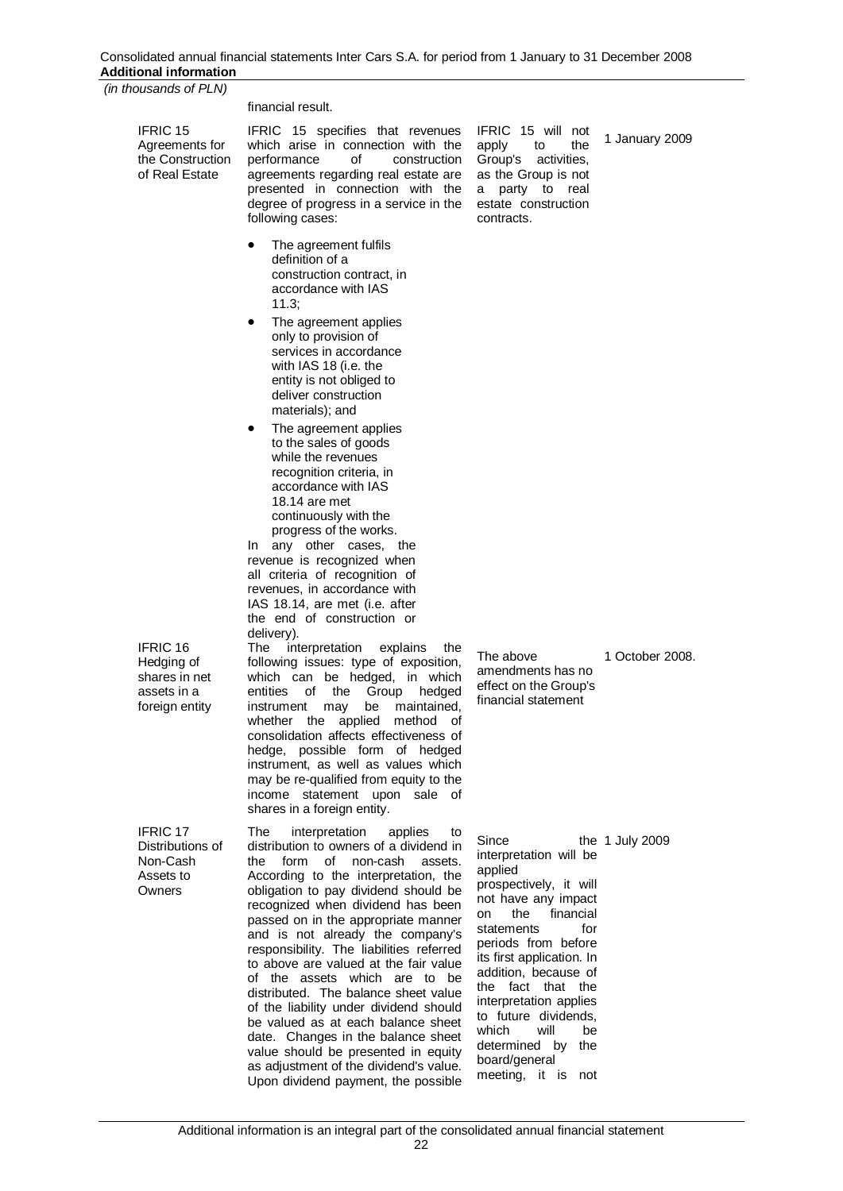| Auunvilai mivimanvii                                                       |                                                                                                                                                                                                                                                                                                                                                                                                                                                                                                                                                                                                                                                                                                                                                        |                                                                                                                                                                                                                                                                                                                                           |                   |
|----------------------------------------------------------------------------|--------------------------------------------------------------------------------------------------------------------------------------------------------------------------------------------------------------------------------------------------------------------------------------------------------------------------------------------------------------------------------------------------------------------------------------------------------------------------------------------------------------------------------------------------------------------------------------------------------------------------------------------------------------------------------------------------------------------------------------------------------|-------------------------------------------------------------------------------------------------------------------------------------------------------------------------------------------------------------------------------------------------------------------------------------------------------------------------------------------|-------------------|
| (in thousands of PLN)                                                      |                                                                                                                                                                                                                                                                                                                                                                                                                                                                                                                                                                                                                                                                                                                                                        |                                                                                                                                                                                                                                                                                                                                           |                   |
| <b>IFRIC 15</b><br>Agreements for<br>the Construction<br>of Real Estate    | financial result.<br>IFRIC 15 specifies that revenues<br>which arise in connection with the<br>performance<br>οf<br>construction<br>agreements regarding real estate are<br>presented in connection with the<br>degree of progress in a service in the<br>following cases:                                                                                                                                                                                                                                                                                                                                                                                                                                                                             | IFRIC 15 will not<br>the<br>apply<br>to<br>Group's<br>activities.<br>as the Group is not<br>party to real<br>a<br>estate construction<br>contracts.                                                                                                                                                                                       | 1 January 2009    |
| IFRIC 16                                                                   | The agreement fulfils<br>$\bullet$<br>definition of a<br>construction contract, in<br>accordance with IAS<br>11.3:<br>The agreement applies<br>only to provision of<br>services in accordance<br>with IAS 18 (i.e. the<br>entity is not obliged to<br>deliver construction<br>materials); and<br>The agreement applies<br>٠<br>to the sales of goods<br>while the revenues<br>recognition criteria, in<br>accordance with IAS<br>18.14 are met<br>continuously with the<br>progress of the works.<br>In any other cases, the<br>revenue is recognized when<br>all criteria of recognition of<br>revenues, in accordance with<br>IAS 18.14, are met (i.e. after<br>the end of construction or<br>delivery).<br>The<br>interpretation<br>explains<br>the |                                                                                                                                                                                                                                                                                                                                           |                   |
| Hedging of<br>shares in net<br>assets in a<br>foreign entity               | following issues: type of exposition,<br>which can be hedged, in which<br>of<br>entities<br>the<br>Group<br>hedged<br>instrument may be maintained,<br>whether the<br>applied method of<br>consolidation affects effectiveness of<br>hedge, possible form of hedged<br>instrument, as well as values which<br>may be re-qualified from equity to the<br>income statement upon sale of<br>shares in a foreign entity.                                                                                                                                                                                                                                                                                                                                   | The above<br>amendments has no<br>effect on the Group's<br>financial statement                                                                                                                                                                                                                                                            | 1 October 2008.   |
| IFRIC <sub>17</sub><br>Distributions of<br>Non-Cash<br>Assets to<br>Owners | interpretation<br>The<br>applies<br>to<br>distribution to owners of a dividend in<br>form<br>of<br>non-cash<br>the<br>assets.<br>According to the interpretation, the<br>obligation to pay dividend should be<br>recognized when dividend has been<br>passed on in the appropriate manner<br>and is not already the company's<br>responsibility. The liabilities referred<br>to above are valued at the fair value<br>of the assets which are to be<br>distributed. The balance sheet value<br>of the liability under dividend should<br>be valued as at each balance sheet<br>date. Changes in the balance sheet<br>value should be presented in equity                                                                                               | Since<br>interpretation will be<br>applied<br>prospectively, it will<br>not have any impact<br>the<br>financial<br>on<br>for<br>statements<br>periods from before<br>its first application. In<br>addition, because of<br>the fact that the<br>interpretation applies<br>to future dividends,<br>which<br>will<br>be<br>determined by the | the $1$ July 2009 |

board/general meeting, it is not

as adjustment of the dividend's value. Upon dividend payment, the possible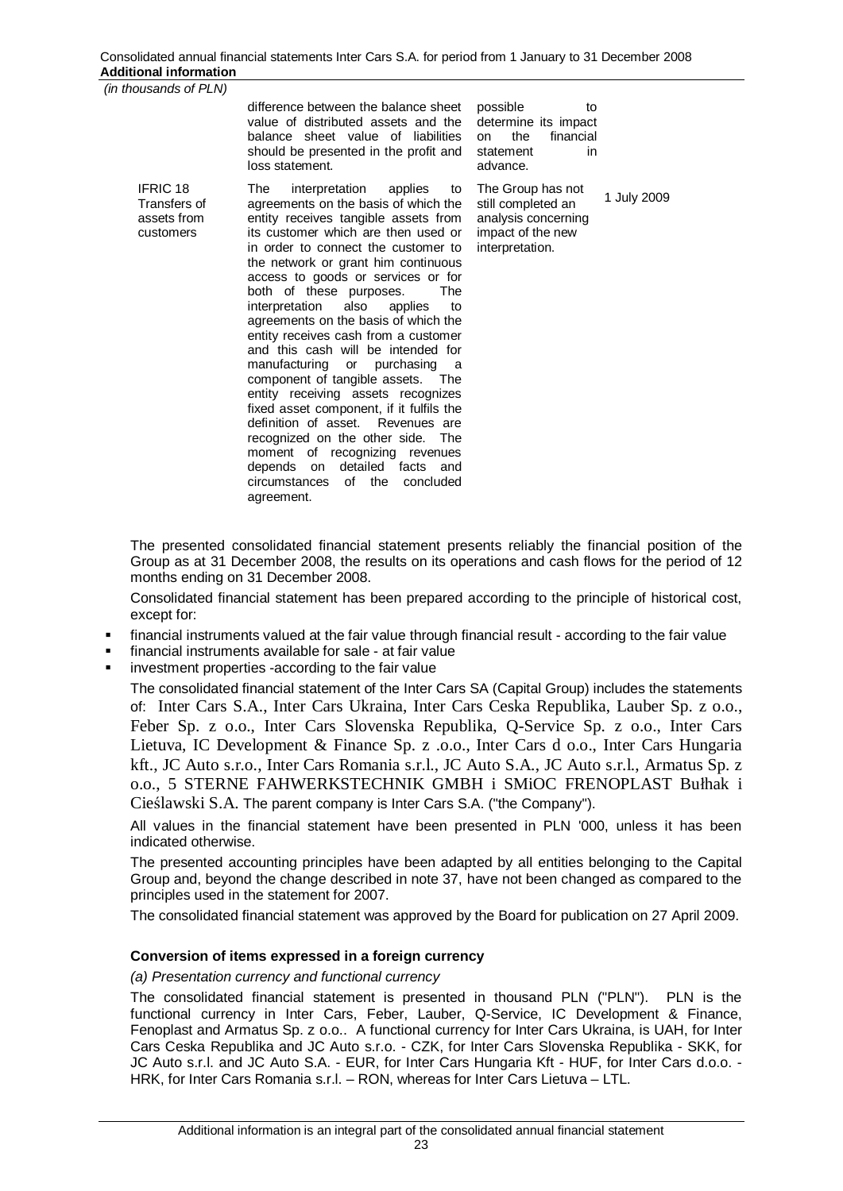| thousands of PLN)                                           |                                                                                                                                                                                                                                                                                                                                                                                                                                                                                                                                                                                                                                                                                                                                                                                                                                                                |                                                                                                                       |
|-------------------------------------------------------------|----------------------------------------------------------------------------------------------------------------------------------------------------------------------------------------------------------------------------------------------------------------------------------------------------------------------------------------------------------------------------------------------------------------------------------------------------------------------------------------------------------------------------------------------------------------------------------------------------------------------------------------------------------------------------------------------------------------------------------------------------------------------------------------------------------------------------------------------------------------|-----------------------------------------------------------------------------------------------------------------------|
|                                                             | difference between the balance sheet<br>value of distributed assets and the<br>balance sheet value of liabilities<br>should be presented in the profit and<br>loss statement.                                                                                                                                                                                                                                                                                                                                                                                                                                                                                                                                                                                                                                                                                  | possible<br>to<br>determine its impact<br>the<br>financial<br>on<br>statement<br>in<br>advance.                       |
| <b>IFRIC 18</b><br>Transfers of<br>assets from<br>customers | The<br>interpretation<br>applies<br>to<br>agreements on the basis of which the<br>entity receives tangible assets from<br>its customer which are then used or<br>in order to connect the customer to<br>the network or grant him continuous<br>access to goods or services or for<br>both of these purposes.<br>The<br>interpretation<br>also<br>applies<br>to<br>agreements on the basis of which the<br>entity receives cash from a customer<br>and this cash will be intended for<br>manufacturing or purchasing<br>a<br>component of tangible assets. The<br>entity receiving assets recognizes<br>fixed asset component, if it fulfils the<br>definition of asset. Revenues are<br>recognized on the other side. The<br>moment of recognizing revenues<br>detailed<br>facts and<br>depends<br>on<br>the<br>circumstances<br>of<br>concluded<br>agreement. | The Group has not<br>1 July 2009<br>still completed an<br>analysis concerning<br>impact of the new<br>interpretation. |

The presented consolidated financial statement presents reliably the financial position of the Group as at 31 December 2008, the results on its operations and cash flows for the period of 12 months ending on 31 December 2008.

Consolidated financial statement has been prepared according to the principle of historical cost, except for:

- financial instruments valued at the fair value through financial result according to the fair value
- financial instruments available for sale at fair value
- investment properties -according to the fair value

 $(in$ 

The consolidated financial statement of the Inter Cars SA (Capital Group) includes the statements of: Inter Cars S.A., Inter Cars Ukraina, Inter Cars Ceska Republika, Lauber Sp. z o.o., Feber Sp. z o.o., Inter Cars Slovenska Republika, Q-Service Sp. z o.o., Inter Cars Lietuva, IC Development & Finance Sp. z .o.o., Inter Cars d o.o., Inter Cars Hungaria kft., JC Auto s.r.o., Inter Cars Romania s.r.l., JC Auto S.A., JC Auto s.r.l., Armatus Sp. z o.o., 5 STERNE FAHWERKSTECHNIK GMBH i SMIOC FRENOPLAST Bułhak i CieĞlawski S.A. The parent company is Inter Cars S.A. ("the Company").

All values in the financial statement have been presented in PLN '000, unless it has been indicated otherwise.

The presented accounting principles have been adapted by all entities belonging to the Capital Group and, beyond the change described in note 37, have not been changed as compared to the principles used in the statement for 2007.

The consolidated financial statement was approved by the Board for publication on 27 April 2009.

## **Conversion of items expressed in a foreign currency**

## *(a) Presentation currency and functional currency*

The consolidated financial statement is presented in thousand PLN ("PLN"). PLN is the functional currency in Inter Cars, Feber, Lauber, Q-Service, IC Development & Finance, Fenoplast and Armatus Sp. z o.o.. A functional currency for Inter Cars Ukraina, is UAH, for Inter Cars Ceska Republika and JC Auto s.r.o. - CZK, for Inter Cars Slovenska Republika - SKK, for JC Auto s.r.l. and JC Auto S.A. - EUR, for Inter Cars Hungaria Kft - HUF, for Inter Cars d.o.o. - HRK, for Inter Cars Romania s.r.l. – RON, whereas for Inter Cars Lietuva – LTL.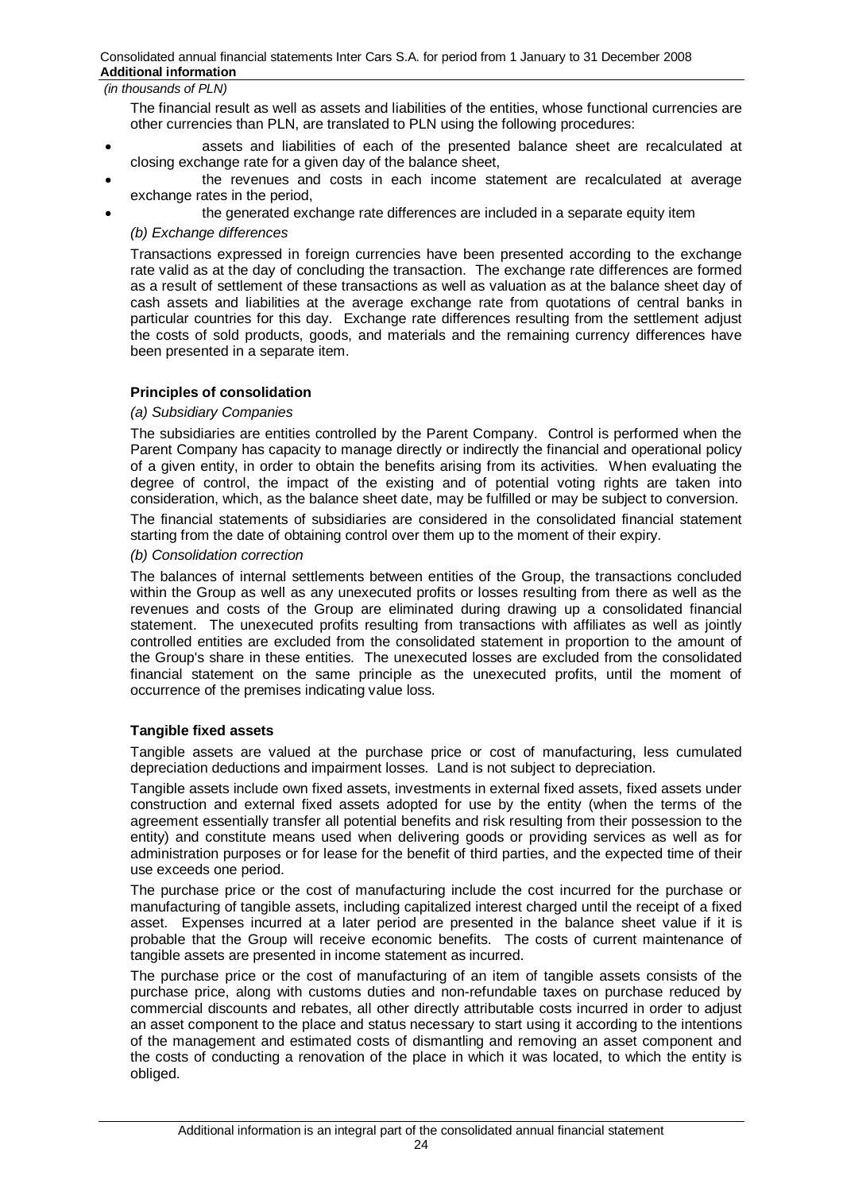The financial result as well as assets and liabilities of the entities, whose functional currencies are other currencies than PLN, are translated to PLN using the following procedures:

- x assets and liabilities of each of the presented balance sheet are recalculated at closing exchange rate for a given day of the balance sheet,
- the revenues and costs in each income statement are recalculated at average exchange rates in the period,
	- the generated exchange rate differences are included in a separate equity item

## *(b) Exchange differences*

Transactions expressed in foreign currencies have been presented according to the exchange rate valid as at the day of concluding the transaction. The exchange rate differences are formed as a result of settlement of these transactions as well as valuation as at the balance sheet day of cash assets and liabilities at the average exchange rate from quotations of central banks in particular countries for this day. Exchange rate differences resulting from the settlement adjust the costs of sold products, goods, and materials and the remaining currency differences have been presented in a separate item.

## **Principles of consolidation**

## *(a) Subsidiary Companies*

The subsidiaries are entities controlled by the Parent Company. Control is performed when the Parent Company has capacity to manage directly or indirectly the financial and operational policy of a given entity, in order to obtain the benefits arising from its activities. When evaluating the degree of control, the impact of the existing and of potential voting rights are taken into consideration, which, as the balance sheet date, may be fulfilled or may be subject to conversion.

The financial statements of subsidiaries are considered in the consolidated financial statement starting from the date of obtaining control over them up to the moment of their expiry.

## *(b) Consolidation correction*

The balances of internal settlements between entities of the Group, the transactions concluded within the Group as well as any unexecuted profits or losses resulting from there as well as the revenues and costs of the Group are eliminated during drawing up a consolidated financial statement. The unexecuted profits resulting from transactions with affiliates as well as jointly controlled entities are excluded from the consolidated statement in proportion to the amount of the Group's share in these entities. The unexecuted losses are excluded from the consolidated financial statement on the same principle as the unexecuted profits, until the moment of occurrence of the premises indicating value loss.

## **Tangible fixed assets**

Tangible assets are valued at the purchase price or cost of manufacturing, less cumulated depreciation deductions and impairment losses. Land is not subject to depreciation.

Tangible assets include own fixed assets, investments in external fixed assets, fixed assets under construction and external fixed assets adopted for use by the entity (when the terms of the agreement essentially transfer all potential benefits and risk resulting from their possession to the entity) and constitute means used when delivering goods or providing services as well as for administration purposes or for lease for the benefit of third parties, and the expected time of their use exceeds one period.

The purchase price or the cost of manufacturing include the cost incurred for the purchase or manufacturing of tangible assets, including capitalized interest charged until the receipt of a fixed asset. Expenses incurred at a later period are presented in the balance sheet value if it is probable that the Group will receive economic benefits. The costs of current maintenance of tangible assets are presented in income statement as incurred.

The purchase price or the cost of manufacturing of an item of tangible assets consists of the purchase price, along with customs duties and non-refundable taxes on purchase reduced by commercial discounts and rebates, all other directly attributable costs incurred in order to adjust an asset component to the place and status necessary to start using it according to the intentions of the management and estimated costs of dismantling and removing an asset component and the costs of conducting a renovation of the place in which it was located, to which the entity is obliged.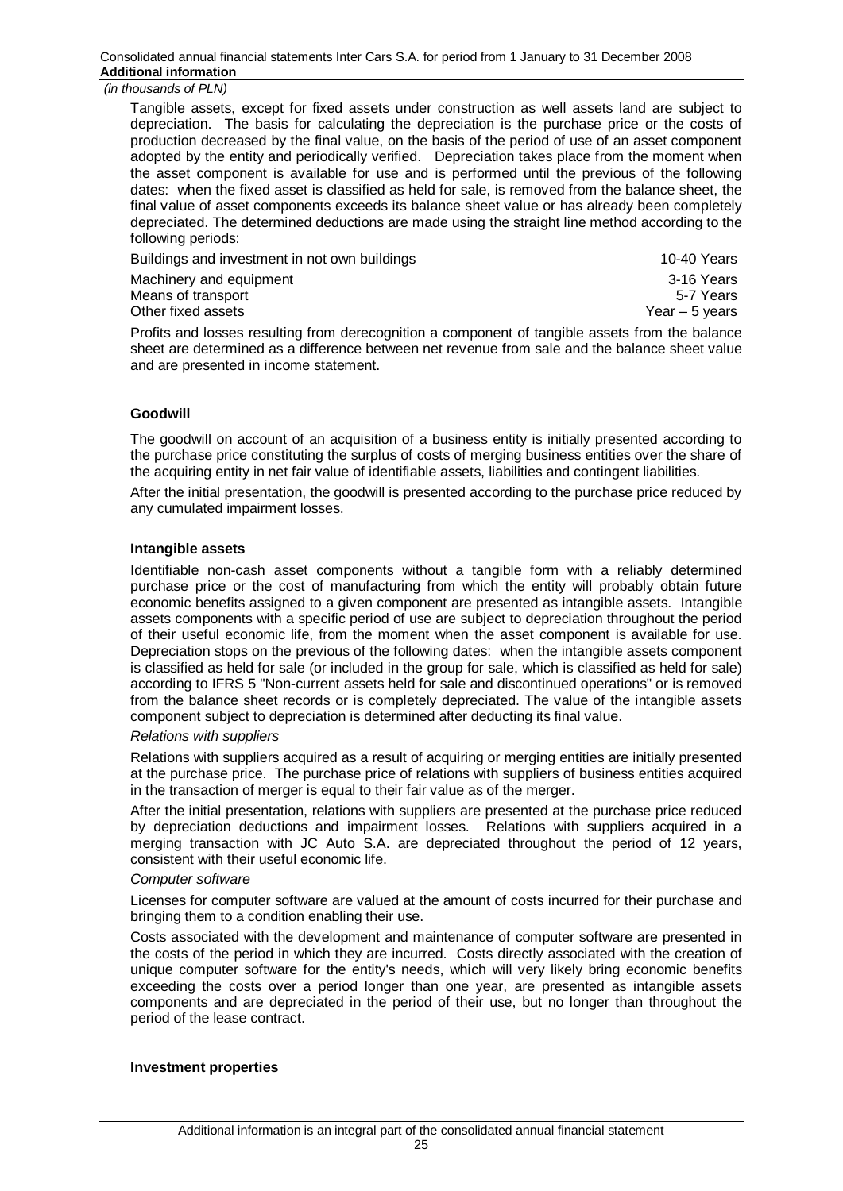Tangible assets, except for fixed assets under construction as well assets land are subject to depreciation. The basis for calculating the depreciation is the purchase price or the costs of production decreased by the final value, on the basis of the period of use of an asset component adopted by the entity and periodically verified. Depreciation takes place from the moment when the asset component is available for use and is performed until the previous of the following dates: when the fixed asset is classified as held for sale, is removed from the balance sheet, the final value of asset components exceeds its balance sheet value or has already been completely depreciated. The determined deductions are made using the straight line method according to the following periods:

| Buildings and investment in not own buildings                                                   | 10-40 Years     |
|-------------------------------------------------------------------------------------------------|-----------------|
| Machinery and equipment                                                                         | 3-16 Years      |
| Means of transport                                                                              | 5-7 Years       |
| Other fixed assets                                                                              | Year $-5$ years |
| Profits and losses resulting from derecognition a component of tangible assets from the balance |                 |

Profits and losses resulting from derecognition a component of tangible assets from the balance sheet are determined as a difference between net revenue from sale and the balance sheet value and are presented in income statement.

## **Goodwill**

The goodwill on account of an acquisition of a business entity is initially presented according to the purchase price constituting the surplus of costs of merging business entities over the share of the acquiring entity in net fair value of identifiable assets, liabilities and contingent liabilities.

After the initial presentation, the goodwill is presented according to the purchase price reduced by any cumulated impairment losses.

#### **Intangible assets**

Identifiable non-cash asset components without a tangible form with a reliably determined purchase price or the cost of manufacturing from which the entity will probably obtain future economic benefits assigned to a given component are presented as intangible assets. Intangible assets components with a specific period of use are subject to depreciation throughout the period of their useful economic life, from the moment when the asset component is available for use. Depreciation stops on the previous of the following dates: when the intangible assets component is classified as held for sale (or included in the group for sale, which is classified as held for sale) according to IFRS 5 "Non-current assets held for sale and discontinued operations" or is removed from the balance sheet records or is completely depreciated. The value of the intangible assets component subject to depreciation is determined after deducting its final value.

#### *Relations with suppliers*

Relations with suppliers acquired as a result of acquiring or merging entities are initially presented at the purchase price. The purchase price of relations with suppliers of business entities acquired in the transaction of merger is equal to their fair value as of the merger.

After the initial presentation, relations with suppliers are presented at the purchase price reduced by depreciation deductions and impairment losses. Relations with suppliers acquired in a merging transaction with JC Auto S.A. are depreciated throughout the period of 12 years, consistent with their useful economic life.

#### *Computer software*

Licenses for computer software are valued at the amount of costs incurred for their purchase and bringing them to a condition enabling their use.

Costs associated with the development and maintenance of computer software are presented in the costs of the period in which they are incurred. Costs directly associated with the creation of unique computer software for the entity's needs, which will very likely bring economic benefits exceeding the costs over a period longer than one year, are presented as intangible assets components and are depreciated in the period of their use, but no longer than throughout the period of the lease contract.

#### **Investment properties**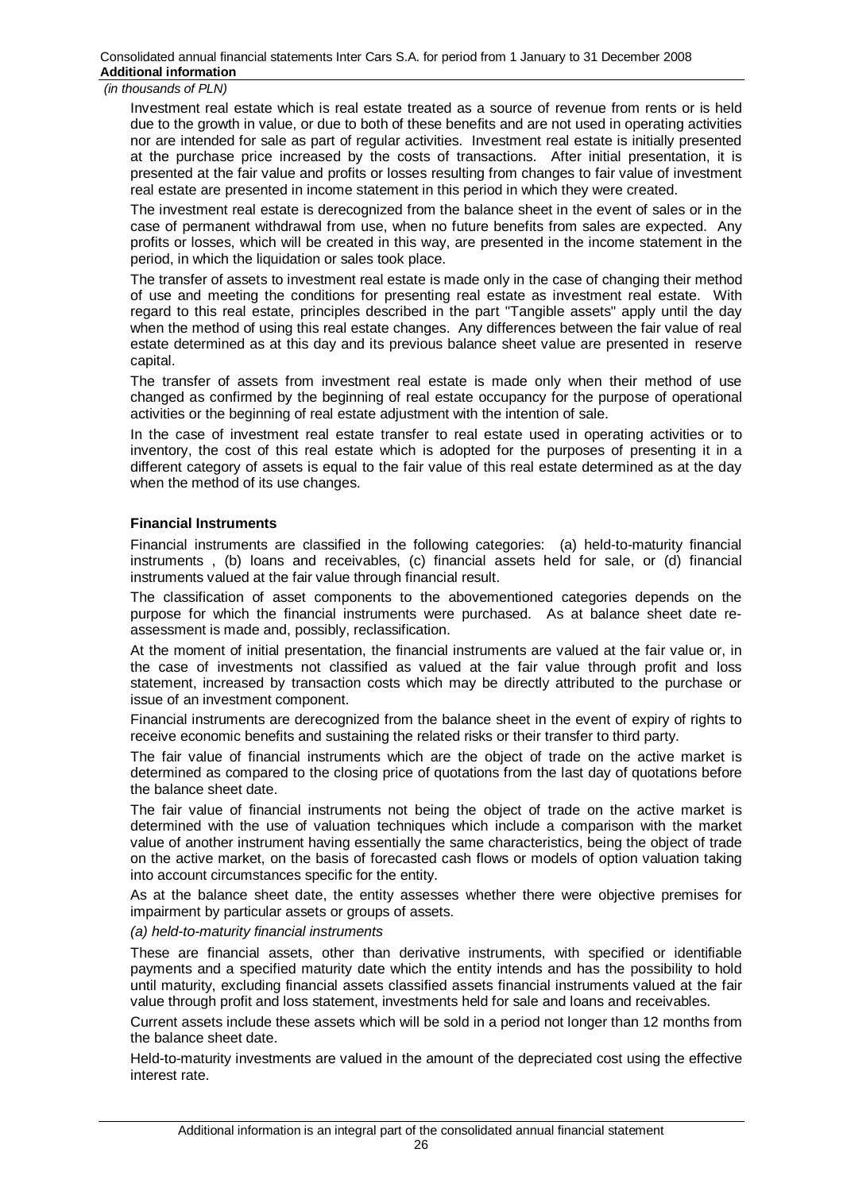Investment real estate which is real estate treated as a source of revenue from rents or is held due to the growth in value, or due to both of these benefits and are not used in operating activities nor are intended for sale as part of regular activities. Investment real estate is initially presented at the purchase price increased by the costs of transactions. After initial presentation, it is presented at the fair value and profits or losses resulting from changes to fair value of investment real estate are presented in income statement in this period in which they were created.

The investment real estate is derecognized from the balance sheet in the event of sales or in the case of permanent withdrawal from use, when no future benefits from sales are expected. Any profits or losses, which will be created in this way, are presented in the income statement in the period, in which the liquidation or sales took place.

The transfer of assets to investment real estate is made only in the case of changing their method of use and meeting the conditions for presenting real estate as investment real estate. With regard to this real estate, principles described in the part "Tangible assets" apply until the day when the method of using this real estate changes. Any differences between the fair value of real estate determined as at this day and its previous balance sheet value are presented in reserve capital.

The transfer of assets from investment real estate is made only when their method of use changed as confirmed by the beginning of real estate occupancy for the purpose of operational activities or the beginning of real estate adjustment with the intention of sale.

In the case of investment real estate transfer to real estate used in operating activities or to inventory, the cost of this real estate which is adopted for the purposes of presenting it in a different category of assets is equal to the fair value of this real estate determined as at the day when the method of its use changes.

## **Financial Instruments**

Financial instruments are classified in the following categories: (a) held-to-maturity financial instruments , (b) loans and receivables, (c) financial assets held for sale, or (d) financial instruments valued at the fair value through financial result.

The classification of asset components to the abovementioned categories depends on the purpose for which the financial instruments were purchased. As at balance sheet date reassessment is made and, possibly, reclassification.

At the moment of initial presentation, the financial instruments are valued at the fair value or, in the case of investments not classified as valued at the fair value through profit and loss statement, increased by transaction costs which may be directly attributed to the purchase or issue of an investment component.

Financial instruments are derecognized from the balance sheet in the event of expiry of rights to receive economic benefits and sustaining the related risks or their transfer to third party.

The fair value of financial instruments which are the object of trade on the active market is determined as compared to the closing price of quotations from the last day of quotations before the balance sheet date.

The fair value of financial instruments not being the object of trade on the active market is determined with the use of valuation techniques which include a comparison with the market value of another instrument having essentially the same characteristics, being the object of trade on the active market, on the basis of forecasted cash flows or models of option valuation taking into account circumstances specific for the entity.

As at the balance sheet date, the entity assesses whether there were objective premises for impairment by particular assets or groups of assets.

#### *(a) held-to-maturity financial instruments*

These are financial assets, other than derivative instruments, with specified or identifiable payments and a specified maturity date which the entity intends and has the possibility to hold until maturity, excluding financial assets classified assets financial instruments valued at the fair value through profit and loss statement, investments held for sale and loans and receivables.

Current assets include these assets which will be sold in a period not longer than 12 months from the balance sheet date.

Held-to-maturity investments are valued in the amount of the depreciated cost using the effective interest rate.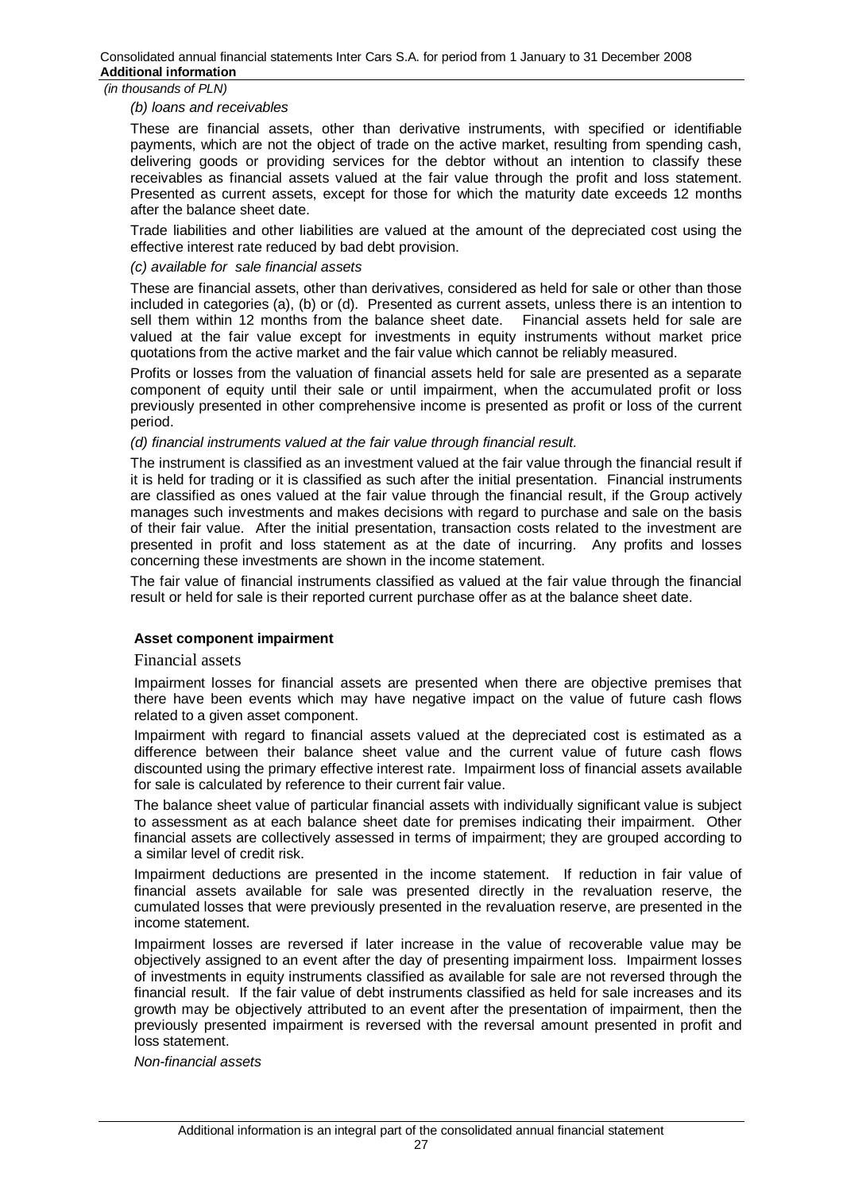### *(b) loans and receivables*

These are financial assets, other than derivative instruments, with specified or identifiable payments, which are not the object of trade on the active market, resulting from spending cash, delivering goods or providing services for the debtor without an intention to classify these receivables as financial assets valued at the fair value through the profit and loss statement. Presented as current assets, except for those for which the maturity date exceeds 12 months after the balance sheet date.

Trade liabilities and other liabilities are valued at the amount of the depreciated cost using the effective interest rate reduced by bad debt provision.

## *(c) available for sale financial assets*

These are financial assets, other than derivatives, considered as held for sale or other than those included in categories (a), (b) or (d). Presented as current assets, unless there is an intention to sell them within 12 months from the balance sheet date. Financial assets held for sale are valued at the fair value except for investments in equity instruments without market price quotations from the active market and the fair value which cannot be reliably measured.

Profits or losses from the valuation of financial assets held for sale are presented as a separate component of equity until their sale or until impairment, when the accumulated profit or loss previously presented in other comprehensive income is presented as profit or loss of the current period.

## *(d) financial instruments valued at the fair value through financial result.*

The instrument is classified as an investment valued at the fair value through the financial result if it is held for trading or it is classified as such after the initial presentation. Financial instruments are classified as ones valued at the fair value through the financial result, if the Group actively manages such investments and makes decisions with regard to purchase and sale on the basis of their fair value. After the initial presentation, transaction costs related to the investment are presented in profit and loss statement as at the date of incurring. Any profits and losses concerning these investments are shown in the income statement.

The fair value of financial instruments classified as valued at the fair value through the financial result or held for sale is their reported current purchase offer as at the balance sheet date.

## **Asset component impairment**

#### Financial assets

Impairment losses for financial assets are presented when there are objective premises that there have been events which may have negative impact on the value of future cash flows related to a given asset component.

Impairment with regard to financial assets valued at the depreciated cost is estimated as a difference between their balance sheet value and the current value of future cash flows discounted using the primary effective interest rate. Impairment loss of financial assets available for sale is calculated by reference to their current fair value.

The balance sheet value of particular financial assets with individually significant value is subject to assessment as at each balance sheet date for premises indicating their impairment. Other financial assets are collectively assessed in terms of impairment; they are grouped according to a similar level of credit risk.

Impairment deductions are presented in the income statement. If reduction in fair value of financial assets available for sale was presented directly in the revaluation reserve, the cumulated losses that were previously presented in the revaluation reserve, are presented in the income statement.

Impairment losses are reversed if later increase in the value of recoverable value may be objectively assigned to an event after the day of presenting impairment loss. Impairment losses of investments in equity instruments classified as available for sale are not reversed through the financial result. If the fair value of debt instruments classified as held for sale increases and its growth may be objectively attributed to an event after the presentation of impairment, then the previously presented impairment is reversed with the reversal amount presented in profit and loss statement.

*Non-financial assets*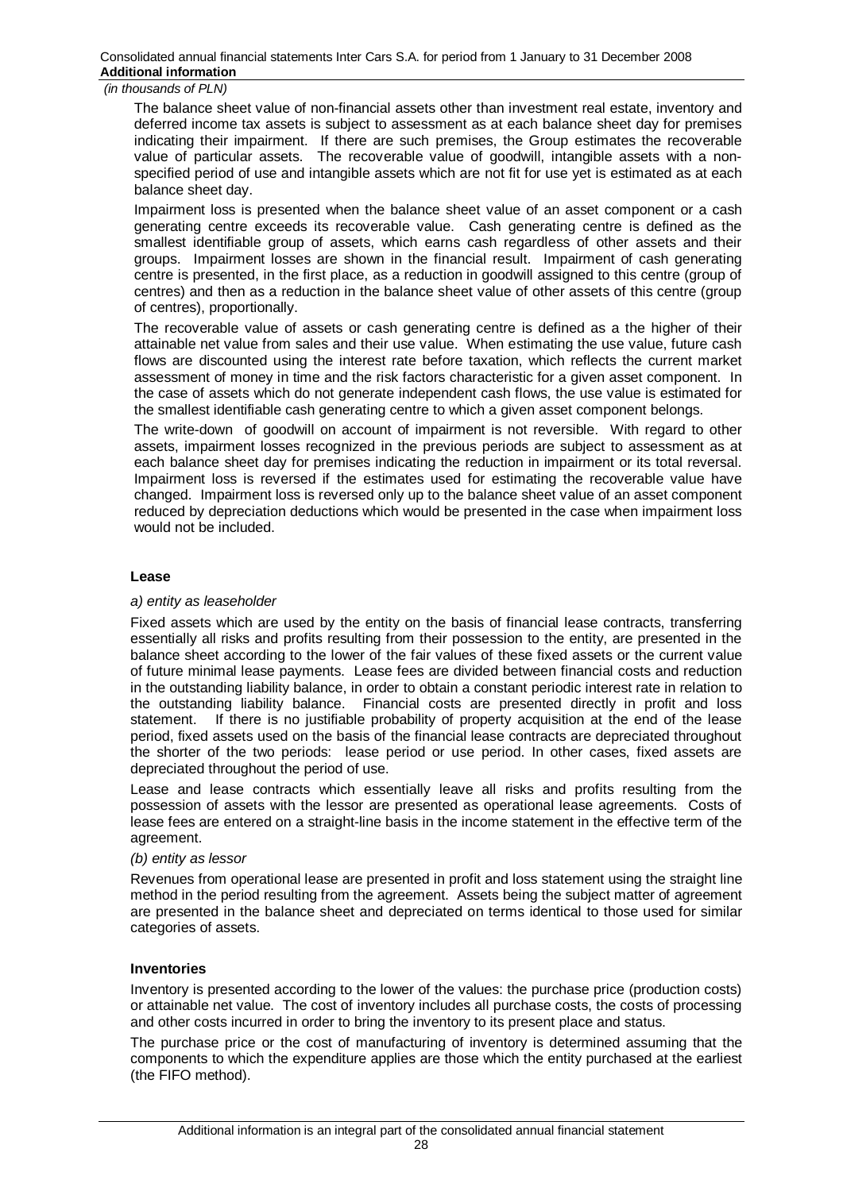The balance sheet value of non-financial assets other than investment real estate, inventory and deferred income tax assets is subject to assessment as at each balance sheet day for premises indicating their impairment. If there are such premises, the Group estimates the recoverable value of particular assets. The recoverable value of goodwill, intangible assets with a nonspecified period of use and intangible assets which are not fit for use yet is estimated as at each balance sheet day.

Impairment loss is presented when the balance sheet value of an asset component or a cash generating centre exceeds its recoverable value. Cash generating centre is defined as the smallest identifiable group of assets, which earns cash regardless of other assets and their groups. Impairment losses are shown in the financial result. Impairment of cash generating centre is presented, in the first place, as a reduction in goodwill assigned to this centre (group of centres) and then as a reduction in the balance sheet value of other assets of this centre (group of centres), proportionally.

The recoverable value of assets or cash generating centre is defined as a the higher of their attainable net value from sales and their use value. When estimating the use value, future cash flows are discounted using the interest rate before taxation, which reflects the current market assessment of money in time and the risk factors characteristic for a given asset component. In the case of assets which do not generate independent cash flows, the use value is estimated for the smallest identifiable cash generating centre to which a given asset component belongs.

The write-down of goodwill on account of impairment is not reversible. With regard to other assets, impairment losses recognized in the previous periods are subject to assessment as at each balance sheet day for premises indicating the reduction in impairment or its total reversal. Impairment loss is reversed if the estimates used for estimating the recoverable value have changed. Impairment loss is reversed only up to the balance sheet value of an asset component reduced by depreciation deductions which would be presented in the case when impairment loss would not be included.

#### **Lease**

#### *a) entity as leaseholder*

Fixed assets which are used by the entity on the basis of financial lease contracts, transferring essentially all risks and profits resulting from their possession to the entity, are presented in the balance sheet according to the lower of the fair values of these fixed assets or the current value of future minimal lease payments. Lease fees are divided between financial costs and reduction in the outstanding liability balance, in order to obtain a constant periodic interest rate in relation to the outstanding liability balance. Financial costs are presented directly in profit and loss statement. If there is no justifiable probability of property acquisition at the end of the lease period, fixed assets used on the basis of the financial lease contracts are depreciated throughout the shorter of the two periods: lease period or use period. In other cases, fixed assets are depreciated throughout the period of use.

Lease and lease contracts which essentially leave all risks and profits resulting from the possession of assets with the lessor are presented as operational lease agreements. Costs of lease fees are entered on a straight-line basis in the income statement in the effective term of the agreement.

#### *(b) entity as lessor*

Revenues from operational lease are presented in profit and loss statement using the straight line method in the period resulting from the agreement. Assets being the subject matter of agreement are presented in the balance sheet and depreciated on terms identical to those used for similar categories of assets.

## **Inventories**

Inventory is presented according to the lower of the values: the purchase price (production costs) or attainable net value. The cost of inventory includes all purchase costs, the costs of processing and other costs incurred in order to bring the inventory to its present place and status.

The purchase price or the cost of manufacturing of inventory is determined assuming that the components to which the expenditure applies are those which the entity purchased at the earliest (the FIFO method).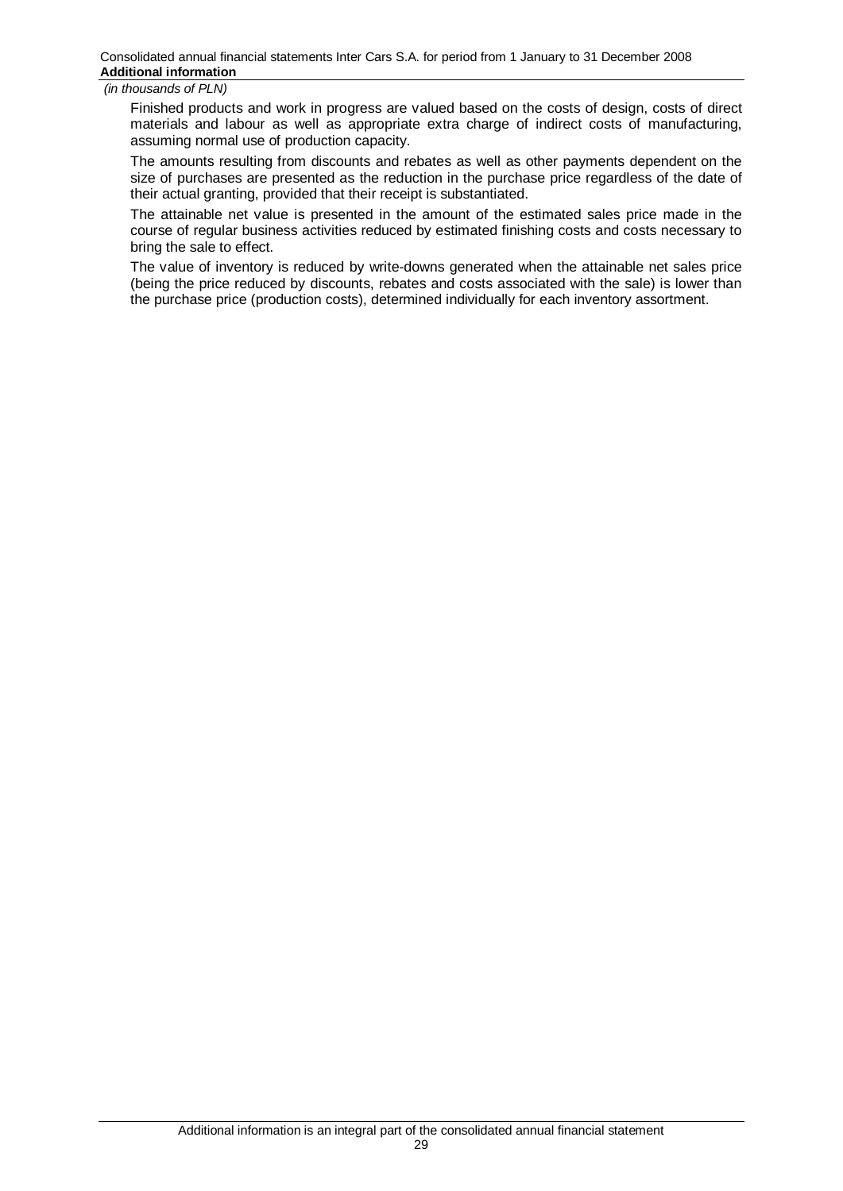Finished products and work in progress are valued based on the costs of design, costs of direct materials and labour as well as appropriate extra charge of indirect costs of manufacturing, assuming normal use of production capacity.

The amounts resulting from discounts and rebates as well as other payments dependent on the size of purchases are presented as the reduction in the purchase price regardless of the date of their actual granting, provided that their receipt is substantiated.

The attainable net value is presented in the amount of the estimated sales price made in the course of regular business activities reduced by estimated finishing costs and costs necessary to bring the sale to effect.

The value of inventory is reduced by write-downs generated when the attainable net sales price (being the price reduced by discounts, rebates and costs associated with the sale) is lower than the purchase price (production costs), determined individually for each inventory assortment.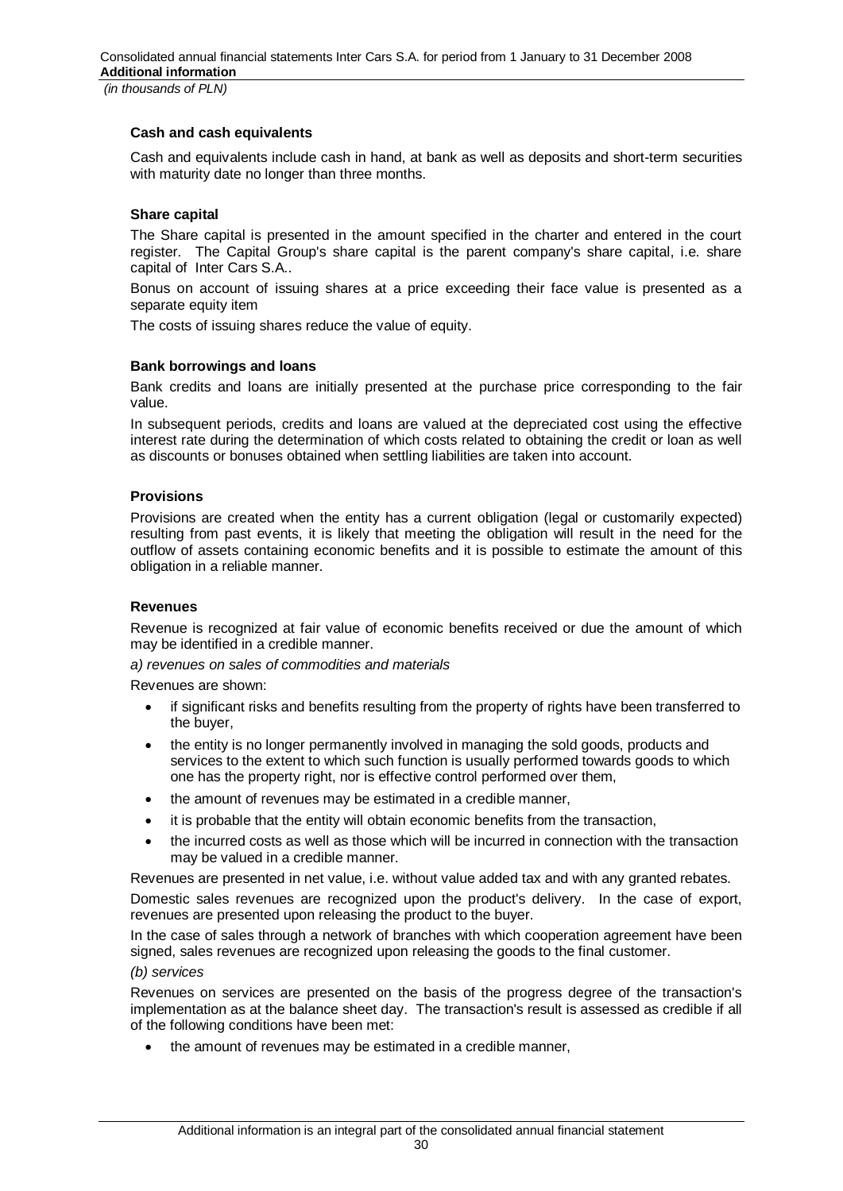## **Cash and cash equivalents**

Cash and equivalents include cash in hand, at bank as well as deposits and short-term securities with maturity date no longer than three months.

## **Share capital**

The Share capital is presented in the amount specified in the charter and entered in the court register. The Capital Group's share capital is the parent company's share capital, i.e. share capital of Inter Cars S.A..

Bonus on account of issuing shares at a price exceeding their face value is presented as a separate equity item

The costs of issuing shares reduce the value of equity.

## **Bank borrowings and loans**

Bank credits and loans are initially presented at the purchase price corresponding to the fair value.

In subsequent periods, credits and loans are valued at the depreciated cost using the effective interest rate during the determination of which costs related to obtaining the credit or loan as well as discounts or bonuses obtained when settling liabilities are taken into account.

## **Provisions**

Provisions are created when the entity has a current obligation (legal or customarily expected) resulting from past events, it is likely that meeting the obligation will result in the need for the outflow of assets containing economic benefits and it is possible to estimate the amount of this obligation in a reliable manner.

## **Revenues**

Revenue is recognized at fair value of economic benefits received or due the amount of which may be identified in a credible manner.

*a) revenues on sales of commodities and materials* 

Revenues are shown:

- if significant risks and benefits resulting from the property of rights have been transferred to the buyer,
- the entity is no longer permanently involved in managing the sold goods, products and services to the extent to which such function is usually performed towards goods to which one has the property right, nor is effective control performed over them,
- the amount of revenues may be estimated in a credible manner,
- it is probable that the entity will obtain economic benefits from the transaction,
- the incurred costs as well as those which will be incurred in connection with the transaction may be valued in a credible manner.

Revenues are presented in net value, i.e. without value added tax and with any granted rebates.

Domestic sales revenues are recognized upon the product's delivery. In the case of export, revenues are presented upon releasing the product to the buyer.

In the case of sales through a network of branches with which cooperation agreement have been signed, sales revenues are recognized upon releasing the goods to the final customer.

#### *(b) services*

Revenues on services are presented on the basis of the progress degree of the transaction's implementation as at the balance sheet day. The transaction's result is assessed as credible if all of the following conditions have been met:

the amount of revenues may be estimated in a credible manner,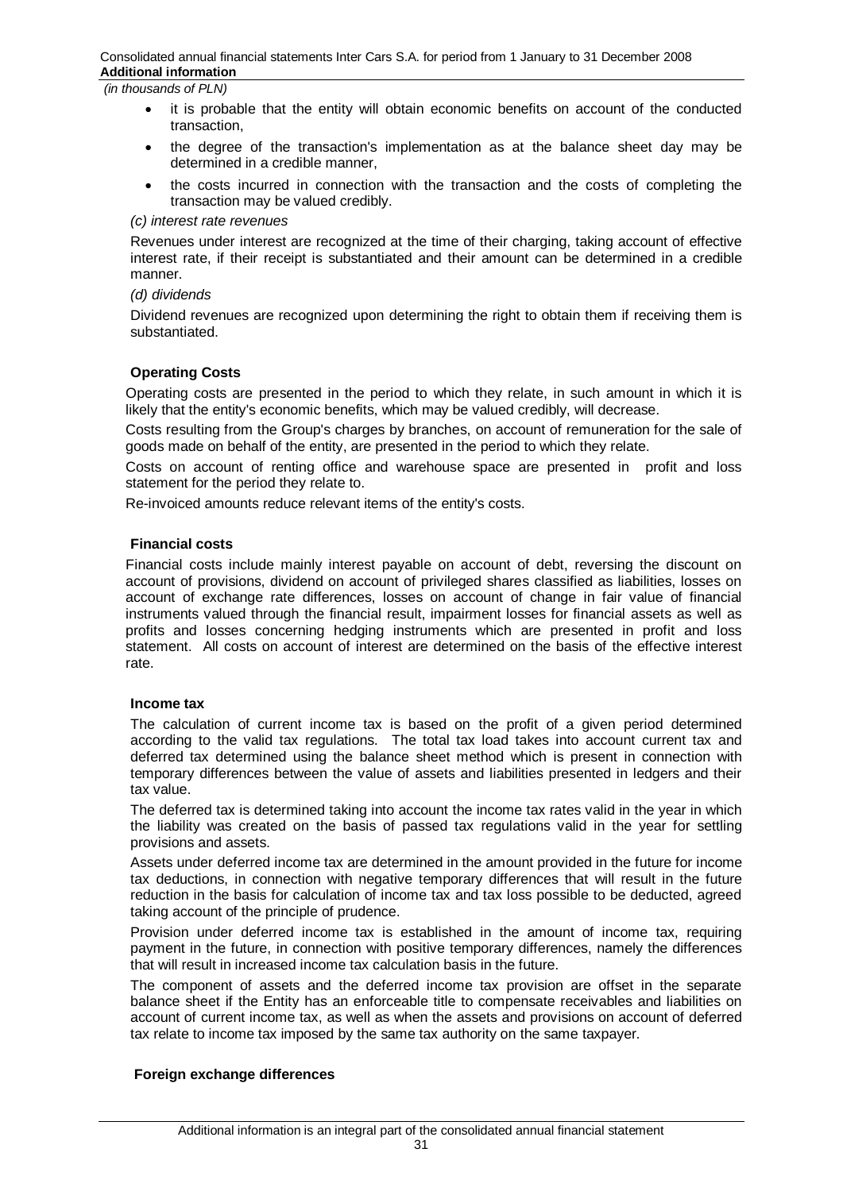- it is probable that the entity will obtain economic benefits on account of the conducted transaction,
- x the degree of the transaction's implementation as at the balance sheet day may be determined in a credible manner,
- the costs incurred in connection with the transaction and the costs of completing the transaction may be valued credibly.

#### *(c) interest rate revenues*

Revenues under interest are recognized at the time of their charging, taking account of effective interest rate, if their receipt is substantiated and their amount can be determined in a credible manner.

#### *(d) dividends*

Dividend revenues are recognized upon determining the right to obtain them if receiving them is substantiated.

## **Operating Costs**

Operating costs are presented in the period to which they relate, in such amount in which it is likely that the entity's economic benefits, which may be valued credibly, will decrease.

Costs resulting from the Group's charges by branches, on account of remuneration for the sale of goods made on behalf of the entity, are presented in the period to which they relate.

Costs on account of renting office and warehouse space are presented in profit and loss statement for the period they relate to.

Re-invoiced amounts reduce relevant items of the entity's costs.

#### **Financial costs**

Financial costs include mainly interest payable on account of debt, reversing the discount on account of provisions, dividend on account of privileged shares classified as liabilities, losses on account of exchange rate differences, losses on account of change in fair value of financial instruments valued through the financial result, impairment losses for financial assets as well as profits and losses concerning hedging instruments which are presented in profit and loss statement. All costs on account of interest are determined on the basis of the effective interest rate.

#### **Income tax**

The calculation of current income tax is based on the profit of a given period determined according to the valid tax regulations. The total tax load takes into account current tax and deferred tax determined using the balance sheet method which is present in connection with temporary differences between the value of assets and liabilities presented in ledgers and their tax value.

The deferred tax is determined taking into account the income tax rates valid in the year in which the liability was created on the basis of passed tax regulations valid in the year for settling provisions and assets.

Assets under deferred income tax are determined in the amount provided in the future for income tax deductions, in connection with negative temporary differences that will result in the future reduction in the basis for calculation of income tax and tax loss possible to be deducted, agreed taking account of the principle of prudence.

Provision under deferred income tax is established in the amount of income tax, requiring payment in the future, in connection with positive temporary differences, namely the differences that will result in increased income tax calculation basis in the future.

The component of assets and the deferred income tax provision are offset in the separate balance sheet if the Entity has an enforceable title to compensate receivables and liabilities on account of current income tax, as well as when the assets and provisions on account of deferred tax relate to income tax imposed by the same tax authority on the same taxpayer.

## **Foreign exchange differences**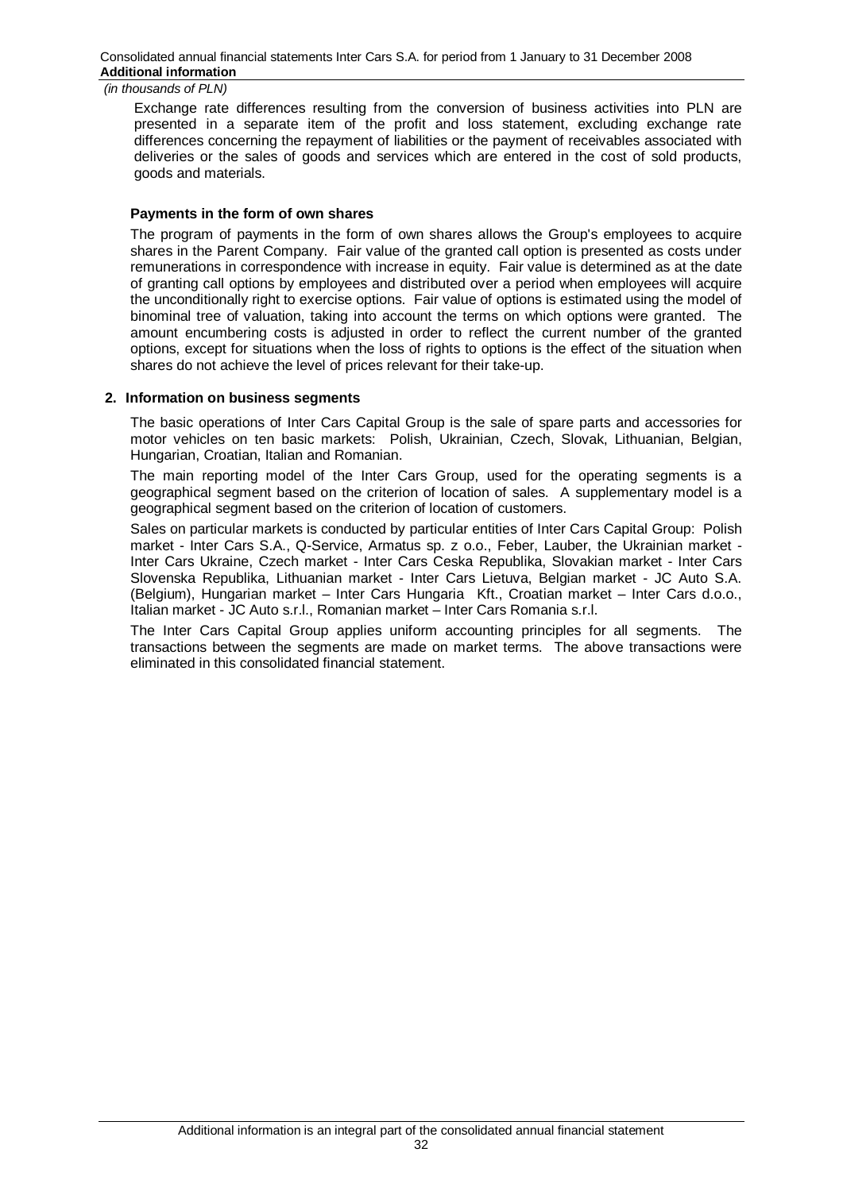Exchange rate differences resulting from the conversion of business activities into PLN are presented in a separate item of the profit and loss statement, excluding exchange rate differences concerning the repayment of liabilities or the payment of receivables associated with deliveries or the sales of goods and services which are entered in the cost of sold products, goods and materials.

## **Payments in the form of own shares**

The program of payments in the form of own shares allows the Group's employees to acquire shares in the Parent Company. Fair value of the granted call option is presented as costs under remunerations in correspondence with increase in equity. Fair value is determined as at the date of granting call options by employees and distributed over a period when employees will acquire the unconditionally right to exercise options. Fair value of options is estimated using the model of binominal tree of valuation, taking into account the terms on which options were granted. The amount encumbering costs is adjusted in order to reflect the current number of the granted options, except for situations when the loss of rights to options is the effect of the situation when shares do not achieve the level of prices relevant for their take-up.

## **2. Information on business segments**

The basic operations of Inter Cars Capital Group is the sale of spare parts and accessories for motor vehicles on ten basic markets: Polish, Ukrainian, Czech, Slovak, Lithuanian, Belgian, Hungarian, Croatian, Italian and Romanian.

The main reporting model of the Inter Cars Group, used for the operating segments is a geographical segment based on the criterion of location of sales. A supplementary model is a geographical segment based on the criterion of location of customers.

Sales on particular markets is conducted by particular entities of Inter Cars Capital Group: Polish market - Inter Cars S.A., Q-Service, Armatus sp. z o.o., Feber, Lauber, the Ukrainian market - Inter Cars Ukraine, Czech market - Inter Cars Ceska Republika, Slovakian market - Inter Cars Slovenska Republika, Lithuanian market - Inter Cars Lietuva, Belgian market - JC Auto S.A. (Belgium), Hungarian market – Inter Cars Hungaria Kft., Croatian market – Inter Cars d.o.o., Italian market - JC Auto s.r.l., Romanian market – Inter Cars Romania s.r.l.

The Inter Cars Capital Group applies uniform accounting principles for all segments. The transactions between the segments are made on market terms. The above transactions were eliminated in this consolidated financial statement.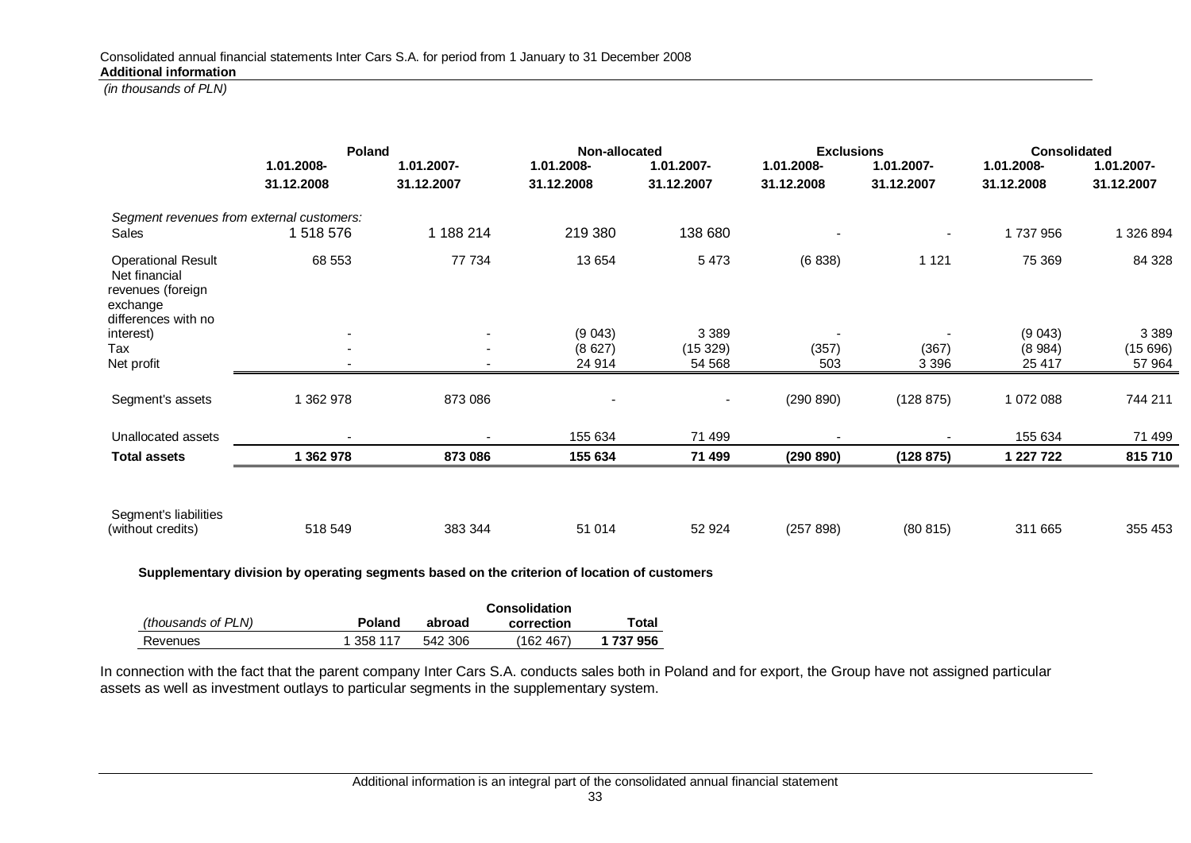|                                                                                                    | Poland                   |                          | Non-allocated |                | <b>Exclusions</b> |            | Consolidated |            |
|----------------------------------------------------------------------------------------------------|--------------------------|--------------------------|---------------|----------------|-------------------|------------|--------------|------------|
|                                                                                                    | 1.01.2008-               | 1.01.2007-               | 1.01.2008-    | 1.01.2007-     | 1.01.2008-        | 1.01.2007- | 1.01.2008-   | 1.01.2007- |
|                                                                                                    | 31.12.2008               | 31.12.2007               | 31.12.2008    | 31.12.2007     | 31.12.2008        | 31.12.2007 | 31.12.2008   | 31.12.2007 |
| Segment revenues from external customers:                                                          |                          |                          |               |                |                   |            |              |            |
| Sales                                                                                              | 1 518 576                | 1 188 214                | 219 380       | 138 680        |                   |            | 1737956      | 1 326 894  |
| <b>Operational Result</b><br>Net financial<br>revenues (foreign<br>exchange<br>differences with no | 68 553                   | 77 734                   | 13 654        | 5473           | (6838)            | 1 1 2 1    | 75 369       | 84 328     |
| interest)                                                                                          | $\overline{\phantom{a}}$ | $\overline{\phantom{a}}$ | (9043)        | 3 3 8 9        |                   |            | (9043)       | 3 3 8 9    |
| Tax                                                                                                | $\blacksquare$           | $\overline{\phantom{a}}$ | (8627)        | (15329)        | (357)             | (367)      | (8984)       | (15696)    |
| Net profit                                                                                         | $\overline{\phantom{a}}$ | $\overline{\phantom{a}}$ | 24 914        | 54 568         | 503               | 3 3 9 6    | 25 417       | 57 964     |
| Segment's assets                                                                                   | 362 978                  | 873 086                  |               | $\blacksquare$ | (290 890)         | (128 875)  | 1 072 088    | 744 211    |
| Unallocated assets                                                                                 |                          |                          | 155 634       | 71 499         |                   |            | 155 634      | 71 499     |
| <b>Total assets</b>                                                                                | 1 362 978                | 873 086                  | 155 634       | 71 499         | (290 890)         | (128 875)  | 1 227 722    | 815710     |
| Segment's liabilities                                                                              |                          |                          |               |                |                   |            |              |            |
| (without credits)                                                                                  | 518 549                  | 383 344                  | 51 014        | 52 924         | (257 898)         | (80 815)   | 311 665      | 355 453    |

**Supplementary division by operating segments based on the criterion of location of customers** 

|                    |           | Consolidation |            |           |  |
|--------------------|-----------|---------------|------------|-----------|--|
| (thousands of PLN) | Poland    | abroad        | correction | Total     |  |
| Revenues           | 1 358 117 | 542 306       | (162 467)  | 1 737 956 |  |

In connection with the fact that the parent company Inter Cars S.A. conducts sales both in Poland and for export, the Group have not assigned particular assets as well as investment outlays to particular segments in the supplementary system.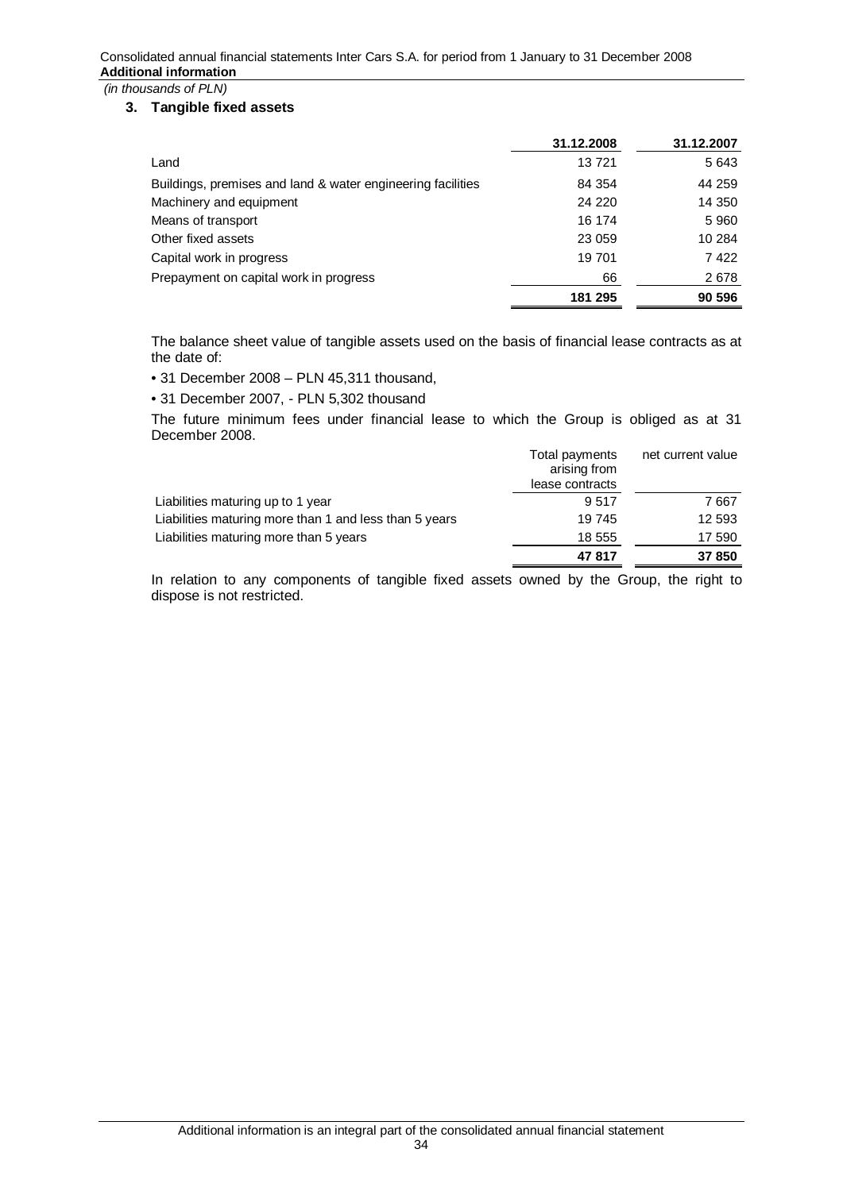## **3. Tangible fixed assets**

|                                                             | 31.12.2008 | 31.12.2007 |
|-------------------------------------------------------------|------------|------------|
| Land                                                        | 13721      | 5 6 4 3    |
| Buildings, premises and land & water engineering facilities | 84 354     | 44 259     |
| Machinery and equipment                                     | 24 2 20    | 14 350     |
| Means of transport                                          | 16 174     | 5960       |
| Other fixed assets                                          | 23 059     | 10 284     |
| Capital work in progress                                    | 19 701     | 7422       |
| Prepayment on capital work in progress                      | 66         | 2678       |
|                                                             | 181 295    | 90 596     |

The balance sheet value of tangible assets used on the basis of financial lease contracts as at the date of:

• 31 December 2008 – PLN 45,311 thousand,

• 31 December 2007, - PLN 5,302 thousand

The future minimum fees under financial lease to which the Group is obliged as at 31 December 2008.

| Total payments<br>arising from | net current value |
|--------------------------------|-------------------|
| 9517                           | 7 667             |
| 19 745                         | 12 593            |
| 18 555                         | 17 590            |
| 47817                          | 37 850            |
|                                | lease contracts   |

In relation to any components of tangible fixed assets owned by the Group, the right to dispose is not restricted.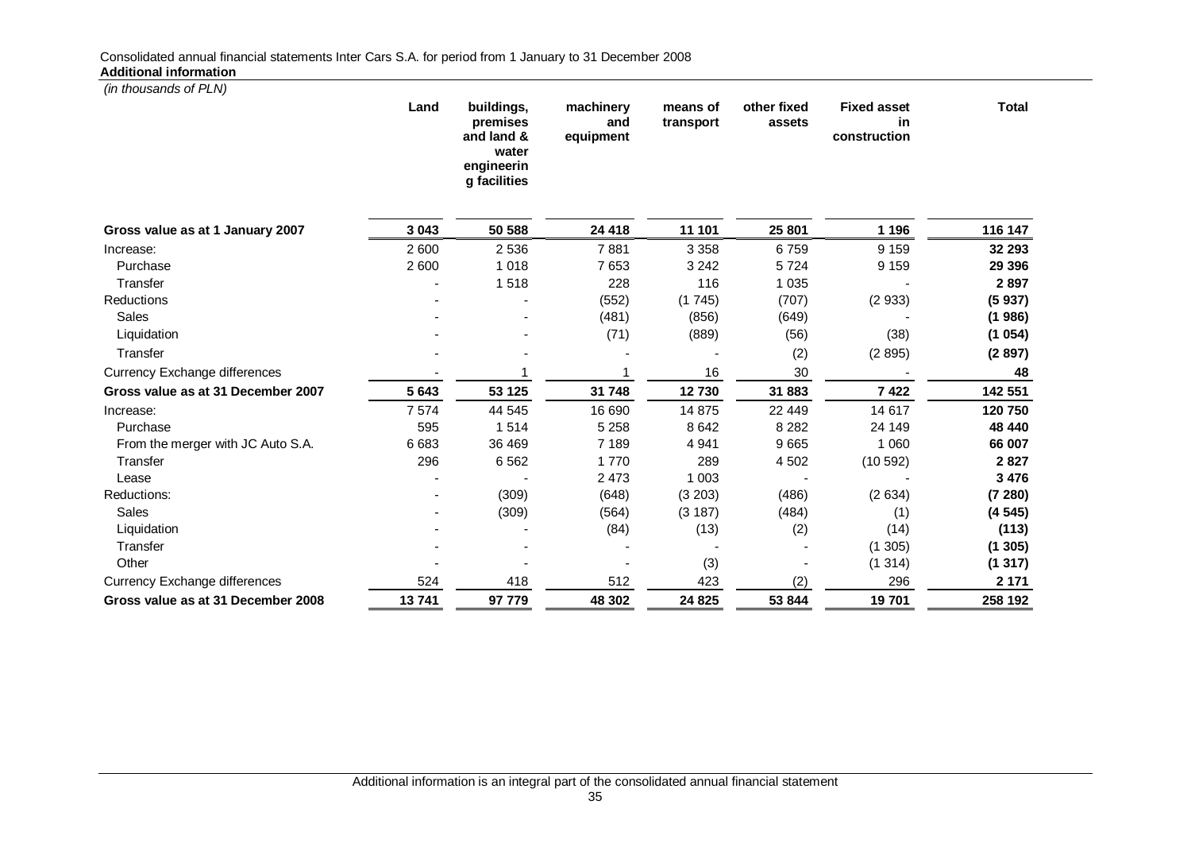*(in thousands of PLN)*  **Land buildings, premises and land & water engineerin g facilities machinery and equipment means of transport other fixed assets Fixed asset in construction Total Gross value as at 1 January 2007 3 043 50 588 24 418 11 101 25 801 1 196 116 147** Increase: 2 600 2 536 7 881 3 358 6 759 9 159 **32 293** Purchase 2 600 1 018 7 653 3 242 5 724 9 159 **29 396** Transfer - 1 518 228 116 1 035 - **2 897** Reductions - - (552) (1 745) (707) (2 933) **(5 937)** Sales - - (481) (856) (649) - **(1 986)** Liquidation - - (71) (889) (56) (38) **(1 054)** Transfer - - - - (2) (2 895) **(2 897)** Currency Exchange differences **48** and  $\overline{a}$  1 and  $\overline{a}$  1 and  $\overline{a}$  16 and  $\overline{a}$  16 and  $\overline{a}$  16 and  $\overline{a}$  16 and  $\overline{a}$  16 and  $\overline{a}$  18 and  $\overline{a}$  18 and  $\overline{a}$  18 and  $\overline{a}$  18 and  $\overline{a}$  **Gross value as at 31 December 2007 5 643 53 125 31 748 12 730 31 883 7 422 142 551** Increase: 7 574 44 545 16 690 14 875 22 449 14 617 **120 750** Purchase 595 1 514 5 258 8 642 8 282 24 149 **48 440** From the merger with JC Auto S.A. 6 683 36 469 7 189 4 941 9 665 1 060 **66 007** Transfer 296 6 562 1 770 289 4 502 (10 592) **2 827** Lease - - 2 473 1 003 - - **3 476** Reductions: - (309) (648) (3 203) (486) (2 634) **(7 280)** Sales - (309) (564) (3 187) (484) (1) **(4 545)** Liquidation - - (84) (13) (2) (14) **(113)** Transfer - - - - - (1 305) **(1 305)** Other - - - (3) - (1 314) **(1 317)**

Currency Exchange differences 524 418 512 423 (2) 296 **2 171 Gross value as at 31 December 2008 13 741 97 779 48 302 24 825 53 844 19 701 258 192**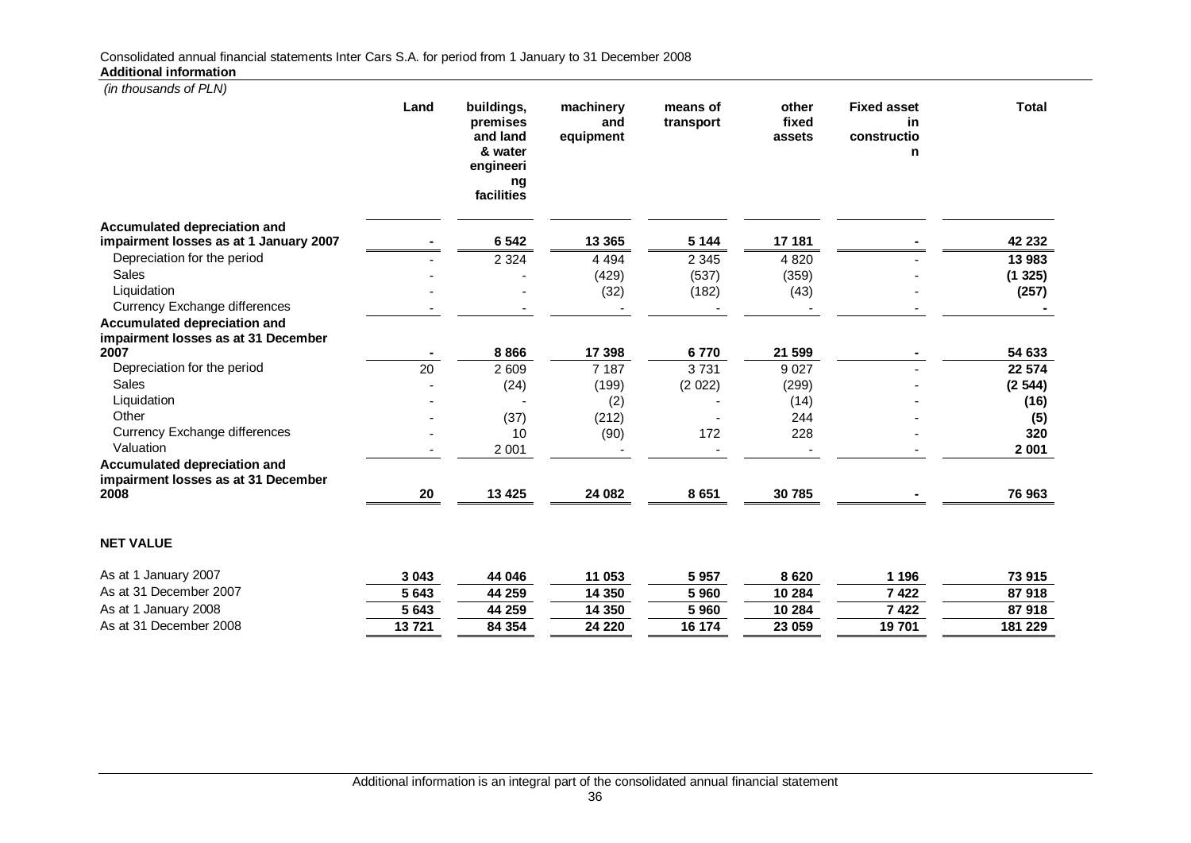| (in thousands of PLN)                                                      |       |                                                                                |                               |                       |                          |                                              |                |
|----------------------------------------------------------------------------|-------|--------------------------------------------------------------------------------|-------------------------------|-----------------------|--------------------------|----------------------------------------------|----------------|
|                                                                            | Land  | buildings,<br>premises<br>and land<br>& water<br>engineeri<br>ng<br>facilities | machinery<br>and<br>equipment | means of<br>transport | other<br>fixed<br>assets | <b>Fixed asset</b><br>in<br>constructio<br>n | <b>Total</b>   |
| <b>Accumulated depreciation and</b>                                        |       |                                                                                |                               |                       |                          |                                              |                |
| impairment losses as at 1 January 2007                                     |       | 6 5 4 2                                                                        | 13 3 65                       | 5 1 4 4               | 17 181                   |                                              | 42 232         |
| Depreciation for the period                                                |       | 2 3 2 4                                                                        | 4 4 9 4                       | 2 3 4 5               | 4 8 20                   |                                              | 13 983         |
| <b>Sales</b>                                                               |       |                                                                                | (429)                         | (537)                 | (359)                    |                                              | (1325)         |
| Liquidation                                                                |       |                                                                                | (32)                          | (182)                 | (43)                     |                                              | (257)          |
| Currency Exchange differences                                              |       |                                                                                |                               |                       |                          |                                              |                |
| <b>Accumulated depreciation and</b><br>impairment losses as at 31 December |       |                                                                                |                               |                       |                          |                                              |                |
| 2007                                                                       |       | 8866                                                                           | 17 398                        | 6770                  | 21 599                   |                                              | 54 633         |
| Depreciation for the period                                                | 20    | 2 609                                                                          | 7 187                         | 3731                  | 9 0 27                   |                                              | 22 574         |
| Sales                                                                      |       | (24)                                                                           | (199)                         | (2 022)               | (299)                    |                                              | (2544)         |
| Liquidation                                                                |       |                                                                                | (2)                           |                       | (14)                     |                                              | (16)           |
| Other                                                                      |       | (37)                                                                           | (212)                         |                       | 244                      |                                              | (5)            |
| <b>Currency Exchange differences</b>                                       |       | 10                                                                             | (90)                          | 172                   | 228                      |                                              | 320            |
| Valuation                                                                  |       | 2 0 0 1                                                                        |                               |                       |                          |                                              | 2 0 0 1        |
| <b>Accumulated depreciation and</b><br>impairment losses as at 31 December |       |                                                                                |                               |                       |                          |                                              |                |
| 2008                                                                       | 20    | 13 4 25                                                                        | 24 082                        | 8651                  | 30 785                   |                                              | 76 963         |
| <b>NET VALUE</b>                                                           |       |                                                                                |                               |                       |                          |                                              |                |
| $Ae$ at 1. January 2007                                                    | 0.012 | AA                                                                             | <b>44 052</b>                 | E NET                 | 0.022                    | 4.40c                                        | <b>70 04 E</b> |

| January 2007<br>As at 1 | 3 0 4 3 | 44 046 | 11 053  | 5957   | 8 620  | 196   | 73 915  |
|-------------------------|---------|--------|---------|--------|--------|-------|---------|
| As at 31 December 2007  | 5643    | 44 259 | 14 350  | 960 ت  | 10 284 | 422   | 87 918  |
| As at 1 January 2008    | 5643    | 44 259 | 14 350  | 5 960  | 10 284 | 422 ' | 87 918  |
| As at 31 December 2008  | 13 721  | 84 354 | 24 2 20 | 16 174 | 23 059 | 19701 | 181 229 |
|                         |         |        |         |        |        |       |         |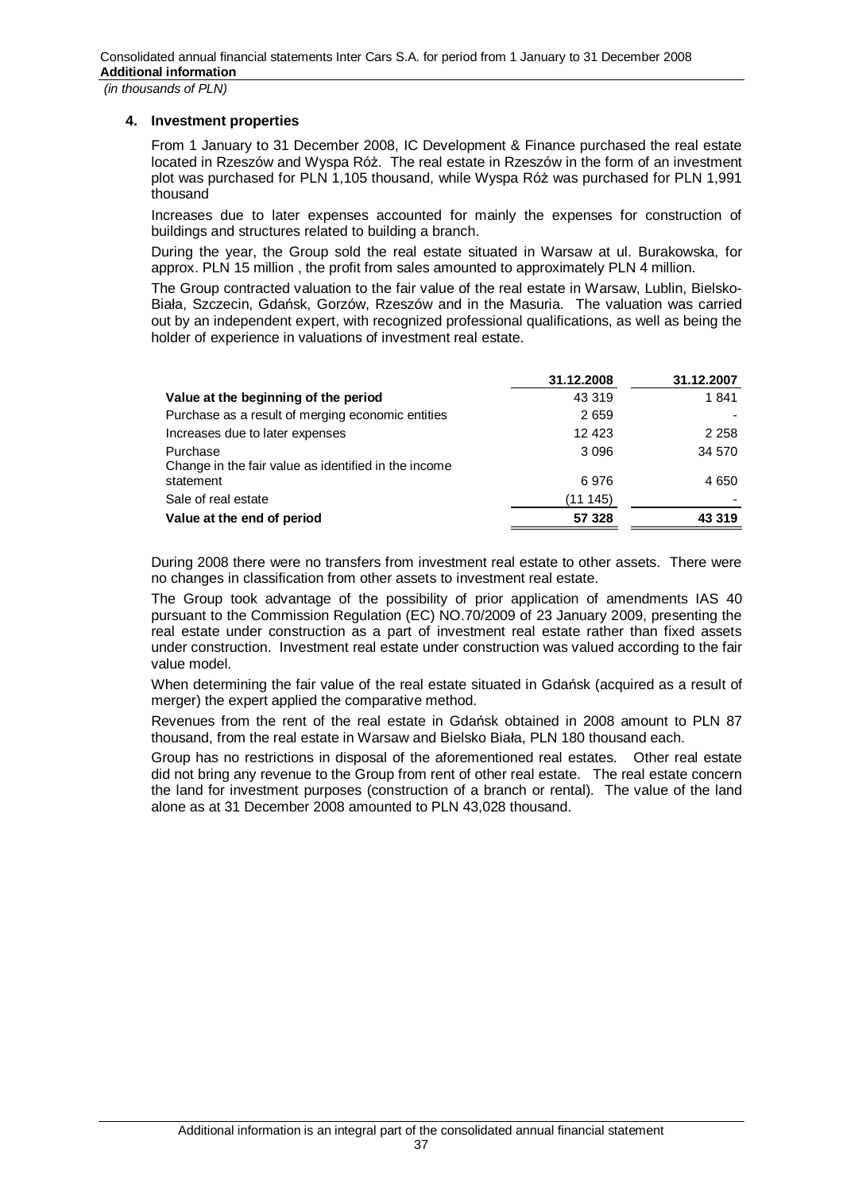# **4. Investment properties**

From 1 January to 31 December 2008, IC Development & Finance purchased the real estate located in Rzeszów and Wyspa Róż. The real estate in Rzeszów in the form of an investment plot was purchased for PLN 1,105 thousand, while Wyspa Róż was purchased for PLN 1,991 thousand

Increases due to later expenses accounted for mainly the expenses for construction of buildings and structures related to building a branch.

During the year, the Group sold the real estate situated in Warsaw at ul. Burakowska, for approx. PLN 15 million , the profit from sales amounted to approximately PLN 4 million.

The Group contracted valuation to the fair value of the real estate in Warsaw, Lublin, Bielsko-Biała, Szczecin, Gdańsk, Gorzów, Rzeszów and in the Masuria. The valuation was carried out by an independent expert, with recognized professional qualifications, as well as being the holder of experience in valuations of investment real estate.

|                                                                  | 31.12.2008 | 31.12.2007 |
|------------------------------------------------------------------|------------|------------|
| Value at the beginning of the period                             | 43 319     | 1841       |
| Purchase as a result of merging economic entities                | 2659       |            |
| Increases due to later expenses                                  | 12 4 23    | 2 2 5 8    |
| Purchase<br>Change in the fair value as identified in the income | 3 0 9 6    | 34 570     |
| statement                                                        | 6976       | 4 6 5 0    |
| Sale of real estate                                              | (11145)    |            |
| Value at the end of period                                       | 57 328     | 43 319     |

During 2008 there were no transfers from investment real estate to other assets. There were no changes in classification from other assets to investment real estate.

The Group took advantage of the possibility of prior application of amendments IAS 40 pursuant to the Commission Regulation (EC) NO.70/2009 of 23 January 2009, presenting the real estate under construction as a part of investment real estate rather than fixed assets under construction. Investment real estate under construction was valued according to the fair value model.

When determining the fair value of the real estate situated in Gdańsk (acquired as a result of merger) the expert applied the comparative method.

Revenues from the rent of the real estate in Gdańsk obtained in 2008 amount to PLN 87 thousand, from the real estate in Warsaw and Bielsko Biała, PLN 180 thousand each.

Group has no restrictions in disposal of the aforementioned real estates. Other real estate did not bring any revenue to the Group from rent of other real estate. The real estate concern the land for investment purposes (construction of a branch or rental). The value of the land alone as at 31 December 2008 amounted to PLN 43,028 thousand.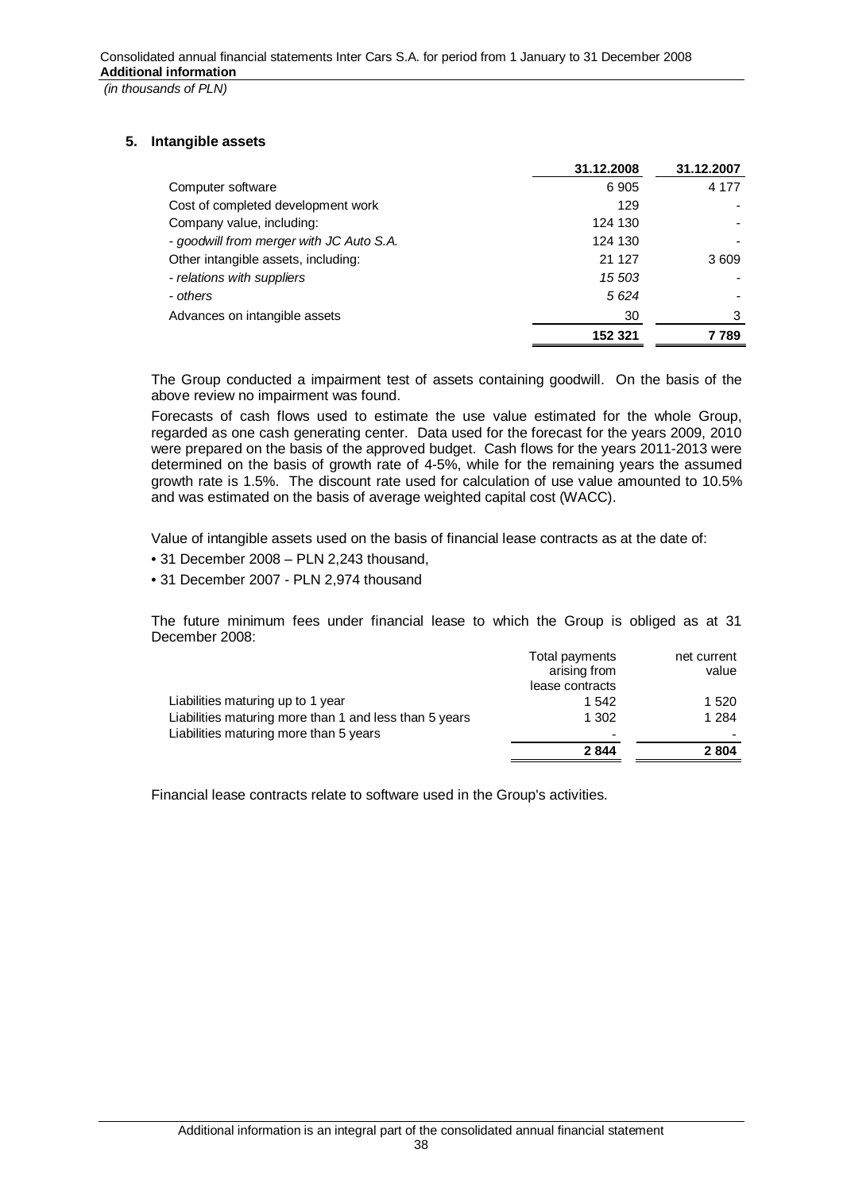# **5. Intangible assets**

|                                          | 31.12.2008 | 31.12.2007 |
|------------------------------------------|------------|------------|
| Computer software                        | 6905       | 4 1 7 7    |
| Cost of completed development work       | 129        |            |
| Company value, including:                | 124 130    |            |
| - goodwill from merger with JC Auto S.A. | 124 130    |            |
| Other intangible assets, including:      | 21 127     | 3609       |
| - relations with suppliers               | 15 503     |            |
| - others                                 | 5624       |            |
| Advances on intangible assets            | 30         | 3          |
|                                          | 152 321    | 7 789      |

The Group conducted a impairment test of assets containing goodwill. On the basis of the above review no impairment was found.

Forecasts of cash flows used to estimate the use value estimated for the whole Group, regarded as one cash generating center. Data used for the forecast for the years 2009, 2010 were prepared on the basis of the approved budget. Cash flows for the years 2011-2013 were determined on the basis of growth rate of 4-5%, while for the remaining years the assumed growth rate is 1.5%. The discount rate used for calculation of use value amounted to 10.5% and was estimated on the basis of average weighted capital cost (WACC).

Value of intangible assets used on the basis of financial lease contracts as at the date of:

- 31 December 2008 PLN 2,243 thousand,
- 31 December 2007 PLN 2,974 thousand

The future minimum fees under financial lease to which the Group is obliged as at 31 December 2008:

| Total payments  | net current |
|-----------------|-------------|
| arising from    | value       |
| lease contracts |             |
| 1 542           | 1 5 2 0     |
| 1 302           | 1 2 8 4     |
| -               |             |
| 2844            | 2804        |
|                 |             |

Financial lease contracts relate to software used in the Group's activities.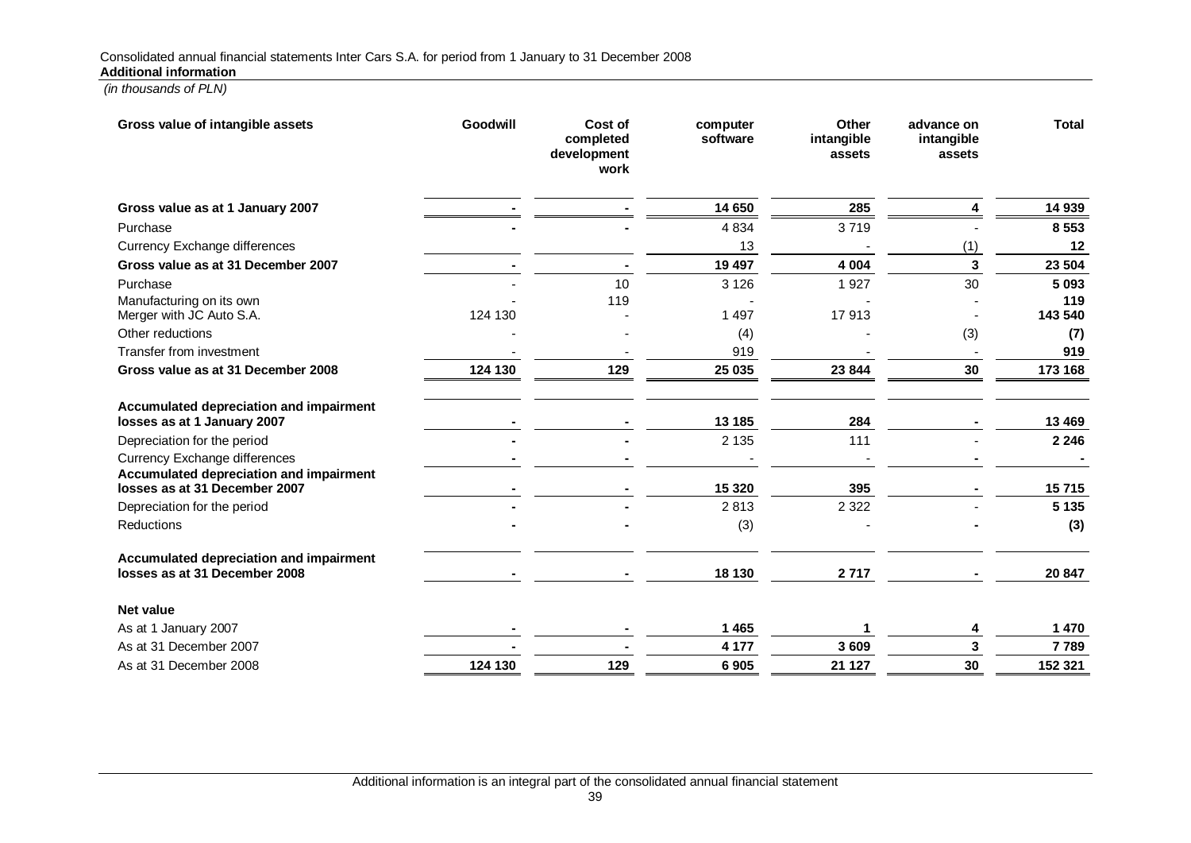| Gross value of intangible assets                                         | Goodwill | Cost of<br>completed<br>development<br>work | computer<br>software | Other<br>intangible<br>assets | advance on<br>intangible<br>assets | <b>Total</b>   |
|--------------------------------------------------------------------------|----------|---------------------------------------------|----------------------|-------------------------------|------------------------------------|----------------|
| Gross value as at 1 January 2007                                         |          |                                             | 14 650               | 285                           | 4                                  | 14 939         |
| Purchase                                                                 |          |                                             | 4 8 3 4              | 3719                          |                                    | 8 5 5 3        |
| <b>Currency Exchange differences</b>                                     |          |                                             | 13                   |                               | (1)                                | 12             |
| Gross value as at 31 December 2007                                       |          |                                             | 19 497               | 4 0 0 4                       | 3                                  | 23 504         |
| Purchase                                                                 |          | 10                                          | 3 1 2 6              | 1927                          | 30                                 | 5 0 9 3        |
| Manufacturing on its own<br>Merger with JC Auto S.A.                     | 124 130  | 119                                         | 1 4 9 7              | 17913                         |                                    | 119<br>143 540 |
| Other reductions                                                         |          |                                             | (4)                  |                               | (3)                                | (7)            |
| Transfer from investment                                                 |          |                                             | 919                  |                               |                                    | 919            |
| Gross value as at 31 December 2008                                       | 124 130  | 129                                         | 25 035               | 23 844                        | 30                                 | 173 168        |
| Accumulated depreciation and impairment<br>losses as at 1 January 2007   |          |                                             | 13 185               | 284                           |                                    | 13 4 69        |
| Depreciation for the period                                              |          |                                             | 2 1 3 5              | 111                           |                                    | 2 2 4 6        |
| <b>Currency Exchange differences</b>                                     |          |                                             |                      |                               |                                    |                |
| Accumulated depreciation and impairment<br>losses as at 31 December 2007 |          |                                             | 15 3 20              | 395                           |                                    | 15715          |
| Depreciation for the period                                              |          |                                             | 2813                 | 2 3 2 2                       |                                    | 5 1 3 5        |
| Reductions                                                               |          |                                             | (3)                  |                               |                                    | (3)            |
| Accumulated depreciation and impairment<br>losses as at 31 December 2008 |          |                                             | 18 130               | 2717                          |                                    | 20 847         |
| <b>Net value</b>                                                         |          |                                             |                      |                               |                                    |                |
| As at 1 January 2007                                                     |          |                                             | 1 4 6 5              | 1                             | 4                                  | 1 470          |
| As at 31 December 2007                                                   |          |                                             | 4 1 7 7              | 3 6 0 9                       | 3                                  | 7789           |
| As at 31 December 2008                                                   | 124 130  | 129                                         | 6905                 | 21 127                        | 30                                 | 152 321        |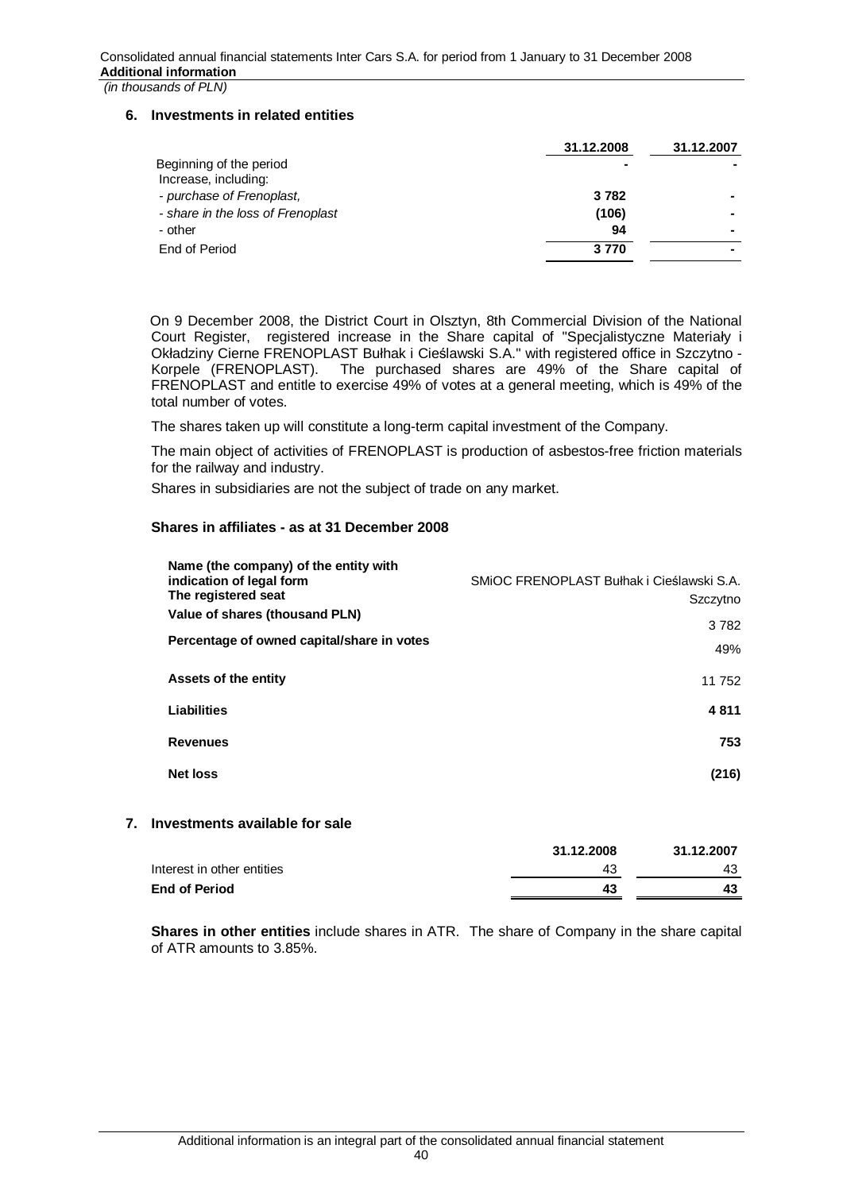## **6. Investments in related entities**

|                                                 | 31.12.2008 | 31.12.2007 |
|-------------------------------------------------|------------|------------|
| Beginning of the period<br>Increase, including: |            |            |
| - purchase of Frenoplast,                       | 3782       |            |
| - share in the loss of Frenoplast               | (106)      |            |
| - other                                         | 94         |            |
| End of Period                                   | 3770       |            |

On 9 December 2008, the District Court in Olsztyn, 8th Commercial Division of the National Court Register, registered increase in the Share capital of "Specialistyczne Materiały i Okładziny Cierne FRENOPLAST Bułhak i Cieślawski S.A." with registered office in Szczytno -Korpele (FRENOPLAST). The purchased shares are 49% of the Share capital of FRENOPLAST and entitle to exercise 49% of votes at a general meeting, which is 49% of the total number of votes.

The shares taken up will constitute a long-term capital investment of the Company.

The main object of activities of FRENOPLAST is production of asbestos-free friction materials for the railway and industry.

Shares in subsidiaries are not the subject of trade on any market.

# **Shares in affiliates - as at 31 December 2008**

| Name (the company) of the entity with<br>indication of legal form<br>The registered seat<br>Value of shares (thousand PLN)<br>Percentage of owned capital/share in votes | SMIOC FRENOPLAST Bułhak i Cieślawski S.A.<br>Szczytno<br>3782<br>49% |
|--------------------------------------------------------------------------------------------------------------------------------------------------------------------------|----------------------------------------------------------------------|
| Assets of the entity                                                                                                                                                     | 11 752                                                               |
| Liabilities                                                                                                                                                              | 4811                                                                 |
| <b>Revenues</b>                                                                                                                                                          | 753                                                                  |
| <b>Net loss</b>                                                                                                                                                          | (216)                                                                |
|                                                                                                                                                                          |                                                                      |

## **7. Investments available for sale**

|                            | 31.12.2008 | 31.12.2007 |
|----------------------------|------------|------------|
| Interest in other entities | 43         | 43         |
| <b>End of Period</b>       |            |            |

**Shares in other entities** include shares in ATR. The share of Company in the share capital of ATR amounts to 3.85%.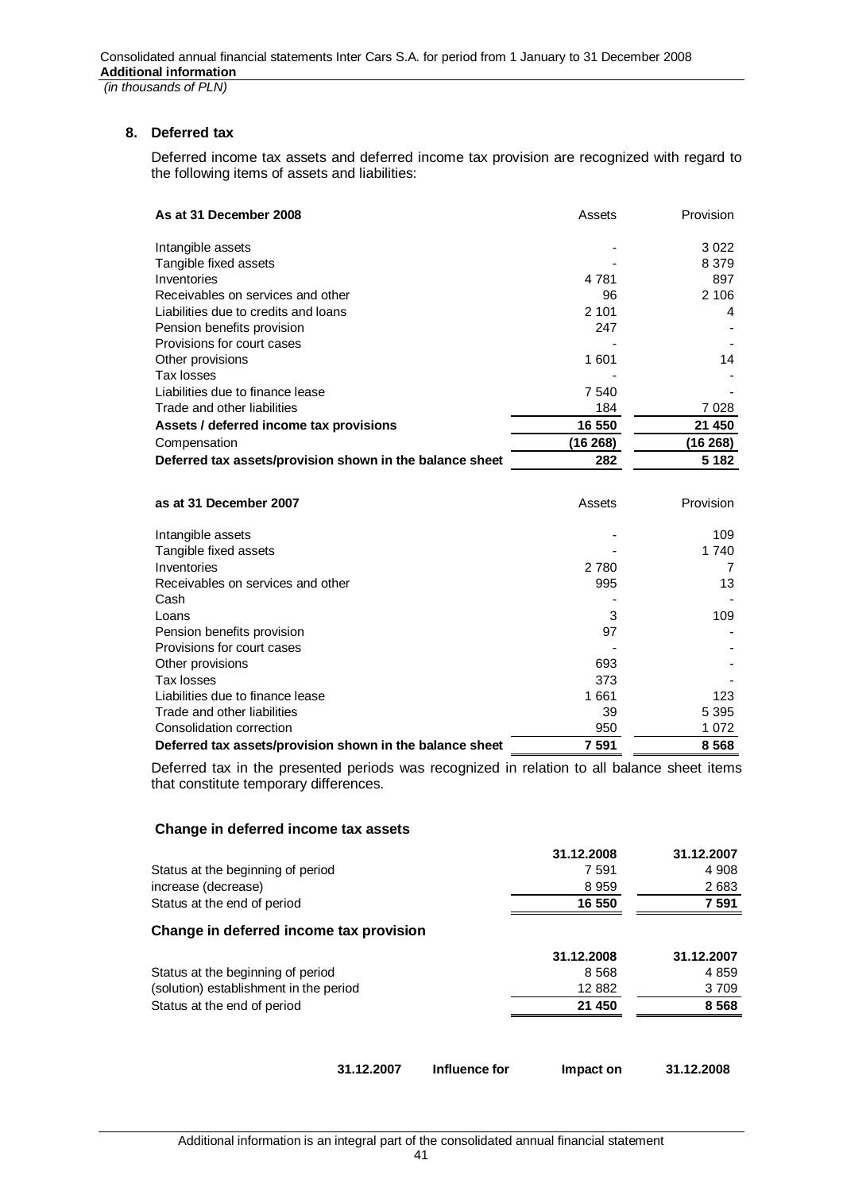# **8. Deferred tax**

Deferred income tax assets and deferred income tax provision are recognized with regard to the following items of assets and liabilities:

| As at 31 December 2008                                   | Assets  | <b>Provision</b> |
|----------------------------------------------------------|---------|------------------|
| Intangible assets                                        |         | 3 0 2 2          |
| Tangible fixed assets                                    |         | 8 3 7 9          |
| Inventories                                              | 4 7 8 1 | 897              |
| Receivables on services and other                        | 96      | 2 10 6           |
| Liabilities due to credits and loans                     | 2 1 0 1 | 4                |
| Pension benefits provision                               | 247     |                  |
| Provisions for court cases                               |         |                  |
| Other provisions                                         | 1 601   | 14               |
| Tax losses                                               |         |                  |
| Liabilities due to finance lease                         | 7 540   |                  |
| Trade and other liabilities                              | 184     | 7 0 2 8          |
| Assets / deferred income tax provisions                  | 16 550  | 21 450           |
| Compensation                                             | (16268) | (16268)          |
| Deferred tax assets/provision shown in the balance sheet | 282     | 5 1 8 2          |

| as at 31 December 2007                                   | Assets  | Provision |
|----------------------------------------------------------|---------|-----------|
| Intangible assets                                        |         | 109       |
| Tangible fixed assets                                    |         | 1 740     |
| Inventories                                              | 2 7 8 0 |           |
| Receivables on services and other                        | 995     | 13        |
| Cash                                                     |         |           |
| Loans                                                    | 3       | 109       |
| Pension benefits provision                               | 97      |           |
| Provisions for court cases                               |         |           |
| Other provisions                                         | 693     |           |
| Tax losses                                               | 373     |           |
| Liabilities due to finance lease                         | 1661    | 123       |
| Trade and other liabilities                              | 39      | 5 3 9 5   |
| Consolidation correction                                 | 950     | 1 0 7 2   |
| Deferred tax assets/provision shown in the balance sheet | 7 591   | 8 5 6 8   |

Deferred tax in the presented periods was recognized in relation to all balance sheet items that constitute temporary differences.

## **Change in deferred income tax assets**

| 31.12.2008 | 31.12.2007 |
|------------|------------|
| 7 591      | 4 9 0 8    |
| 8959       | 2683       |
| 16 550     | 7 591      |
|            |            |
| 31.12.2008 | 31.12.2007 |
| 8 5 6 8    | 4859       |
| 12 882     | 3 709      |
| 21 450     | 8 5 6 8    |
|            |            |

**31.12.2007 Influence for Impact on 31.12.2008**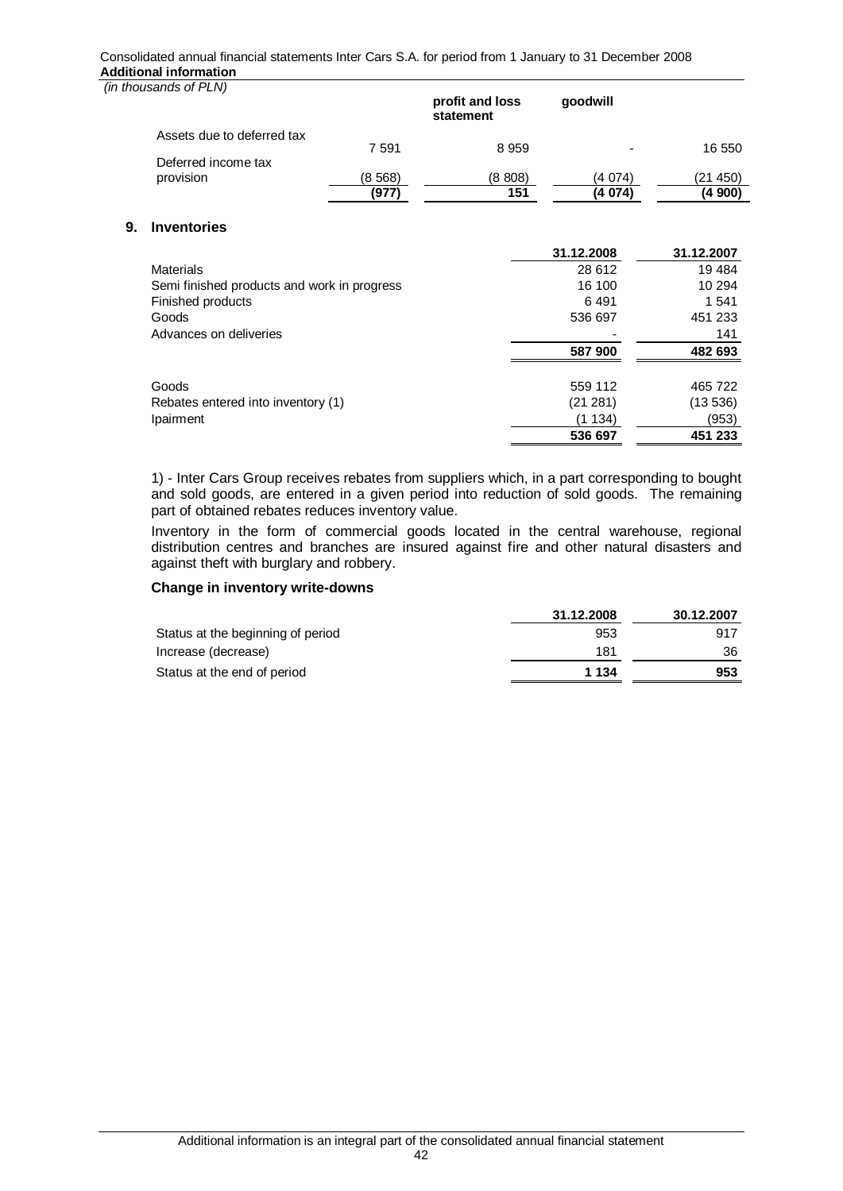#### Consolidated annual financial statements Inter Cars S.A. for period from 1 January to 31 December 2008 **Additional information**

 *(in thousands of PLN)*

**9.** 

| ויום ווט טוווסטג                            |        | profit and loss<br>statement | qoodwill   |            |
|---------------------------------------------|--------|------------------------------|------------|------------|
| Assets due to deferred tax                  |        |                              |            |            |
|                                             | 7591   | 8959                         |            | 16 550     |
| Deferred income tax                         |        |                              |            |            |
| provision                                   | (8568) | (8 808)                      | (4 074)    | (21450)    |
|                                             | (977)  | 151                          | (4 074)    | (4 900)    |
| <b>Inventories</b>                          |        |                              |            |            |
|                                             |        |                              | 31.12.2008 | 31.12.2007 |
| <b>Materials</b>                            |        |                              | 28 612     | 19 4 84    |
| Semi finished products and work in progress |        |                              | 16 100     | 10 294     |
| Finished products                           |        |                              | 6491       | 1 541      |
| Goods                                       |        |                              | 536 697    | 451 233    |
| Advances on deliveries                      |        |                              |            | 141        |
|                                             |        |                              | 587 900    | 482 693    |
|                                             |        |                              |            |            |

|                                    | 536 697  | 451 233 |
|------------------------------------|----------|---------|
| Ipairment                          | (1134)   | (953)   |
| Rebates entered into inventory (1) | (21 281) | (13536) |
| Goods                              | 559 112  | 465 722 |
|                                    |          |         |

1) - Inter Cars Group receives rebates from suppliers which, in a part corresponding to bought and sold goods, are entered in a given period into reduction of sold goods. The remaining part of obtained rebates reduces inventory value.

Inventory in the form of commercial goods located in the central warehouse, regional distribution centres and branches are insured against fire and other natural disasters and against theft with burglary and robbery.

### **Change in inventory write-downs**

|                                   | 31.12.2008 | 30.12.2007 |
|-----------------------------------|------------|------------|
| Status at the beginning of period | 953        | 917        |
| Increase (decrease)               | 181        | 36         |
| Status at the end of period       | 1 134      | 953        |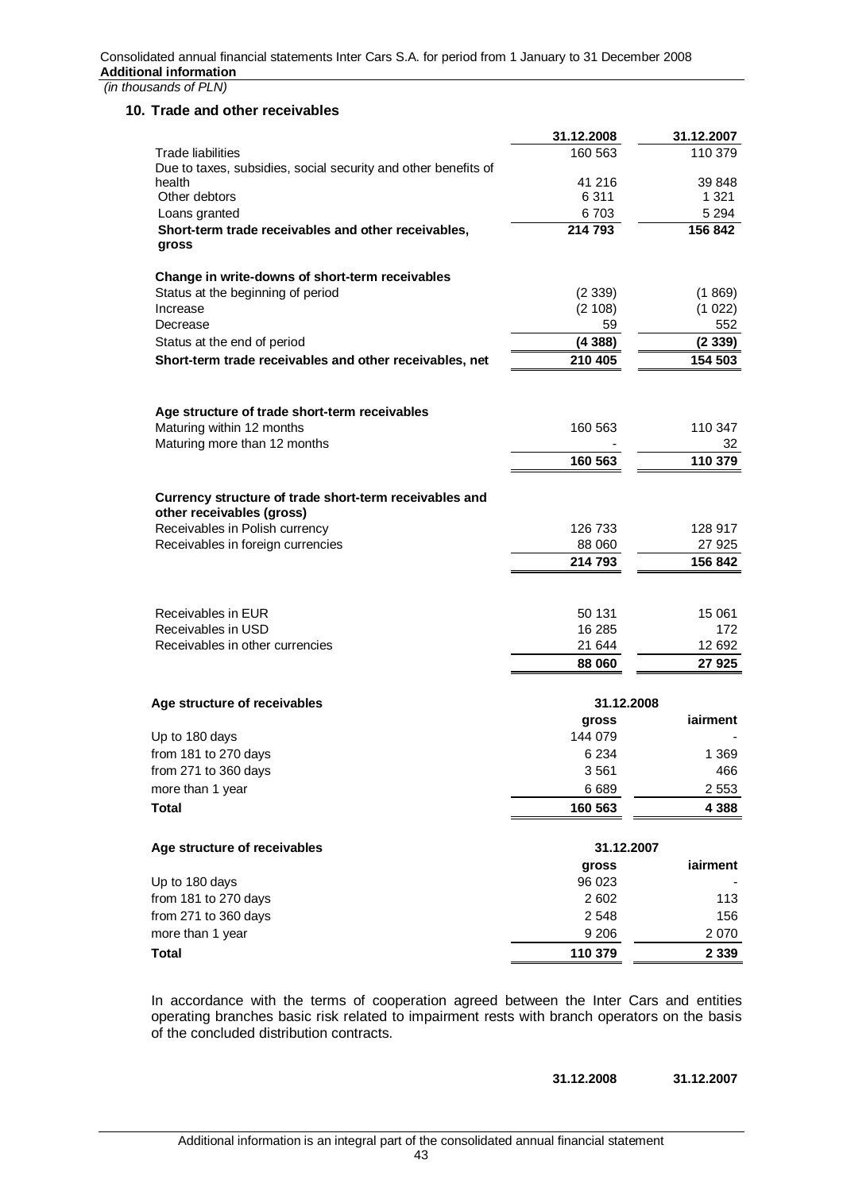### **10. Trade and other receivables**

|                                                                                     | 31.12.2008       | 31.12.2007         |
|-------------------------------------------------------------------------------------|------------------|--------------------|
| Trade liabilities                                                                   | 160 563          | 110 379            |
| Due to taxes, subsidies, social security and other benefits of                      |                  |                    |
| health<br>Other debtors                                                             | 41 216           | 39 848             |
| Loans granted                                                                       | 6 3 1 1<br>6 703 | 1 3 2 1<br>5 2 9 4 |
|                                                                                     | 214 793          | 156 842            |
| Short-term trade receivables and other receivables,<br>gross                        |                  |                    |
| Change in write-downs of short-term receivables                                     |                  |                    |
| Status at the beginning of period                                                   | (2339)           | (1869)             |
| Increase                                                                            | (2 108)          | (1 022)            |
| Decrease                                                                            | 59               | 552                |
| Status at the end of period                                                         | (4388)           | (2339)             |
| Short-term trade receivables and other receivables, net                             | 210 405          | 154 503            |
| Age structure of trade short-term receivables                                       |                  |                    |
| Maturing within 12 months                                                           | 160 563          | 110 347            |
| Maturing more than 12 months                                                        |                  | 32                 |
|                                                                                     | 160 563          | 110 379            |
|                                                                                     |                  |                    |
| Currency structure of trade short-term receivables and<br>other receivables (gross) |                  |                    |
| Receivables in Polish currency                                                      | 126 733          | 128 917            |
| Receivables in foreign currencies                                                   | 88 060           | 27 925             |
|                                                                                     | 214 793          | 156 842            |
|                                                                                     |                  |                    |
| Receivables in EUR                                                                  | 50 131           | 15 061             |
| Receivables in USD                                                                  | 16 285           | 172                |
| Receivables in other currencies                                                     | 21 644           | 12 692             |
|                                                                                     | 88 060           | 27 9 25            |
| Age structure of receivables                                                        | 31.12.2008       |                    |
|                                                                                     | gross            | iairment           |
| Up to 180 days                                                                      | 144 079          |                    |
| from 181 to 270 days                                                                | 6 2 3 4          | 1 3 6 9            |
| from 271 to 360 days                                                                | 3561             | 466                |
| more than 1 year                                                                    | 6 6 8 9          | 2 5 5 3            |
| <b>Total</b>                                                                        | 160 563          | 4 3 8 8            |
|                                                                                     |                  |                    |
| Age structure of receivables                                                        | 31.12.2007       | iairment           |
| Up to 180 days                                                                      | gross<br>96 023  |                    |
| from 181 to 270 days                                                                | 2 602            | 113                |
| from 271 to 360 days                                                                | 2 5 4 8          | 156                |
| more than 1 year                                                                    | 9 2 0 6          | 2 0 7 0            |
| <b>Total</b>                                                                        | 110 379          | 2 3 3 9            |
|                                                                                     |                  |                    |

In accordance with the terms of cooperation agreed between the Inter Cars and entities operating branches basic risk related to impairment rests with branch operators on the basis of the concluded distribution contracts.

**31.12.2008 31.12.2007**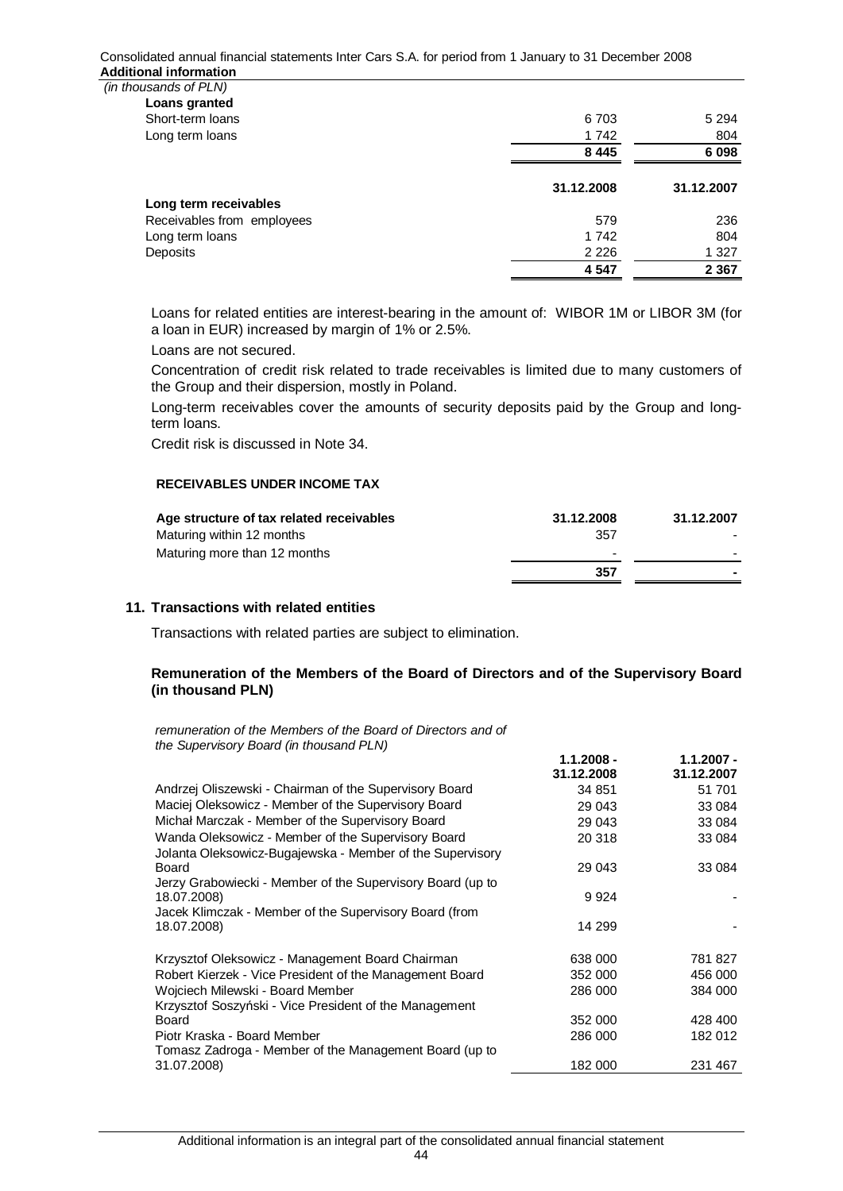Consolidated annual financial statements Inter Cars S.A. for period from 1 January to 31 December 2008 **Additional information** 

 *(in thousands of PLN)*

| Loans granted              |            |            |
|----------------------------|------------|------------|
| Short-term loans           | 6 703      | 5 2 9 4    |
| Long term loans            | 1742       | 804        |
|                            | 8 4 4 5    | 6 0 98     |
|                            | 31.12.2008 | 31.12.2007 |
| Long term receivables      |            |            |
| Receivables from employees | 579        | 236        |
| Long term loans            | 1742       | 804        |
| Deposits                   | 2 2 2 6    | 1 3 2 7    |
|                            | 4547       | 2 3 6 7    |

Loans for related entities are interest-bearing in the amount of: WIBOR 1M or LIBOR 3M (for a loan in EUR) increased by margin of 1% or 2.5%.

Loans are not secured.

Concentration of credit risk related to trade receivables is limited due to many customers of the Group and their dispersion, mostly in Poland.

Long-term receivables cover the amounts of security deposits paid by the Group and longterm loans.

Credit risk is discussed in Note 34.

#### **RECEIVABLES UNDER INCOME TAX**

| Age structure of tax related receivables | 31.12.2008               | 31.12.2007 |
|------------------------------------------|--------------------------|------------|
| Maturing within 12 months                | 357                      |            |
| Maturing more than 12 months             | $\overline{\phantom{a}}$ | $\sim$     |
|                                          | 357                      |            |

### **11. Transactions with related entities**

Transactions with related parties are subject to elimination.

# **Remuneration of the Members of the Board of Directors and of the Supervisory Board (in thousand PLN)**

*remuneration of the Members of the Board of Directors and of the Supervisory Board (in thousand PLN)* 

|                                                            | $1.1.2008 -$<br>31.12.2008 | $1.1.2007 -$<br>31.12.2007 |
|------------------------------------------------------------|----------------------------|----------------------------|
| Andrzej Oliszewski - Chairman of the Supervisory Board     | 34 851                     | 51 701                     |
| Maciej Oleksowicz - Member of the Supervisory Board        | 29 043                     | 33 084                     |
| Michał Marczak - Member of the Supervisory Board           | 29 043                     | 33 084                     |
| Wanda Oleksowicz - Member of the Supervisory Board         | 20 318                     | 33 084                     |
| Jolanta Oleksowicz-Bugajewska - Member of the Supervisory  |                            |                            |
| Board                                                      | 29 043                     | 33 084                     |
| Jerzy Grabowiecki - Member of the Supervisory Board (up to |                            |                            |
| 18.07.2008)                                                | 9924                       |                            |
| Jacek Klimczak - Member of the Supervisory Board (from     |                            |                            |
| 18.07.2008)                                                | 14 299                     |                            |
| Krzysztof Oleksowicz - Management Board Chairman           | 638 000                    | 781 827                    |
| Robert Kierzek - Vice President of the Management Board    | 352 000                    | 456 000                    |
| Wojciech Milewski - Board Member                           | 286 000                    | 384 000                    |
| Krzysztof Soszyński - Vice President of the Management     |                            |                            |
| Board                                                      | 352 000                    | 428 400                    |
| Piotr Kraska - Board Member                                | 286 000                    | 182 012                    |
| Tomasz Zadroga - Member of the Management Board (up to     |                            |                            |
| 31.07.2008)                                                | 182 000                    | 231 467                    |
|                                                            |                            |                            |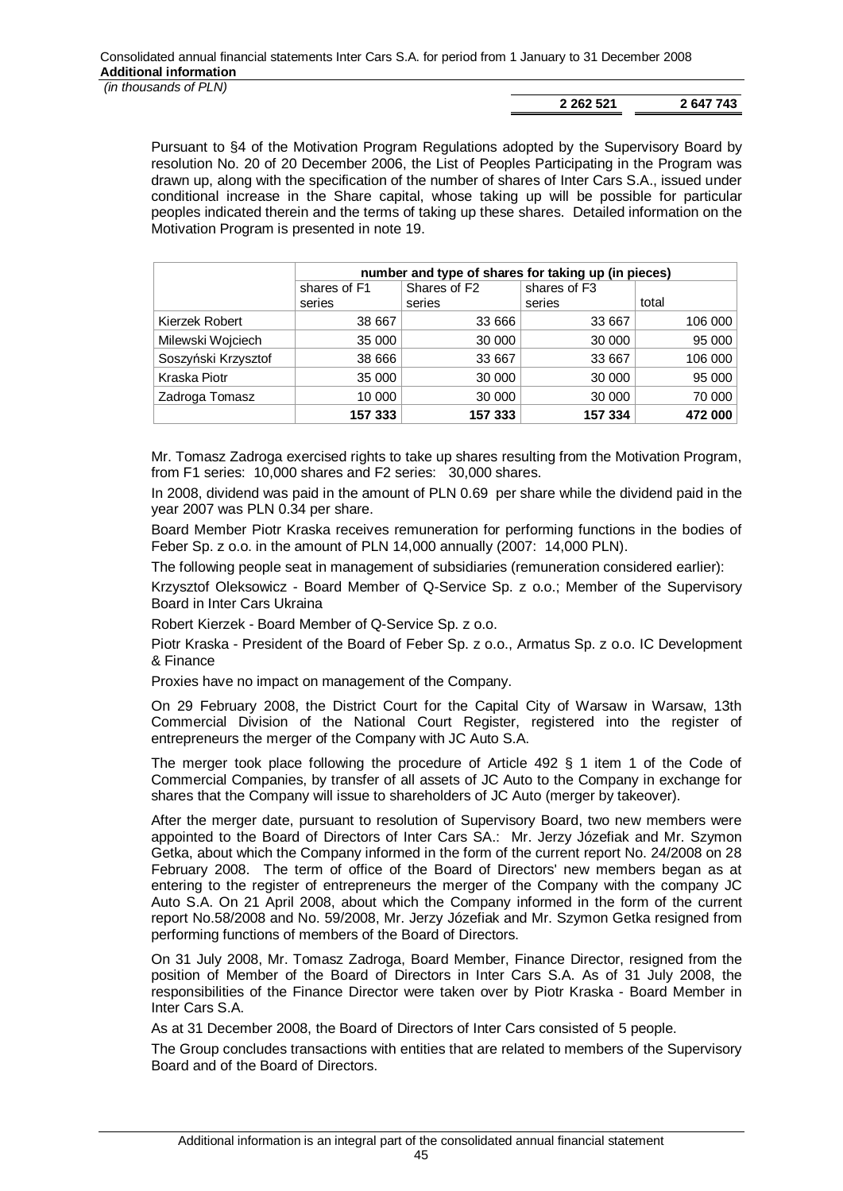**2 262 521 2 647 743**

Pursuant to §4 of the Motivation Program Regulations adopted by the Supervisory Board by resolution No. 20 of 20 December 2006, the List of Peoples Participating in the Program was drawn up, along with the specification of the number of shares of Inter Cars S.A., issued under conditional increase in the Share capital, whose taking up will be possible for particular peoples indicated therein and the terms of taking up these shares. Detailed information on the Motivation Program is presented in note 19.

|                     | number and type of shares for taking up (in pieces) |                          |              |         |
|---------------------|-----------------------------------------------------|--------------------------|--------------|---------|
|                     | shares of F1                                        | Shares of F <sub>2</sub> | shares of F3 |         |
|                     | series                                              | series                   | series       | total   |
| Kierzek Robert      | 38 667                                              | 33 666                   | 33 667       | 106 000 |
| Milewski Wojciech   | 35 000                                              | 30 000                   | 30 000       | 95 000  |
| Soszyński Krzysztof | 38 666                                              | 33 667                   | 33 667       | 106 000 |
| Kraska Piotr        | 35 000                                              | 30 000                   | 30 000       | 95 000  |
| Zadroga Tomasz      | 10 000                                              | 30 000                   | 30 000       | 70 000  |
|                     | 157 333                                             | 157 333                  | 157 334      | 472 000 |

Mr. Tomasz Zadroga exercised rights to take up shares resulting from the Motivation Program, from F1 series: 10,000 shares and F2 series: 30,000 shares.

In 2008, dividend was paid in the amount of PLN 0.69 per share while the dividend paid in the year 2007 was PLN 0.34 per share.

Board Member Piotr Kraska receives remuneration for performing functions in the bodies of Feber Sp. z o.o. in the amount of PLN 14,000 annually (2007: 14,000 PLN).

The following people seat in management of subsidiaries (remuneration considered earlier):

Krzysztof Oleksowicz - Board Member of Q-Service Sp. z o.o.; Member of the Supervisory Board in Inter Cars Ukraina

Robert Kierzek - Board Member of Q-Service Sp. z o.o.

Piotr Kraska - President of the Board of Feber Sp. z o.o., Armatus Sp. z o.o. IC Development & Finance

Proxies have no impact on management of the Company.

On 29 February 2008, the District Court for the Capital City of Warsaw in Warsaw, 13th Commercial Division of the National Court Register, registered into the register of entrepreneurs the merger of the Company with JC Auto S.A.

The merger took place following the procedure of Article 492 § 1 item 1 of the Code of Commercial Companies, by transfer of all assets of JC Auto to the Company in exchange for shares that the Company will issue to shareholders of JC Auto (merger by takeover).

After the merger date, pursuant to resolution of Supervisory Board, two new members were appointed to the Board of Directors of Inter Cars SA.: Mr. Jerzy Józefiak and Mr. Szymon Getka, about which the Company informed in the form of the current report No. 24/2008 on 28 February 2008. The term of office of the Board of Directors' new members began as at entering to the register of entrepreneurs the merger of the Company with the company JC Auto S.A. On 21 April 2008, about which the Company informed in the form of the current report No.58/2008 and No. 59/2008, Mr. Jerzy Józefiak and Mr. Szymon Getka resigned from performing functions of members of the Board of Directors.

On 31 July 2008, Mr. Tomasz Zadroga, Board Member, Finance Director, resigned from the position of Member of the Board of Directors in Inter Cars S.A. As of 31 July 2008, the responsibilities of the Finance Director were taken over by Piotr Kraska - Board Member in Inter Cars S.A.

As at 31 December 2008, the Board of Directors of Inter Cars consisted of 5 people.

The Group concludes transactions with entities that are related to members of the Supervisory Board and of the Board of Directors.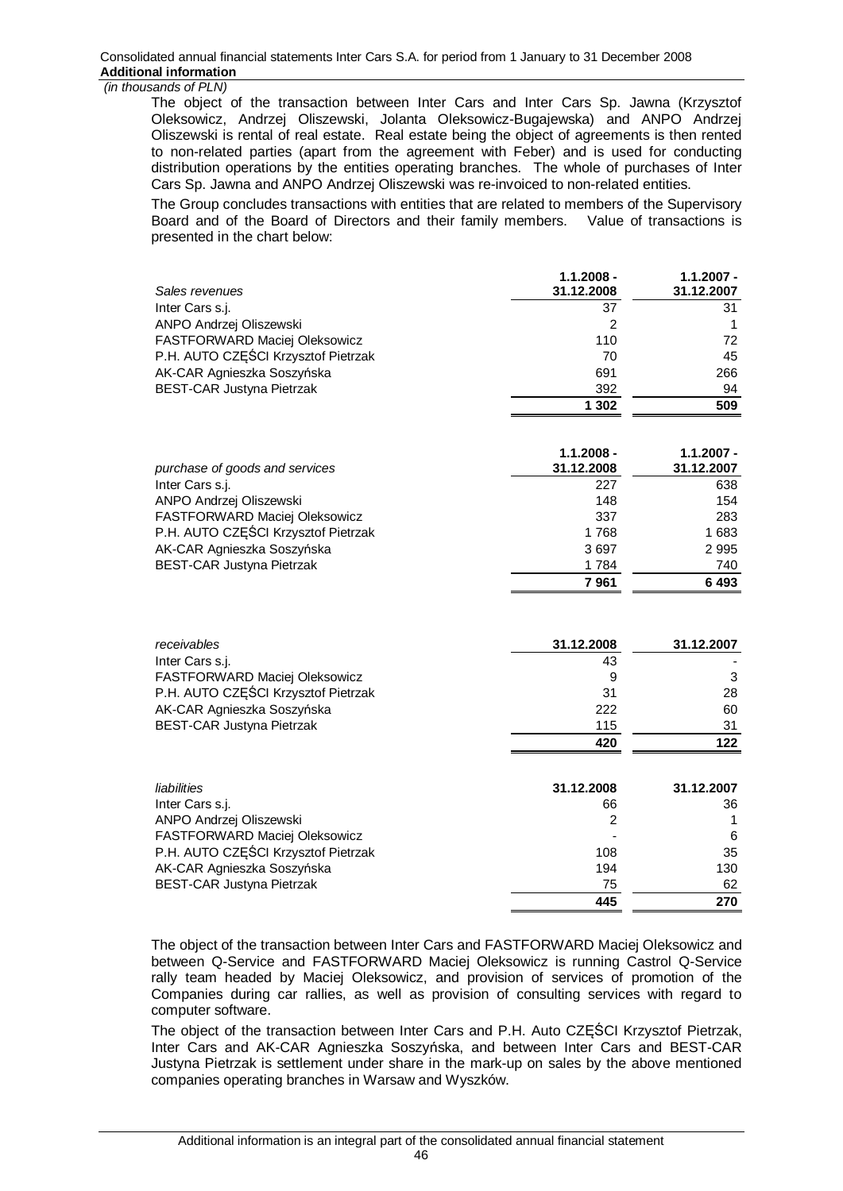The object of the transaction between Inter Cars and Inter Cars Sp. Jawna (Krzysztof Oleksowicz, Andrzej Oliszewski, Jolanta Oleksowicz-Bugajewska) and ANPO Andrzej Oliszewski is rental of real estate. Real estate being the object of agreements is then rented to non-related parties (apart from the agreement with Feber) and is used for conducting distribution operations by the entities operating branches. The whole of purchases of Inter Cars Sp. Jawna and ANPO Andrzej Oliszewski was re-invoiced to non-related entities.

The Group concludes transactions with entities that are related to members of the Supervisory Board and of the Board of Directors and their family members. Value of transactions is presented in the chart below:

| Sales revenues                       | $1.1.2008 -$<br>31.12.2008 | $1.1.2007 -$<br>31.12.2007 |
|--------------------------------------|----------------------------|----------------------------|
| Inter Cars s.j.                      | 37                         | 31                         |
| ANPO Andrzej Oliszewski              | 2                          |                            |
| FASTFORWARD Maciej Oleksowicz        | 110                        | 72                         |
| P.H. AUTO CZĘŚCI Krzysztof Pietrzak  | 70                         | 45                         |
| AK-CAR Agnieszka Soszyńska           | 691                        | 266                        |
| <b>BEST-CAR Justyna Pietrzak</b>     | 392                        | 94                         |
|                                      | 1 302                      | 509                        |
| purchase of goods and services       | $1.1.2008 -$<br>31.12.2008 | $1.1.2007 -$<br>31.12.2007 |
| Inter Cars s.j.                      | 227                        | 638                        |
| ANPO Andrzej Oliszewski              | 148                        | 154                        |
| <b>FASTFORWARD Maciej Oleksowicz</b> | 337                        | 283                        |

|                                     | 7 961 | 6493  |
|-------------------------------------|-------|-------|
| <b>BEST-CAR Justyna Pietrzak</b>    | 1 784 | 740   |
| AK-CAR Agnieszka Soszyńska          | 3697  | 2995  |
| P.H. AUTO CZEŚCI Krzysztof Pietrzak | 1 768 | 1 683 |
| FASTFORWARD Maciej Oleksowicz       | 337   | 283   |

| receivables                         | 31.12.2008 | 31.12.2007 |
|-------------------------------------|------------|------------|
| Inter Cars s.j.                     | 43         |            |
| FASTFORWARD Maciej Oleksowicz       | 9          | 3          |
| P.H. AUTO CZĘŚCI Krzysztof Pietrzak | 31         | 28         |
| AK-CAR Agnieszka Soszyńska          | 222        | 60         |
| <b>BEST-CAR Justyna Pietrzak</b>    | 115        | 31         |
|                                     | 420        | 122        |
| liabilities                         | 31.12.2008 | 31.12.2007 |

| <i>liabilities</i>                  | 31.IZ.ZUUO | 31.12.2007 |
|-------------------------------------|------------|------------|
| Inter Cars s.j.                     | 66         | 36         |
| ANPO Andrzej Oliszewski             | 2          |            |
| FASTFORWARD Maciej Oleksowicz       | -          | 6          |
| P.H. AUTO CZEŚCI Krzysztof Pietrzak | 108        | 35         |
| AK-CAR Agnieszka Soszyńska          | 194        | 130        |
| <b>BEST-CAR Justyna Pietrzak</b>    | 75         | 62         |
|                                     | 445        | 270        |

The object of the transaction between Inter Cars and FASTFORWARD Maciej Oleksowicz and between Q-Service and FASTFORWARD Maciej Oleksowicz is running Castrol Q-Service rally team headed by Maciej Oleksowicz, and provision of services of promotion of the Companies during car rallies, as well as provision of consulting services with regard to computer software.

The object of the transaction between Inter Cars and P.H. Auto CZEŚCI Krzysztof Pietrzak, Inter Cars and AK-CAR Agnieszka Soszyńska, and between Inter Cars and BEST-CAR Justyna Pietrzak is settlement under share in the mark-up on sales by the above mentioned companies operating branches in Warsaw and Wyszków.

46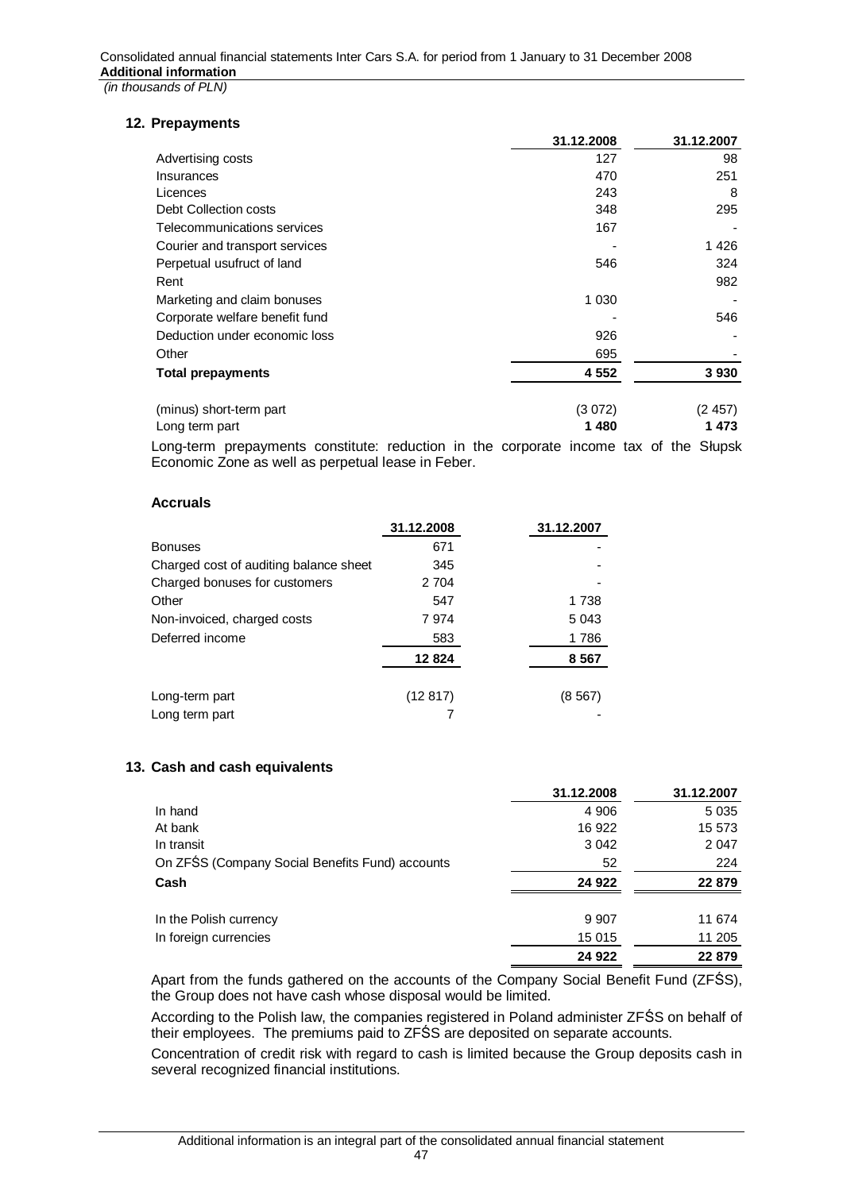# **12. Prepayments**

|                                | 31.12.2008 | 31.12.2007 |
|--------------------------------|------------|------------|
| Advertising costs              | 127        | 98         |
| Insurances                     | 470        | 251        |
| Licences                       | 243        | 8          |
| Debt Collection costs          | 348        | 295        |
| Telecommunications services    | 167        |            |
| Courier and transport services |            | 1426       |
| Perpetual usufruct of land     | 546        | 324        |
| Rent                           |            | 982        |
| Marketing and claim bonuses    | 1 0 3 0    |            |
| Corporate welfare benefit fund |            | 546        |
| Deduction under economic loss  | 926        |            |
| Other                          | 695        |            |
| <b>Total prepayments</b>       | 4 5 5 2    | 3930       |
| (minus) short-term part        | (3072)     | (2457)     |
| Long term part                 | 1480       | 1473       |

Long-term prepayments constitute: reduction in the corporate income tax of the Słupsk Economic Zone as well as perpetual lease in Feber.

### **Accruals**

|                                        | 31.12.2008 | 31.12.2007 |
|----------------------------------------|------------|------------|
| <b>Bonuses</b>                         | 671        |            |
| Charged cost of auditing balance sheet | 345        |            |
| Charged bonuses for customers          | 2 7 0 4    |            |
| Other                                  | 547        | 1 738      |
| Non-invoiced, charged costs            | 7974       | 5 0 4 3    |
| Deferred income                        | 583        | 1786       |
|                                        | 12824      | 8567       |
| Long-term part                         | (12817)    | (8567)     |
| Long term part                         |            |            |

# **13. Cash and cash equivalents**

|                                                 | 31.12.2008 | 31.12.2007 |
|-------------------------------------------------|------------|------------|
| In hand                                         | 4 9 0 6    | 5 0 3 5    |
| At bank                                         | 16 922     | 15 573     |
| In transit                                      | 3 0 4 2    | 2 0 4 7    |
| On ZFŚS (Company Social Benefits Fund) accounts | 52         | 224        |
| Cash                                            | 24 9 22    | 22 879     |
| In the Polish currency                          | 9 9 0 7    | 11 674     |
| In foreign currencies                           | 15 015     | 11 205     |
|                                                 | 24 9 22    | 22 879     |

Apart from the funds gathered on the accounts of the Company Social Benefit Fund (ZFŚS), the Group does not have cash whose disposal would be limited.

According to the Polish law, the companies registered in Poland administer ZFŚS on behalf of their employees. The premiums paid to ZFŚS are deposited on separate accounts.

Concentration of credit risk with regard to cash is limited because the Group deposits cash in several recognized financial institutions.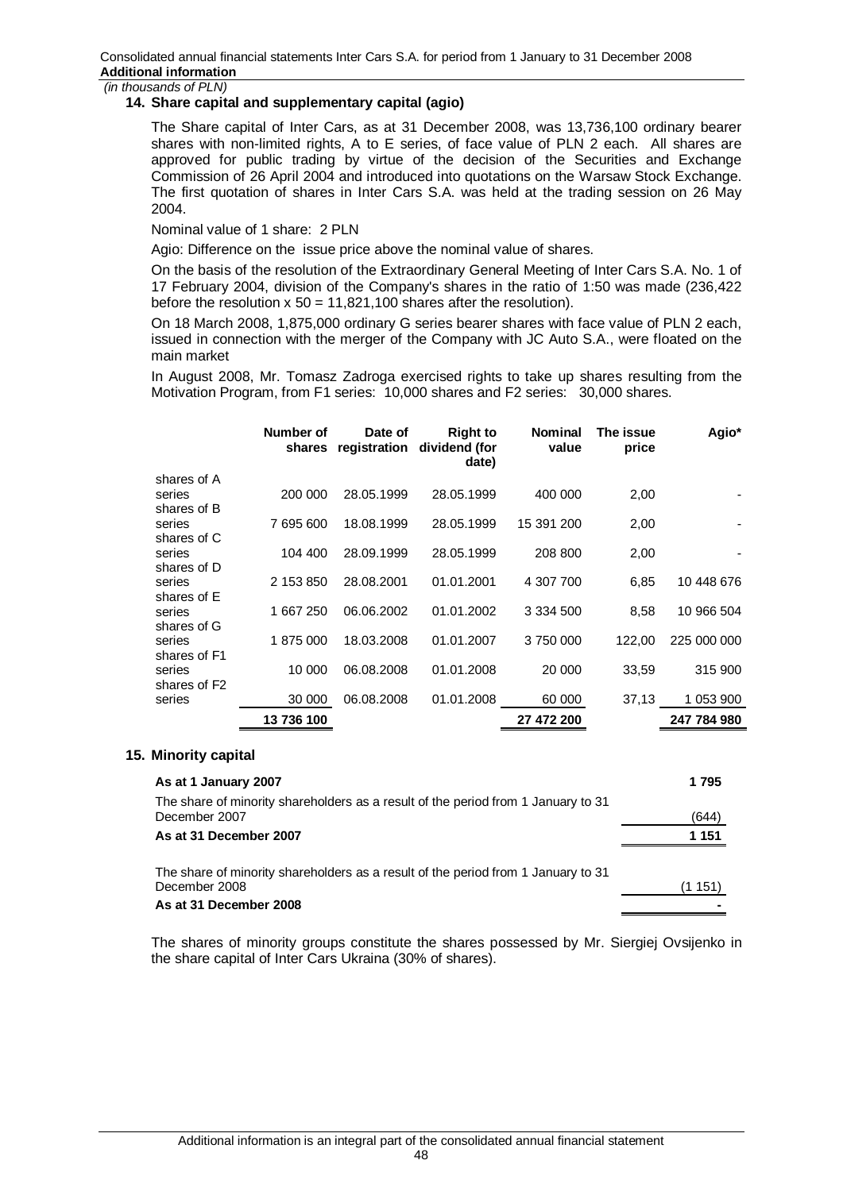# **14. Share capital and supplementary capital (agio)**

The Share capital of Inter Cars, as at 31 December 2008, was 13,736,100 ordinary bearer shares with non-limited rights, A to E series, of face value of PLN 2 each. All shares are approved for public trading by virtue of the decision of the Securities and Exchange Commission of 26 April 2004 and introduced into quotations on the Warsaw Stock Exchange. The first quotation of shares in Inter Cars S.A. was held at the trading session on 26 May 2004.

Nominal value of 1 share: 2 PLN

Agio: Difference on the issue price above the nominal value of shares.

On the basis of the resolution of the Extraordinary General Meeting of Inter Cars S.A. No. 1 of 17 February 2004, division of the Company's shares in the ratio of 1:50 was made (236,422 before the resolution  $x = 50 = 11,821,100$  shares after the resolution).

On 18 March 2008, 1,875,000 ordinary G series bearer shares with face value of PLN 2 each, issued in connection with the merger of the Company with JC Auto S.A., were floated on the main market

In August 2008, Mr. Tomasz Zadroga exercised rights to take up shares resulting from the Motivation Program, from F1 series: 10,000 shares and F2 series: 30,000 shares.

|                                    | Number of  | Date of    | <b>Right to</b><br>shares registration dividend (for<br>date) | <b>Nominal</b><br>value | The issue<br>price | Agio*       |
|------------------------------------|------------|------------|---------------------------------------------------------------|-------------------------|--------------------|-------------|
| shares of A                        |            |            |                                                               |                         |                    |             |
| series<br>shares of B              | 200 000    | 28.05.1999 | 28.05.1999                                                    | 400 000                 | 2,00               |             |
| series                             | 7 695 600  | 18.08.1999 | 28.05.1999                                                    | 15 391 200              | 2,00               |             |
| shares of C                        |            |            |                                                               |                         |                    |             |
| series<br>shares of D              | 104 400    | 28.09.1999 | 28.05.1999                                                    | 208 800                 | 2,00               |             |
| series                             | 2 153 850  | 28.08.2001 | 01.01.2001                                                    | 4 307 700               | 6,85               | 10 448 676  |
| shares of E                        |            |            |                                                               |                         |                    |             |
| series                             | 1 667 250  | 06.06.2002 | 01.01.2002                                                    | 3 3 3 4 5 0 0           | 8,58               | 10 966 504  |
| shares of G<br>series              | 1875000    | 18.03.2008 | 01.01.2007                                                    | 3750000                 | 122,00             | 225 000 000 |
| shares of F1                       |            |            |                                                               |                         |                    |             |
| series                             | 10 000     | 06.08.2008 | 01.01.2008                                                    | 20 000                  | 33,59              | 315 900     |
| shares of F <sub>2</sub><br>series | 30 000     | 06.08.2008 | 01.01.2008                                                    | 60 000                  | 37,13              | 1 053 900   |
|                                    | 13 736 100 |            |                                                               | 27 472 200              |                    | 247 784 980 |

### **15. Minority capital**

| As at 1 January 2007                                                              | 1795    |
|-----------------------------------------------------------------------------------|---------|
| The share of minority shareholders as a result of the period from 1 January to 31 |         |
| December 2007                                                                     | (644)   |
| As at 31 December 2007                                                            | 1 151   |
| The share of minority shareholders as a result of the period from 1 January to 31 |         |
| December 2008                                                                     | (1 151) |
| As at 31 December 2008                                                            |         |

The shares of minority groups constitute the shares possessed by Mr. Siergiej Ovsijenko in the share capital of Inter Cars Ukraina (30% of shares).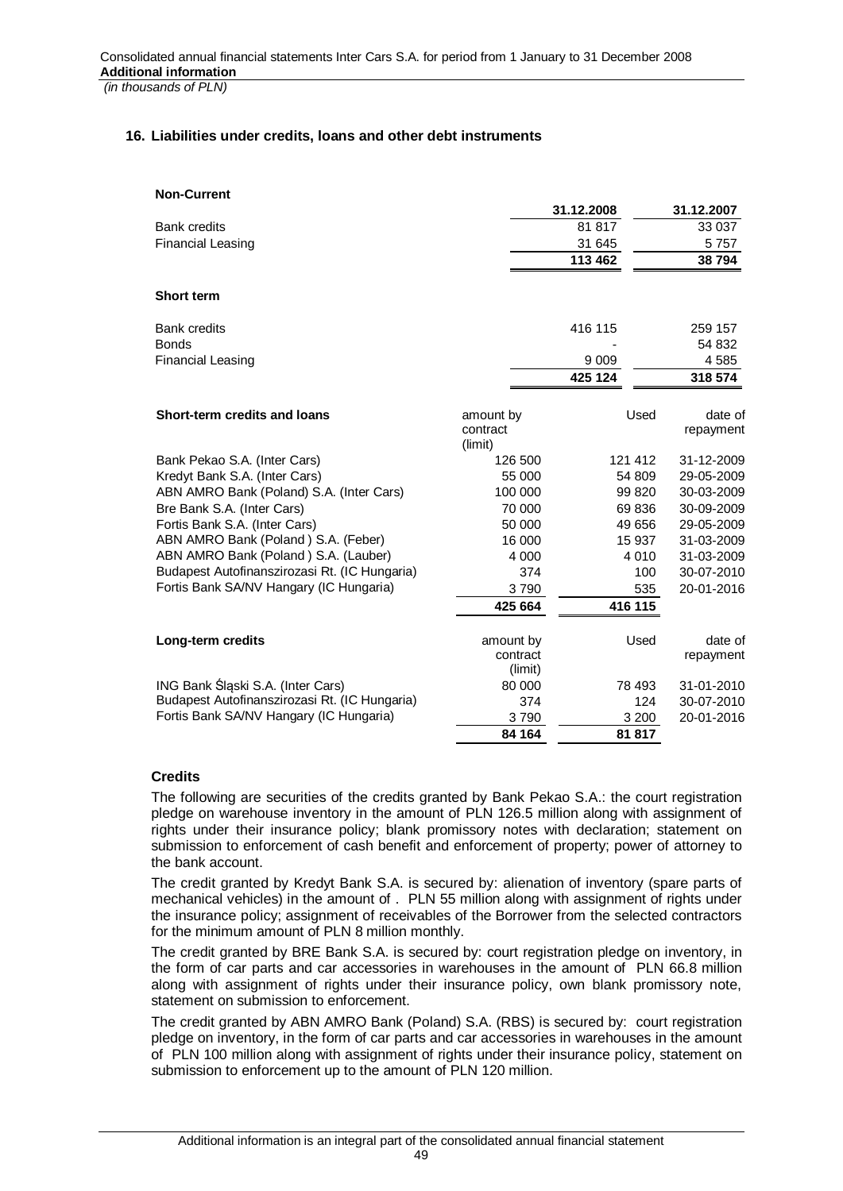# **16. Liabilities under credits, loans and other debt instruments**

| <b>Non-Current</b>                            |                     |            |            |
|-----------------------------------------------|---------------------|------------|------------|
|                                               |                     | 31.12.2008 | 31.12.2007 |
| <b>Bank credits</b>                           |                     | 81 817     | 33 037     |
| <b>Financial Leasing</b>                      |                     | 31 645     | 5757       |
|                                               |                     | 113 462    | 38 794     |
| <b>Short term</b>                             |                     |            |            |
| <b>Bank credits</b>                           |                     | 416 115    | 259 157    |
| <b>Bonds</b>                                  |                     |            | 54 832     |
| <b>Financial Leasing</b>                      |                     | 9 0 0 9    | 4585       |
|                                               |                     | 425 124    | 318 574    |
| Short-term credits and loans                  | amount by           | Used       | date of    |
|                                               | contract<br>(limit) |            | repayment  |
| Bank Pekao S.A. (Inter Cars)                  | 126 500             | 121 412    | 31-12-2009 |
| Kredyt Bank S.A. (Inter Cars)                 | 55 000              | 54 809     | 29-05-2009 |
| ABN AMRO Bank (Poland) S.A. (Inter Cars)      | 100 000             | 99 820     | 30-03-2009 |
| Bre Bank S.A. (Inter Cars)                    | 70 000              | 69836      | 30-09-2009 |
| Fortis Bank S.A. (Inter Cars)                 | 50 000              | 49 656     | 29-05-2009 |
| ABN AMRO Bank (Poland) S.A. (Feber)           | 16 000              | 15 937     | 31-03-2009 |
| ABN AMRO Bank (Poland) S.A. (Lauber)          | 4 0 0 0             | 4 0 1 0    | 31-03-2009 |
| Budapest Autofinanszirozasi Rt. (IC Hungaria) | 374                 | 100        | 30-07-2010 |
| Fortis Bank SA/NV Hangary (IC Hungaria)       | 3790                | 535        | 20-01-2016 |
|                                               | 425 664             | 416 115    |            |
| Long-term credits                             | amount by           | Used       | date of    |
|                                               | contract<br>(limit) |            | repayment  |
| ING Bank Śląski S.A. (Inter Cars)             | 80 000              | 78 493     | 31-01-2010 |
| Budapest Autofinanszirozasi Rt. (IC Hungaria) | 374                 | 124        | 30-07-2010 |
| Fortis Bank SA/NV Hangary (IC Hungaria)       | 3790                | 3 200      | 20-01-2016 |
|                                               | 84 164              | 81 817     |            |

# **Credits**

The following are securities of the credits granted by Bank Pekao S.A.: the court registration pledge on warehouse inventory in the amount of PLN 126.5 million along with assignment of rights under their insurance policy; blank promissory notes with declaration; statement on submission to enforcement of cash benefit and enforcement of property; power of attorney to the bank account.

The credit granted by Kredyt Bank S.A. is secured by: alienation of inventory (spare parts of mechanical vehicles) in the amount of . PLN 55 million along with assignment of rights under the insurance policy; assignment of receivables of the Borrower from the selected contractors for the minimum amount of PLN 8 million monthly.

The credit granted by BRE Bank S.A. is secured by: court registration pledge on inventory, in the form of car parts and car accessories in warehouses in the amount of PLN 66.8 million along with assignment of rights under their insurance policy, own blank promissory note, statement on submission to enforcement.

The credit granted by ABN AMRO Bank (Poland) S.A. (RBS) is secured by: court registration pledge on inventory, in the form of car parts and car accessories in warehouses in the amount of PLN 100 million along with assignment of rights under their insurance policy, statement on submission to enforcement up to the amount of PLN 120 million.

49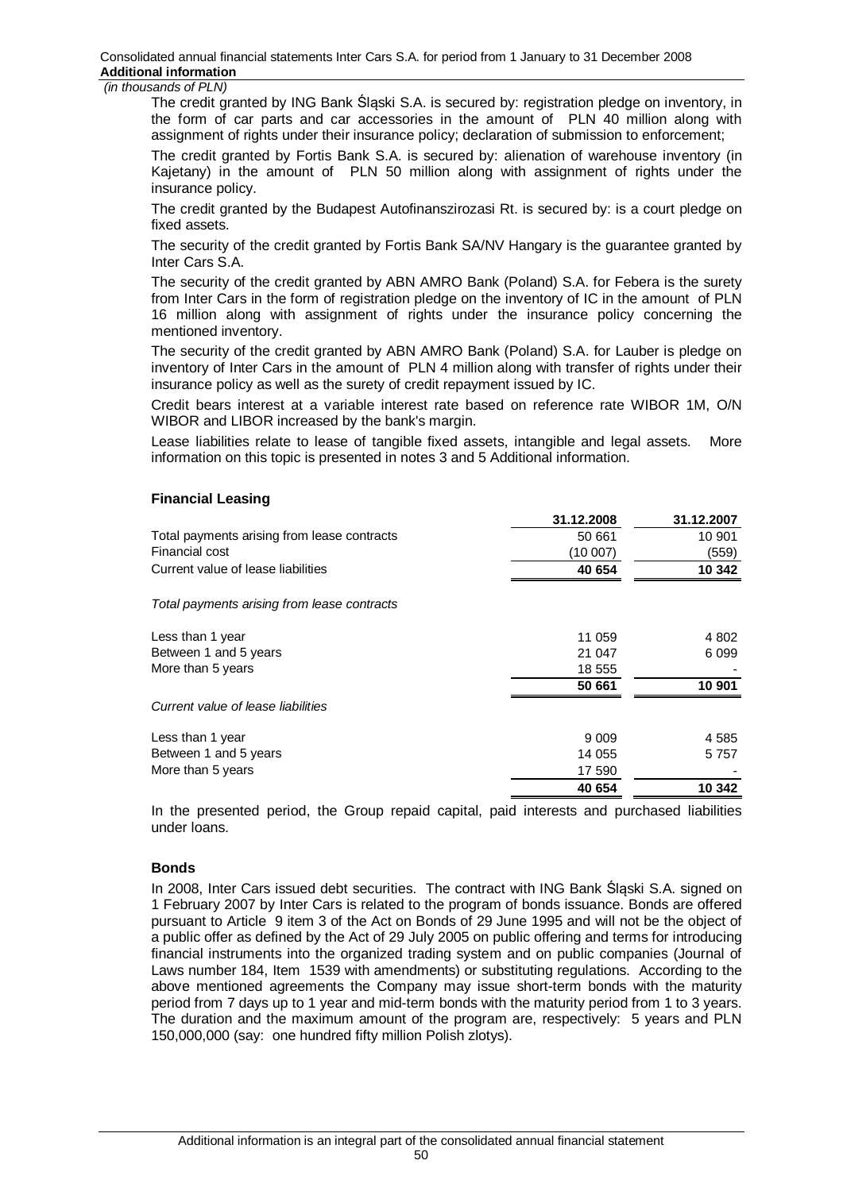Consolidated annual financial statements Inter Cars S.A. for period from 1 January to 31 December 2008 **Additional information** 

#### *(in thousands of PLN)*

The credit granted by ING Bank Ślaski S.A. is secured by: registration pledge on inventory, in the form of car parts and car accessories in the amount of PLN 40 million along with assignment of rights under their insurance policy; declaration of submission to enforcement;

The credit granted by Fortis Bank S.A. is secured by: alienation of warehouse inventory (in Kajetany) in the amount of PLN 50 million along with assignment of rights under the insurance policy.

The credit granted by the Budapest Autofinanszirozasi Rt. is secured by: is a court pledge on fixed assets.

The security of the credit granted by Fortis Bank SA/NV Hangary is the guarantee granted by Inter Cars S.A.

The security of the credit granted by ABN AMRO Bank (Poland) S.A. for Febera is the surety from Inter Cars in the form of registration pledge on the inventory of IC in the amount of PLN 16 million along with assignment of rights under the insurance policy concerning the mentioned inventory.

The security of the credit granted by ABN AMRO Bank (Poland) S.A. for Lauber is pledge on inventory of Inter Cars in the amount of PLN 4 million along with transfer of rights under their insurance policy as well as the surety of credit repayment issued by IC.

Credit bears interest at a variable interest rate based on reference rate WIBOR 1M, O/N WIBOR and LIBOR increased by the bank's margin.

Lease liabilities relate to lease of tangible fixed assets, intangible and legal assets. More information on this topic is presented in notes 3 and 5 Additional information.

**31.12.2008 31.12.2007**

### **Financial Leasing**

| JI.IZ.ZUUU | <u>JI.IZ.ZUVI</u> |
|------------|-------------------|
| 50 661     | 10 901            |
| (10 007)   | (559)             |
| 40 654     | 10 342            |
|            |                   |
| 11 059     | 4 802             |
| 21 047     | 6 0 9 9           |
| 18 555     |                   |
| 50 661     | 10 901            |
|            |                   |
| 9 0 0 9    | 4 5 8 5           |
| 14 055     | 5 7 5 7           |
| 17 590     |                   |
| 40 654     | 10 342            |
|            |                   |

In the presented period, the Group repaid capital, paid interests and purchased liabilities under loans.

### **Bonds**

In 2008, Inter Cars issued debt securities. The contract with ING Bank Śląski S.A. signed on 1 February 2007 by Inter Cars is related to the program of bonds issuance. Bonds are offered pursuant to Article 9 item 3 of the Act on Bonds of 29 June 1995 and will not be the object of a public offer as defined by the Act of 29 July 2005 on public offering and terms for introducing financial instruments into the organized trading system and on public companies (Journal of Laws number 184, Item 1539 with amendments) or substituting regulations. According to the above mentioned agreements the Company may issue short-term bonds with the maturity period from 7 days up to 1 year and mid-term bonds with the maturity period from 1 to 3 years. The duration and the maximum amount of the program are, respectively: 5 years and PLN 150,000,000 (say: one hundred fifty million Polish zlotys).

50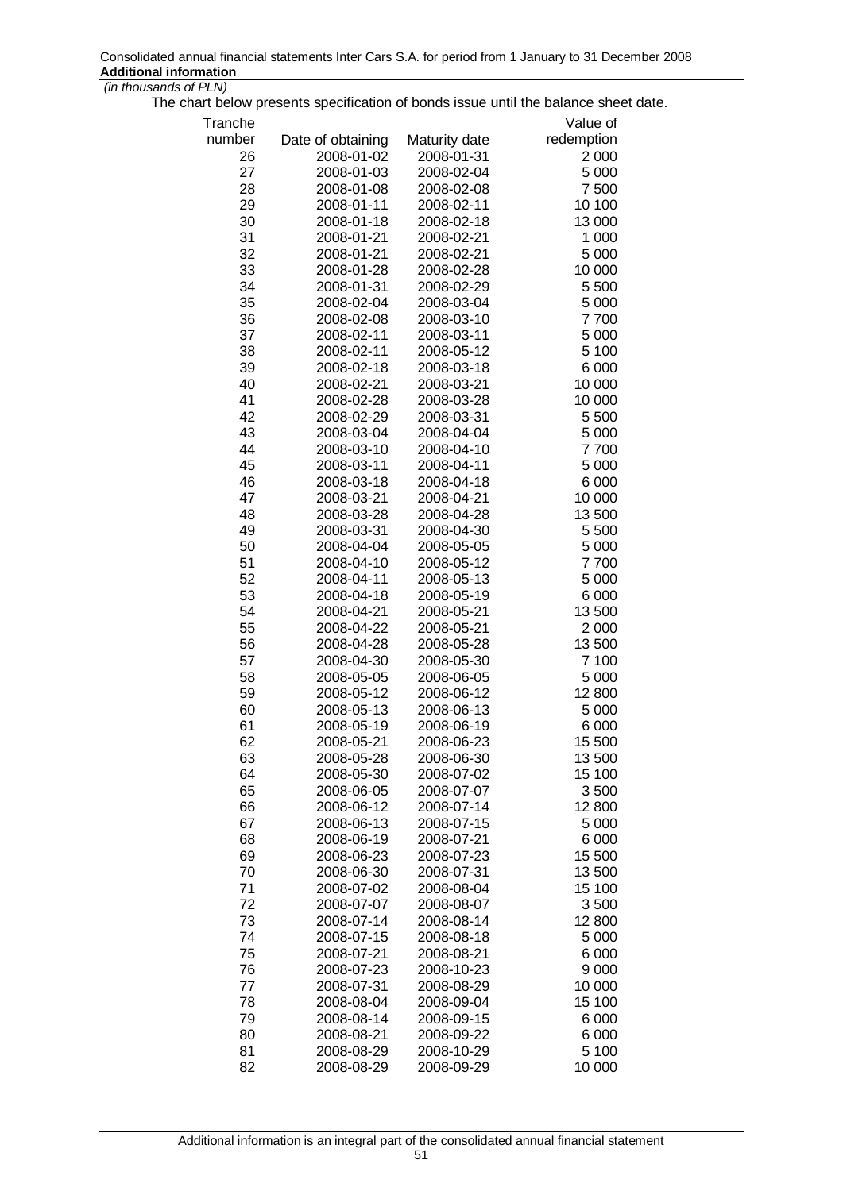The chart below presents specification of bonds issue until the balance sheet date.

| Tranche |                   |               | Value of   |
|---------|-------------------|---------------|------------|
| number  | Date of obtaining | Maturity date | redemption |
| 26      | 2008-01-02        | 2008-01-31    | 2 0 0 0    |
| 27      | 2008-01-03        | 2008-02-04    | 5 0 0 0    |
| 28      | 2008-01-08        | 2008-02-08    | 7 500      |
| 29      | 2008-01-11        | 2008-02-11    | 10 100     |
| 30      | 2008-01-18        | 2008-02-18    | 13 000     |
| 31      | 2008-01-21        | 2008-02-21    | 1 0 0 0    |
| 32      | 2008-01-21        | 2008-02-21    | 5 0 0 0    |
| 33      | 2008-01-28        | 2008-02-28    | 10 000     |
| 34      | 2008-01-31        | 2008-02-29    | 5 500      |
| 35      | 2008-02-04        | 2008-03-04    | 5 0 0 0    |
| 36      | 2008-02-08        | 2008-03-10    | 7700       |
| 37      | 2008-02-11        | 2008-03-11    | 5 0 0 0    |
| 38      | 2008-02-11        | 2008-05-12    | 5 100      |
| 39      | 2008-02-18        | 2008-03-18    | 6 0 0 0    |
| 40      | 2008-02-21        | 2008-03-21    | 10 000     |
| 41      | 2008-02-28        | 2008-03-28    | 10 000     |
| 42      | 2008-02-29        | 2008-03-31    | 5 500      |
| 43      | 2008-03-04        | 2008-04-04    | 5 0 0 0    |
| 44      | 2008-03-10        | 2008-04-10    | 7700       |
| 45      | 2008-03-11        | 2008-04-11    | 5 0 0 0    |
| 46      | 2008-03-18        | 2008-04-18    | 6 0 0 0    |
| 47      | 2008-03-21        | 2008-04-21    | 10 000     |
| 48      | 2008-03-28        | 2008-04-28    | 13 500     |
| 49      | 2008-03-31        | 2008-04-30    | 5 500      |
| 50      | 2008-04-04        | 2008-05-05    | 5 0 0 0    |
| 51      | 2008-04-10        | 2008-05-12    | 7700       |
| 52      | 2008-04-11        | 2008-05-13    | 5 0 0 0    |
| 53      | 2008-04-18        | 2008-05-19    | 6 0 0 0    |
| 54      | 2008-04-21        | 2008-05-21    | 13 500     |
| 55      | 2008-04-22        | 2008-05-21    | 2 0 0 0    |
| 56      | 2008-04-28        | 2008-05-28    | 13 500     |
| 57      | 2008-04-30        | 2008-05-30    | 7 100      |
| 58      | 2008-05-05        | 2008-06-05    | 5 0 0 0    |
| 59      | 2008-05-12        | 2008-06-12    | 12 800     |
| 60      | 2008-05-13        | 2008-06-13    | 5 0 0 0    |
| 61      | 2008-05-19        | 2008-06-19    | 6 0 0 0    |
| 62      | 2008-05-21        | 2008-06-23    | 15 500     |
| 63      | 2008-05-28        | 2008-06-30    | 13 500     |
| 64      | 2008-05-30        | 2008-07-02    | 15 100     |
| 65      | 2008-06-05        | 2008-07-07    | 3500       |
| 66      | 2008-06-12        | 2008-07-14    | 12 800     |
| 67      | 2008-06-13        | 2008-07-15    | 5 0 0 0    |
| 68      | 2008-06-19        | 2008-07-21    | 6 0 0 0    |
| 69      | 2008-06-23        | 2008-07-23    | 15 500     |
| 70      | 2008-06-30        | 2008-07-31    | 13 500     |
| 71      | 2008-07-02        | 2008-08-04    | 15 100     |
| 72      | 2008-07-07        | 2008-08-07    | 3500       |
| 73      | 2008-07-14        | 2008-08-14    | 12 800     |
| 74      | 2008-07-15        | 2008-08-18    | 5 0 0 0    |
| 75      | 2008-07-21        | 2008-08-21    | 6 0 0 0    |
| 76      | 2008-07-23        | 2008-10-23    | 9 0 0 0    |
| 77      | 2008-07-31        | 2008-08-29    | 10 000     |
| 78      | 2008-08-04        | 2008-09-04    | 15 100     |
| 79      | 2008-08-14        | 2008-09-15    | 6 0 0 0    |
| 80      | 2008-08-21        | 2008-09-22    | 6 0 0 0    |
| 81      | 2008-08-29        | 2008-10-29    | 5 100      |
| 82      | 2008-08-29        | 2008-09-29    | 10 000     |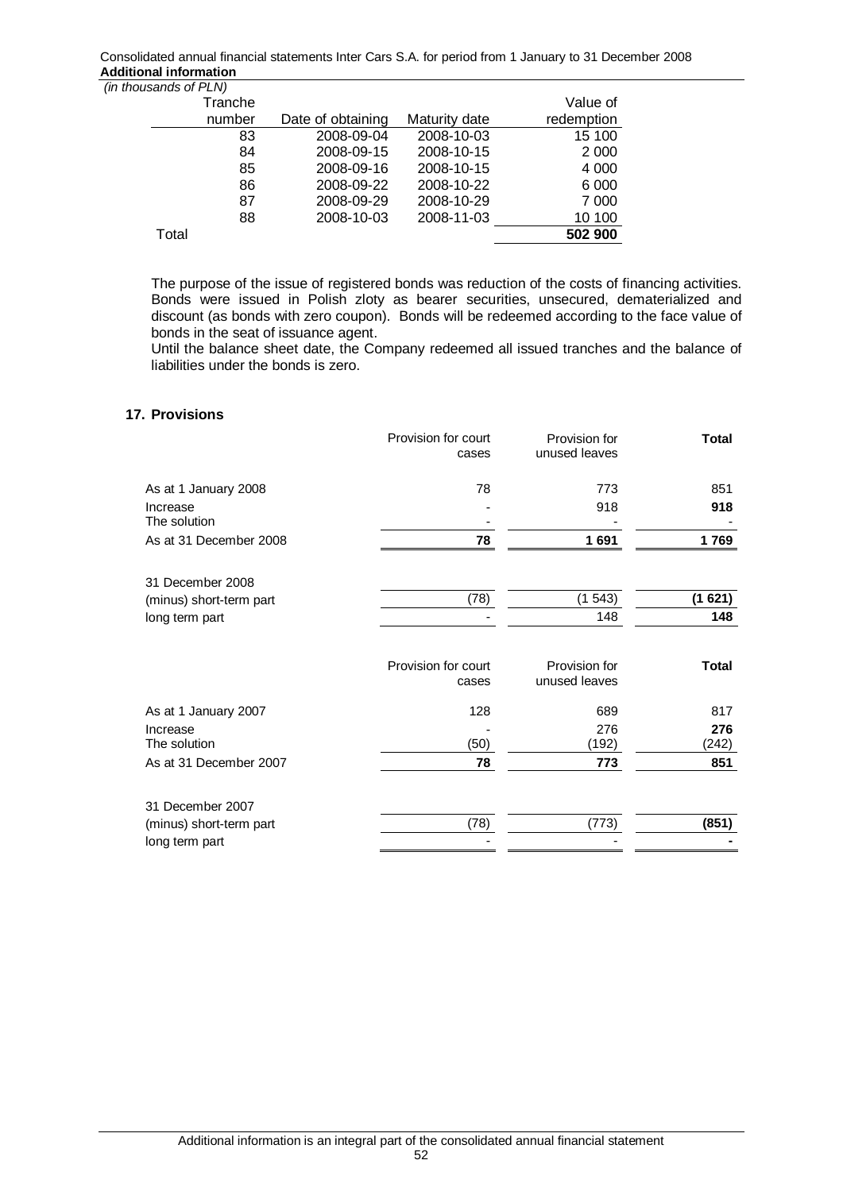Consolidated annual financial statements Inter Cars S.A. for period from 1 January to 31 December 2008 **Additional information** 

| (in thousands of PLN) |                   |               |            |
|-----------------------|-------------------|---------------|------------|
| Tranche               |                   |               | Value of   |
| number                | Date of obtaining | Maturity date | redemption |
| 83                    | 2008-09-04        | 2008-10-03    | 15 100     |
| 84                    | 2008-09-15        | 2008-10-15    | 2 0 0 0    |
| 85                    | 2008-09-16        | 2008-10-15    | 4 0 0 0    |
| 86                    | 2008-09-22        | 2008-10-22    | 6 0 0 0    |
| 87                    | 2008-09-29        | 2008-10-29    | 7 0 0 0    |
| 88                    | 2008-10-03        | 2008-11-03    | 10 100     |
| Total                 |                   |               | 502 900    |

The purpose of the issue of registered bonds was reduction of the costs of financing activities. Bonds were issued in Polish zloty as bearer securities, unsecured, dematerialized and discount (as bonds with zero coupon). Bonds will be redeemed according to the face value of bonds in the seat of issuance agent.

Until the balance sheet date, the Company redeemed all issued tranches and the balance of liabilities under the bonds is zero.

## **17. Provisions**

|                          | Provision for court<br>cases | Provision for<br>unused leaves | <b>Total</b> |
|--------------------------|------------------------------|--------------------------------|--------------|
|                          |                              |                                |              |
| As at 1 January 2008     | 78                           | 773                            | 851          |
| Increase<br>The solution |                              | 918                            | 918          |
| As at 31 December 2008   | 78                           | 1691                           | 1769         |
| 31 December 2008         |                              |                                |              |
| (minus) short-term part  | (78)                         | (1543)                         | (1621)       |
| long term part           |                              | 148                            | 148          |
|                          | Provision for court<br>cases | Provision for<br>unused leaves | <b>Total</b> |
| As at 1 January 2007     | 128                          | 689                            | 817          |
| Increase                 |                              | 276                            | 276          |
| The solution             | (50)                         | (192)                          | (242)        |
| As at 31 December 2007   | 78                           | 773                            | 851          |
| 31 December 2007         |                              |                                |              |
| (minus) short-term part  | (78)                         | (773)                          | (851)        |
| long term part           |                              |                                |              |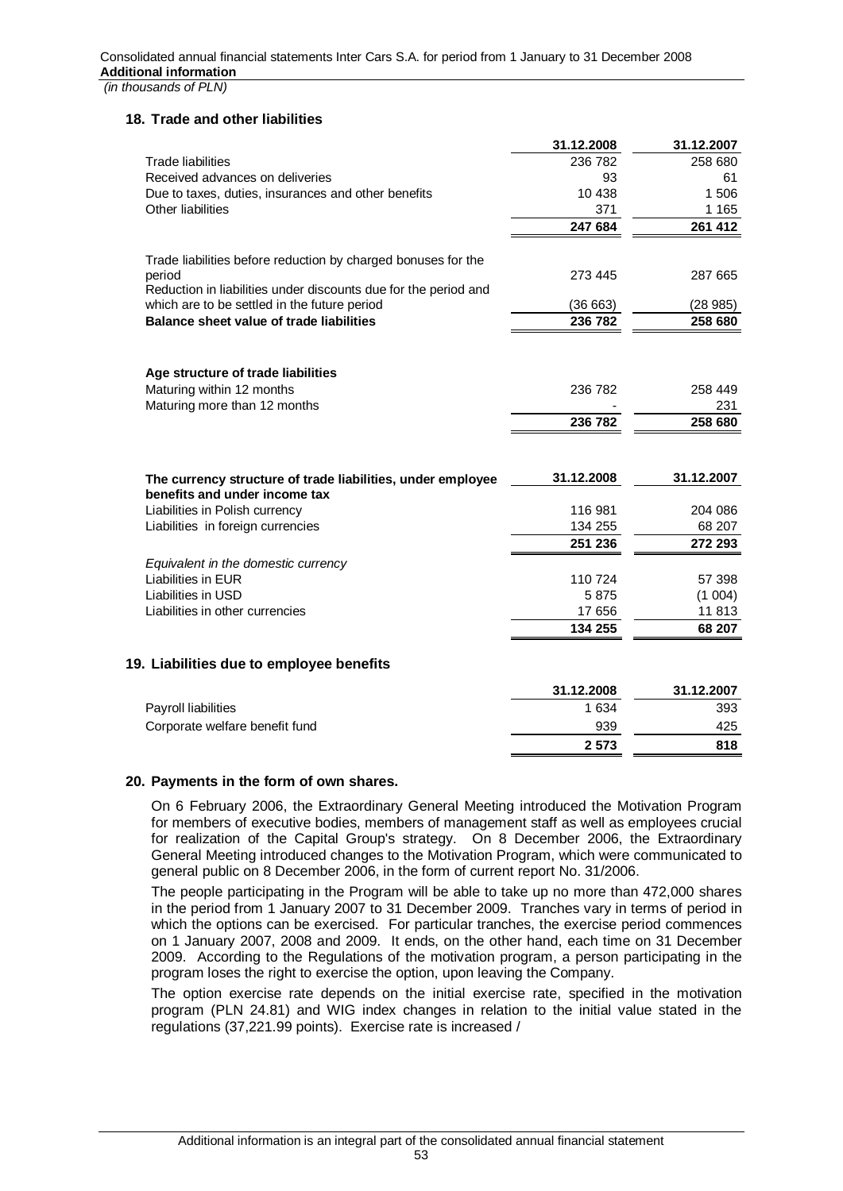### **18. Trade and other liabilities**

|                                                                     | 31.12.2008        | 31.12.2007 |
|---------------------------------------------------------------------|-------------------|------------|
| <b>Trade liabilities</b>                                            | 236 782           | 258 680    |
| Received advances on deliveries                                     | 93                | 61         |
| Due to taxes, duties, insurances and other benefits                 | 10 4 38           | 1 506      |
| Other liabilities                                                   | 371               | 1 1 6 5    |
|                                                                     | 247 684           | 261 412    |
| Trade liabilities before reduction by charged bonuses for the       |                   |            |
| period                                                              | 273 445           | 287 665    |
| Reduction in liabilities under discounts due for the period and     |                   |            |
| which are to be settled in the future period                        | (36663)           | (28985)    |
| <b>Balance sheet value of trade liabilities</b>                     | 236 782           | 258 680    |
|                                                                     |                   |            |
| Age structure of trade liabilities<br>Maturing within 12 months     | 236 782           | 258 449    |
| Maturing more than 12 months                                        |                   | 231        |
|                                                                     | 236 782           | 258 680    |
|                                                                     |                   |            |
| The currency structure of trade liabilities, under employee         | 31.12.2008        | 31.12.2007 |
| benefits and under income tax                                       | 116 981           | 204 086    |
| Liabilities in Polish currency<br>Liabilities in foreign currencies | 134 255           | 68 207     |
|                                                                     | 251 236           | 272 293    |
|                                                                     |                   |            |
| Equivalent in the domestic currency                                 |                   |            |
| <b>Liabilities in EUR</b>                                           | 110 724           | 57 398     |
| Liabilities in USD<br>Liabilities in other currencies               | 5875              | (1 004)    |
|                                                                     | 17 656<br>134 255 | 11 813     |
|                                                                     |                   | 68 207     |
| 19. Liabilities due to employee benefits                            |                   |            |
|                                                                     | 31.12.2008        | 31.12.2007 |
| Payroll liabilities                                                 | 1 6 3 4           | 393        |
| Corporate welfare benefit fund                                      | 939               | 425        |
|                                                                     | 2573              | 818        |

### **20. Payments in the form of own shares.**

On 6 February 2006, the Extraordinary General Meeting introduced the Motivation Program for members of executive bodies, members of management staff as well as employees crucial for realization of the Capital Group's strategy. On 8 December 2006, the Extraordinary General Meeting introduced changes to the Motivation Program, which were communicated to general public on 8 December 2006, in the form of current report No. 31/2006.

The people participating in the Program will be able to take up no more than 472,000 shares in the period from 1 January 2007 to 31 December 2009. Tranches vary in terms of period in which the options can be exercised. For particular tranches, the exercise period commences on 1 January 2007, 2008 and 2009. It ends, on the other hand, each time on 31 December 2009. According to the Regulations of the motivation program, a person participating in the program loses the right to exercise the option, upon leaving the Company.

The option exercise rate depends on the initial exercise rate, specified in the motivation program (PLN 24.81) and WIG index changes in relation to the initial value stated in the regulations (37,221.99 points). Exercise rate is increased /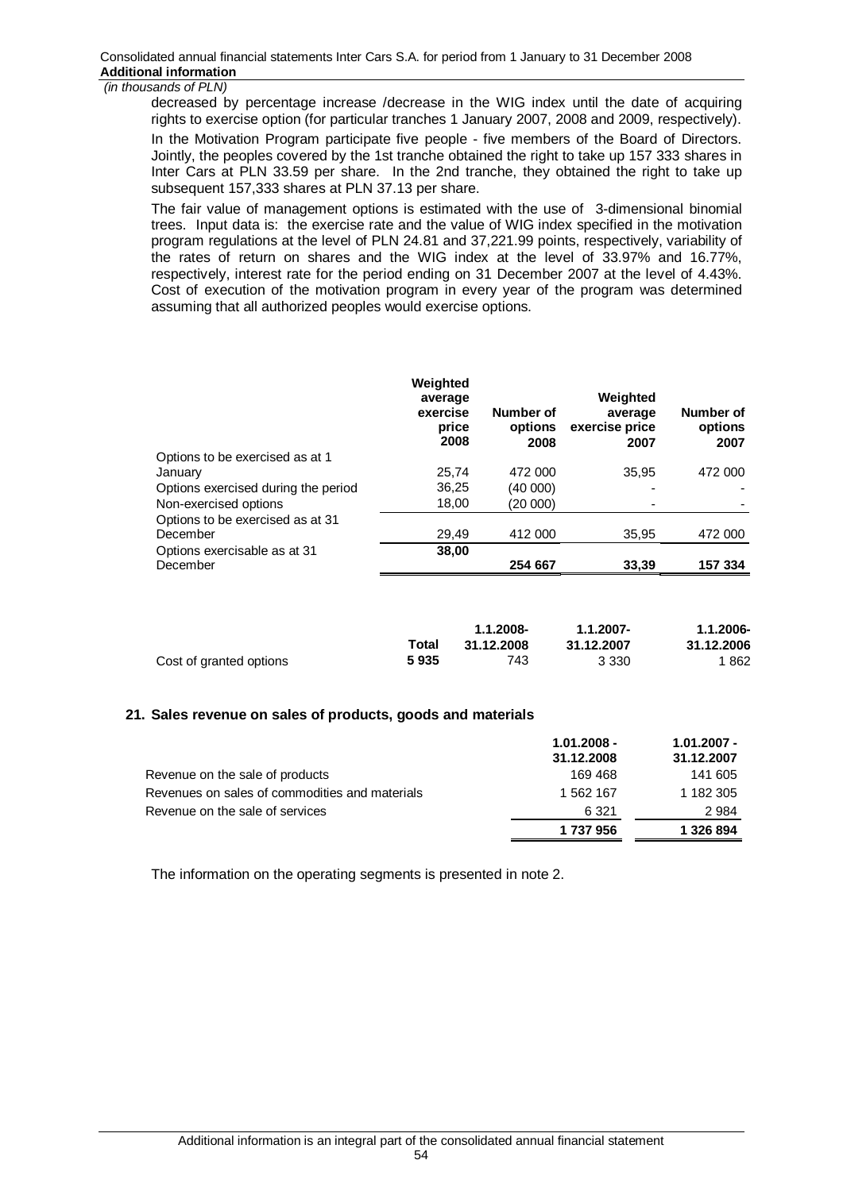decreased by percentage increase /decrease in the WIG index until the date of acquiring rights to exercise option (for particular tranches 1 January 2007, 2008 and 2009, respectively).

In the Motivation Program participate five people - five members of the Board of Directors. Jointly, the peoples covered by the 1st tranche obtained the right to take up 157 333 shares in Inter Cars at PLN 33.59 per share. In the 2nd tranche, they obtained the right to take up subsequent 157,333 shares at PLN 37.13 per share.

The fair value of management options is estimated with the use of 3-dimensional binomial trees. Input data is: the exercise rate and the value of WIG index specified in the motivation program regulations at the level of PLN 24.81 and 37,221.99 points, respectively, variability of the rates of return on shares and the WIG index at the level of 33.97% and 16.77%, respectively, interest rate for the period ending on 31 December 2007 at the level of 4.43%. Cost of execution of the motivation program in every year of the program was determined assuming that all authorized peoples would exercise options.

|                                     | Weighted<br>average<br>exercise<br>price<br>2008 | Number of<br>options<br>2008 | Weighted<br>average<br>exercise price<br>2007 | Number of<br>options<br>2007 |
|-------------------------------------|--------------------------------------------------|------------------------------|-----------------------------------------------|------------------------------|
| Options to be exercised as at 1     |                                                  |                              |                                               |                              |
| January                             | 25,74                                            | 472 000                      | 35.95                                         | 472 000                      |
| Options exercised during the period | 36,25                                            | (40 000)                     |                                               |                              |
| Non-exercised options               | 18,00                                            | (20 000)                     |                                               |                              |
| Options to be exercised as at 31    |                                                  |                              |                                               |                              |
| December                            | 29,49                                            | 412 000                      | 35,95                                         | 472 000                      |
| Options exercisable as at 31        | 38,00                                            |                              |                                               |                              |
| December                            |                                                  | 254 667                      | 33,39                                         | 157 334                      |

|                         |       | 1.1.2008-  | 1.1.2007-  | 1.1.2006-  |
|-------------------------|-------|------------|------------|------------|
|                         | Total | 31.12.2008 | 31.12.2007 | 31.12.2006 |
| Cost of granted options | 5935  | 743        | 3 3 3 0    | 1862       |

### **21. Sales revenue on sales of products, goods and materials**

|                                                | $1.01.2008 -$ | $1.01.2007 -$ |
|------------------------------------------------|---------------|---------------|
|                                                | 31.12.2008    | 31.12.2007    |
| Revenue on the sale of products                | 169 468       | 141 605       |
| Revenues on sales of commodities and materials | 1 562 167     | 1 182 305     |
| Revenue on the sale of services                | 6 3 2 1       | 2984          |
|                                                | 1 737 956     | 1 326 894     |

The information on the operating segments is presented in note 2.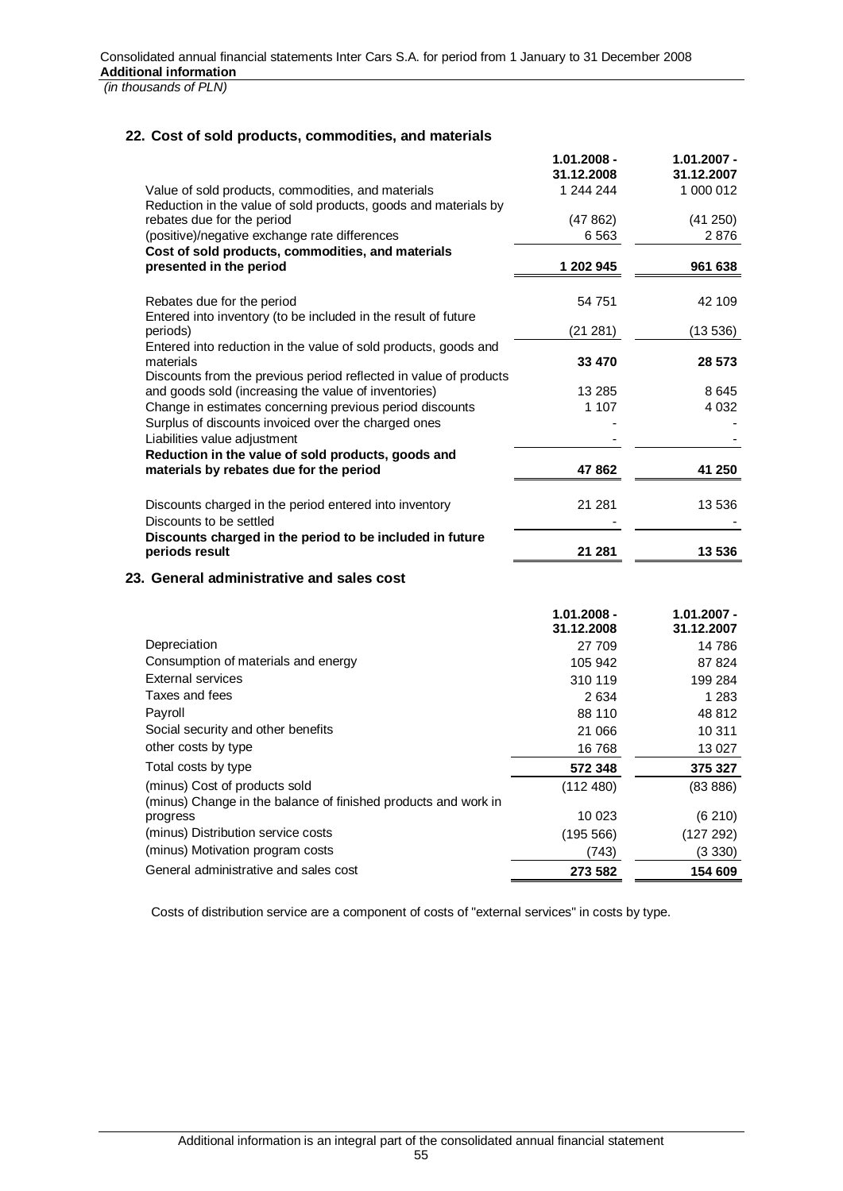# **22. Cost of sold products, commodities, and materials**

|                                                                                                                           | $1.01.2008 -$<br>31.12.2008 | $1.01.2007 -$<br>31.12.2007 |
|---------------------------------------------------------------------------------------------------------------------------|-----------------------------|-----------------------------|
| Value of sold products, commodities, and materials                                                                        | 1 244 244                   | 1 000 012                   |
| Reduction in the value of sold products, goods and materials by                                                           |                             |                             |
| rebates due for the period                                                                                                | (47862)                     | (41 250)                    |
| (positive)/negative exchange rate differences<br>Cost of sold products, commodities, and materials                        | 6 5 63                      | 2876                        |
| presented in the period                                                                                                   | 1 202 945                   | 961 638                     |
| Rebates due for the period<br>Entered into inventory (to be included in the result of future                              | 54 751                      | 42 109                      |
| periods)                                                                                                                  | (21 281)                    | (13 536)                    |
| Entered into reduction in the value of sold products, goods and<br>materials                                              | 33 470                      | 28 573                      |
| Discounts from the previous period reflected in value of products<br>and goods sold (increasing the value of inventories) | 13 285                      | 8645                        |
| Change in estimates concerning previous period discounts                                                                  | 1 107                       | 4 032                       |
| Surplus of discounts invoiced over the charged ones                                                                       |                             |                             |
| Liabilities value adjustment                                                                                              |                             |                             |
| Reduction in the value of sold products, goods and                                                                        |                             |                             |
| materials by rebates due for the period                                                                                   | 47 862                      | 41 250                      |
| Discounts charged in the period entered into inventory<br>Discounts to be settled                                         | 21 281                      | 13 536                      |
| Discounts charged in the period to be included in future                                                                  |                             |                             |
| periods result                                                                                                            | 21 281                      | 13 536                      |
| 23. General administrative and sales cost                                                                                 |                             |                             |
|                                                                                                                           | $1.01.2008 -$<br>31.12.2008 | $1.01.2007 -$<br>31.12.2007 |
| Depreciation                                                                                                              | 27 709                      | 14 786                      |
| Consumption of materials and energy                                                                                       | 105 942                     | 87 824                      |
| <b>External services</b>                                                                                                  | 310 119                     | 199 284                     |
| Taxes and fees                                                                                                            | 2 6 3 4                     | 1 283                       |
| Payroll                                                                                                                   | 88 110                      | 48 812                      |
| Social security and other benefits                                                                                        | 21 066                      | 10 311                      |
| other costs by type                                                                                                       | 16 768                      | 13 0 27                     |
| Total costs by type                                                                                                       | 572 348                     | 375 327                     |
| (minus) Cost of products sold                                                                                             | (112 480)                   | (83 886)                    |
| (minus) Change in the balance of finished products and work in                                                            |                             |                             |
| progress<br>(minus) Distribution service costs                                                                            | 10 023                      | (6210)                      |
| (minus) Motivation program costs                                                                                          | (195 566)                   | (127 292)                   |
|                                                                                                                           | (743)                       | (3330)                      |
| General administrative and sales cost                                                                                     | 273 582                     | 154 609                     |

Costs of distribution service are a component of costs of "external services" in costs by type.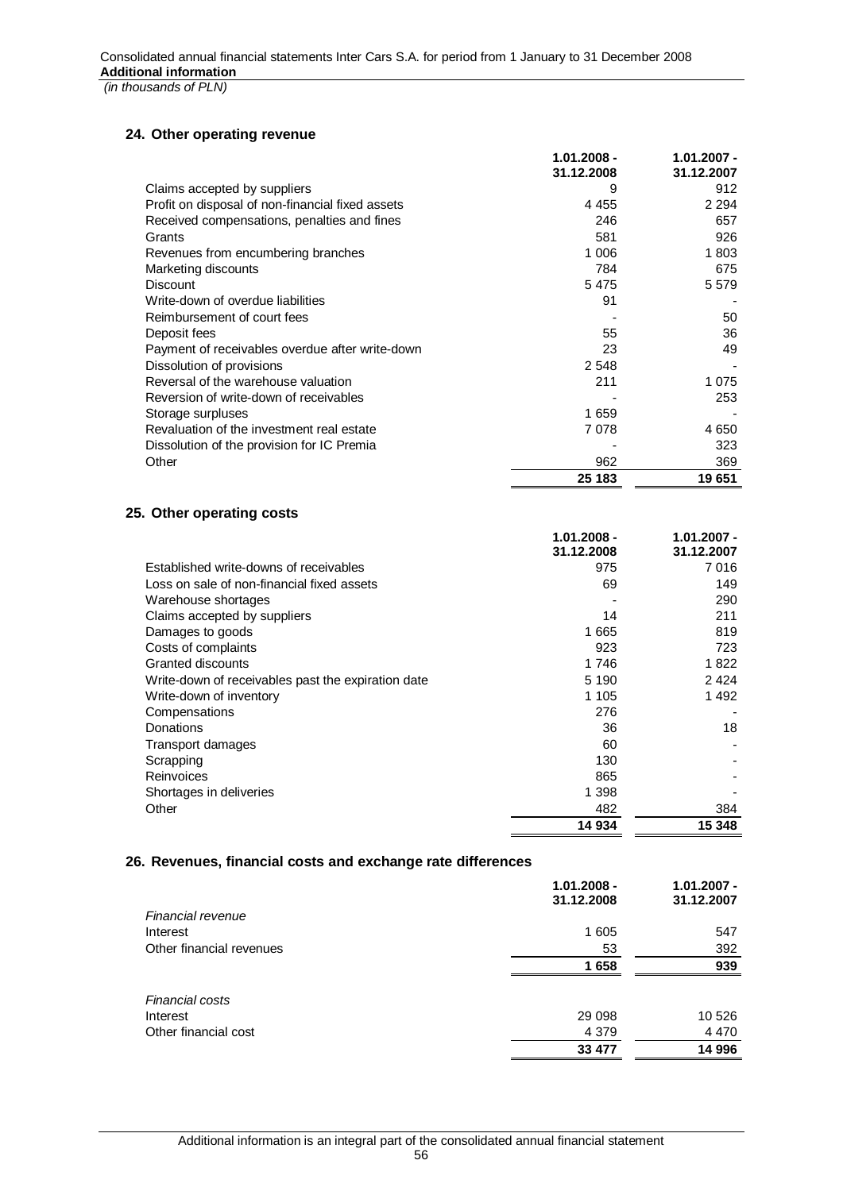# **24. Other operating revenue**

|                                                  | $1.01.2008 -$<br>31.12.2008 | 1.01.2007 -<br>31.12.2007 |
|--------------------------------------------------|-----------------------------|---------------------------|
| Claims accepted by suppliers                     | 9                           | 912                       |
| Profit on disposal of non-financial fixed assets | 4 4 5 5                     | 2 2 9 4                   |
| Received compensations, penalties and fines      | 246                         | 657                       |
| Grants                                           | 581                         | 926                       |
| Revenues from encumbering branches               | 1 006                       | 1803                      |
| Marketing discounts                              | 784                         | 675                       |
| <b>Discount</b>                                  | 5475                        | 5 5 7 9                   |
| Write-down of overdue liabilities                | 91                          |                           |
| Reimbursement of court fees                      |                             | 50                        |
| Deposit fees                                     | 55                          | 36                        |
| Payment of receivables overdue after write-down  | 23                          | 49                        |
| Dissolution of provisions                        | 2 5 4 8                     |                           |
| Reversal of the warehouse valuation              | 211                         | 1 0 7 5                   |
| Reversion of write-down of receivables           |                             | 253                       |
| Storage surpluses                                | 1659                        |                           |
| Revaluation of the investment real estate        | 7078                        | 4 6 5 0                   |
| Dissolution of the provision for IC Premia       |                             | 323                       |
| Other                                            | 962                         | 369                       |
|                                                  | 25 183                      | 19651                     |

# **25. Other operating costs**

|                                                    | $1.01.2008 -$<br>31.12.2008 | 1.01.2007 -<br>31.12.2007 |
|----------------------------------------------------|-----------------------------|---------------------------|
| Established write-downs of receivables             | 975                         | 7016                      |
| Loss on sale of non-financial fixed assets         | 69                          | 149                       |
| Warehouse shortages                                |                             | 290                       |
| Claims accepted by suppliers                       | 14                          | 211                       |
| Damages to goods                                   | 1 665                       | 819                       |
| Costs of complaints                                | 923                         | 723                       |
| Granted discounts                                  | 1 746                       | 1822                      |
| Write-down of receivables past the expiration date | 5 1 9 0                     | 2424                      |
| Write-down of inventory                            | 1 1 0 5                     | 1492                      |
| Compensations                                      | 276                         |                           |
| Donations                                          | 36                          | 18                        |
| Transport damages                                  | 60                          |                           |
| Scrapping                                          | 130                         |                           |
| Reinvoices                                         | 865                         |                           |
| Shortages in deliveries                            | 1 398                       |                           |
| Other                                              | 482                         | 384                       |
|                                                    | 14 934                      | 15 348                    |

# **26. Revenues, financial costs and exchange rate differences**

|                          | $1.01.2008 -$<br>31.12.2008 | $1.01.2007 -$<br>31.12.2007 |
|--------------------------|-----------------------------|-----------------------------|
| Financial revenue        |                             |                             |
| Interest                 | 1 605                       | 547                         |
| Other financial revenues | 53                          | 392                         |
|                          | 1658                        | 939                         |
|                          |                             |                             |
| Financial costs          |                             |                             |
| Interest                 | 29 0 98                     | 10 5 26                     |
| Other financial cost     | 4 3 7 9                     | 4 4 7 0                     |
|                          | 33 477                      | 14 996                      |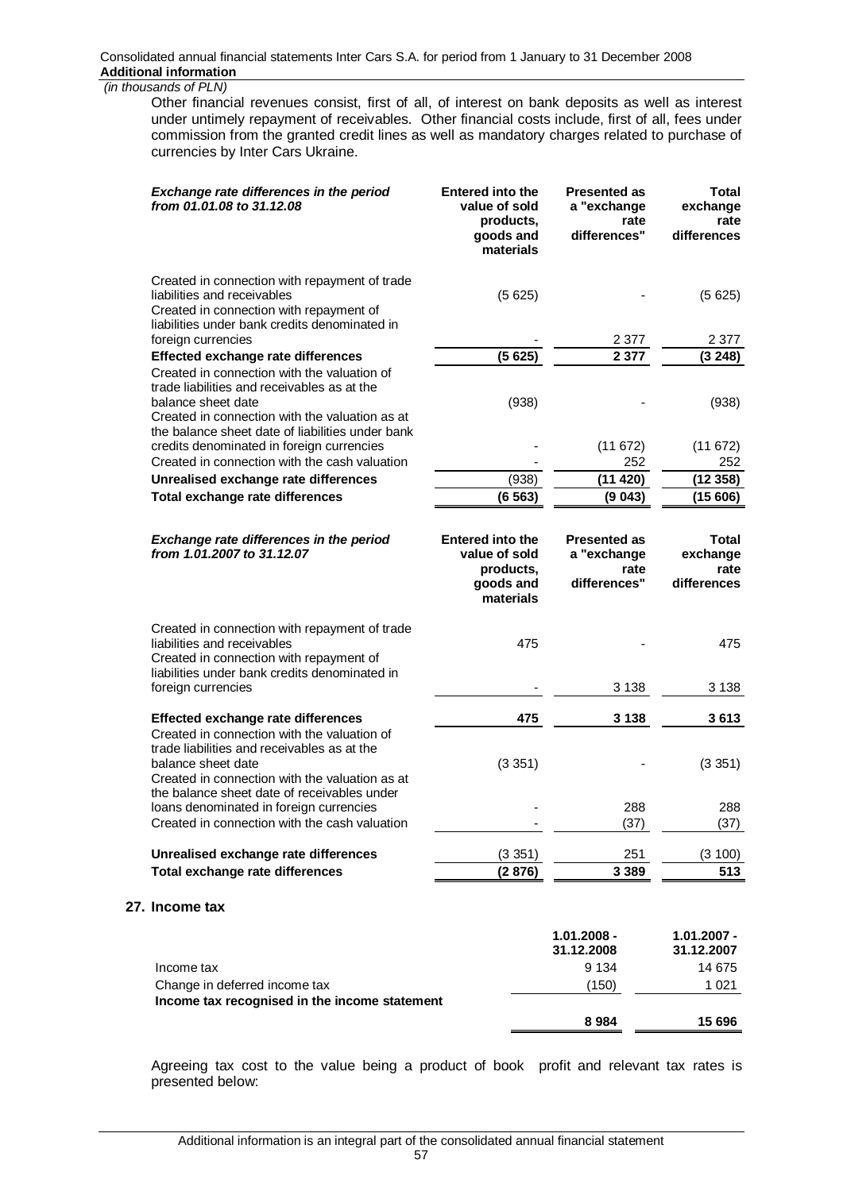**27.** 

Other financial revenues consist, first of all, of interest on bank deposits as well as interest under untimely repayment of receivables. Other financial costs include, first of all, fees under commission from the granted credit lines as well as mandatory charges related to purchase of currencies by Inter Cars Ukraine.

| Exchange rate differences in the period<br>from 01.01.08 to 31.12.08                                                                                                                                                                                           | <b>Entered into the</b><br>value of sold<br>products,<br>goods and<br>materials | <b>Presented as</b><br>a "exchange<br>rate<br>differences" | Total<br>exchange<br>rate<br>differences        |
|----------------------------------------------------------------------------------------------------------------------------------------------------------------------------------------------------------------------------------------------------------------|---------------------------------------------------------------------------------|------------------------------------------------------------|-------------------------------------------------|
| Created in connection with repayment of trade<br>liabilities and receivables<br>Created in connection with repayment of<br>liabilities under bank credits denominated in<br>foreign currencies                                                                 | (5625)                                                                          | 2 3 7 7                                                    | (5625)<br>2 3 7 7                               |
| <b>Effected exchange rate differences</b>                                                                                                                                                                                                                      | (5625)                                                                          | 2 3 7 7                                                    | (3248)                                          |
| Created in connection with the valuation of<br>trade liabilities and receivables as at the<br>balance sheet date<br>Created in connection with the valuation as at                                                                                             | (938)                                                                           |                                                            | (938)                                           |
| the balance sheet date of liabilities under bank<br>credits denominated in foreign currencies<br>Created in connection with the cash valuation                                                                                                                 |                                                                                 | (11672)<br>252                                             | (11672)<br>252                                  |
| Unrealised exchange rate differences                                                                                                                                                                                                                           | (938)                                                                           | (11 420)                                                   | (12358)                                         |
| Total exchange rate differences                                                                                                                                                                                                                                | (6563)                                                                          | (9043)                                                     | (15606)                                         |
| <b>Exchange rate differences in the period</b><br>from 1.01.2007 to 31.12.07                                                                                                                                                                                   | <b>Entered into the</b><br>value of sold<br>products,<br>goods and<br>materials | <b>Presented as</b><br>a "exchange<br>rate<br>differences" | <b>Total</b><br>exchange<br>rate<br>differences |
| Created in connection with repayment of trade<br>liabilities and receivables<br>Created in connection with repayment of<br>liabilities under bank credits denominated in<br>foreign currencies                                                                 | 475                                                                             | 3 1 3 8                                                    | 475<br>3 1 3 8                                  |
|                                                                                                                                                                                                                                                                |                                                                                 |                                                            |                                                 |
| <b>Effected exchange rate differences</b><br>Created in connection with the valuation of<br>trade liabilities and receivables as at the<br>balance sheet date<br>Created in connection with the valuation as at<br>the balance sheet date of receivables under | 475<br>(3351)                                                                   | 3 1 3 8                                                    | 3613<br>(3351)                                  |
| loans denominated in foreign currencies<br>Created in connection with the cash valuation                                                                                                                                                                       |                                                                                 | 288<br>(37)                                                | 288<br>(37)                                     |
| Unrealised exchange rate differences                                                                                                                                                                                                                           | (3351)                                                                          | 251                                                        | (3 100)                                         |
| Total exchange rate differences                                                                                                                                                                                                                                | (2876)                                                                          | 3 3 8 9                                                    | 513                                             |
| Income tax                                                                                                                                                                                                                                                     |                                                                                 |                                                            |                                                 |
|                                                                                                                                                                                                                                                                |                                                                                 | $1.01.2008 -$<br>31.12.2008                                | $1.01.2007 -$<br>31.12.2007                     |
| Income tax                                                                                                                                                                                                                                                     |                                                                                 | 9 1 3 4                                                    | 14 675                                          |
| Change in deferred income tax<br>Income tax recognised in the income statement                                                                                                                                                                                 |                                                                                 | (150)                                                      | 1 0 2 1                                         |
|                                                                                                                                                                                                                                                                |                                                                                 | 8984                                                       | 15 696                                          |

Agreeing tax cost to the value being a product of book profit and relevant tax rates is presented below: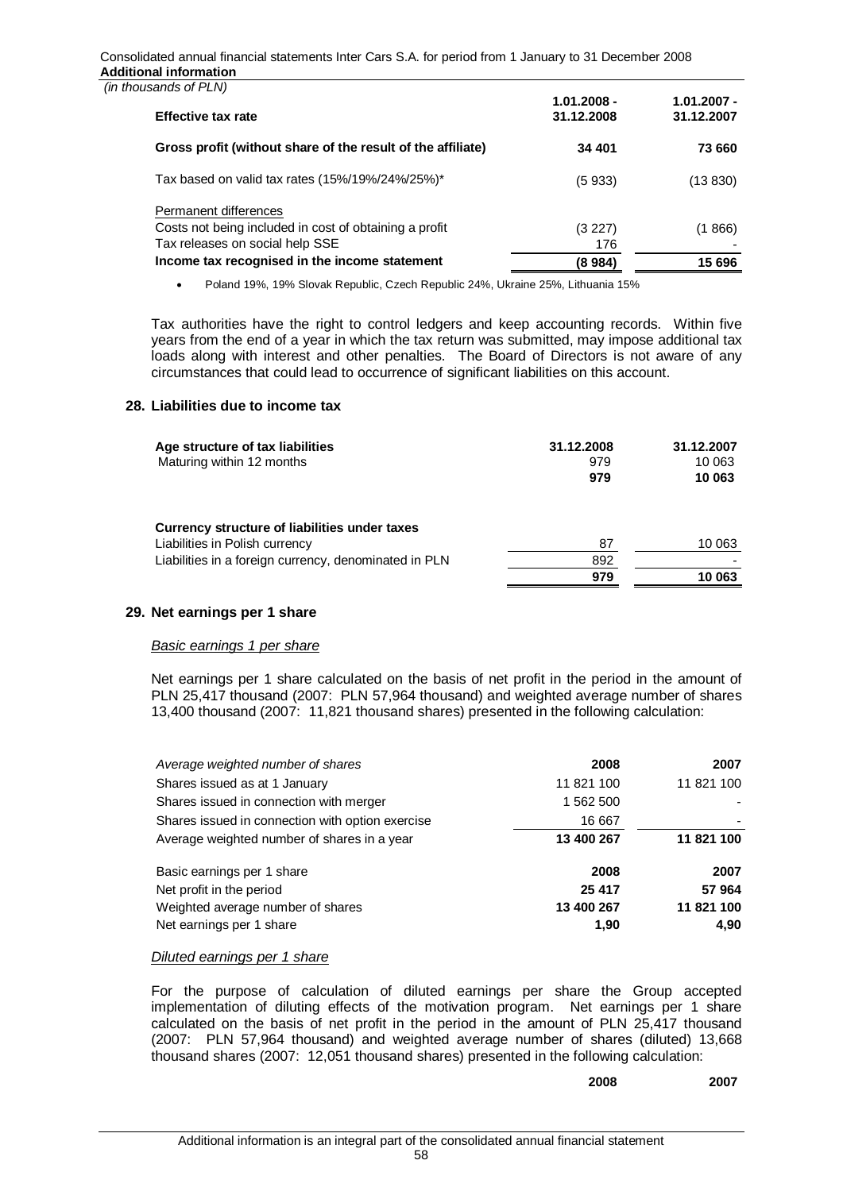Consolidated annual financial statements Inter Cars S.A. for period from 1 January to 31 December 2008 **Additional information** 

| (in thousands of PLN) |
|-----------------------|

| ,000 אום ווט פ                                              | $1.01.2008 -$ | $1.01.2007 -$ |
|-------------------------------------------------------------|---------------|---------------|
| <b>Effective tax rate</b>                                   | 31.12.2008    | 31.12.2007    |
| Gross profit (without share of the result of the affiliate) | 34 401        | 73 660        |
| Tax based on valid tax rates $(15\%/19\%/24\%/25\%)^*$      | (5 933)       | (13 830)      |
| Permanent differences                                       |               |               |
| Costs not being included in cost of obtaining a profit      | (3 227)       | (1 866)       |
| Tax releases on social help SSE                             | 176           |               |
| Income tax recognised in the income statement               | (8 984)       | 15 696        |

• Poland 19%, 19% Slovak Republic, Czech Republic 24%, Ukraine 25%, Lithuania 15%

Tax authorities have the right to control ledgers and keep accounting records. Within five years from the end of a year in which the tax return was submitted, may impose additional tax loads along with interest and other penalties. The Board of Directors is not aware of any circumstances that could lead to occurrence of significant liabilities on this account.

## **28. Liabilities due to income tax**

| Age structure of tax liabilities<br>Maturing within 12 months                   | 31.12.2008<br>979<br>979 | 31.12.2007<br>10 063<br>10 063 |
|---------------------------------------------------------------------------------|--------------------------|--------------------------------|
| Currency structure of liabilities under taxes<br>Liabilities in Polish currency | 87                       | 10 063                         |
| Liabilities in a foreign currency, denominated in PLN                           | 892<br>979               | 10 063                         |

# **29. Net earnings per 1 share**

### *Basic earnings 1 per share*

Net earnings per 1 share calculated on the basis of net profit in the period in the amount of PLN 25,417 thousand (2007: PLN 57,964 thousand) and weighted average number of shares 13,400 thousand (2007: 11,821 thousand shares) presented in the following calculation:

| Average weighted number of shares                | 2008       | 2007       |
|--------------------------------------------------|------------|------------|
| Shares issued as at 1 January                    | 11 821 100 | 11 821 100 |
| Shares issued in connection with merger          | 1 562 500  |            |
| Shares issued in connection with option exercise | 16 667     |            |
| Average weighted number of shares in a year      | 13 400 267 | 11 821 100 |
| Basic earnings per 1 share                       | 2008       | 2007       |
| Net profit in the period                         | 25 417     | 57 964     |
| Weighted average number of shares                | 13 400 267 | 11 821 100 |
| Net earnings per 1 share                         | 1,90       | 4,90       |

### *Diluted earnings per 1 share*

For the purpose of calculation of diluted earnings per share the Group accepted implementation of diluting effects of the motivation program. Net earnings per 1 share calculated on the basis of net profit in the period in the amount of PLN 25,417 thousand (2007: PLN 57,964 thousand) and weighted average number of shares (diluted) 13,668 thousand shares (2007: 12,051 thousand shares) presented in the following calculation:

**2008 2007**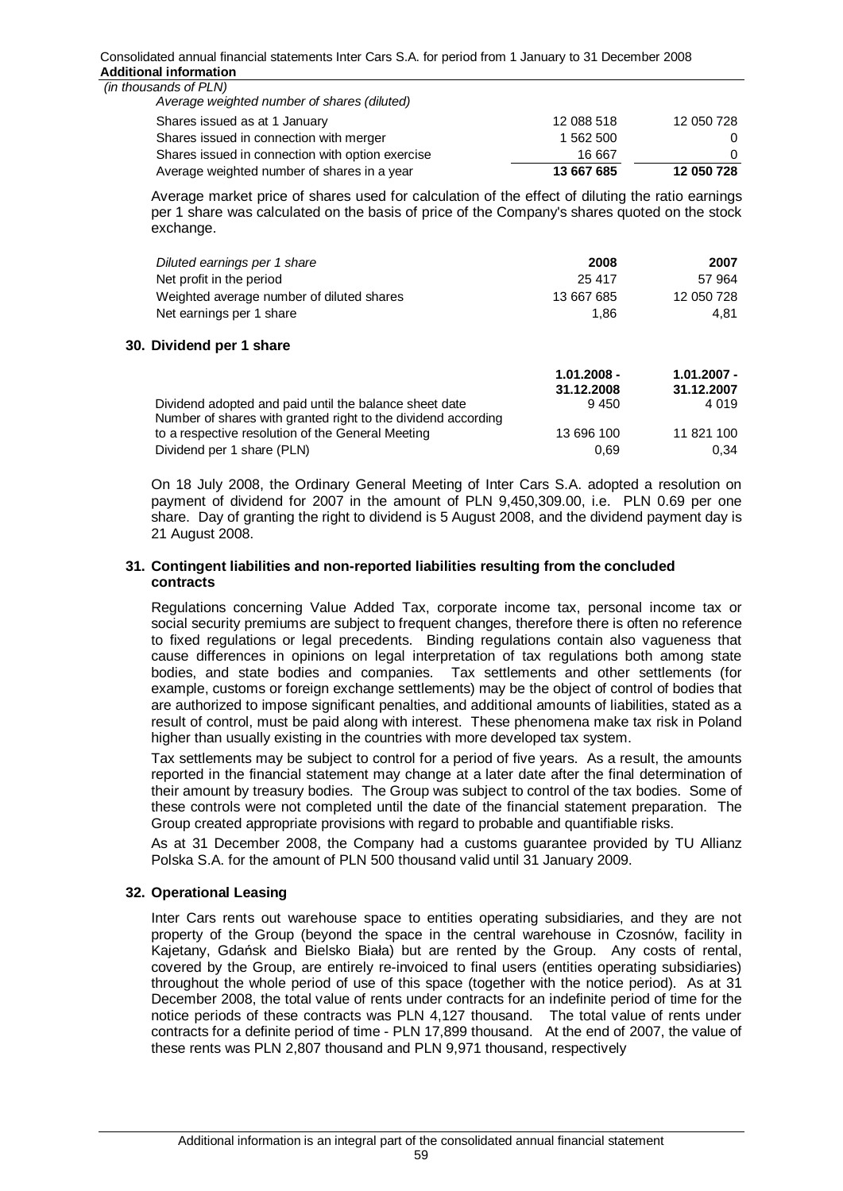| Average weighted number of shares in a year                          | 13 667 685 | 12 050 728 |
|----------------------------------------------------------------------|------------|------------|
| Shares issued in connection with option exercise                     | 16 667     | 0          |
| Shares issued in connection with merger                              | 1 562 500  | 0          |
| Shares issued as at 1 January                                        | 12 088 518 | 12 050 728 |
| (in thousands of PLN)<br>Average weighted number of shares (diluted) |            |            |

Average market price of shares used for calculation of the effect of diluting the ratio earnings per 1 share was calculated on the basis of price of the Company's shares quoted on the stock exchange.

| Diluted earnings per 1 share                                  | 2008          | 2007          |
|---------------------------------------------------------------|---------------|---------------|
| Net profit in the period                                      | 25 417        | 57 964        |
| Weighted average number of diluted shares                     | 13 667 685    | 12 050 728    |
| Net earnings per 1 share                                      | 1.86          | 4.81          |
| Dividend per 1 share                                          |               |               |
|                                                               | $1.01.2008 -$ | $1.01.2007 -$ |
|                                                               | 31.12.2008    | 31.12.2007    |
| Dividend adopted and paid until the balance sheet date        | 9450          | 4 0 1 9       |
| Number of shares with granted right to the dividend according |               |               |
| to a respective resolution of the General Meeting             | 13 696 100    | 11 821 100    |
| Dividend per 1 share (PLN)                                    | 0.69          | 0.34          |

On 18 July 2008, the Ordinary General Meeting of Inter Cars S.A. adopted a resolution on payment of dividend for 2007 in the amount of PLN 9,450,309.00, i.e. PLN 0.69 per one share. Day of granting the right to dividend is 5 August 2008, and the dividend payment day is 21 August 2008.

Dividend per 1 share (PLN) 0,34

## **31. Contingent liabilities and non-reported liabilities resulting from the concluded contracts**

Regulations concerning Value Added Tax, corporate income tax, personal income tax or social security premiums are subject to frequent changes, therefore there is often no reference to fixed regulations or legal precedents. Binding regulations contain also vagueness that cause differences in opinions on legal interpretation of tax regulations both among state bodies, and state bodies and companies. Tax settlements and other settlements (for example, customs or foreign exchange settlements) may be the object of control of bodies that are authorized to impose significant penalties, and additional amounts of liabilities, stated as a result of control, must be paid along with interest. These phenomena make tax risk in Poland higher than usually existing in the countries with more developed tax system.

Tax settlements may be subject to control for a period of five years. As a result, the amounts reported in the financial statement may change at a later date after the final determination of their amount by treasury bodies. The Group was subject to control of the tax bodies. Some of these controls were not completed until the date of the financial statement preparation. The Group created appropriate provisions with regard to probable and quantifiable risks.

As at 31 December 2008, the Company had a customs guarantee provided by TU Allianz Polska S.A. for the amount of PLN 500 thousand valid until 31 January 2009.

# **32. Operational Leasing**

**30. Dividend per 1 share** 

Inter Cars rents out warehouse space to entities operating subsidiaries, and they are not property of the Group (beyond the space in the central warehouse in Czosnów, facility in Kajetany, Gdańsk and Bielsko Biała) but are rented by the Group. Any costs of rental, covered by the Group, are entirely re-invoiced to final users (entities operating subsidiaries) throughout the whole period of use of this space (together with the notice period). As at 31 December 2008, the total value of rents under contracts for an indefinite period of time for the notice periods of these contracts was PLN 4,127 thousand. The total value of rents under contracts for a definite period of time - PLN 17,899 thousand. At the end of 2007, the value of these rents was PLN 2,807 thousand and PLN 9,971 thousand, respectively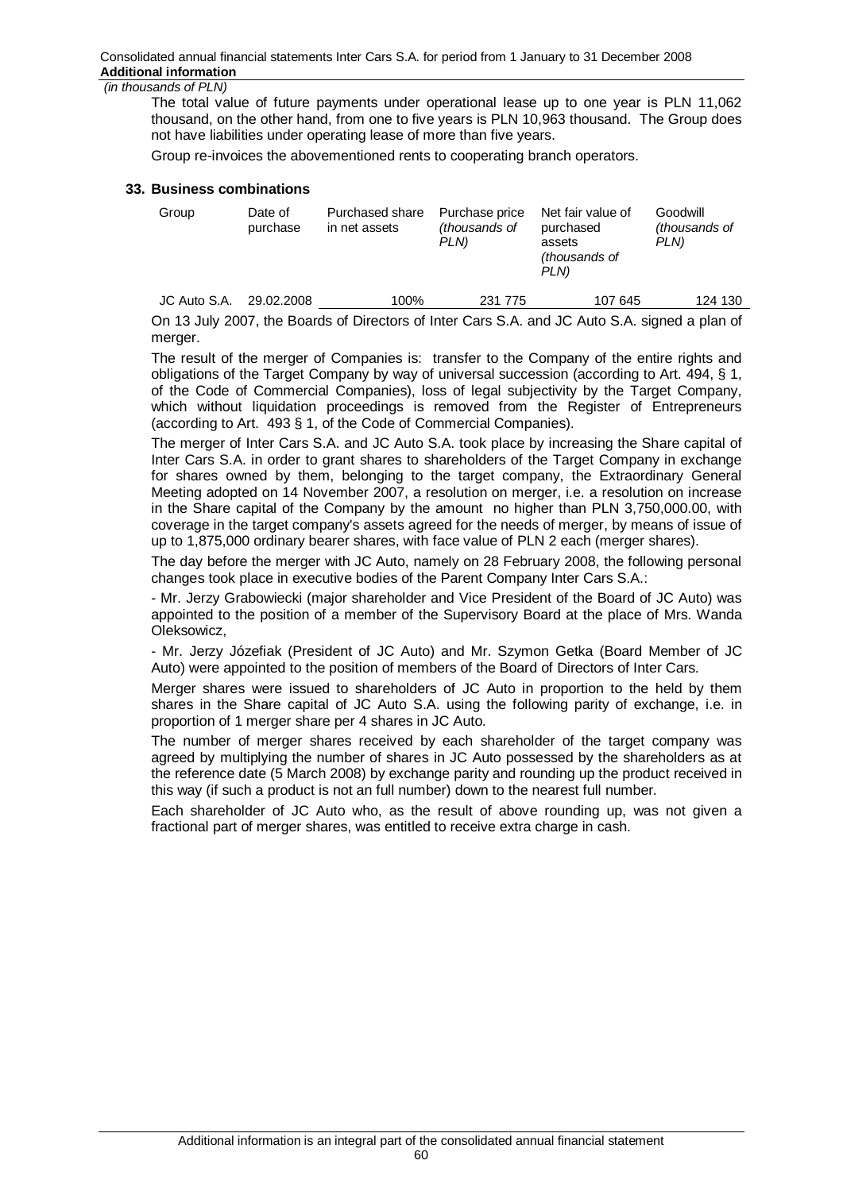The total value of future payments under operational lease up to one year is PLN 11,062 thousand, on the other hand, from one to five years is PLN 10,963 thousand. The Group does not have liabilities under operating lease of more than five years.

Group re-invoices the abovementioned rents to cooperating branch operators.

#### **33. Business combinations**

| Group        | Date of<br>purchase | Purchased share<br>in net assets | Purchase price<br>(thousands of<br>PLN) | Net fair value of<br>purchased<br>assets<br><i>(thousands of</i><br>PLN) | Goodwill<br><i>(thousands of</i><br>PLN) |
|--------------|---------------------|----------------------------------|-----------------------------------------|--------------------------------------------------------------------------|------------------------------------------|
| JC Auto S.A. | 29.02.2008          | 100%                             | 231 775                                 | 107 645                                                                  | 124 130                                  |

On 13 July 2007, the Boards of Directors of Inter Cars S.A. and JC Auto S.A. signed a plan of merger.

The result of the merger of Companies is: transfer to the Company of the entire rights and obligations of the Target Company by way of universal succession (according to Art. 494, § 1, of the Code of Commercial Companies), loss of legal subjectivity by the Target Company, which without liquidation proceedings is removed from the Register of Entrepreneurs (according to Art. 493 § 1, of the Code of Commercial Companies).

The merger of Inter Cars S.A. and JC Auto S.A. took place by increasing the Share capital of Inter Cars S.A. in order to grant shares to shareholders of the Target Company in exchange for shares owned by them, belonging to the target company, the Extraordinary General Meeting adopted on 14 November 2007, a resolution on merger, i.e. a resolution on increase in the Share capital of the Company by the amount no higher than PLN 3,750,000.00, with coverage in the target company's assets agreed for the needs of merger, by means of issue of up to 1,875,000 ordinary bearer shares, with face value of PLN 2 each (merger shares).

The day before the merger with JC Auto, namely on 28 February 2008, the following personal changes took place in executive bodies of the Parent Company Inter Cars S.A.:

- Mr. Jerzy Grabowiecki (major shareholder and Vice President of the Board of JC Auto) was appointed to the position of a member of the Supervisory Board at the place of Mrs. Wanda Oleksowicz,

- Mr. Jerzy Józefiak (President of JC Auto) and Mr. Szymon Getka (Board Member of JC Auto) were appointed to the position of members of the Board of Directors of Inter Cars.

Merger shares were issued to shareholders of JC Auto in proportion to the held by them shares in the Share capital of JC Auto S.A. using the following parity of exchange, i.e. in proportion of 1 merger share per 4 shares in JC Auto.

The number of merger shares received by each shareholder of the target company was agreed by multiplying the number of shares in JC Auto possessed by the shareholders as at the reference date (5 March 2008) by exchange parity and rounding up the product received in this way (if such a product is not an full number) down to the nearest full number.

Each shareholder of JC Auto who, as the result of above rounding up, was not given a fractional part of merger shares, was entitled to receive extra charge in cash.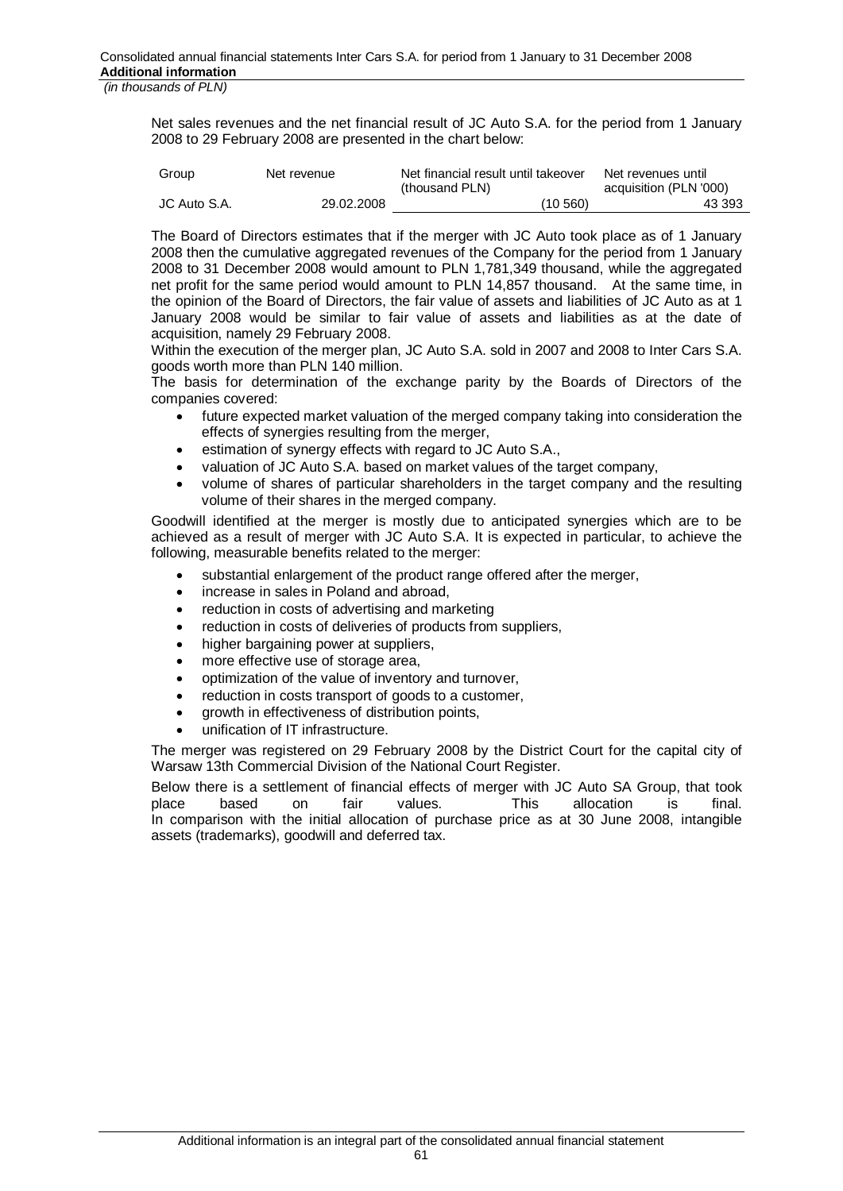Net sales revenues and the net financial result of JC Auto S.A. for the period from 1 January 2008 to 29 February 2008 are presented in the chart below:

| Group        | Net revenue | Net financial result until takeover<br>(thousand PLN) | Net revenues until<br>acquisition (PLN '000) |
|--------------|-------------|-------------------------------------------------------|----------------------------------------------|
| JC Auto S.A. | 29.02.2008  | (10, 560)                                             | 43 393                                       |

The Board of Directors estimates that if the merger with JC Auto took place as of 1 January 2008 then the cumulative aggregated revenues of the Company for the period from 1 January 2008 to 31 December 2008 would amount to PLN 1,781,349 thousand, while the aggregated net profit for the same period would amount to PLN 14,857 thousand. At the same time, in the opinion of the Board of Directors, the fair value of assets and liabilities of JC Auto as at 1 January 2008 would be similar to fair value of assets and liabilities as at the date of acquisition, namely 29 February 2008.

Within the execution of the merger plan, JC Auto S.A. sold in 2007 and 2008 to Inter Cars S.A. goods worth more than PLN 140 million.

The basis for determination of the exchange parity by the Boards of Directors of the companies covered:

- future expected market valuation of the merged company taking into consideration the effects of synergies resulting from the merger,
- estimation of synergy effects with regard to JC Auto S.A.,
- x valuation of JC Auto S.A. based on market values of the target company,
- x volume of shares of particular shareholders in the target company and the resulting volume of their shares in the merged company.

Goodwill identified at the merger is mostly due to anticipated synergies which are to be achieved as a result of merger with JC Auto S.A. It is expected in particular, to achieve the following, measurable benefits related to the merger:

- substantial enlargement of the product range offered after the merger,
- increase in sales in Poland and abroad,
- reduction in costs of advertising and marketing
- reduction in costs of deliveries of products from suppliers,
- higher bargaining power at suppliers,
- more effective use of storage area,
- optimization of the value of inventory and turnover,
- reduction in costs transport of goods to a customer.
- arowth in effectiveness of distribution points,
- x unification of IT infrastructure.

The merger was registered on 29 February 2008 by the District Court for the capital city of Warsaw 13th Commercial Division of the National Court Register.

Below there is a settlement of financial effects of merger with JC Auto SA Group, that took<br>place based on fair values. This allocation is final. place based on fair values. This allocation is final. In comparison with the initial allocation of purchase price as at 30 June 2008, intangible assets (trademarks), goodwill and deferred tax.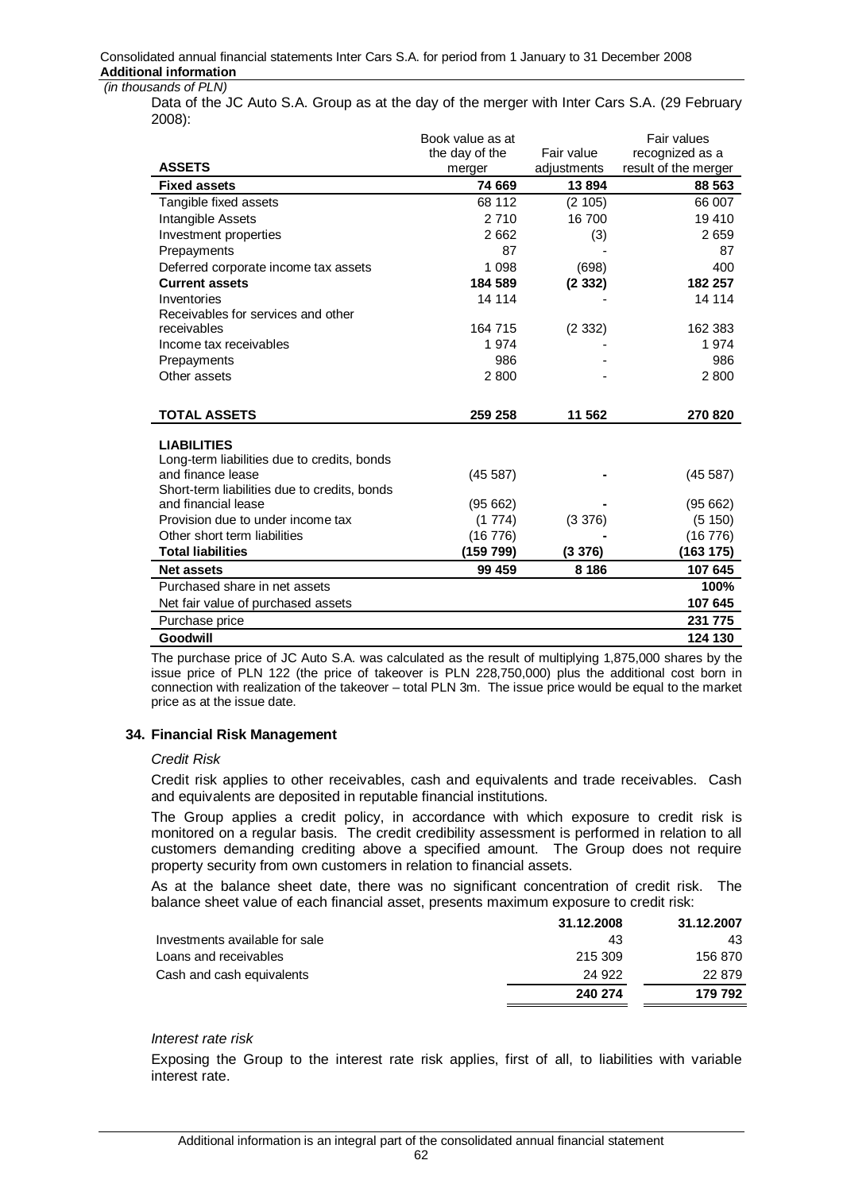Data of the JC Auto S.A. Group as at the day of the merger with Inter Cars S.A. (29 February 2008):

|                                                                     | Book value as at |             | Fair values          |
|---------------------------------------------------------------------|------------------|-------------|----------------------|
|                                                                     | the day of the   | Fair value  | recognized as a      |
| <b>ASSETS</b>                                                       | merger           | adjustments | result of the merger |
| <b>Fixed assets</b>                                                 | 74 669           | 13894       | 88 563               |
| Tangible fixed assets                                               | 68 112           | (2 105)     | 66 007               |
| Intangible Assets                                                   | 2710             | 16700       | 19410                |
| Investment properties                                               | 2662             | (3)         | 2659                 |
| Prepayments                                                         | 87               |             | 87                   |
| Deferred corporate income tax assets                                | 1 0 9 8          | (698)       | 400                  |
| <b>Current assets</b>                                               | 184 589          | (2332)      | 182 257              |
| Inventories                                                         | 14 114           |             | 14 114               |
| Receivables for services and other                                  |                  |             |                      |
| receivables                                                         | 164 715          | (2332)      | 162 383              |
| Income tax receivables                                              | 1 974            |             | 1974                 |
| Prepayments                                                         | 986              |             | 986                  |
| Other assets                                                        | 2800             |             | 2800                 |
|                                                                     |                  |             |                      |
| <b>TOTAL ASSETS</b>                                                 | 259 258          | 11 562      | 270 820              |
|                                                                     |                  |             |                      |
| <b>LIABILITIES</b>                                                  |                  |             |                      |
| Long-term liabilities due to credits, bonds<br>and finance lease    |                  |             |                      |
|                                                                     | (45587)          |             | (45587)              |
| Short-term liabilities due to credits, bonds<br>and financial lease | (95662)          |             | (95662)              |
| Provision due to under income tax                                   | (1774)           | (3 376)     | (5 150)              |
| Other short term liabilities                                        | (16776)          |             | (16 776)             |
| <b>Total liabilities</b>                                            | (159 799)        | (3376)      | (163 175)            |
| <b>Net assets</b>                                                   | 99 459           | 8 1 8 6     | 107 645              |
| Purchased share in net assets                                       |                  |             | 100%                 |
|                                                                     |                  |             | 107 645              |
| Net fair value of purchased assets                                  |                  |             |                      |
| Purchase price                                                      |                  |             | 231 775              |
| Goodwill                                                            |                  |             | 124 130              |

The purchase price of JC Auto S.A. was calculated as the result of multiplying 1,875,000 shares by the issue price of PLN 122 (the price of takeover is PLN 228,750,000) plus the additional cost born in connection with realization of the takeover – total PLN 3m. The issue price would be equal to the market price as at the issue date.

### **34. Financial Risk Management**

#### *Credit Risk*

Credit risk applies to other receivables, cash and equivalents and trade receivables. Cash and equivalents are deposited in reputable financial institutions.

The Group applies a credit policy, in accordance with which exposure to credit risk is monitored on a regular basis. The credit credibility assessment is performed in relation to all customers demanding crediting above a specified amount. The Group does not require property security from own customers in relation to financial assets.

As at the balance sheet date, there was no significant concentration of credit risk. The balance sheet value of each financial asset, presents maximum exposure to credit risk:

|                                | 31.12.2008 | 31.12.2007 |
|--------------------------------|------------|------------|
| Investments available for sale | 43         | 43         |
| Loans and receivables          | 215 309    | 156 870    |
| Cash and cash equivalents      | 24 922     | 22 879     |
|                                | 240 274    | 179 792    |

### *Interest rate risk*

Exposing the Group to the interest rate risk applies, first of all, to liabilities with variable interest rate.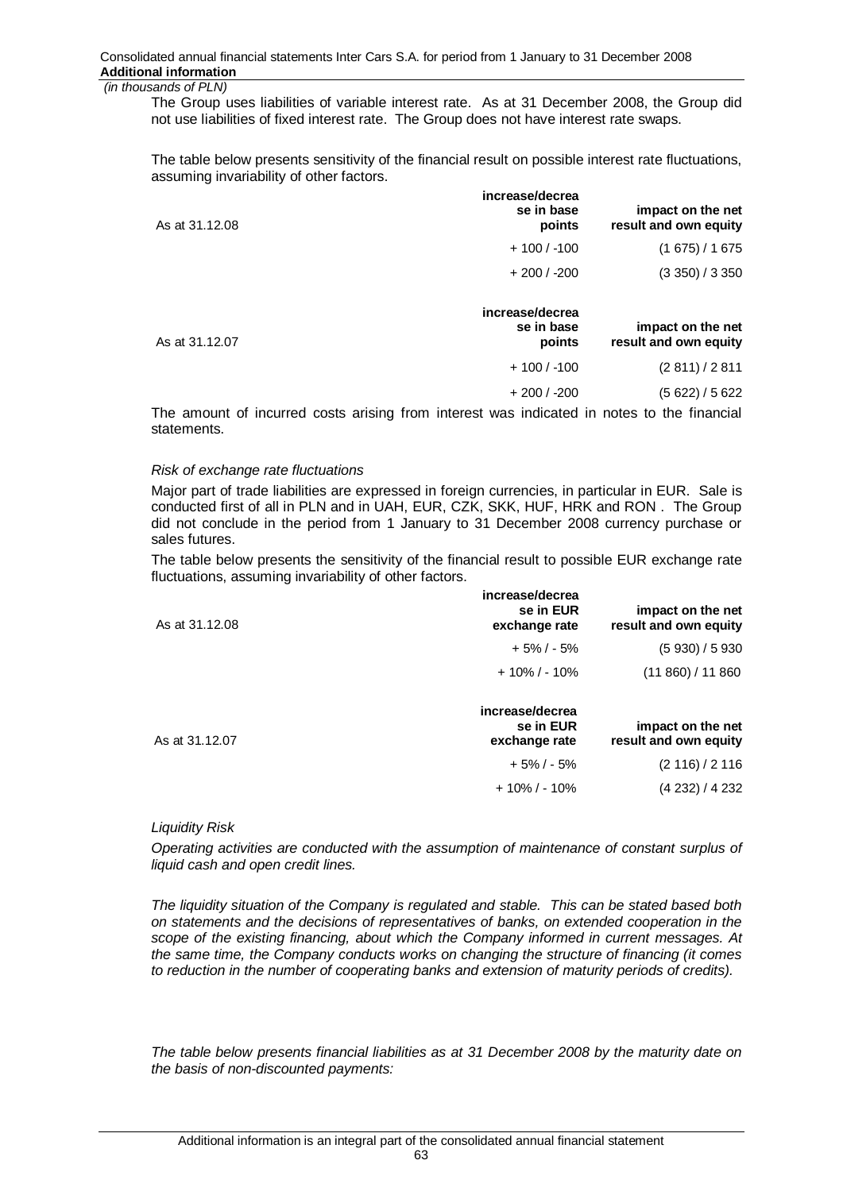The Group uses liabilities of variable interest rate. As at 31 December 2008, the Group did not use liabilities of fixed interest rate. The Group does not have interest rate swaps.

The table below presents sensitivity of the financial result on possible interest rate fluctuations, assuming invariability of other factors.

| (1675)/1675           |
|-----------------------|
|                       |
| (3 350) / 3 350       |
| impact on the net     |
| result and own equity |
| (2 811)/2 811         |
|                       |

The amount of incurred costs arising from interest was indicated in notes to the financial statements.

#### *Risk of exchange rate fluctuations*

Major part of trade liabilities are expressed in foreign currencies, in particular in EUR. Sale is conducted first of all in PLN and in UAH, EUR, CZK, SKK, HUF, HRK and RON. The Group did not conclude in the period from 1 January to 31 December 2008 currency purchase or sales futures.

The table below presents the sensitivity of the financial result to possible EUR exchange rate fluctuations, assuming invariability of other factors.

| As at 31.12.08 | increase/decrea<br>se in EUR<br>exchange rate | impact on the net<br>result and own equity |
|----------------|-----------------------------------------------|--------------------------------------------|
|                | $+5\%$ / - 5%                                 | (5930)/5930                                |
|                | $+10\%$ / - 10%                               | (11 860) / 11 860                          |
| As at 31.12.07 | increase/decrea<br>se in EUR<br>exchange rate | impact on the net<br>result and own equity |
|                | $+5\%$ / - 5%                                 | (2 116) / 2 116                            |
|                | $+10\%$ / - 10%                               | (4 232) / 4 232                            |
|                |                                               |                                            |

### *Liquidity Risk*

*Operating activities are conducted with the assumption of maintenance of constant surplus of liquid cash and open credit lines.* 

*The liquidity situation of the Company is regulated and stable. This can be stated based both on statements and the decisions of representatives of banks, on extended cooperation in the scope of the existing financing, about which the Company informed in current messages. At the same time, the Company conducts works on changing the structure of financing (it comes to reduction in the number of cooperating banks and extension of maturity periods of credits).* 

*The table below presents financial liabilities as at 31 December 2008 by the maturity date on the basis of non-discounted payments:* 

63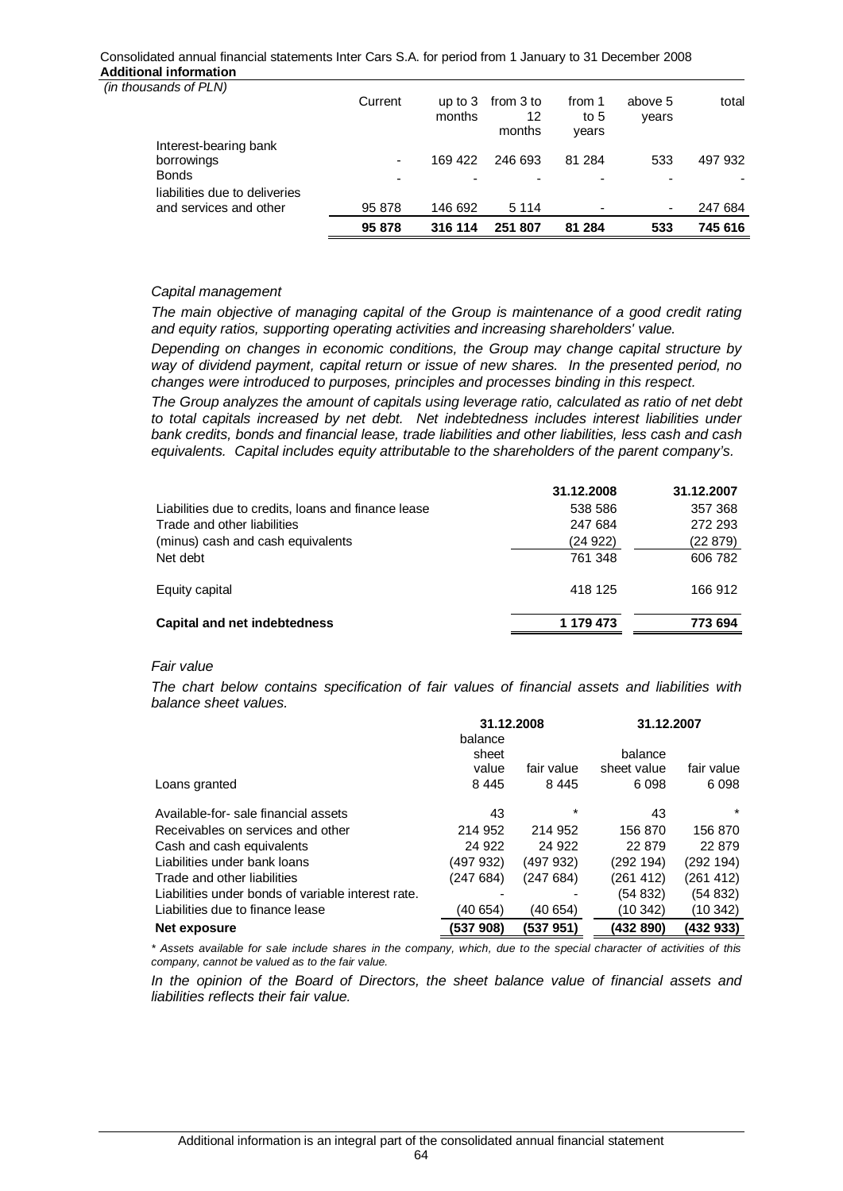#### Consolidated annual financial statements Inter Cars S.A. for period from 1 January to 31 December 2008 **Additional information**

|                                                         | 95 878                   | 316 114             | 251 807                   | 81 284                    | 533                      | 745 616 |
|---------------------------------------------------------|--------------------------|---------------------|---------------------------|---------------------------|--------------------------|---------|
| liabilities due to deliveries<br>and services and other | 95 878                   | 146 692             | 5 1 1 4                   |                           | $\overline{\phantom{a}}$ | 247 684 |
| <b>Bonds</b>                                            | $\overline{\phantom{0}}$ |                     | $\overline{\phantom{0}}$  |                           |                          |         |
| Interest-bearing bank<br>borrowings                     | ٠                        | 169 422             | 246 693                   | 81 284                    | 533                      | 497 932 |
|                                                         | Current                  | up to $3$<br>months | from 3 to<br>12<br>months | from 1<br>to $5$<br>vears | above 5<br>years         | total   |
| (in thousands of PLN)                                   |                          |                     |                           |                           |                          |         |

# *Capital management*

*The main objective of managing capital of the Group is maintenance of a good credit rating and equity ratios, supporting operating activities and increasing shareholders' value.* 

*Depending on changes in economic conditions, the Group may change capital structure by way of dividend payment, capital return or issue of new shares. In the presented period, no changes were introduced to purposes, principles and processes binding in this respect.* 

*The Group analyzes the amount of capitals using leverage ratio, calculated as ratio of net debt to total capitals increased by net debt. Net indebtedness includes interest liabilities under bank credits, bonds and financial lease, trade liabilities and other liabilities, less cash and cash equivalents. Capital includes equity attributable to the shareholders of the parent company's.* 

|                                                     | 31.12.2008 | 31.12.2007 |
|-----------------------------------------------------|------------|------------|
| Liabilities due to credits, loans and finance lease | 538 586    | 357 368    |
| Trade and other liabilities                         | 247 684    | 272 293    |
| (minus) cash and cash equivalents                   | (24 922)   | (22 879)   |
| Net debt                                            | 761 348    | 606 782    |
| Equity capital                                      | 418 125    | 166 912    |
| Capital and net indebtedness                        | 1 179 473  | 773 694    |

# *Fair value*

*The chart below contains specification of fair values of financial assets and liabilities with balance sheet values.* 

|                                                    | 31.12.2008 |            | 31.12.2007  |            |  |
|----------------------------------------------------|------------|------------|-------------|------------|--|
|                                                    | balance    |            |             |            |  |
|                                                    | sheet      |            | balance     |            |  |
|                                                    | value      | fair value | sheet value | fair value |  |
| Loans granted                                      | 8445       | 8445       | 6098        | 6098       |  |
| Available-for- sale financial assets               | 43         | $\star$    | 43          | $\star$    |  |
| Receivables on services and other                  | 214 952    | 214 952    | 156 870     | 156 870    |  |
| Cash and cash equivalents                          | 24 9 22    | 24 9 22    | 22 879      | 22 879     |  |
| Liabilities under bank loans                       | (497 932)  | (497932)   | (292194)    | (292 194)  |  |
| Trade and other liabilities                        | (247 684)  | (247684)   | (261 412)   | (261 412)  |  |
| Liabilities under bonds of variable interest rate. |            |            | (54832)     | (54 832)   |  |
| Liabilities due to finance lease                   | (40 654)   | (40 654)   | (10 342)    | (10 342)   |  |
| Net exposure                                       | (537 908)  | (537 951)  | (432 890)   | (432 933)  |  |

*\* Assets available for sale include shares in the company, which, due to the special character of activities of this company, cannot be valued as to the fair value.* 

*In the opinion of the Board of Directors, the sheet balance value of financial assets and liabilities reflects their fair value.*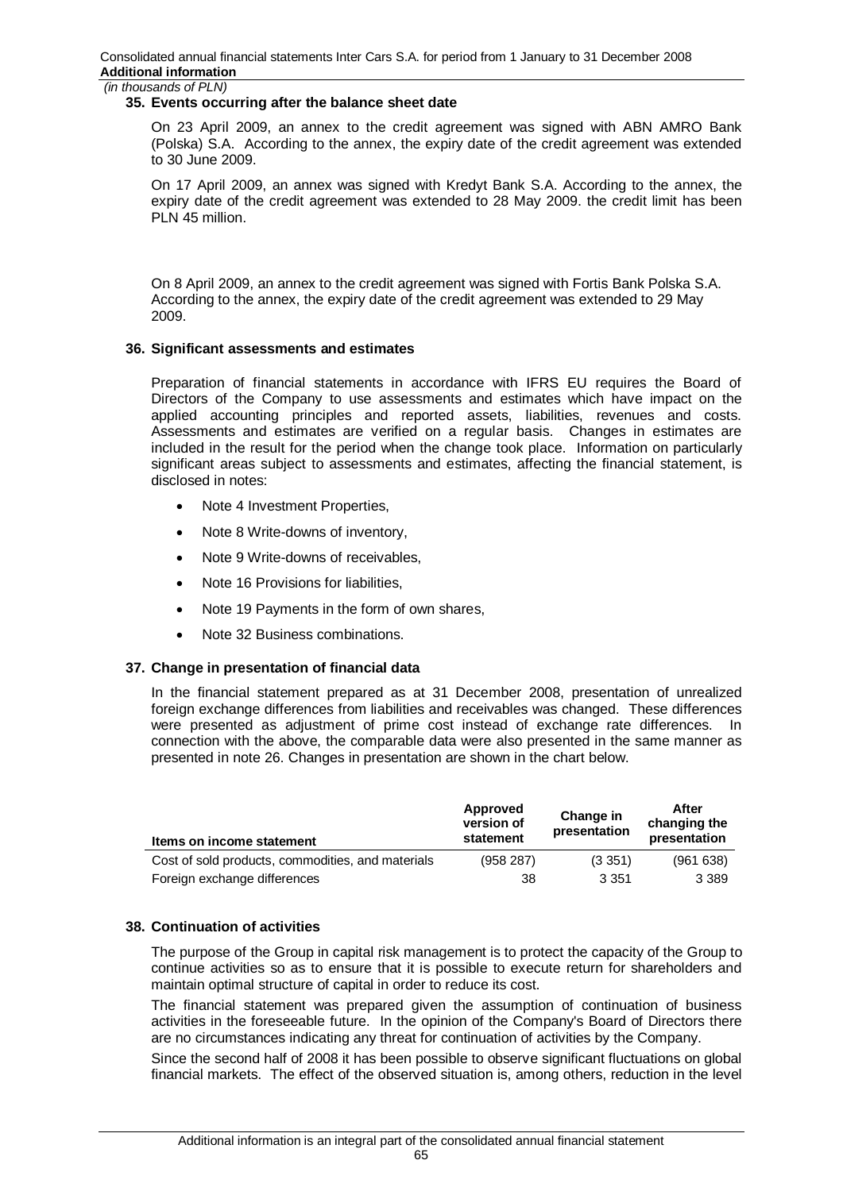### **35. Events occurring after the balance sheet date**

On 23 April 2009, an annex to the credit agreement was signed with ABN AMRO Bank (Polska) S.A. According to the annex, the expiry date of the credit agreement was extended to 30 June 2009.

On 17 April 2009, an annex was signed with Kredyt Bank S.A. According to the annex, the expiry date of the credit agreement was extended to 28 May 2009. the credit limit has been PLN 45 million.

On 8 April 2009, an annex to the credit agreement was signed with Fortis Bank Polska S.A. According to the annex, the expiry date of the credit agreement was extended to 29 May 2009.

### **36. Significant assessments and estimates**

Preparation of financial statements in accordance with IFRS EU requires the Board of Directors of the Company to use assessments and estimates which have impact on the applied accounting principles and reported assets, liabilities, revenues and costs. Assessments and estimates are verified on a regular basis. Changes in estimates are included in the result for the period when the change took place. Information on particularly significant areas subject to assessments and estimates, affecting the financial statement, is disclosed in notes:

- Note 4 Investment Properties,
- Note 8 Write-downs of inventory,
- Note 9 Write-downs of receivables.
- Note 16 Provisions for liabilities.
- Note 19 Payments in the form of own shares,
- Note 32 Business combinations.

### **37. Change in presentation of financial data**

In the financial statement prepared as at 31 December 2008, presentation of unrealized foreign exchange differences from liabilities and receivables was changed. These differences were presented as adjustment of prime cost instead of exchange rate differences. In connection with the above, the comparable data were also presented in the same manner as presented in note 26. Changes in presentation are shown in the chart below.

| Items on income statement                         | Approved<br>version of<br>statement | Change in<br>presentation | After<br>changing the<br>presentation |
|---------------------------------------------------|-------------------------------------|---------------------------|---------------------------------------|
| Cost of sold products, commodities, and materials | (958 287)                           | (3351)                    | (961638)                              |
| Foreign exchange differences                      | 38                                  | 3 3 5 1                   | 3 3 8 9                               |

### **38. Continuation of activities**

The purpose of the Group in capital risk management is to protect the capacity of the Group to continue activities so as to ensure that it is possible to execute return for shareholders and maintain optimal structure of capital in order to reduce its cost.

The financial statement was prepared given the assumption of continuation of business activities in the foreseeable future. In the opinion of the Company's Board of Directors there are no circumstances indicating any threat for continuation of activities by the Company.

Since the second half of 2008 it has been possible to observe significant fluctuations on global financial markets. The effect of the observed situation is, among others, reduction in the level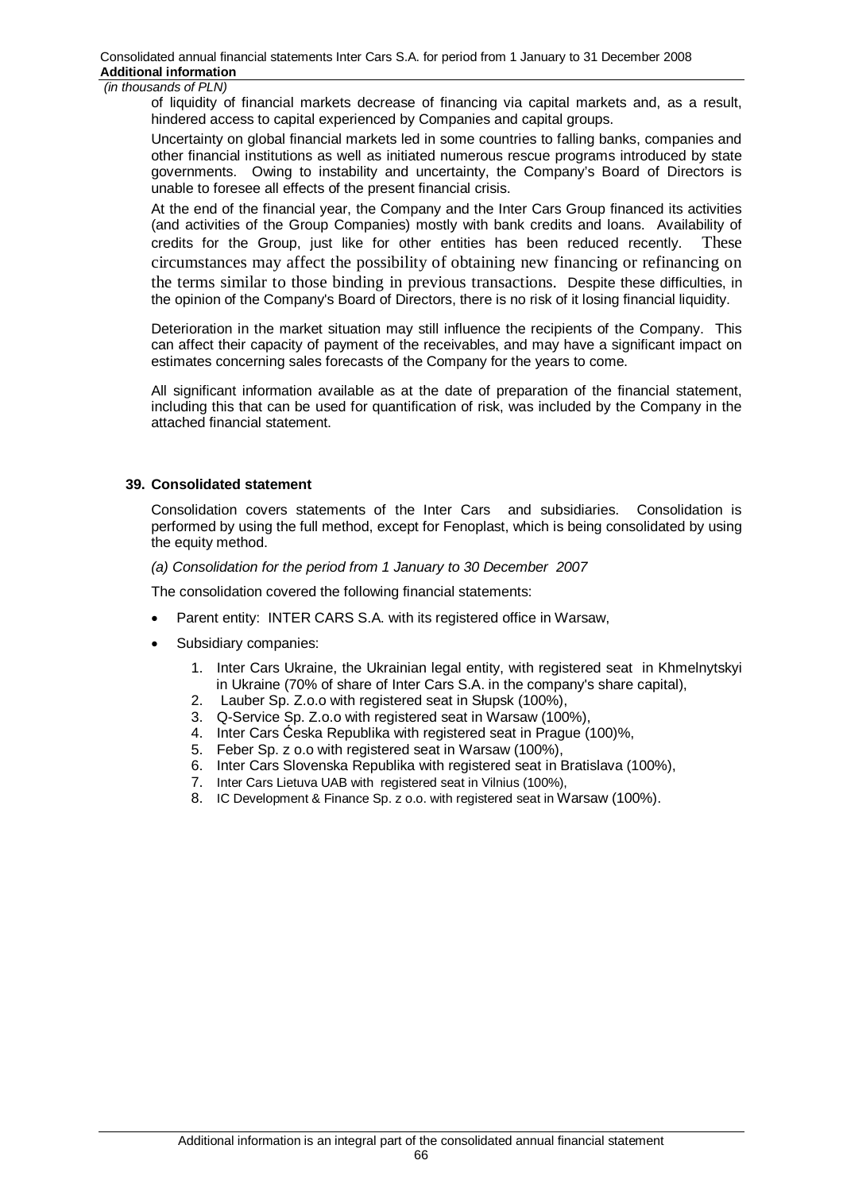of liquidity of financial markets decrease of financing via capital markets and, as a result, hindered access to capital experienced by Companies and capital groups.

Uncertainty on global financial markets led in some countries to falling banks, companies and other financial institutions as well as initiated numerous rescue programs introduced by state governments. Owing to instability and uncertainty, the Company's Board of Directors is unable to foresee all effects of the present financial crisis.

At the end of the financial year, the Company and the Inter Cars Group financed its activities (and activities of the Group Companies) mostly with bank credits and loans. Availability of credits for the Group, just like for other entities has been reduced recently. These circumstances may affect the possibility of obtaining new financing or refinancing on the terms similar to those binding in previous transactions. Despite these difficulties, in the opinion of the Company's Board of Directors, there is no risk of it losing financial liquidity.

Deterioration in the market situation may still influence the recipients of the Company. This can affect their capacity of payment of the receivables, and may have a significant impact on estimates concerning sales forecasts of the Company for the years to come.

All significant information available as at the date of preparation of the financial statement, including this that can be used for quantification of risk, was included by the Company in the attached financial statement.

#### **39. Consolidated statement**

Consolidation covers statements of the Inter Cars and subsidiaries. Consolidation is performed by using the full method, except for Fenoplast, which is being consolidated by using the equity method.

#### *(a) Consolidation for the period from 1 January to 30 December 2007*

The consolidation covered the following financial statements:

- Parent entity: INTER CARS S.A. with its registered office in Warsaw,
- Subsidiary companies:
	- 1. Inter Cars Ukraine, the Ukrainian legal entity, with registered seat in Khmelnytskyi in Ukraine (70% of share of Inter Cars S.A. in the company's share capital),
	- 2. Lauber Sp. Z.o.o with registered seat in Słupsk (100%),
	- 3. Q-Service Sp. Z.o.o with registered seat in Warsaw (100%),
	- 4. Inter Cars Ćeska Republika with registered seat in Prague (100)%,
	- 5. Feber Sp. z o.o with registered seat in Warsaw (100%),
	- 6. Inter Cars Slovenska Republika with registered seat in Bratislava (100%),
	- 7. Inter Cars Lietuva UAB with registered seat in Vilnius (100%),
	- 8. IC Development & Finance Sp. z o.o. with registered seat in Warsaw (100%).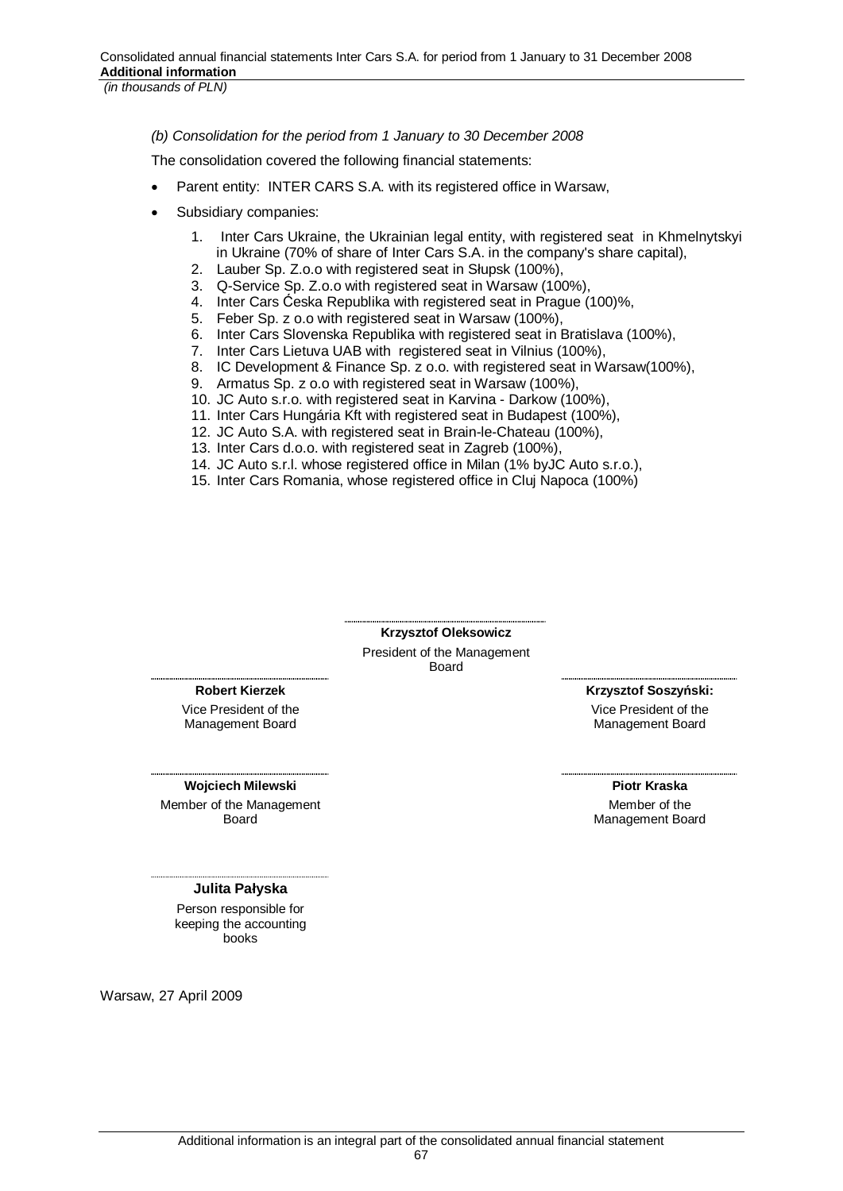*(b) Consolidation for the period from 1 January to 30 December 2008* 

The consolidation covered the following financial statements:

- Parent entity: INTER CARS S.A. with its registered office in Warsaw,
- Subsidiary companies:
	- 1. Inter Cars Ukraine, the Ukrainian legal entity, with registered seat in Khmelnytskyi in Ukraine (70% of share of Inter Cars S.A. in the company's share capital),
	- 2. Lauber Sp. Z.o.o with registered seat in Słupsk (100%),
	- 3. Q-Service Sp. Z.o.o with registered seat in Warsaw (100%),
	- 4. Inter Cars Ćeska Republika with registered seat in Prague (100)%,
	- 5. Feber Sp. z o.o with registered seat in Warsaw (100%),
	- 6. Inter Cars Slovenska Republika with registered seat in Bratislava (100%),
	- 7. Inter Cars Lietuva UAB with registered seat in Vilnius (100%),
	- 8. IC Development & Finance Sp. z o.o. with registered seat in Warsaw(100%),
	- 9. Armatus Sp. z o.o with registered seat in Warsaw (100%),
	- 10. JC Auto s.r.o. with registered seat in Karvina Darkow (100%),
	- 11. Inter Cars Hungária Kft with registered seat in Budapest (100%),
	- 12. JC Auto S.A. with registered seat in Brain-le-Chateau (100%),
	- 13. Inter Cars d.o.o. with registered seat in Zagreb (100%),
	- 14. JC Auto s.r.l. whose registered office in Milan (1% byJC Auto s.r.o.),
	- 15. Inter Cars Romania, whose registered office in Cluj Napoca (100%)

**Krzysztof Oleksowicz**  President of the Management Board

**Robert Kierzek** 

Vice President of the Management Board

**Wojciech Milewski** Member of the Management Board

 $Kr$ zvsztof Soszvński:

Vice President of the Management Board

**Piotr Kraska**  Member of the Management Board

#### **Julita Paáyska**

Person responsible for keeping the accounting books

Warsaw, 27 April 2009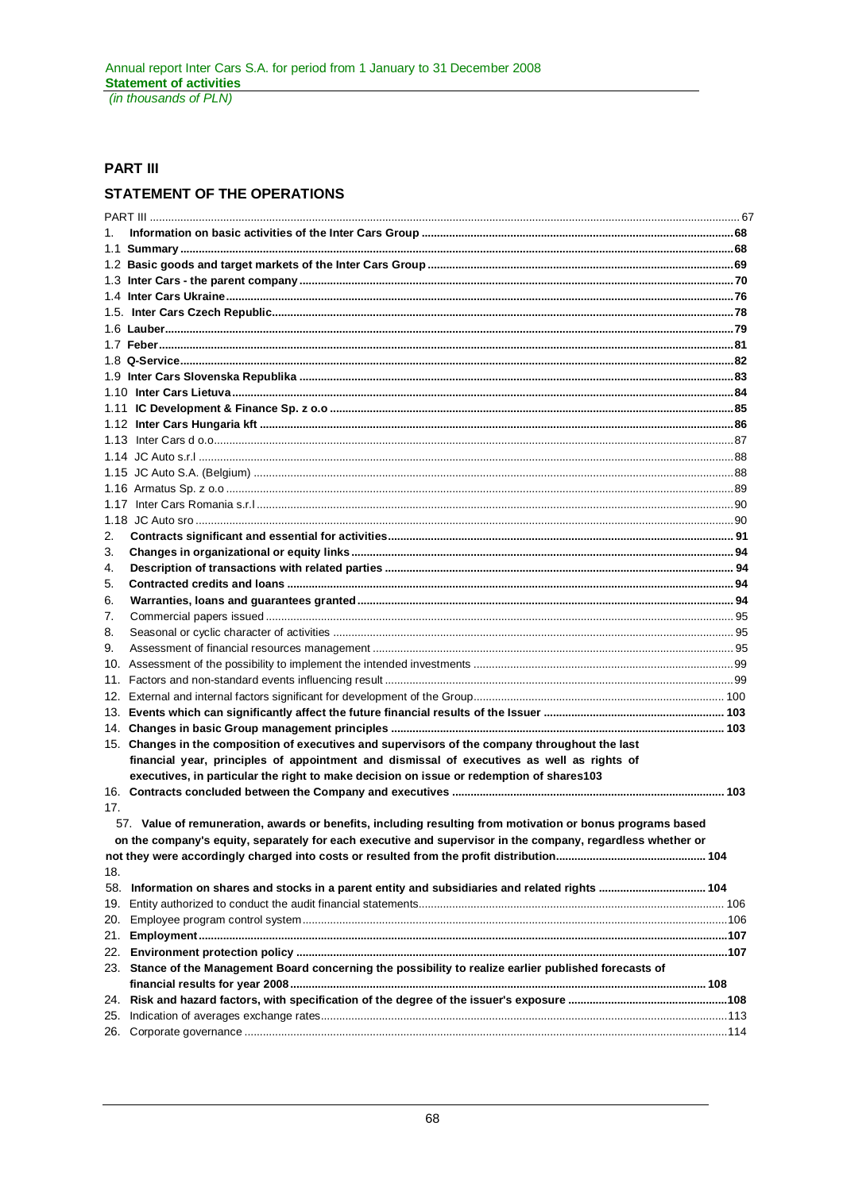# **PART III**

# **STATEMENT OF THE OPERATIONS**

| 1.  |                                                                                                             |  |
|-----|-------------------------------------------------------------------------------------------------------------|--|
|     |                                                                                                             |  |
|     |                                                                                                             |  |
|     |                                                                                                             |  |
|     |                                                                                                             |  |
|     |                                                                                                             |  |
|     |                                                                                                             |  |
|     |                                                                                                             |  |
|     |                                                                                                             |  |
|     |                                                                                                             |  |
|     |                                                                                                             |  |
|     |                                                                                                             |  |
|     |                                                                                                             |  |
|     |                                                                                                             |  |
|     |                                                                                                             |  |
|     |                                                                                                             |  |
|     |                                                                                                             |  |
|     |                                                                                                             |  |
|     |                                                                                                             |  |
| 2.  |                                                                                                             |  |
| 3.  |                                                                                                             |  |
| 4.  |                                                                                                             |  |
| 5.  |                                                                                                             |  |
| 6.  |                                                                                                             |  |
| 7.  |                                                                                                             |  |
| 8.  |                                                                                                             |  |
| 9.  |                                                                                                             |  |
|     |                                                                                                             |  |
|     |                                                                                                             |  |
|     |                                                                                                             |  |
|     |                                                                                                             |  |
|     |                                                                                                             |  |
|     | 15. Changes in the composition of executives and supervisors of the company throughout the last             |  |
|     | financial year, principles of appointment and dismissal of executives as well as rights of                  |  |
|     | executives, in particular the right to make decision on issue or redemption of shares103                    |  |
|     |                                                                                                             |  |
| 17. |                                                                                                             |  |
|     | 57. Value of remuneration, awards or benefits, including resulting from motivation or bonus programs based  |  |
|     | on the company's equity, separately for each executive and supervisor in the company, regardless whether or |  |
|     |                                                                                                             |  |
| 18. |                                                                                                             |  |
| 58. | Information on shares and stocks in a parent entity and subsidiaries and related rights  104                |  |
| 19. |                                                                                                             |  |
| 20. |                                                                                                             |  |
| 21. |                                                                                                             |  |
| 22. |                                                                                                             |  |
|     | 23. Stance of the Management Board concerning the possibility to realize earlier published forecasts of     |  |
|     |                                                                                                             |  |
| 24. |                                                                                                             |  |
| 25. |                                                                                                             |  |
| 26. |                                                                                                             |  |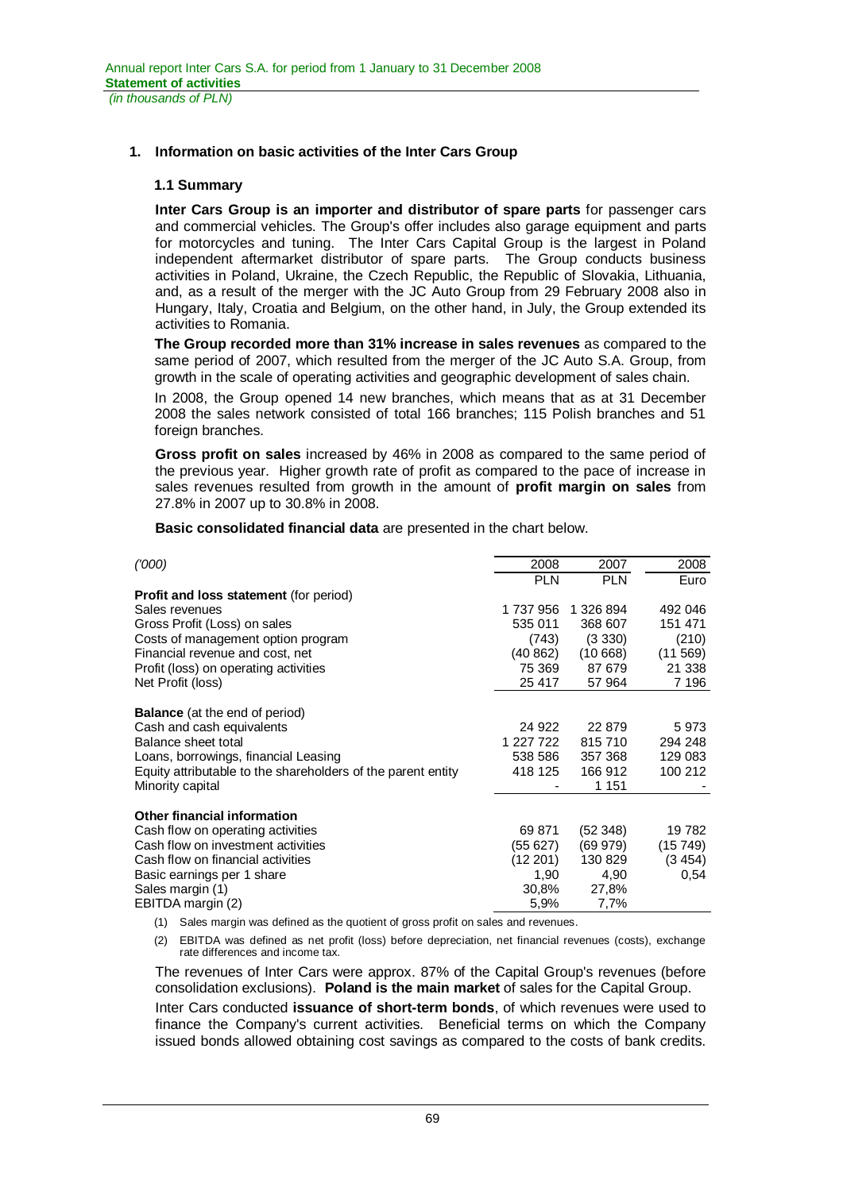# **1. Information on basic activities of the Inter Cars Group**

# **1.1 Summary**

**Inter Cars Group is an importer and distributor of spare parts** for passenger cars and commercial vehicles. The Group's offer includes also garage equipment and parts for motorcycles and tuning. The Inter Cars Capital Group is the largest in Poland independent aftermarket distributor of spare parts. The Group conducts business activities in Poland, Ukraine, the Czech Republic, the Republic of Slovakia, Lithuania, and, as a result of the merger with the JC Auto Group from 29 February 2008 also in Hungary, Italy, Croatia and Belgium, on the other hand, in July, the Group extended its activities to Romania.

**The Group recorded more than 31% increase in sales revenues** as compared to the same period of 2007, which resulted from the merger of the JC Auto S.A. Group, from growth in the scale of operating activities and geographic development of sales chain.

In 2008, the Group opened 14 new branches, which means that as at 31 December 2008 the sales network consisted of total 166 branches; 115 Polish branches and 51 foreign branches.

**Gross profit on sales** increased by 46% in 2008 as compared to the same period of the previous year. Higher growth rate of profit as compared to the pace of increase in sales revenues resulted from growth in the amount of **profit margin on sales** from 27.8% in 2007 up to 30.8% in 2008.

**Basic consolidated financial data** are presented in the chart below.

| (1000)                                                       | 2008       | 2007       | 2008    |
|--------------------------------------------------------------|------------|------------|---------|
|                                                              | <b>PLN</b> | <b>PLN</b> | Euro    |
| Profit and loss statement (for period)                       |            |            |         |
| Sales revenues                                               | 1737956    | 1 326 894  | 492 046 |
| Gross Profit (Loss) on sales                                 | 535 011    | 368 607    | 151 471 |
| Costs of management option program                           | (743)      | (3330)     | (210)   |
| Financial revenue and cost, net                              | (40862)    | (10668)    | (11569) |
| Profit (loss) on operating activities                        | 75 369     | 87 679     | 21 338  |
| Net Profit (loss)                                            | 25 417     | 57 964     | 7 196   |
|                                                              |            |            |         |
| <b>Balance</b> (at the end of period)                        |            |            |         |
| Cash and cash equivalents                                    | 24 922     | 22 879     | 5973    |
| Balance sheet total                                          | 1 227 722  | 815710     | 294 248 |
| Loans, borrowings, financial Leasing                         | 538 586    | 357 368    | 129 083 |
| Equity attributable to the shareholders of the parent entity | 418 125    | 166 912    | 100 212 |
| Minority capital                                             |            | 1 151      |         |
| <b>Other financial information</b>                           |            |            |         |
| Cash flow on operating activities                            | 69 871     | (52348)    | 19 782  |
| Cash flow on investment activities                           |            |            |         |
|                                                              | (55 627)   | (69979)    | (15749) |
| Cash flow on financial activities                            | (12201)    | 130 829    | (3454)  |
| Basic earnings per 1 share                                   | 1,90       | 4,90       | 0,54    |
| Sales margin (1)                                             | 30,8%      | 27,8%      |         |
| EBITDA margin (2)                                            | 5,9%       | 7,7%       |         |

(1) Sales margin was defined as the quotient of gross profit on sales and revenues.

(2) EBITDA was defined as net profit (loss) before depreciation, net financial revenues (costs), exchange rate differences and income tax.

The revenues of Inter Cars were approx. 87% of the Capital Group's revenues (before consolidation exclusions). **Poland is the main market** of sales for the Capital Group.

Inter Cars conducted **issuance of short-term bonds**, of which revenues were used to finance the Company's current activities. Beneficial terms on which the Company issued bonds allowed obtaining cost savings as compared to the costs of bank credits.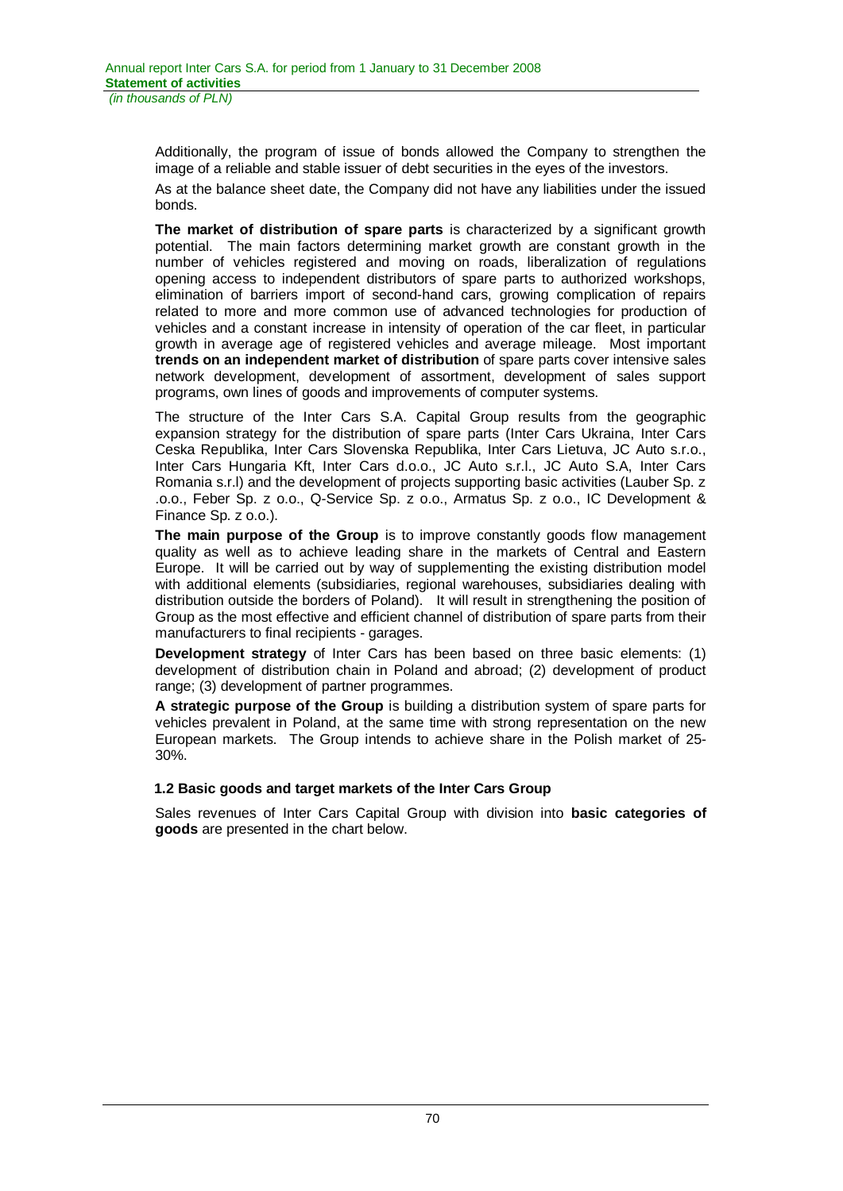Additionally, the program of issue of bonds allowed the Company to strengthen the image of a reliable and stable issuer of debt securities in the eyes of the investors.

As at the balance sheet date, the Company did not have any liabilities under the issued bonds.

**The market of distribution of spare parts** is characterized by a significant growth potential. The main factors determining market growth are constant growth in the number of vehicles registered and moving on roads, liberalization of regulations opening access to independent distributors of spare parts to authorized workshops, elimination of barriers import of second-hand cars, growing complication of repairs related to more and more common use of advanced technologies for production of vehicles and a constant increase in intensity of operation of the car fleet, in particular growth in average age of registered vehicles and average mileage. Most important **trends on an independent market of distribution** of spare parts cover intensive sales network development, development of assortment, development of sales support programs, own lines of goods and improvements of computer systems.

The structure of the Inter Cars S.A. Capital Group results from the geographic expansion strategy for the distribution of spare parts (Inter Cars Ukraina, Inter Cars Ceska Republika, Inter Cars Slovenska Republika, Inter Cars Lietuva, JC Auto s.r.o., Inter Cars Hungaria Kft, Inter Cars d.o.o., JC Auto s.r.l., JC Auto S.A, Inter Cars Romania s.r.l) and the development of projects supporting basic activities (Lauber Sp. z .o.o., Feber Sp. z o.o., Q-Service Sp. z o.o., Armatus Sp. z o.o., IC Development & Finance Sp. z o.o.).

**The main purpose of the Group** is to improve constantly goods flow management quality as well as to achieve leading share in the markets of Central and Eastern Europe. It will be carried out by way of supplementing the existing distribution model with additional elements (subsidiaries, regional warehouses, subsidiaries dealing with distribution outside the borders of Poland). It will result in strengthening the position of Group as the most effective and efficient channel of distribution of spare parts from their manufacturers to final recipients - garages.

**Development strategy** of Inter Cars has been based on three basic elements: (1) development of distribution chain in Poland and abroad; (2) development of product range; (3) development of partner programmes.

**A strategic purpose of the Group** is building a distribution system of spare parts for vehicles prevalent in Poland, at the same time with strong representation on the new European markets. The Group intends to achieve share in the Polish market of 25- 30%.

# **1.2 Basic goods and target markets of the Inter Cars Group**

Sales revenues of Inter Cars Capital Group with division into **basic categories of goods** are presented in the chart below.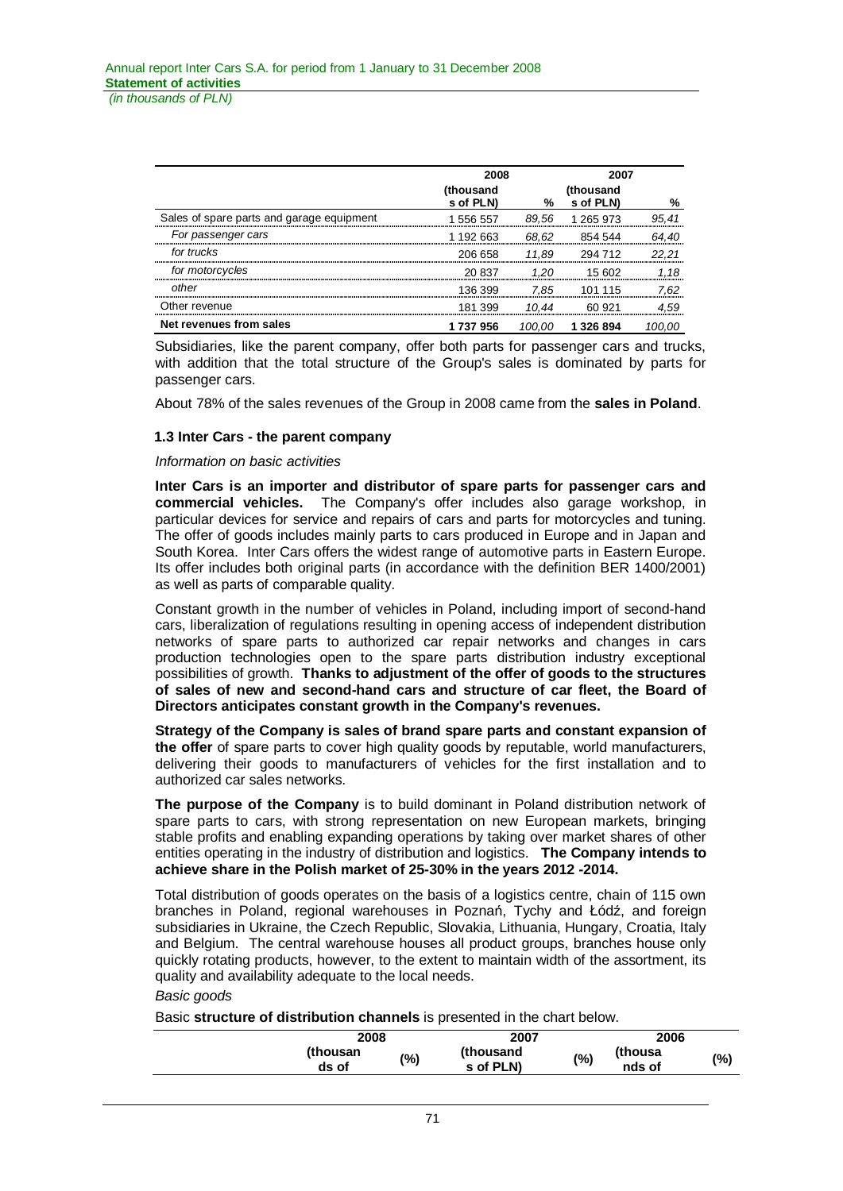|                                           | 2008<br>2007           |        |                        |       |
|-------------------------------------------|------------------------|--------|------------------------|-------|
|                                           | (thousand<br>s of PLN) | %      | (thousand<br>s of PLN) | %     |
| Sales of spare parts and garage equipment | 1 556 557              | 89.56  | 1 265 973              | 95.41 |
| For passenger cars                        | 1 192 663              | 68.62  | 854 544                | 64.40 |
| for trucks                                | 206 658                | 11.89  | 294 712                | 22.21 |
| for motorcycles                           | 20 837                 | 1.20   | 15 602                 | 1.18  |
| other                                     | 136 399                | 7.85   | 101 115                | 7.62  |
| Other revenue                             | 181 399                | 10.44  | 60.921                 | 4.59  |
| Net revenues from sales                   | 1 737 956              | 100.00 | 1 3 2 6 8 9 4          |       |

Subsidiaries, like the parent company, offer both parts for passenger cars and trucks, with addition that the total structure of the Group's sales is dominated by parts for passenger cars.

About 78% of the sales revenues of the Group in 2008 came from the **sales in Poland**.

## **1.3 Inter Cars - the parent company**

### *Information on basic activities*

**Inter Cars is an importer and distributor of spare parts for passenger cars and commercial vehicles.** The Company's offer includes also garage workshop, in particular devices for service and repairs of cars and parts for motorcycles and tuning. The offer of goods includes mainly parts to cars produced in Europe and in Japan and South Korea. Inter Cars offers the widest range of automotive parts in Eastern Europe. Its offer includes both original parts (in accordance with the definition BER 1400/2001) as well as parts of comparable quality.

Constant growth in the number of vehicles in Poland, including import of second-hand cars, liberalization of regulations resulting in opening access of independent distribution networks of spare parts to authorized car repair networks and changes in cars production technologies open to the spare parts distribution industry exceptional possibilities of growth. **Thanks to adjustment of the offer of goods to the structures of sales of new and second-hand cars and structure of car fleet, the Board of Directors anticipates constant growth in the Company's revenues.**

**Strategy of the Company is sales of brand spare parts and constant expansion of the offer** of spare parts to cover high quality goods by reputable, world manufacturers, delivering their goods to manufacturers of vehicles for the first installation and to authorized car sales networks.

**The purpose of the Company** is to build dominant in Poland distribution network of spare parts to cars, with strong representation on new European markets, bringing stable profits and enabling expanding operations by taking over market shares of other entities operating in the industry of distribution and logistics. **The Company intends to achieve share in the Polish market of 25-30% in the years 2012 -2014.** 

Total distribution of goods operates on the basis of a logistics centre, chain of 115 own branches in Poland, regional warehouses in Poznań, Tychy and Łódź, and foreign subsidiaries in Ukraine, the Czech Republic, Slovakia, Lithuania, Hungary, Croatia, Italy and Belgium. The central warehouse houses all product groups, branches house only quickly rotating products, however, to the extent to maintain width of the assortment, its quality and availability adequate to the local needs.

## *Basic goods*

Basic **structure of distribution channels** is presented in the chart below.

| 2008              |     | 2007                   |     | 2006              |         |
|-------------------|-----|------------------------|-----|-------------------|---------|
| (thousan<br>ds of | (%) | (thousand<br>s of PLN) | (%) | thousa)<br>nds of | $(\% )$ |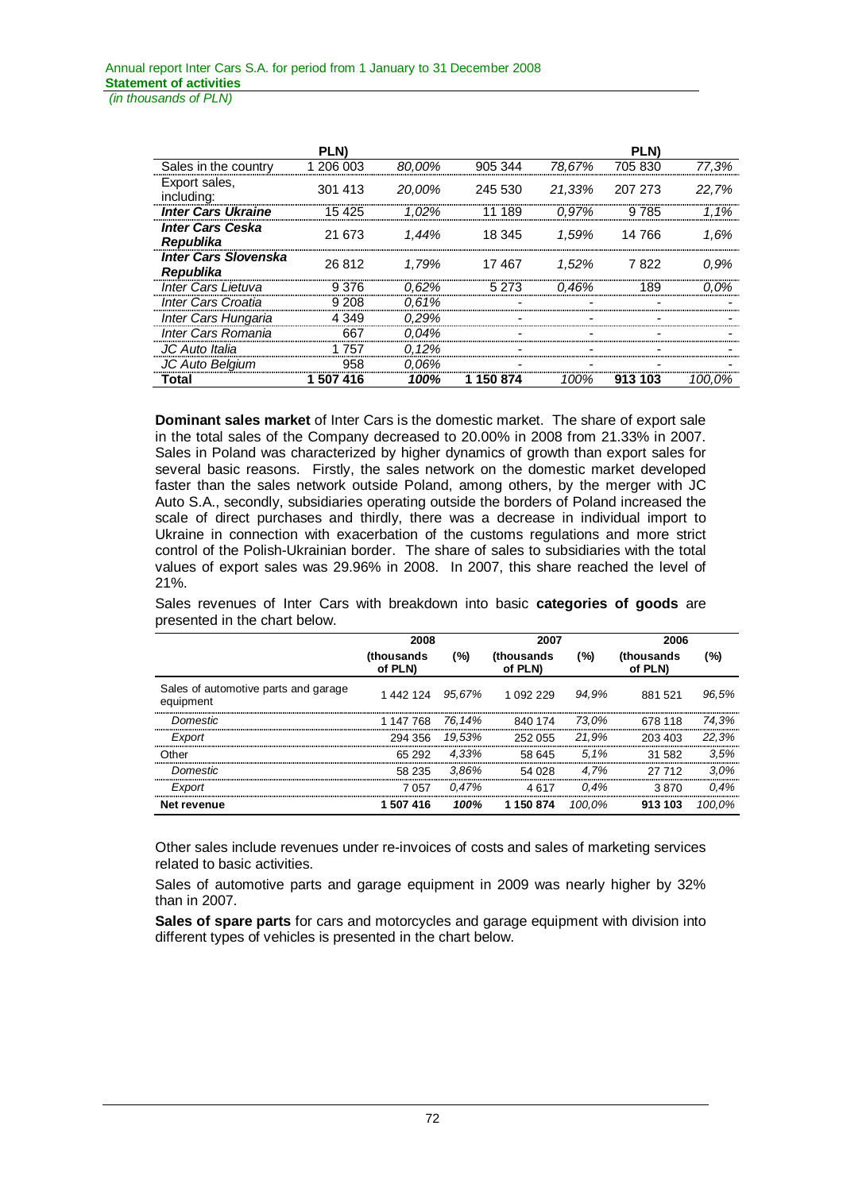|                                          | <b>PLN</b> |          |         |        | <b>PLN</b>     |        |
|------------------------------------------|------------|----------|---------|--------|----------------|--------|
| Sales in the country                     | 1 206 003  | 80.00%   | 905 344 | 78.67% | 705 830        | 77,3%  |
| Export sales,<br>including:              | 301 413    | 20.00%   | 245 530 |        | 21.33% 207 273 | 22.7%  |
| <b>Inter Cars Ukraine</b>                | 15 425     | 1.02%    | 189     | 0.97%  | 9 7 8 5        | 1.1%   |
| <b>Inter Cars Ceska</b><br>Republika     | 21 673     | 1.44%    | 18 345  |        | 1.59% 14 766   | 1.6%   |
| <b>Inter Cars Slovenska</b><br>Republika | 26 812     | 1.79%    | 17467   | 1.52%  | 7822           | 0.9%   |
| <b>Inter Cars Lietuva</b>                | 9 3 7 6    | $0.62\%$ | 5 2 7 3 | 0.46%  | 189            | 0.0%   |
| Inter Cars Croatia                       | 9 208      | 0.61%    |         |        |                |        |
| Inter Cars Hungaria                      | 4 349      | 0.29%    |         |        |                |        |
| Inter Cars Romania                       | 667        | 0.04%    |         |        |                |        |
| JC Auto Italia                           | 1 757      | 0.12%    |         |        |                |        |
| JC Auto Belgium                          | 958        | 0.06%    |         |        |                |        |
| Total                                    | 507 416    | 100%     | 150 874 | 100%   | 913 103        | 100.0% |

**Dominant sales market** of Inter Cars is the domestic market. The share of export sale in the total sales of the Company decreased to 20.00% in 2008 from 21.33% in 2007. Sales in Poland was characterized by higher dynamics of growth than export sales for several basic reasons. Firstly, the sales network on the domestic market developed faster than the sales network outside Poland, among others, by the merger with JC Auto S.A., secondly, subsidiaries operating outside the borders of Poland increased the scale of direct purchases and thirdly, there was a decrease in individual import to Ukraine in connection with exacerbation of the customs regulations and more strict control of the Polish-Ukrainian border. The share of sales to subsidiaries with the total values of export sales was 29.96% in 2008. In 2007, this share reached the level of 21%.

Sales revenues of Inter Cars with breakdown into basic **categories of goods** are presented in the chart below.

|                                                   | 2008                  |        | 2007                   |        | 2006                  |         |
|---------------------------------------------------|-----------------------|--------|------------------------|--------|-----------------------|---------|
|                                                   | (thousands<br>of PLN) | (%)    | (thousands)<br>of PLN) | (%)    | (thousands<br>of PLN) | (%)     |
| Sales of automotive parts and garage<br>equipment | 1 442 124 95.67%      |        | 1 092 229              | 94.9%  | 881 521               | 96.5%   |
| Domestic                                          | 1 147 768             | 76.14% | 840 174                | 73.0%  | 678 118               | 74.3%   |
| Export                                            | 294 356               | 19.53% | 252 055                | 21.9%  | 203 403               | 22.3%   |
| Other                                             | 65 292                | 4.33%  | 58 645                 | 5.1%   | 31 582                | 3.5%    |
| Domestic                                          | 58 235                | 3.86%  | 54 028                 | 4.7%   | 27 712                | $3.0\%$ |
| Export                                            | 7057                  | 0.47%  | 4617                   | 0.4%   | 3870                  | 0.4%    |
| Net revenue                                       | 1 507 416             | 100%   | 1 150 874              | 100.0% | 913 103               | 100.0%  |

Other sales include revenues under re-invoices of costs and sales of marketing services related to basic activities.

Sales of automotive parts and garage equipment in 2009 was nearly higher by 32% than in 2007.

**Sales of spare parts** for cars and motorcycles and garage equipment with division into different types of vehicles is presented in the chart below.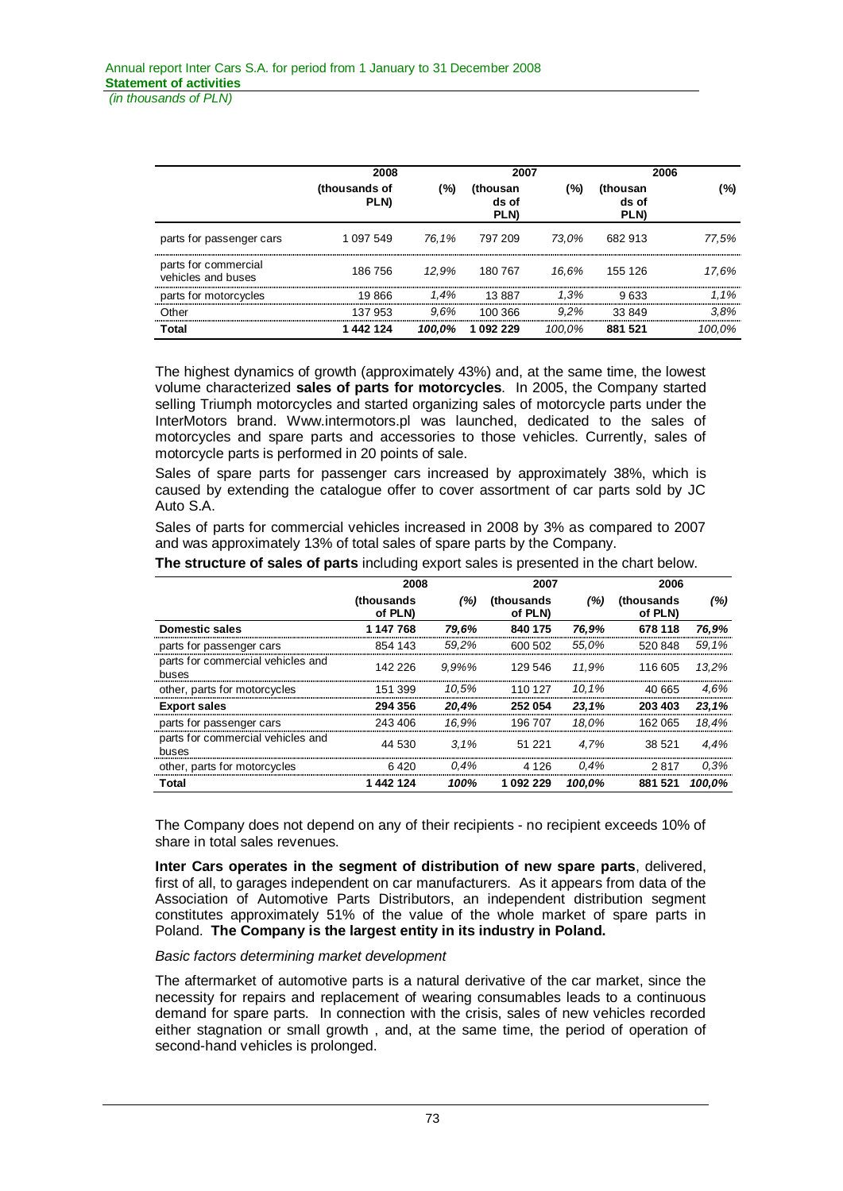*(in thousands of PLN)*

|                                            | 2008                  |        | 2007                      |         |                                 | 2006    |  |  |
|--------------------------------------------|-----------------------|--------|---------------------------|---------|---------------------------------|---------|--|--|
|                                            | (thousands of<br>PLN) | (%)    | (thousan<br>ds of<br>PLN) | $(\% )$ | (thousan<br>ds of<br><b>PLN</b> | (%)     |  |  |
| parts for passenger cars                   | 1 0 9 7 5 4 9         |        | 76.1% 797 209             | 73.0%   | 682 913                         | 77.5%   |  |  |
| parts for commercial<br>vehicles and buses | 186 756               | 12.9%  | 180 767                   |         | 16.6% 155 126                   | 17.6%   |  |  |
| parts for motorcycles                      | 19 866                | 1.4%   | 13.887                    | $1.3\%$ | 9.633                           | $1.1\%$ |  |  |
| Other                                      | 137 953               | 9.6%   | 100 366                   | $9.2\%$ | 33849                           | 3.8%    |  |  |
| Total                                      | 1442124               | 100.0% | 1 092 229                 | 100.0%  | 881 521                         | 100.0%  |  |  |

The highest dynamics of growth (approximately 43%) and, at the same time, the lowest volume characterized **sales of parts for motorcycles**. In 2005, the Company started selling Triumph motorcycles and started organizing sales of motorcycle parts under the InterMotors brand. Www.intermotors.pl was launched, dedicated to the sales of motorcycles and spare parts and accessories to those vehicles. Currently, sales of motorcycle parts is performed in 20 points of sale.

Sales of spare parts for passenger cars increased by approximately 38%, which is caused by extending the catalogue offer to cover assortment of car parts sold by JC Auto S.A.

Sales of parts for commercial vehicles increased in 2008 by 3% as compared to 2007 and was approximately 13% of total sales of spare parts by the Company.

|                                            | 2008                          |           | 2007                          |         | 2006                          |        |
|--------------------------------------------|-------------------------------|-----------|-------------------------------|---------|-------------------------------|--------|
|                                            | <i>(thousands)</i><br>of PLN) | (%)       | <i>(thousands)</i><br>of PLN) | (%)     | <i>(thousands)</i><br>of PLN) | (%)    |
| Domestic sales                             | 1 147 768                     | 79.6%     | 840 175                       | 76.9%   | 678 118                       | 76,9%  |
| parts for passenger cars                   | 854 143                       | 59.2%     | 600 502                       | 55.0%   | 520 848                       | 59.1%  |
| parts for commercial vehicles and<br>buses | 142 226                       | $9.9\%$ % | 129 546                       | 11.9%   | 116 605                       | 13.2%  |
| other, parts for motorcycles               | 151 399                       | 10.5%     | 110 127                       | 10.1%   | 40.665                        | 4.6%   |
| <b>Export sales</b>                        | 294 356                       | 20.4%     | 252054                        | 23.1%   | 203 403                       | 23,1%  |
| parts for passenger cars                   | 243 406                       | 16.9%     | 196 707                       | 18.0%   | 162 065                       | 18.4%  |
| parts for commercial vehicles and<br>buses | 44 530                        | 3.1%      | 51 221                        | 4.7%    | 38.521                        | 4.4%   |
| other, parts for motorcycles               | 6.420                         | 0.4%      | 4 1 2 6                       | $0.4\%$ | 2817                          | 0.3%   |
| Total                                      | 1442124                       | 100%      | 1 092 229                     | 100.0%  | 881 521                       | 100.0% |

**The structure of sales of parts** including export sales is presented in the chart below.

The Company does not depend on any of their recipients - no recipient exceeds 10% of share in total sales revenues.

**Inter Cars operates in the segment of distribution of new spare parts**, delivered, first of all, to garages independent on car manufacturers. As it appears from data of the Association of Automotive Parts Distributors, an independent distribution segment constitutes approximately 51% of the value of the whole market of spare parts in Poland. **The Company is the largest entity in its industry in Poland.** 

### *Basic factors determining market development*

The aftermarket of automotive parts is a natural derivative of the car market, since the necessity for repairs and replacement of wearing consumables leads to a continuous demand for spare parts. In connection with the crisis, sales of new vehicles recorded either stagnation or small growth , and, at the same time, the period of operation of second-hand vehicles is prolonged.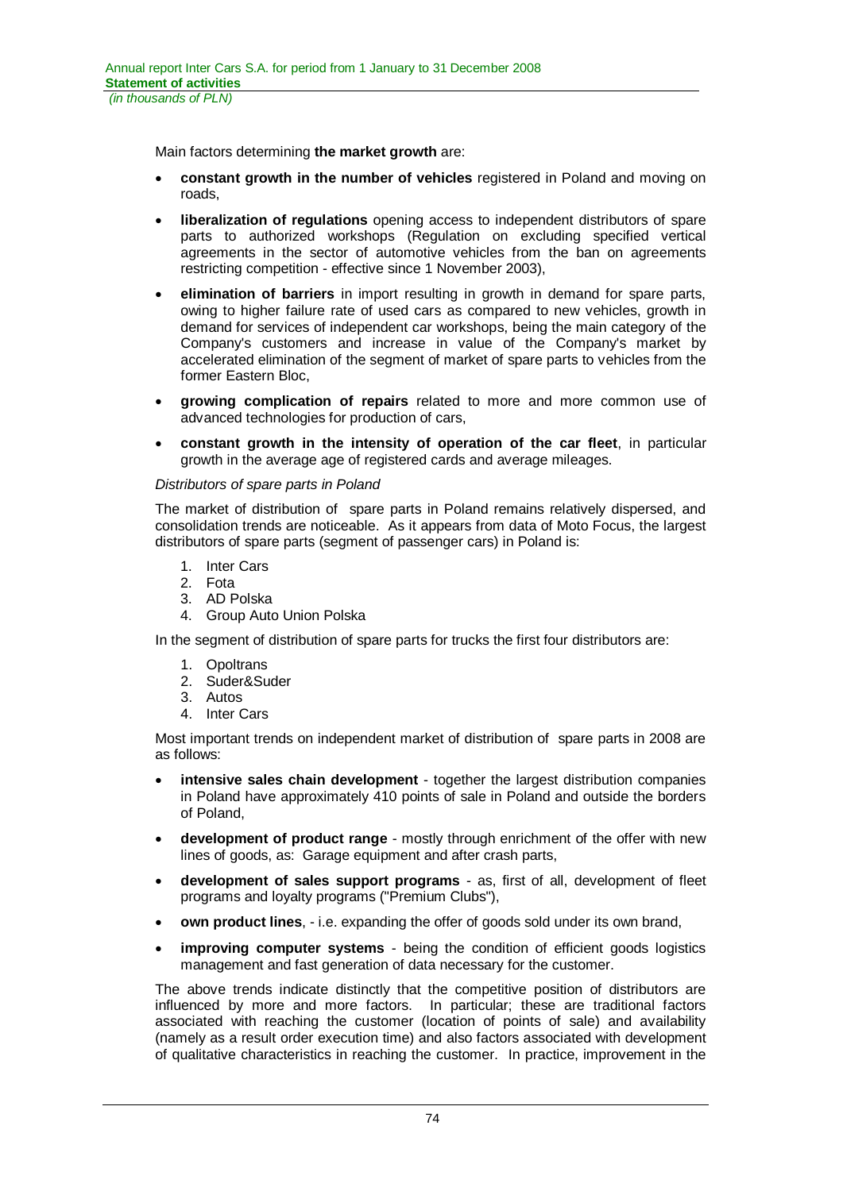Main factors determining **the market growth** are:

- constant growth in the number of vehicles registered in Poland and moving on roads,
- **liberalization of regulations** opening access to independent distributors of spare parts to authorized workshops (Regulation on excluding specified vertical agreements in the sector of automotive vehicles from the ban on agreements restricting competition - effective since 1 November 2003),
- x **elimination of barriers** in import resulting in growth in demand for spare parts, owing to higher failure rate of used cars as compared to new vehicles, growth in demand for services of independent car workshops, being the main category of the Company's customers and increase in value of the Company's market by accelerated elimination of the segment of market of spare parts to vehicles from the former Eastern Bloc,
- x **growing complication of repairs** related to more and more common use of advanced technologies for production of cars,
- x **constant growth in the intensity of operation of the car fleet**, in particular growth in the average age of registered cards and average mileages.

### *Distributors of spare parts in Poland*

The market of distribution of spare parts in Poland remains relatively dispersed, and consolidation trends are noticeable. As it appears from data of Moto Focus, the largest distributors of spare parts (segment of passenger cars) in Poland is:

- 1. Inter Cars
- 2. Fota
- 3. AD Polska
- 4. Group Auto Union Polska

In the segment of distribution of spare parts for trucks the first four distributors are:

- 1. Opoltrans
- 2. Suder&Suder
- 3. Autos
- 4. Inter Cars

Most important trends on independent market of distribution of spare parts in 2008 are as follows:

- intensive sales chain development together the largest distribution companies in Poland have approximately 410 points of sale in Poland and outside the borders of Poland,
- development of product range mostly through enrichment of the offer with new lines of goods, as: Garage equipment and after crash parts,
- x **development of sales support programs** as, first of all, development of fleet programs and loyalty programs ("Premium Clubs"),
- **own product lines**, i.e. expanding the offer of goods sold under its own brand,
- **improving computer systems** being the condition of efficient goods logistics management and fast generation of data necessary for the customer.

The above trends indicate distinctly that the competitive position of distributors are influenced by more and more factors. In particular; these are traditional factors associated with reaching the customer (location of points of sale) and availability (namely as a result order execution time) and also factors associated with development of qualitative characteristics in reaching the customer. In practice, improvement in the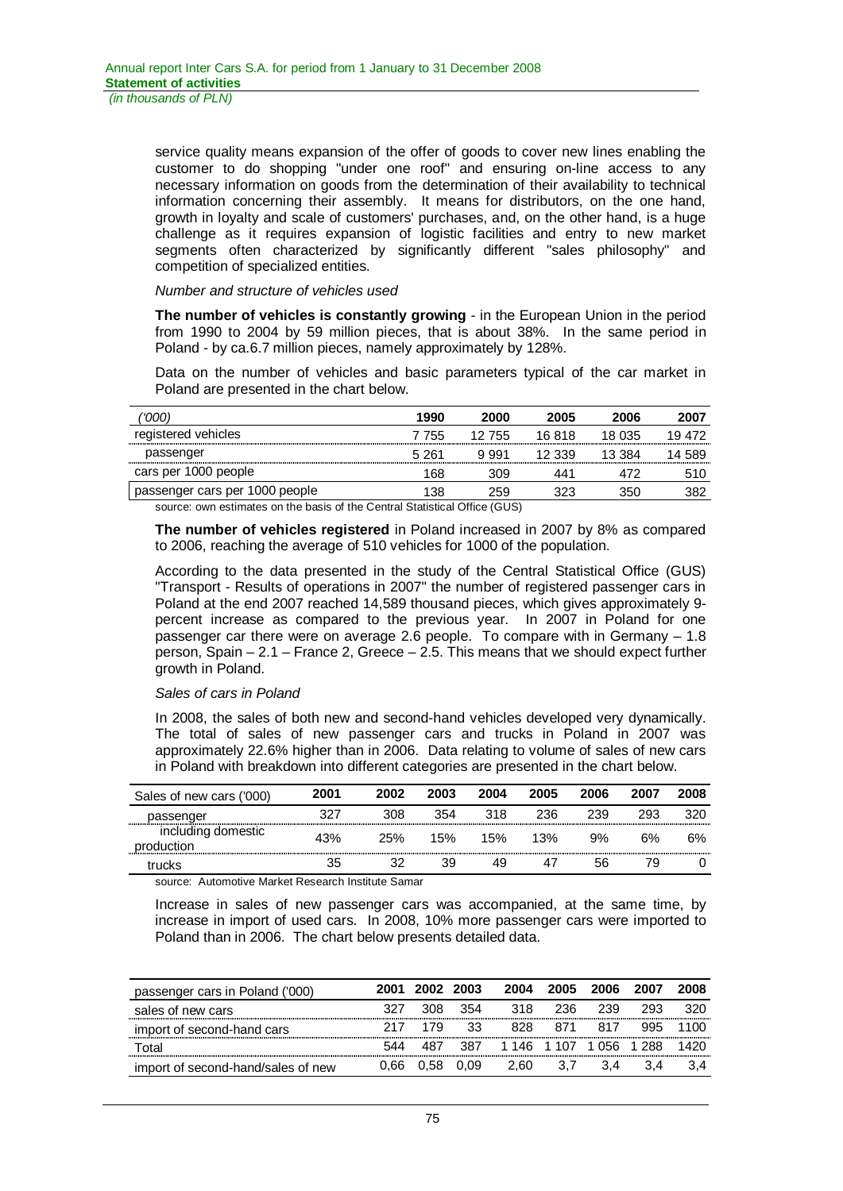service quality means expansion of the offer of goods to cover new lines enabling the customer to do shopping "under one roof" and ensuring on-line access to any necessary information on goods from the determination of their availability to technical information concerning their assembly. It means for distributors, on the one hand, growth in loyalty and scale of customers' purchases, and, on the other hand, is a huge challenge as it requires expansion of logistic facilities and entry to new market segments often characterized by significantly different "sales philosophy" and competition of specialized entities.

### *Number and structure of vehicles used*

**The number of vehicles is constantly growing** - in the European Union in the period from 1990 to 2004 by 59 million pieces, that is about 38%. In the same period in Poland - by ca.6.7 million pieces, namely approximately by 128%.

Data on the number of vehicles and basic parameters typical of the car market in Poland are presented in the chart below.

| '000                           | 1990  | 2000   | 2005   | 2006   | 2007   |
|--------------------------------|-------|--------|--------|--------|--------|
| registered vehicles            | 7 755 | 12 755 | 16.818 | 18 035 | 19 472 |
| passenger                      | 5 261 | 9.991  | 12.339 | 13.384 | 14 589 |
| cars per 1000 people           | 68    | 309    | 441    |        | 510    |
| passenger cars per 1000 people | 138   | 259.   | 323    | 350    |        |

source: own estimates on the basis of the Central Statistical Office (GUS)

**The number of vehicles registered** in Poland increased in 2007 by 8% as compared to 2006, reaching the average of 510 vehicles for 1000 of the population.

According to the data presented in the study of the Central Statistical Office (GUS) "Transport - Results of operations in 2007" the number of registered passenger cars in Poland at the end 2007 reached 14,589 thousand pieces, which gives approximately 9 percent increase as compared to the previous year. In 2007 in Poland for one passenger car there were on average 2.6 people. To compare with in Germany – 1.8 person, Spain – 2.1 – France 2, Greece – 2.5. This means that we should expect further growth in Poland.

# *Sales of cars in Poland*

In 2008, the sales of both new and second-hand vehicles developed very dynamically. The total of sales of new passenger cars and trucks in Poland in 2007 was approximately 22.6% higher than in 2006. Data relating to volume of sales of new cars in Poland with breakdown into different categories are presented in the chart below.

| Sales of new cars ('000)         | 2001 | 2002 | 2003 | 2004 | 2005 | 2006 | 2007 | 2008 |
|----------------------------------|------|------|------|------|------|------|------|------|
| passenger                        | 327  | 308  | 354  | 318  | 236  | 239  | 293  | 320  |
| including domestic<br>production | 43%  | 25%  | 15%  | 15%  | 13%  | 9%   | 6%   | 6%   |
| trucks                           | 35   | 32   | 39   | 49   |      | 56   | 79   |      |

source: Automotive Market Research Institute Samar

Increase in sales of new passenger cars was accompanied, at the same time, by increase in import of used cars. In 2008, 10% more passenger cars were imported to Poland than in 2006. The chart below presents detailed data.

| passenger cars in Poland ('000)    | 2001 | 2002 2003 |      | 2004 | 2005              | 2006 |         | 2008 |
|------------------------------------|------|-----------|------|------|-------------------|------|---------|------|
| sales of new cars                  | 327  | 308.      | 354  | 318. | 236               | 239  | 293     |      |
| import of second-hand cars         |      | 179       | 33   | 828. | 871               | 817  | 995     |      |
| Total                              |      |           | 387  |      | 1 146 1 107 1 056 |      | $-1288$ |      |
| import of second-hand/sales of new | 0.66 | 0.58      | 0.09 | 2.60 |                   |      |         |      |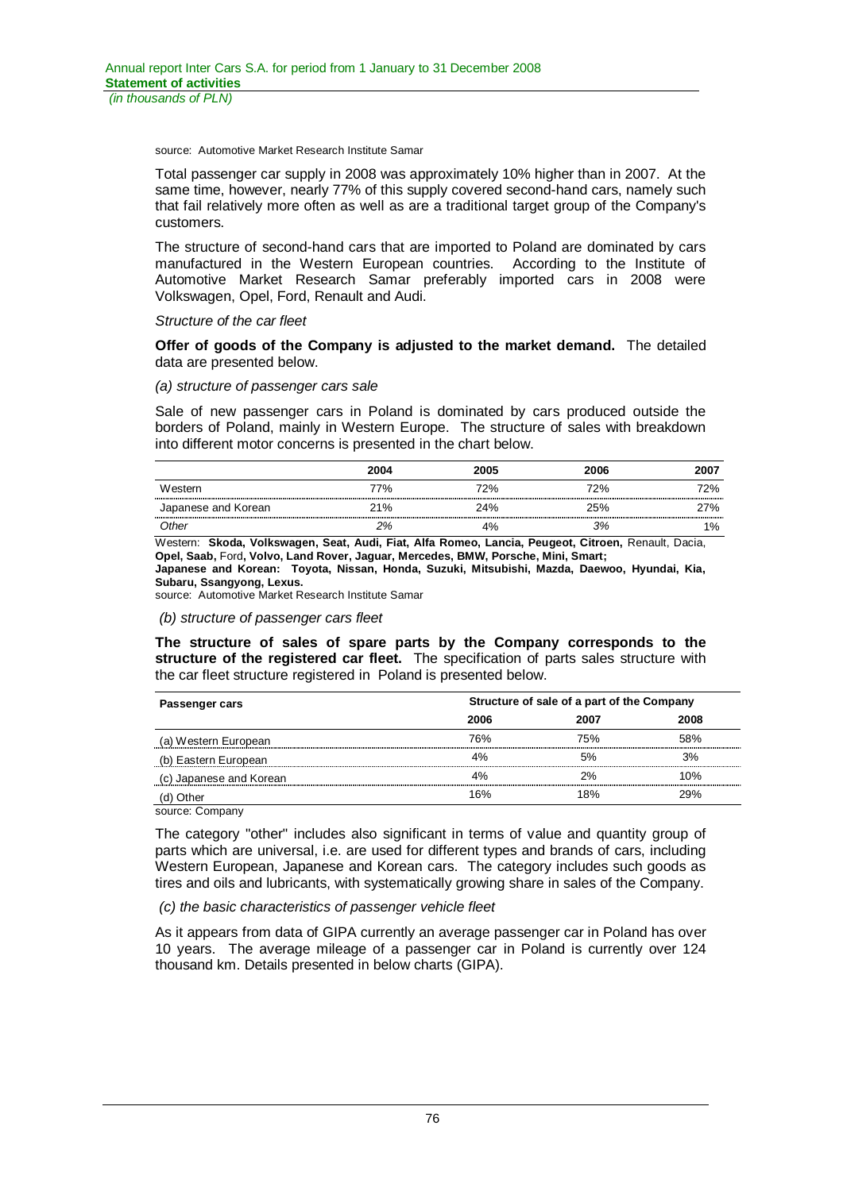source: Automotive Market Research Institute Samar

Total passenger car supply in 2008 was approximately 10% higher than in 2007. At the same time, however, nearly 77% of this supply covered second-hand cars, namely such that fail relatively more often as well as are a traditional target group of the Company's customers.

The structure of second-hand cars that are imported to Poland are dominated by cars manufactured in the Western European countries. According to the Institute of Automotive Market Research Samar preferably imported cars in 2008 were Volkswagen, Opel, Ford, Renault and Audi.

### *Structure of the car fleet*

**Offer of goods of the Company is adjusted to the market demand.** The detailed data are presented below.

#### *(a) structure of passenger cars sale*

Sale of new passenger cars in Poland is dominated by cars produced outside the borders of Poland, mainly in Western Europe. The structure of sales with breakdown into different motor concerns is presented in the chart below.

|                     | 2004 | 2005 | 2006 | 2007  |
|---------------------|------|------|------|-------|
| Western             | 77%  | 72%  | 72%  | 72%   |
| Japanese and Korean | 21%  | 24%  | 25%  | 27%   |
| Other               | 2%   | 4%   | 3%   | $1\%$ |

Western: **Skoda, Volkswagen, Seat, Audi, Fiat, Alfa Romeo, Lancia, Peugeot, Citroen,** Renault, Dacia, **Opel, Saab,** Ford**, Volvo, Land Rover, Jaguar, Mercedes, BMW, Porsche, Mini, Smart; Japanese and Korean: Toyota, Nissan, Honda, Suzuki, Mitsubishi, Mazda, Daewoo, Hyundai, Kia,** 

**Subaru, Ssangyong, Lexus.**

source: Automotive Market Research Institute Samar

#### *(b) structure of passenger cars fleet*

**The structure of sales of spare parts by the Company corresponds to the structure of the registered car fleet.** The specification of parts sales structure with the car fleet structure registered in Poland is presented below.

| Passenger cars          | Structure of sale of a part of the Company |      |      |  |
|-------------------------|--------------------------------------------|------|------|--|
|                         | 2006                                       | 2007 | 2008 |  |
| (a) Western European    | 76%                                        | 75%  | 58%  |  |
| (b) Eastern European    | 4%                                         | 5%   | 3%   |  |
| (c) Japanese and Korean | 4%                                         | 2%   | 10%  |  |
| (d) Other               | 16%                                        | 18%  | 29%  |  |

source: Company

The category "other" includes also significant in terms of value and quantity group of parts which are universal, i.e. are used for different types and brands of cars, including Western European, Japanese and Korean cars. The category includes such goods as tires and oils and lubricants, with systematically growing share in sales of the Company.

### *(c) the basic characteristics of passenger vehicle fleet*

As it appears from data of GIPA currently an average passenger car in Poland has over 10 years. The average mileage of a passenger car in Poland is currently over 124 thousand km. Details presented in below charts (GIPA).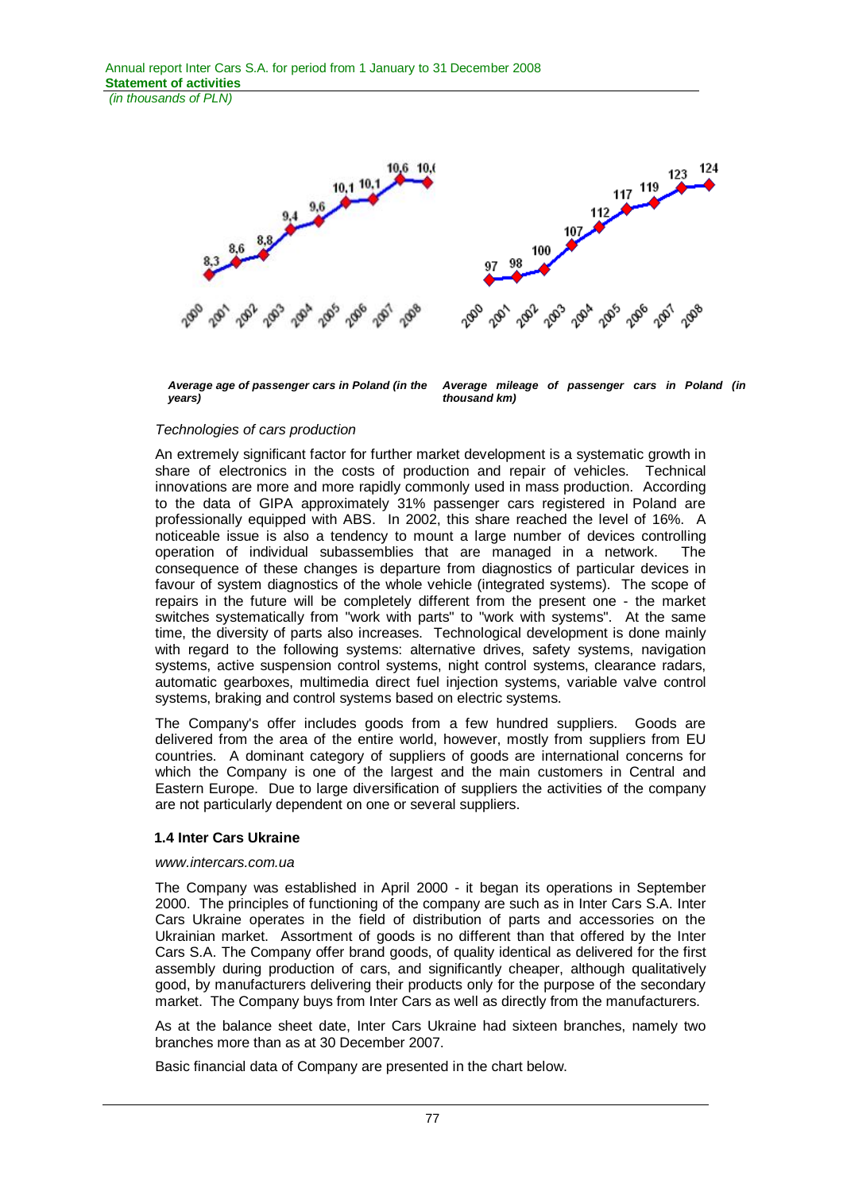*(in thousands of PLN)*



*Average age of passenger cars in Poland (in the years)* 

*Average mileage of passenger cars in Poland (in thousand km)* 

### *Technologies of cars production*

An extremely significant factor for further market development is a systematic growth in share of electronics in the costs of production and repair of vehicles. Technical innovations are more and more rapidly commonly used in mass production. According to the data of GIPA approximately 31% passenger cars registered in Poland are professionally equipped with ABS. In 2002, this share reached the level of 16%. A noticeable issue is also a tendency to mount a large number of devices controlling operation of individual subassemblies that are managed in a network. The consequence of these changes is departure from diagnostics of particular devices in favour of system diagnostics of the whole vehicle (integrated systems). The scope of repairs in the future will be completely different from the present one - the market switches systematically from "work with parts" to "work with systems". At the same time, the diversity of parts also increases. Technological development is done mainly with regard to the following systems: alternative drives, safety systems, navigation systems, active suspension control systems, night control systems, clearance radars, automatic gearboxes, multimedia direct fuel injection systems, variable valve control systems, braking and control systems based on electric systems.

The Company's offer includes goods from a few hundred suppliers. Goods are delivered from the area of the entire world, however, mostly from suppliers from EU countries. A dominant category of suppliers of goods are international concerns for which the Company is one of the largest and the main customers in Central and Eastern Europe. Due to large diversification of suppliers the activities of the company are not particularly dependent on one or several suppliers.

### **1.4 Inter Cars Ukraine**

#### *www.intercars.com.ua*

The Company was established in April 2000 - it began its operations in September 2000. The principles of functioning of the company are such as in Inter Cars S.A. Inter Cars Ukraine operates in the field of distribution of parts and accessories on the Ukrainian market. Assortment of goods is no different than that offered by the Inter Cars S.A. The Company offer brand goods, of quality identical as delivered for the first assembly during production of cars, and significantly cheaper, although qualitatively good, by manufacturers delivering their products only for the purpose of the secondary market. The Company buys from Inter Cars as well as directly from the manufacturers.

As at the balance sheet date, Inter Cars Ukraine had sixteen branches, namely two branches more than as at 30 December 2007.

Basic financial data of Company are presented in the chart below.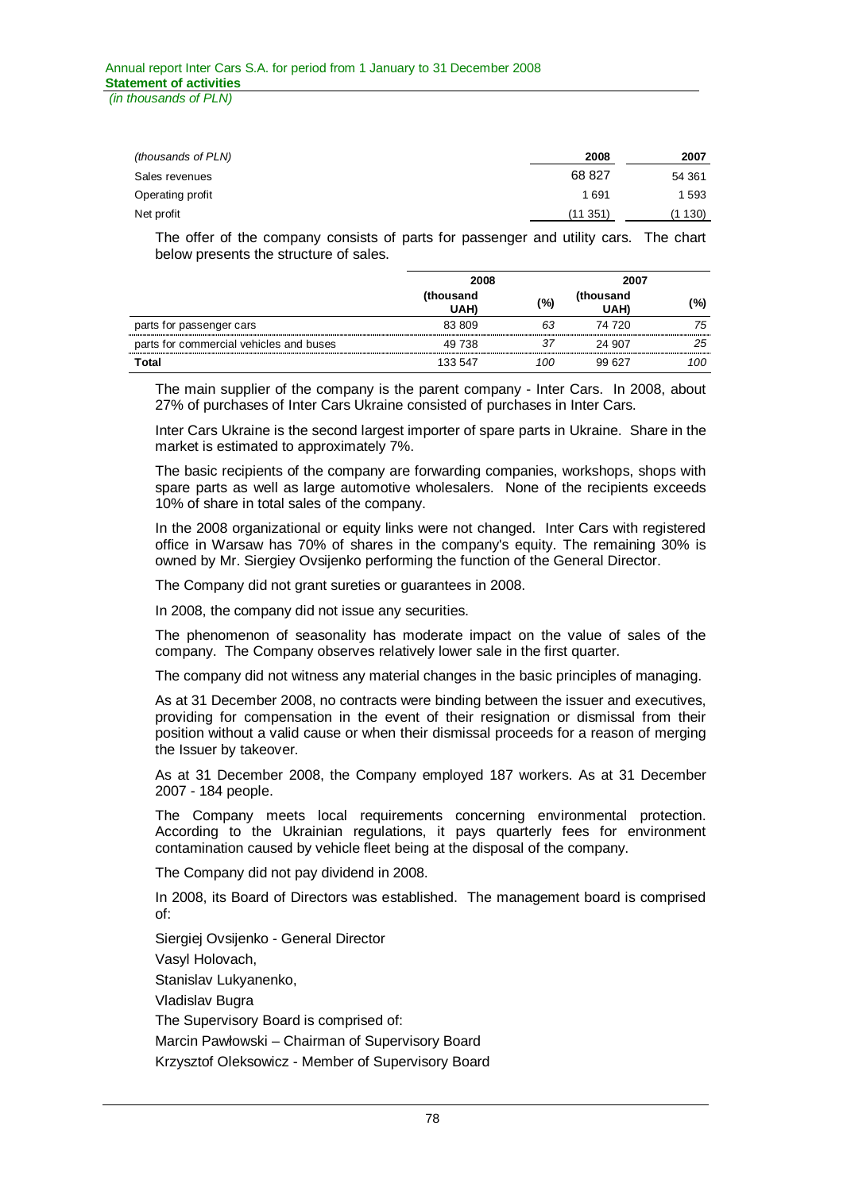| (thousands of PLN) | 2008    | 2007   |
|--------------------|---------|--------|
| Sales revenues     | 68 827  | 54 361 |
| Operating profit   | 1691    | 1 593  |
| Net profit         | (11351) | 130)   |

The offer of the company consists of parts for passenger and utility cars. The chart below presents the structure of sales.

|                                         | 2008              |     | 2007              |     |
|-----------------------------------------|-------------------|-----|-------------------|-----|
|                                         | (thousand<br>UAH) | (%) | (thousand<br>UAH) | (%) |
| parts for passenger cars                | 83 809            | 63  | 74 720            | 75  |
| parts for commercial vehicles and buses | 49 738            | 37  | 24 907            | 25  |
| Total                                   | 133 547           | 100 | 99.627            | 100 |

The main supplier of the company is the parent company - Inter Cars. In 2008, about 27% of purchases of Inter Cars Ukraine consisted of purchases in Inter Cars.

Inter Cars Ukraine is the second largest importer of spare parts in Ukraine. Share in the market is estimated to approximately 7%.

The basic recipients of the company are forwarding companies, workshops, shops with spare parts as well as large automotive wholesalers. None of the recipients exceeds 10% of share in total sales of the company.

In the 2008 organizational or equity links were not changed. Inter Cars with registered office in Warsaw has 70% of shares in the company's equity. The remaining 30% is owned by Mr. Siergiey Ovsijenko performing the function of the General Director.

The Company did not grant sureties or guarantees in 2008.

In 2008, the company did not issue any securities.

The phenomenon of seasonality has moderate impact on the value of sales of the company. The Company observes relatively lower sale in the first quarter.

The company did not witness any material changes in the basic principles of managing.

As at 31 December 2008, no contracts were binding between the issuer and executives, providing for compensation in the event of their resignation or dismissal from their position without a valid cause or when their dismissal proceeds for a reason of merging the Issuer by takeover.

As at 31 December 2008, the Company employed 187 workers. As at 31 December 2007 - 184 people.

The Company meets local requirements concerning environmental protection. According to the Ukrainian regulations, it pays quarterly fees for environment contamination caused by vehicle fleet being at the disposal of the company.

The Company did not pay dividend in 2008.

In 2008, its Board of Directors was established. The management board is comprised of:

Siergiej Ovsijenko - General Director

Vasyl Holovach,

Stanislav Lukyanenko,

Vladislav Bugra

The Supervisory Board is comprised of:

Marcin Pawłowski – Chairman of Supervisory Board

Krzysztof Oleksowicz - Member of Supervisory Board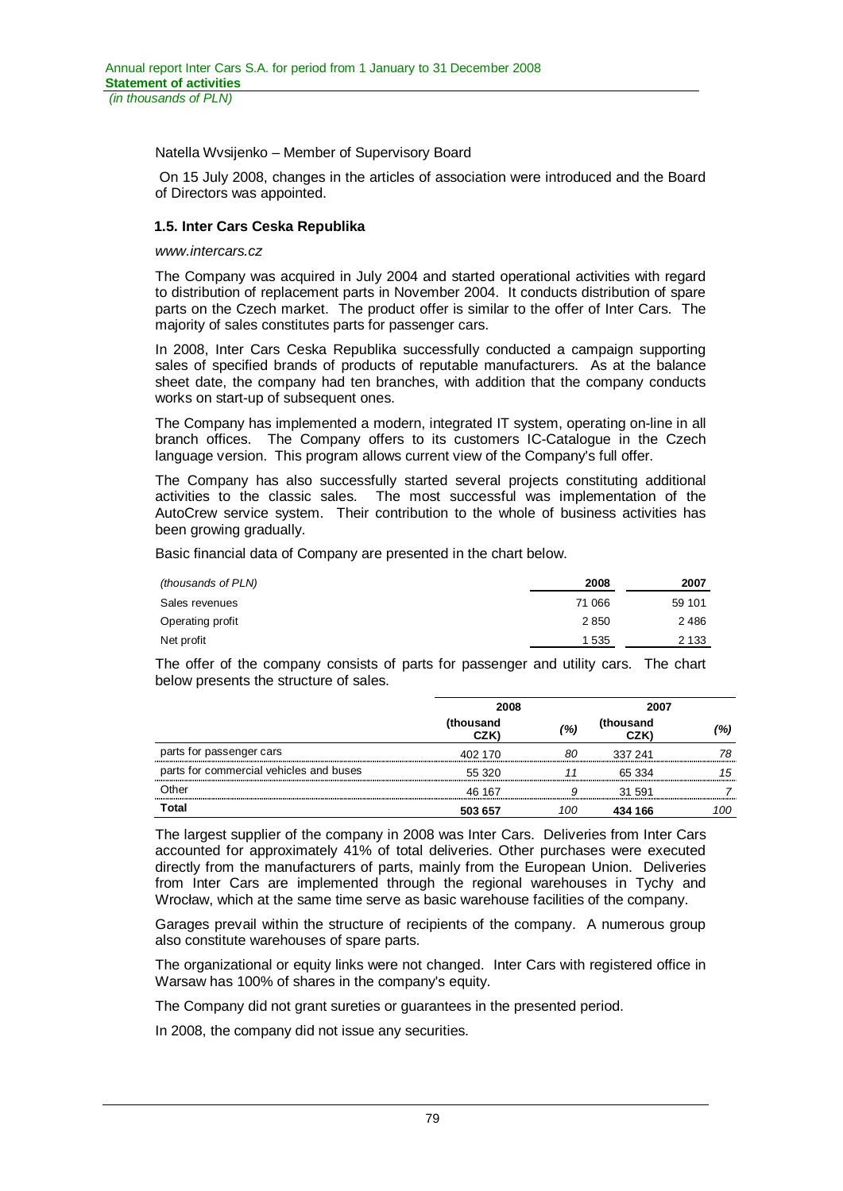Natella Wvsijenko – Member of Supervisory Board

 On 15 July 2008, changes in the articles of association were introduced and the Board of Directors was appointed.

# **1.5. Inter Cars Ceska Republika**

#### *www.intercars.cz*

The Company was acquired in July 2004 and started operational activities with regard to distribution of replacement parts in November 2004. It conducts distribution of spare parts on the Czech market. The product offer is similar to the offer of Inter Cars. The majority of sales constitutes parts for passenger cars.

In 2008, Inter Cars Ceska Republika successfully conducted a campaign supporting sales of specified brands of products of reputable manufacturers. As at the balance sheet date, the company had ten branches, with addition that the company conducts works on start-up of subsequent ones.

The Company has implemented a modern, integrated IT system, operating on-line in all branch offices. The Company offers to its customers IC-Catalogue in the Czech language version. This program allows current view of the Company's full offer.

The Company has also successfully started several projects constituting additional activities to the classic sales. The most successful was implementation of the AutoCrew service system. Their contribution to the whole of business activities has been growing gradually.

Basic financial data of Company are presented in the chart below.

| (thousands of PLN) | 2008    | 2007    |
|--------------------|---------|---------|
| Sales revenues     | 71 066  | 59 101  |
| Operating profit   | 2850    | 2486    |
| Net profit         | 1 5 3 5 | 2 1 3 3 |

The offer of the company consists of parts for passenger and utility cars. The chart below presents the structure of sales.

|                                         | 2008              |     | 2007              |     |
|-----------------------------------------|-------------------|-----|-------------------|-----|
|                                         | (thousand<br>CZK) | (%) | (thousand<br>CZK) | (%) |
| parts for passenger cars                | 402 170           | 80  | 337 241           | 78  |
| parts for commercial vehicles and buses | 55 320            |     | 65 334            | 15  |
| Other                                   | 46 167            |     | 31 591            |     |
| Total                                   | 503 657           | '00 | 434 166           | '00 |

The largest supplier of the company in 2008 was Inter Cars. Deliveries from Inter Cars accounted for approximately 41% of total deliveries. Other purchases were executed directly from the manufacturers of parts, mainly from the European Union. Deliveries from Inter Cars are implemented through the regional warehouses in Tychy and Wrocław, which at the same time serve as basic warehouse facilities of the company.

Garages prevail within the structure of recipients of the company. A numerous group also constitute warehouses of spare parts.

The organizational or equity links were not changed. Inter Cars with registered office in Warsaw has 100% of shares in the company's equity.

The Company did not grant sureties or guarantees in the presented period.

In 2008, the company did not issue any securities.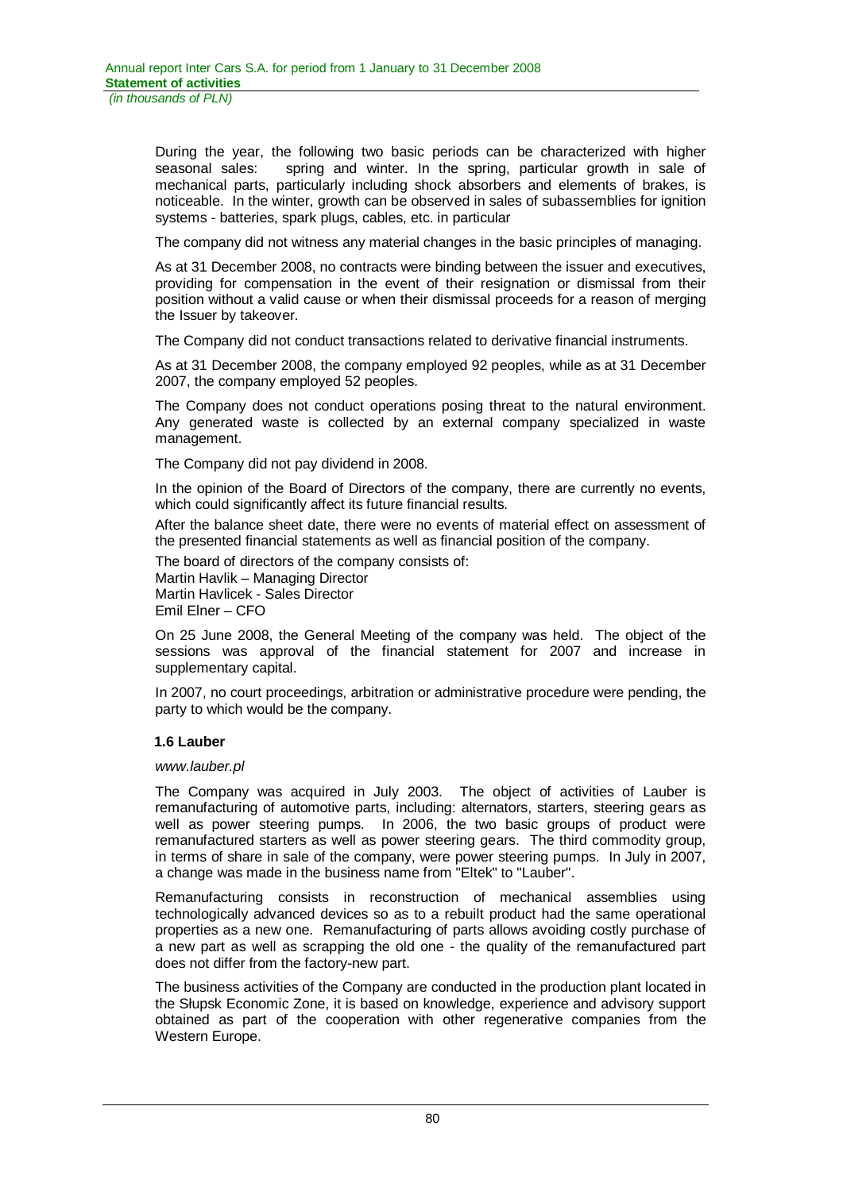During the year, the following two basic periods can be characterized with higher seasonal sales: spring and winter. In the spring, particular growth in sale of mechanical parts, particularly including shock absorbers and elements of brakes, is noticeable. In the winter, growth can be observed in sales of subassemblies for ignition systems - batteries, spark plugs, cables, etc. in particular

The company did not witness any material changes in the basic principles of managing.

As at 31 December 2008, no contracts were binding between the issuer and executives, providing for compensation in the event of their resignation or dismissal from their position without a valid cause or when their dismissal proceeds for a reason of merging the Issuer by takeover.

The Company did not conduct transactions related to derivative financial instruments.

As at 31 December 2008, the company employed 92 peoples, while as at 31 December 2007, the company employed 52 peoples.

The Company does not conduct operations posing threat to the natural environment. Any generated waste is collected by an external company specialized in waste management.

The Company did not pay dividend in 2008.

In the opinion of the Board of Directors of the company, there are currently no events, which could significantly affect its future financial results.

After the balance sheet date, there were no events of material effect on assessment of the presented financial statements as well as financial position of the company.

The board of directors of the company consists of:

Martin Havlik – Managing Director Martin Havlicek - Sales Director Emil Elner – CFO

On 25 June 2008, the General Meeting of the company was held. The object of the sessions was approval of the financial statement for 2007 and increase in supplementary capital.

In 2007, no court proceedings, arbitration or administrative procedure were pending, the party to which would be the company.

# **1.6 Lauber**

### *www.lauber.pl*

The Company was acquired in July 2003. The object of activities of Lauber is remanufacturing of automotive parts, including: alternators, starters, steering gears as well as power steering pumps. In 2006, the two basic groups of product were remanufactured starters as well as power steering gears. The third commodity group, in terms of share in sale of the company, were power steering pumps. In July in 2007, a change was made in the business name from "Eltek" to "Lauber".

Remanufacturing consists in reconstruction of mechanical assemblies using technologically advanced devices so as to a rebuilt product had the same operational properties as a new one. Remanufacturing of parts allows avoiding costly purchase of a new part as well as scrapping the old one - the quality of the remanufactured part does not differ from the factory-new part.

The business activities of the Company are conducted in the production plant located in the Sáupsk Economic Zone, it is based on knowledge, experience and advisory support obtained as part of the cooperation with other regenerative companies from the Western Europe.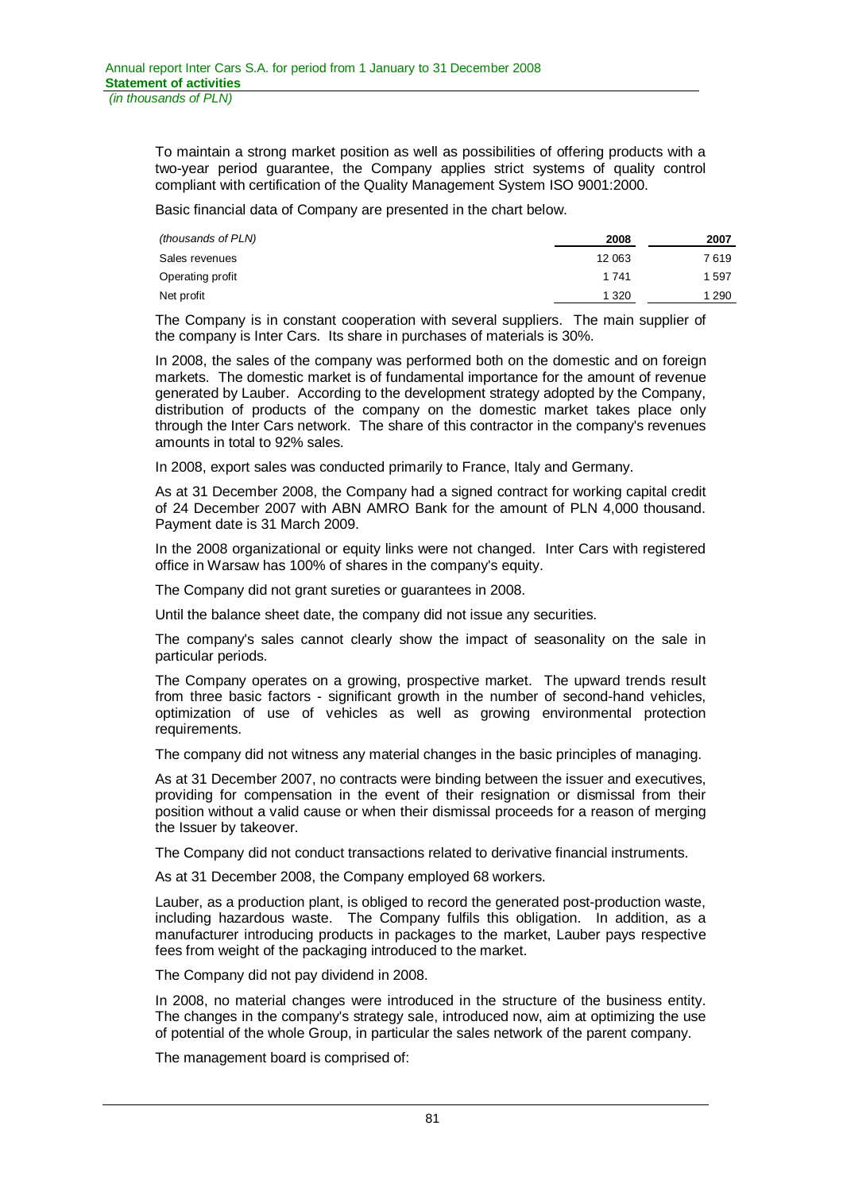To maintain a strong market position as well as possibilities of offering products with a two-year period guarantee, the Company applies strict systems of quality control compliant with certification of the Quality Management System ISO 9001:2000.

Basic financial data of Company are presented in the chart below.

| (thousands of PLN) | 2008    | 2007    |
|--------------------|---------|---------|
| Sales revenues     | 12 063  | 7 619   |
| Operating profit   | 1 7 4 1 | 1597    |
| Net profit         | 1 3 2 0 | 1 2 9 0 |
|                    |         |         |

The Company is in constant cooperation with several suppliers. The main supplier of the company is Inter Cars. Its share in purchases of materials is 30%.

In 2008, the sales of the company was performed both on the domestic and on foreign markets. The domestic market is of fundamental importance for the amount of revenue generated by Lauber. According to the development strategy adopted by the Company, distribution of products of the company on the domestic market takes place only through the Inter Cars network. The share of this contractor in the company's revenues amounts in total to 92% sales.

In 2008, export sales was conducted primarily to France, Italy and Germany.

As at 31 December 2008, the Company had a signed contract for working capital credit of 24 December 2007 with ABN AMRO Bank for the amount of PLN 4,000 thousand. Payment date is 31 March 2009.

In the 2008 organizational or equity links were not changed. Inter Cars with registered office in Warsaw has 100% of shares in the company's equity.

The Company did not grant sureties or guarantees in 2008.

Until the balance sheet date, the company did not issue any securities.

The company's sales cannot clearly show the impact of seasonality on the sale in particular periods.

The Company operates on a growing, prospective market. The upward trends result from three basic factors - significant growth in the number of second-hand vehicles, optimization of use of vehicles as well as growing environmental protection requirements.

The company did not witness any material changes in the basic principles of managing.

As at 31 December 2007, no contracts were binding between the issuer and executives, providing for compensation in the event of their resignation or dismissal from their position without a valid cause or when their dismissal proceeds for a reason of merging the Issuer by takeover.

The Company did not conduct transactions related to derivative financial instruments.

As at 31 December 2008, the Company employed 68 workers.

Lauber, as a production plant, is obliged to record the generated post-production waste, including hazardous waste. The Company fulfils this obligation. In addition, as a manufacturer introducing products in packages to the market, Lauber pays respective fees from weight of the packaging introduced to the market.

The Company did not pay dividend in 2008.

In 2008, no material changes were introduced in the structure of the business entity. The changes in the company's strategy sale, introduced now, aim at optimizing the use of potential of the whole Group, in particular the sales network of the parent company.

The management board is comprised of: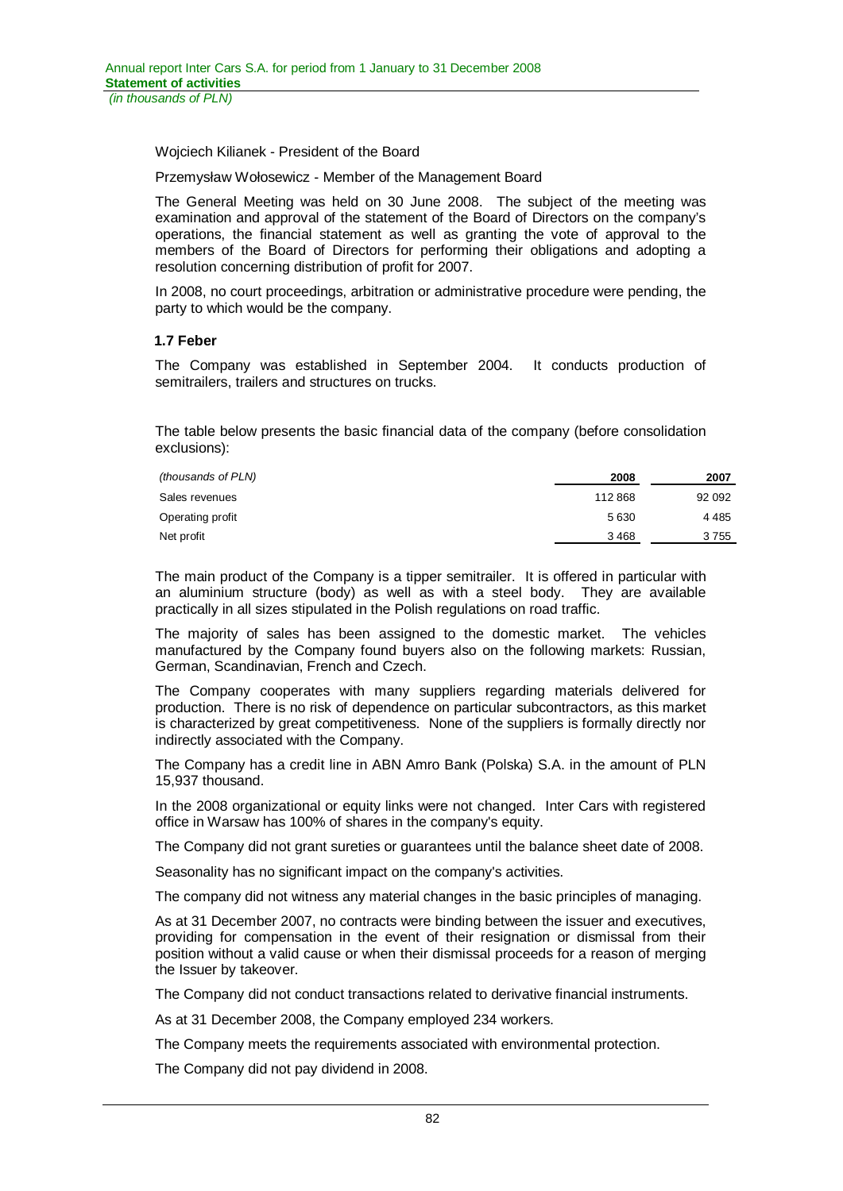Wojciech Kilianek - President of the Board

Przemysław Wołosewicz - Member of the Management Board

The General Meeting was held on 30 June 2008. The subject of the meeting was examination and approval of the statement of the Board of Directors on the company's operations, the financial statement as well as granting the vote of approval to the members of the Board of Directors for performing their obligations and adopting a resolution concerning distribution of profit for 2007.

In 2008, no court proceedings, arbitration or administrative procedure were pending, the party to which would be the company.

### **1.7 Feber**

The Company was established in September 2004. It conducts production of semitrailers, trailers and structures on trucks.

The table below presents the basic financial data of the company (before consolidation exclusions):

| (thousands of PLN) | 2008   | 2007    |
|--------------------|--------|---------|
| Sales revenues     | 112868 | 92 092  |
| Operating profit   | 5630   | 4 4 8 5 |
| Net profit         | 3468   | 3 755   |

The main product of the Company is a tipper semitrailer. It is offered in particular with an aluminium structure (body) as well as with a steel body. They are available practically in all sizes stipulated in the Polish regulations on road traffic.

The majority of sales has been assigned to the domestic market. The vehicles manufactured by the Company found buyers also on the following markets: Russian, German, Scandinavian, French and Czech.

The Company cooperates with many suppliers regarding materials delivered for production. There is no risk of dependence on particular subcontractors, as this market is characterized by great competitiveness. None of the suppliers is formally directly nor indirectly associated with the Company.

The Company has a credit line in ABN Amro Bank (Polska) S.A. in the amount of PLN 15,937 thousand.

In the 2008 organizational or equity links were not changed. Inter Cars with registered office in Warsaw has 100% of shares in the company's equity.

The Company did not grant sureties or guarantees until the balance sheet date of 2008.

Seasonality has no significant impact on the company's activities.

The company did not witness any material changes in the basic principles of managing.

As at 31 December 2007, no contracts were binding between the issuer and executives, providing for compensation in the event of their resignation or dismissal from their position without a valid cause or when their dismissal proceeds for a reason of merging the Issuer by takeover.

The Company did not conduct transactions related to derivative financial instruments.

As at 31 December 2008, the Company employed 234 workers.

The Company meets the requirements associated with environmental protection.

The Company did not pay dividend in 2008.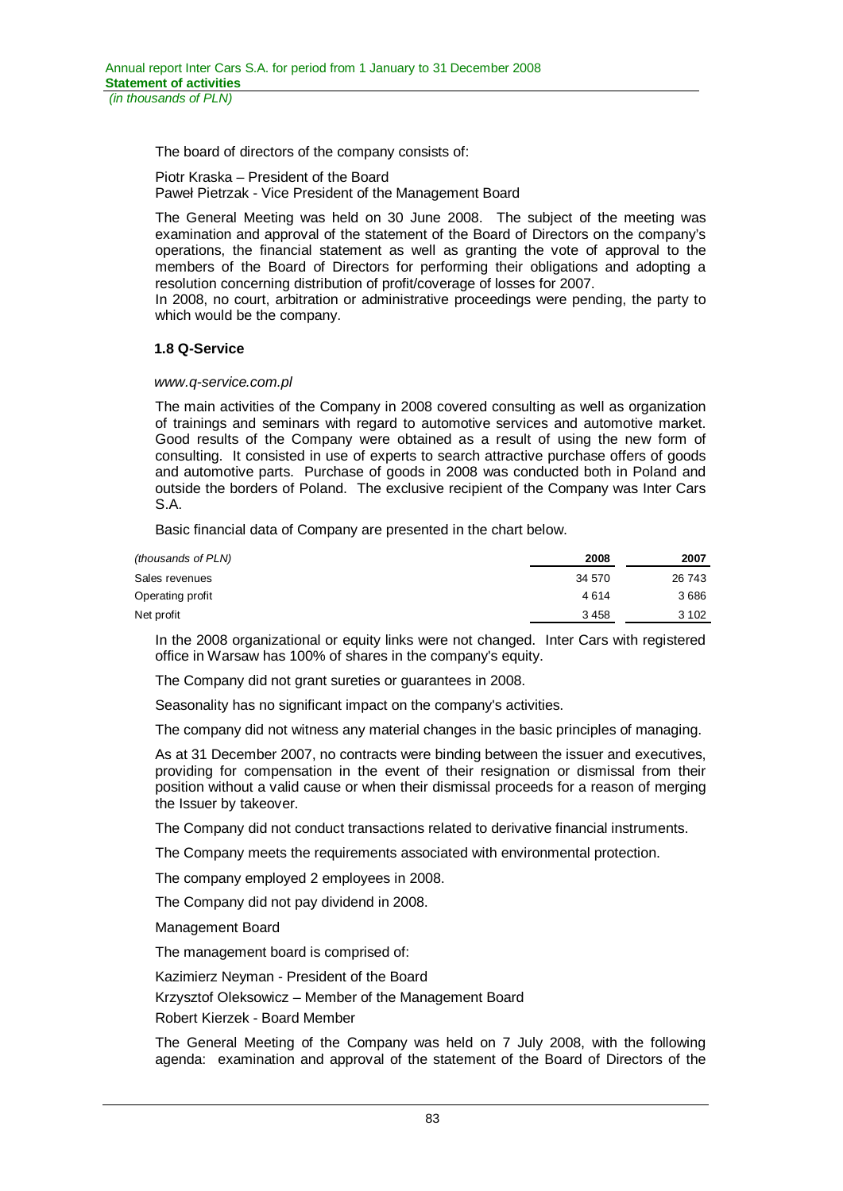The board of directors of the company consists of:

Piotr Kraska – President of the Board Paweá Pietrzak - Vice President of the Management Board

The General Meeting was held on 30 June 2008. The subject of the meeting was examination and approval of the statement of the Board of Directors on the company's operations, the financial statement as well as granting the vote of approval to the members of the Board of Directors for performing their obligations and adopting a resolution concerning distribution of profit/coverage of losses for 2007.

In 2008, no court, arbitration or administrative proceedings were pending, the party to which would be the company.

# **1.8 Q-Service**

### *www.q-service.com.pl*

The main activities of the Company in 2008 covered consulting as well as organization of trainings and seminars with regard to automotive services and automotive market. Good results of the Company were obtained as a result of using the new form of consulting. It consisted in use of experts to search attractive purchase offers of goods and automotive parts. Purchase of goods in 2008 was conducted both in Poland and outside the borders of Poland. The exclusive recipient of the Company was Inter Cars S.A.

Basic financial data of Company are presented in the chart below.

| (thousands of PLN) | 2008   | 2007    |
|--------------------|--------|---------|
| Sales revenues     | 34 570 | 26 743  |
| Operating profit   | 4614   | 3686    |
| Net profit         | 3458   | 3 1 0 2 |

In the 2008 organizational or equity links were not changed. Inter Cars with registered office in Warsaw has 100% of shares in the company's equity.

The Company did not grant sureties or guarantees in 2008.

Seasonality has no significant impact on the company's activities.

The company did not witness any material changes in the basic principles of managing.

As at 31 December 2007, no contracts were binding between the issuer and executives, providing for compensation in the event of their resignation or dismissal from their position without a valid cause or when their dismissal proceeds for a reason of merging the Issuer by takeover.

The Company did not conduct transactions related to derivative financial instruments.

The Company meets the requirements associated with environmental protection.

The company employed 2 employees in 2008.

The Company did not pay dividend in 2008.

Management Board

The management board is comprised of:

Kazimierz Neyman - President of the Board

Krzysztof Oleksowicz – Member of the Management Board

Robert Kierzek - Board Member

The General Meeting of the Company was held on 7 July 2008, with the following agenda: examination and approval of the statement of the Board of Directors of the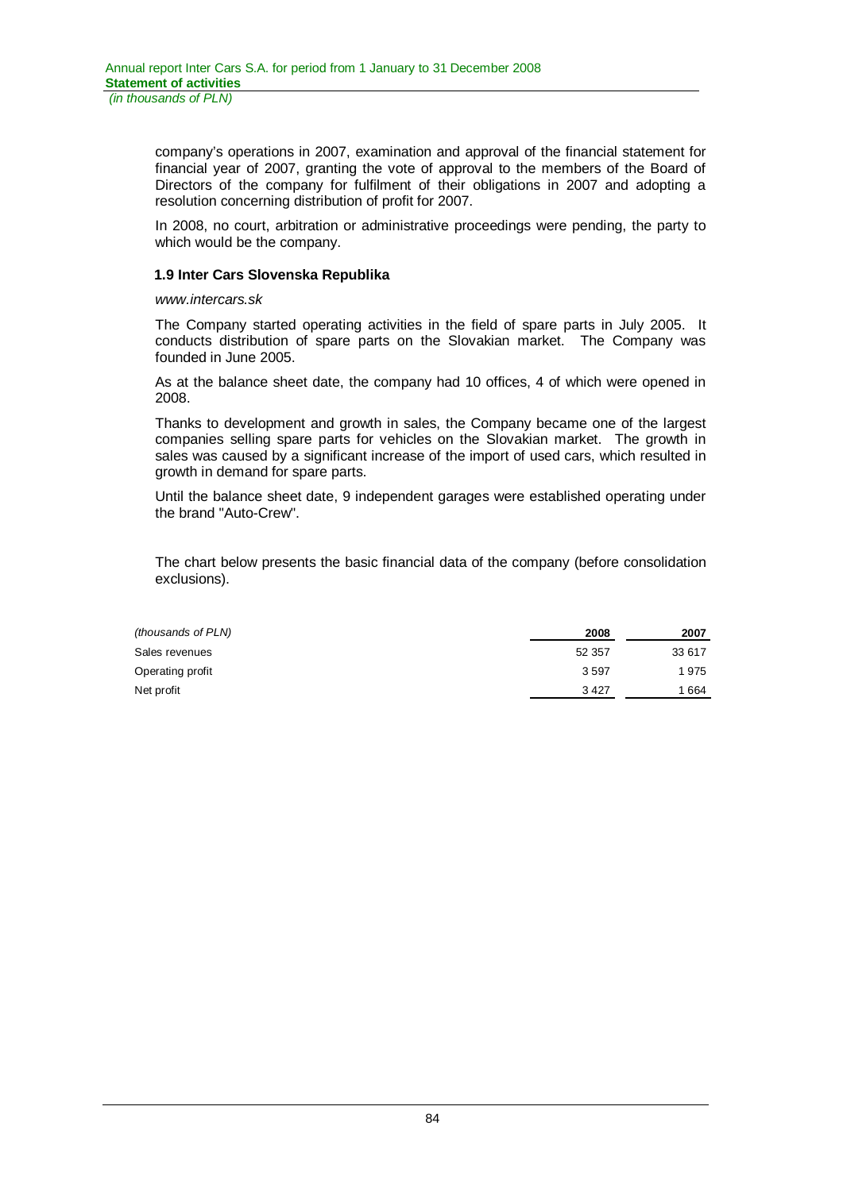company's operations in 2007, examination and approval of the financial statement for financial year of 2007, granting the vote of approval to the members of the Board of Directors of the company for fulfilment of their obligations in 2007 and adopting a resolution concerning distribution of profit for 2007.

In 2008, no court, arbitration or administrative proceedings were pending, the party to which would be the company.

### **1.9 Inter Cars Slovenska Republika**

### *www.intercars.sk*

The Company started operating activities in the field of spare parts in July 2005. It conducts distribution of spare parts on the Slovakian market. The Company was founded in June 2005.

As at the balance sheet date, the company had 10 offices, 4 of which were opened in 2008.

Thanks to development and growth in sales, the Company became one of the largest companies selling spare parts for vehicles on the Slovakian market. The growth in sales was caused by a significant increase of the import of used cars, which resulted in growth in demand for spare parts.

Until the balance sheet date, 9 independent garages were established operating under the brand "Auto-Crew".

The chart below presents the basic financial data of the company (before consolidation exclusions).

| 2008   | 2007   |
|--------|--------|
| 52 357 | 33 617 |
| 3597   | 1 975  |
| 3427   | 1 664  |
|        |        |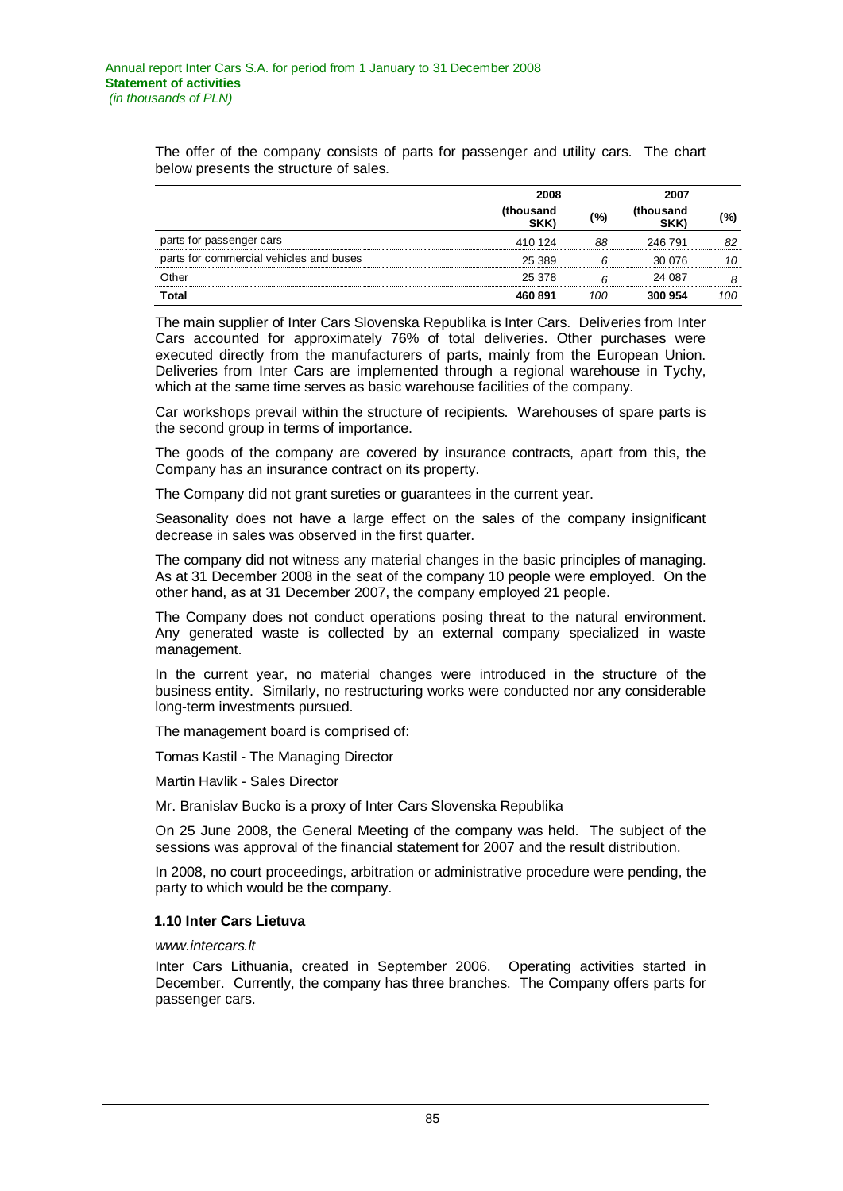The offer of the company consists of parts for passenger and utility cars. The chart below presents the structure of sales.

|                                         | 2008              |     |                   |     | 2007 |  |
|-----------------------------------------|-------------------|-----|-------------------|-----|------|--|
|                                         | (thousand<br>SKK) | (%) | (thousand<br>SKK) | (%) |      |  |
| parts for passenger cars                | 410 124           | 88  | 246 791           | 82  |      |  |
| parts for commercial vehicles and buses | 25 389            |     | 30 076            | 10  |      |  |
| Other                                   | 25 378            |     | 24 087            |     |      |  |
| Total                                   | 460891            | 100 | 300 954           | 100 |      |  |

The main supplier of Inter Cars Slovenska Republika is Inter Cars. Deliveries from Inter Cars accounted for approximately 76% of total deliveries. Other purchases were executed directly from the manufacturers of parts, mainly from the European Union. Deliveries from Inter Cars are implemented through a regional warehouse in Tychy, which at the same time serves as basic warehouse facilities of the company.

Car workshops prevail within the structure of recipients. Warehouses of spare parts is the second group in terms of importance.

The goods of the company are covered by insurance contracts, apart from this, the Company has an insurance contract on its property.

The Company did not grant sureties or guarantees in the current year.

Seasonality does not have a large effect on the sales of the company insignificant decrease in sales was observed in the first quarter.

The company did not witness any material changes in the basic principles of managing. As at 31 December 2008 in the seat of the company 10 people were employed. On the other hand, as at 31 December 2007, the company employed 21 people.

The Company does not conduct operations posing threat to the natural environment. Any generated waste is collected by an external company specialized in waste management.

In the current year, no material changes were introduced in the structure of the business entity. Similarly, no restructuring works were conducted nor any considerable long-term investments pursued.

The management board is comprised of:

Tomas Kastil - The Managing Director

Martin Havlik - Sales Director

Mr. Branislav Bucko is a proxy of Inter Cars Slovenska Republika

On 25 June 2008, the General Meeting of the company was held. The subject of the sessions was approval of the financial statement for 2007 and the result distribution.

In 2008, no court proceedings, arbitration or administrative procedure were pending, the party to which would be the company.

### **1.10 Inter Cars Lietuva**

### *www.intercars.lt*

Inter Cars Lithuania, created in September 2006. Operating activities started in December. Currently, the company has three branches. The Company offers parts for passenger cars.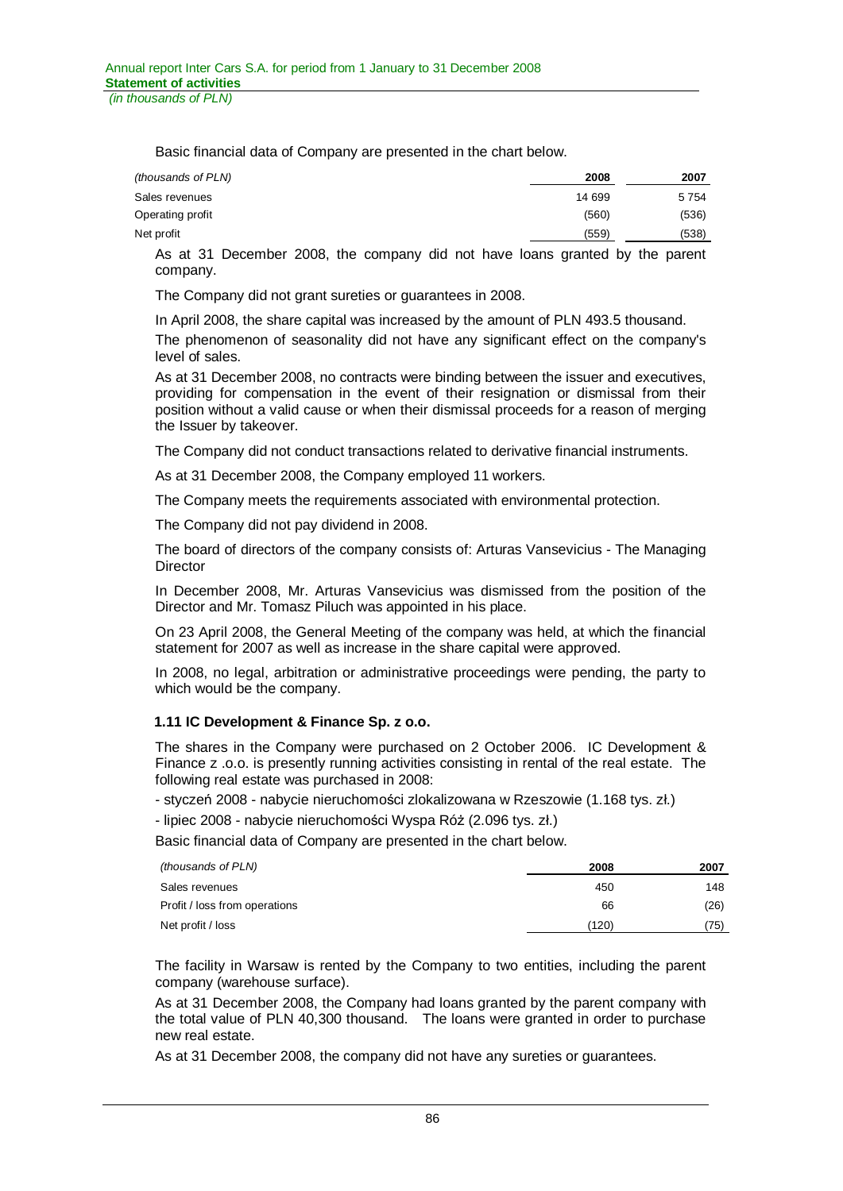Basic financial data of Company are presented in the chart below.

| (thousands of PLN) | 2008   | 2007    |
|--------------------|--------|---------|
| Sales revenues     | 14 699 | 5 7 5 4 |
| Operating profit   | (560)  | (536)   |
| Net profit         | (559)  | (538)   |

As at 31 December 2008, the company did not have loans granted by the parent company.

The Company did not grant sureties or guarantees in 2008.

In April 2008, the share capital was increased by the amount of PLN 493.5 thousand.

The phenomenon of seasonality did not have any significant effect on the company's level of sales.

As at 31 December 2008, no contracts were binding between the issuer and executives, providing for compensation in the event of their resignation or dismissal from their position without a valid cause or when their dismissal proceeds for a reason of merging the Issuer by takeover.

The Company did not conduct transactions related to derivative financial instruments.

As at 31 December 2008, the Company employed 11 workers.

The Company meets the requirements associated with environmental protection.

The Company did not pay dividend in 2008.

The board of directors of the company consists of: Arturas Vansevicius - The Managing **Director** 

In December 2008, Mr. Arturas Vansevicius was dismissed from the position of the Director and Mr. Tomasz Piluch was appointed in his place.

On 23 April 2008, the General Meeting of the company was held, at which the financial statement for 2007 as well as increase in the share capital were approved.

In 2008, no legal, arbitration or administrative proceedings were pending, the party to which would be the company.

# **1.11 IC Development & Finance Sp. z o.o.**

The shares in the Company were purchased on 2 October 2006. IC Development & Finance z .o.o. is presently running activities consisting in rental of the real estate. The following real estate was purchased in 2008:

- styczeń 2008 - nabycie nieruchomości zlokalizowana w Rzeszowie (1.168 tys. zł.)

- lipiec 2008 - nabycie nieruchomości Wyspa Róż (2.096 tys. zł.)

Basic financial data of Company are presented in the chart below.

| (thousands of PLN)            | 2008  | 2007 |
|-------------------------------|-------|------|
| Sales revenues                | 450   | 148  |
| Profit / loss from operations | 66    | (26) |
| Net profit / loss             | (120) | (75) |

The facility in Warsaw is rented by the Company to two entities, including the parent company (warehouse surface).

As at 31 December 2008, the Company had loans granted by the parent company with the total value of PLN 40,300 thousand. The loans were granted in order to purchase new real estate.

As at 31 December 2008, the company did not have any sureties or guarantees.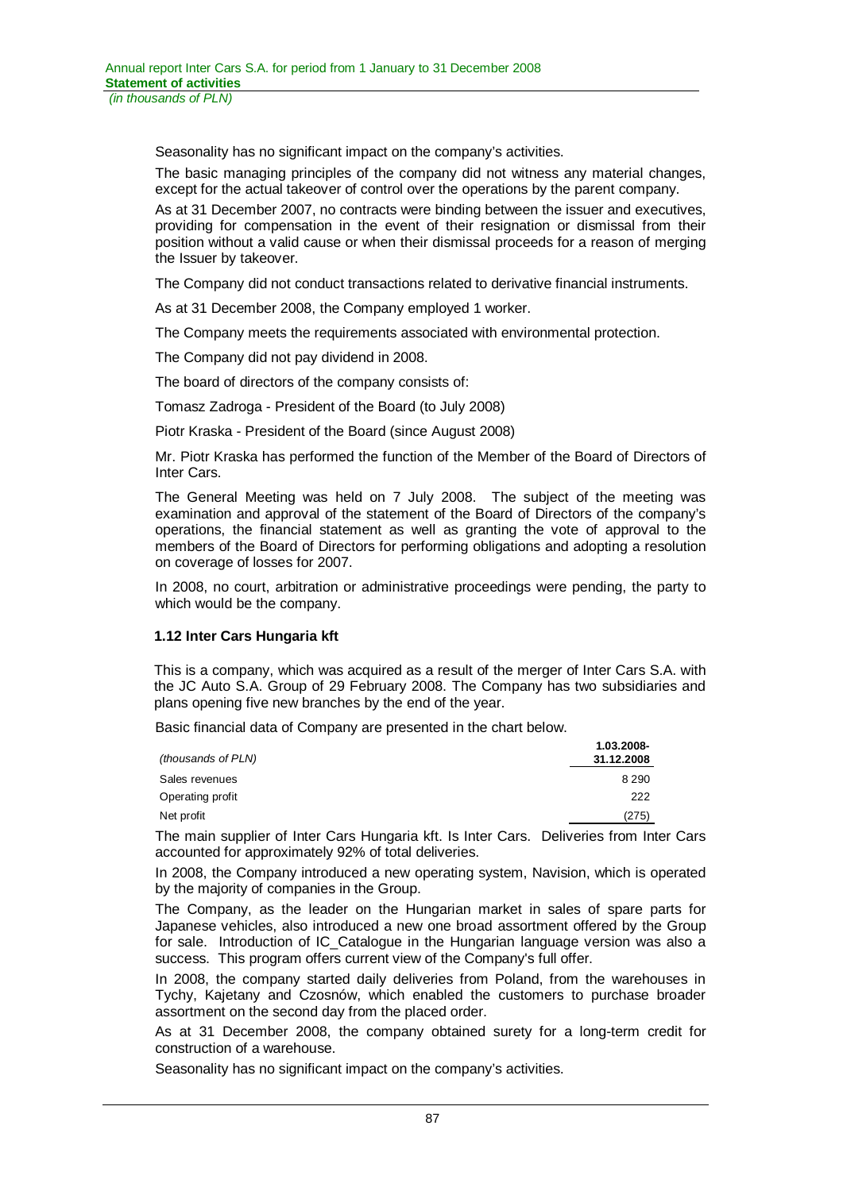Seasonality has no significant impact on the company's activities.

The basic managing principles of the company did not witness any material changes, except for the actual takeover of control over the operations by the parent company.

As at 31 December 2007, no contracts were binding between the issuer and executives, providing for compensation in the event of their resignation or dismissal from their position without a valid cause or when their dismissal proceeds for a reason of merging the Issuer by takeover.

The Company did not conduct transactions related to derivative financial instruments.

As at 31 December 2008, the Company employed 1 worker.

The Company meets the requirements associated with environmental protection.

The Company did not pay dividend in 2008.

The board of directors of the company consists of:

Tomasz Zadroga - President of the Board (to July 2008)

Piotr Kraska - President of the Board (since August 2008)

Mr. Piotr Kraska has performed the function of the Member of the Board of Directors of Inter Cars.

The General Meeting was held on 7 July 2008. The subject of the meeting was examination and approval of the statement of the Board of Directors of the company's operations, the financial statement as well as granting the vote of approval to the members of the Board of Directors for performing obligations and adopting a resolution on coverage of losses for 2007.

In 2008, no court, arbitration or administrative proceedings were pending, the party to which would be the company.

### **1.12 Inter Cars Hungaria kft**

This is a company, which was acquired as a result of the merger of Inter Cars S.A. with the JC Auto S.A. Group of 29 February 2008. The Company has two subsidiaries and plans opening five new branches by the end of the year.

Basic financial data of Company are presented in the chart below.

| (thousands of PLN) | 1.03.2008-<br>31.12.2008 |
|--------------------|--------------------------|
| Sales revenues     | 8 2 9 0                  |
| Operating profit   | 222                      |
| Net profit         | (275)                    |

The main supplier of Inter Cars Hungaria kft. Is Inter Cars. Deliveries from Inter Cars accounted for approximately 92% of total deliveries.

In 2008, the Company introduced a new operating system, Navision, which is operated by the majority of companies in the Group.

The Company, as the leader on the Hungarian market in sales of spare parts for Japanese vehicles, also introduced a new one broad assortment offered by the Group for sale. Introduction of IC\_Catalogue in the Hungarian language version was also a success. This program offers current view of the Company's full offer.

In 2008, the company started daily deliveries from Poland, from the warehouses in Tychy, Kajetany and Czosnów, which enabled the customers to purchase broader assortment on the second day from the placed order.

As at 31 December 2008, the company obtained surety for a long-term credit for construction of a warehouse.

Seasonality has no significant impact on the company's activities.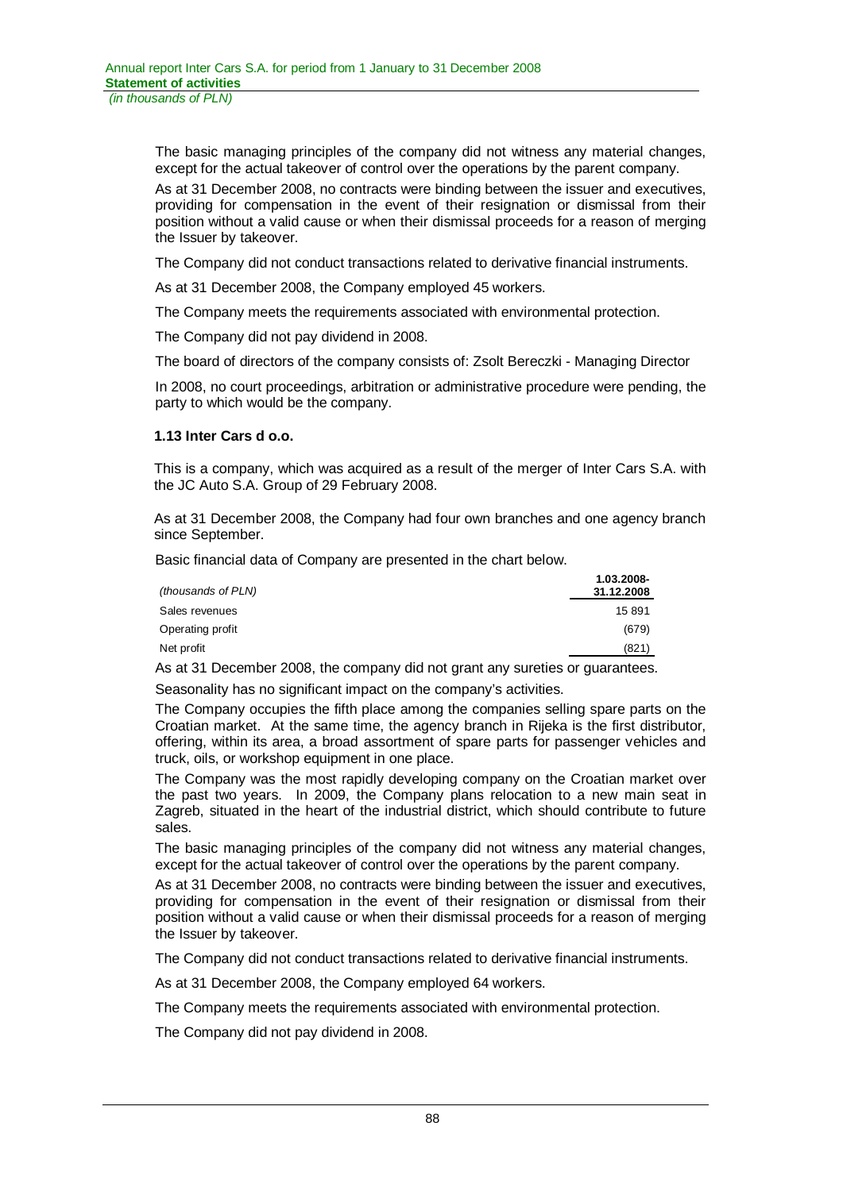The basic managing principles of the company did not witness any material changes, except for the actual takeover of control over the operations by the parent company.

As at 31 December 2008, no contracts were binding between the issuer and executives, providing for compensation in the event of their resignation or dismissal from their position without a valid cause or when their dismissal proceeds for a reason of merging the Issuer by takeover.

The Company did not conduct transactions related to derivative financial instruments.

As at 31 December 2008, the Company employed 45 workers.

The Company meets the requirements associated with environmental protection.

The Company did not pay dividend in 2008.

The board of directors of the company consists of: Zsolt Bereczki - Managing Director

In 2008, no court proceedings, arbitration or administrative procedure were pending, the party to which would be the company.

### **1.13 Inter Cars d o.o.**

This is a company, which was acquired as a result of the merger of Inter Cars S.A. with the JC Auto S.A. Group of 29 February 2008.

As at 31 December 2008, the Company had four own branches and one agency branch since September.

Basic financial data of Company are presented in the chart below.

|                    | 1.03.2008- |
|--------------------|------------|
| (thousands of PLN) | 31.12.2008 |
| Sales revenues     | 15 891     |
| Operating profit   | (679)      |
| Net profit         | (821)      |
|                    |            |

As at 31 December 2008, the company did not grant any sureties or guarantees. Seasonality has no significant impact on the company's activities.

The Company occupies the fifth place among the companies selling spare parts on the Croatian market. At the same time, the agency branch in Rijeka is the first distributor, offering, within its area, a broad assortment of spare parts for passenger vehicles and truck, oils, or workshop equipment in one place.

The Company was the most rapidly developing company on the Croatian market over the past two years. In 2009, the Company plans relocation to a new main seat in Zagreb, situated in the heart of the industrial district, which should contribute to future sales.

The basic managing principles of the company did not witness any material changes, except for the actual takeover of control over the operations by the parent company.

As at 31 December 2008, no contracts were binding between the issuer and executives, providing for compensation in the event of their resignation or dismissal from their position without a valid cause or when their dismissal proceeds for a reason of merging the Issuer by takeover.

The Company did not conduct transactions related to derivative financial instruments.

As at 31 December 2008, the Company employed 64 workers.

The Company meets the requirements associated with environmental protection.

The Company did not pay dividend in 2008.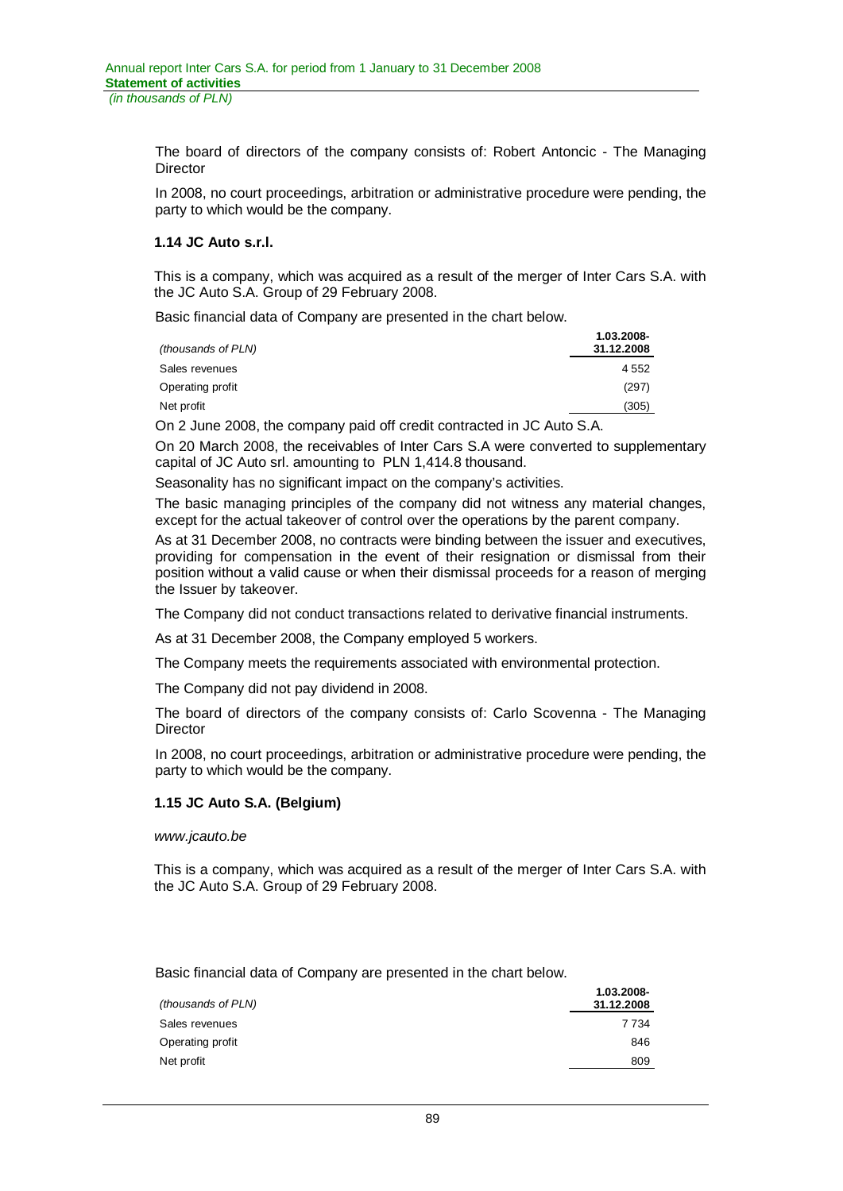The board of directors of the company consists of: Robert Antoncic - The Managing **Director** 

In 2008, no court proceedings, arbitration or administrative procedure were pending, the party to which would be the company.

### **1.14 JC Auto s.r.l.**

This is a company, which was acquired as a result of the merger of Inter Cars S.A. with the JC Auto S.A. Group of 29 February 2008.

Basic financial data of Company are presented in the chart below.

| (thousands of PLN) | 1.03.2008-<br>31.12.2008 |
|--------------------|--------------------------|
| Sales revenues     | 4552                     |
| Operating profit   | (297)                    |
| Net profit         | (305)                    |

On 2 June 2008, the company paid off credit contracted in JC Auto S.A.

On 20 March 2008, the receivables of Inter Cars S.A were converted to supplementary capital of JC Auto srl. amounting to PLN 1,414.8 thousand.

Seasonality has no significant impact on the company's activities.

The basic managing principles of the company did not witness any material changes, except for the actual takeover of control over the operations by the parent company.

As at 31 December 2008, no contracts were binding between the issuer and executives, providing for compensation in the event of their resignation or dismissal from their position without a valid cause or when their dismissal proceeds for a reason of merging the Issuer by takeover.

The Company did not conduct transactions related to derivative financial instruments.

As at 31 December 2008, the Company employed 5 workers.

The Company meets the requirements associated with environmental protection.

The Company did not pay dividend in 2008.

The board of directors of the company consists of: Carlo Scovenna - The Managing **Director** 

In 2008, no court proceedings, arbitration or administrative procedure were pending, the party to which would be the company.

### **1.15 JC Auto S.A. (Belgium)**

*www.jcauto.be* 

This is a company, which was acquired as a result of the merger of Inter Cars S.A. with the JC Auto S.A. Group of 29 February 2008.

Basic financial data of Company are presented in the chart below.

| (thousands of PLN) | 1.03.2008-<br>31.12.2008 |
|--------------------|--------------------------|
| Sales revenues     | 7 7 3 4                  |
| Operating profit   | 846                      |
| Net profit         | 809                      |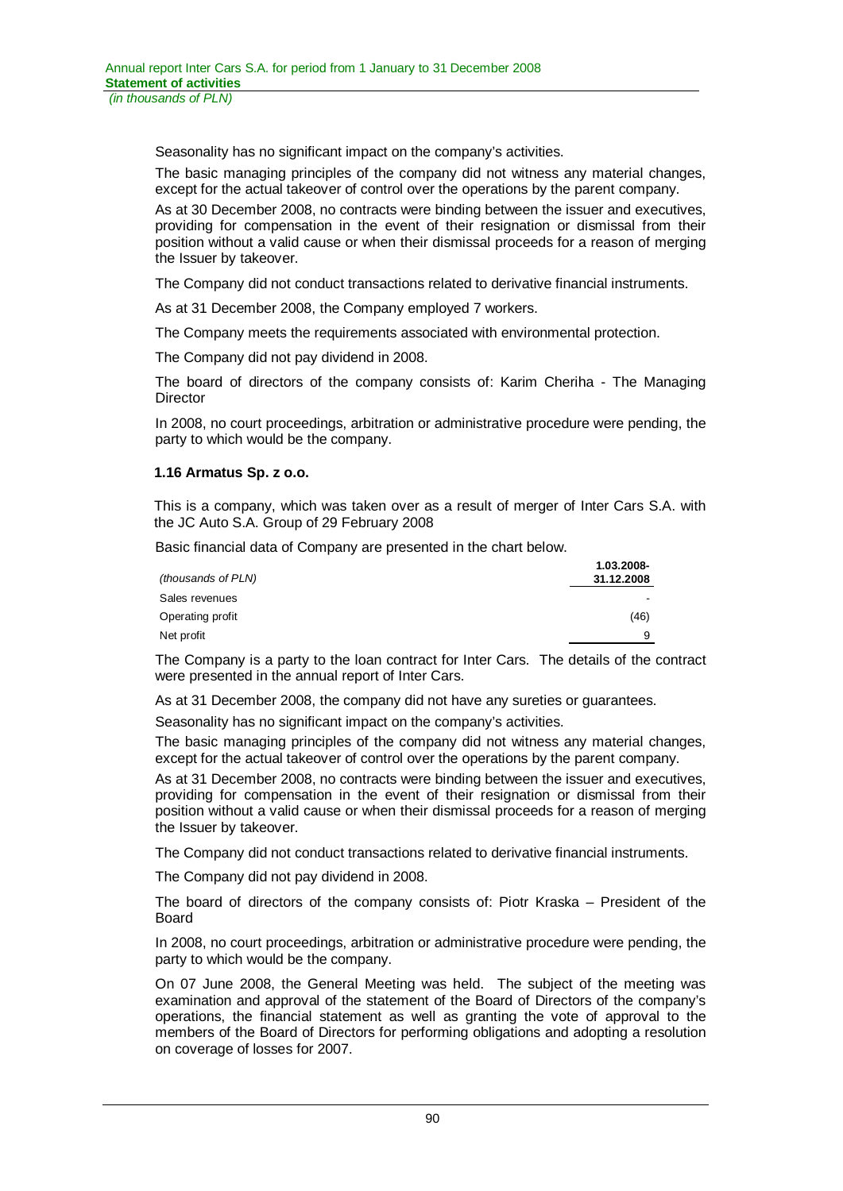Seasonality has no significant impact on the company's activities.

The basic managing principles of the company did not witness any material changes, except for the actual takeover of control over the operations by the parent company.

As at 30 December 2008, no contracts were binding between the issuer and executives, providing for compensation in the event of their resignation or dismissal from their position without a valid cause or when their dismissal proceeds for a reason of merging the Issuer by takeover.

The Company did not conduct transactions related to derivative financial instruments.

As at 31 December 2008, the Company employed 7 workers.

The Company meets the requirements associated with environmental protection.

The Company did not pay dividend in 2008.

The board of directors of the company consists of: Karim Cheriha - The Managing **Director** 

In 2008, no court proceedings, arbitration or administrative procedure were pending, the party to which would be the company.

### **1.16 Armatus Sp. z o.o.**

This is a company, which was taken over as a result of merger of Inter Cars S.A. with the JC Auto S.A. Group of 29 February 2008

Basic financial data of Company are presented in the chart below.

| (thousands of PLN) | 1.03.2008-<br>31.12.2008 |
|--------------------|--------------------------|
| Sales revenues     |                          |
| Operating profit   | (46)                     |
| Net profit         | 9                        |

The Company is a party to the loan contract for Inter Cars. The details of the contract were presented in the annual report of Inter Cars.

As at 31 December 2008, the company did not have any sureties or guarantees.

Seasonality has no significant impact on the company's activities.

The basic managing principles of the company did not witness any material changes, except for the actual takeover of control over the operations by the parent company.

As at 31 December 2008, no contracts were binding between the issuer and executives, providing for compensation in the event of their resignation or dismissal from their position without a valid cause or when their dismissal proceeds for a reason of merging the Issuer by takeover.

The Company did not conduct transactions related to derivative financial instruments.

The Company did not pay dividend in 2008.

The board of directors of the company consists of: Piotr Kraska – President of the Board

In 2008, no court proceedings, arbitration or administrative procedure were pending, the party to which would be the company.

On 07 June 2008, the General Meeting was held. The subject of the meeting was examination and approval of the statement of the Board of Directors of the company's operations, the financial statement as well as granting the vote of approval to the members of the Board of Directors for performing obligations and adopting a resolution on coverage of losses for 2007.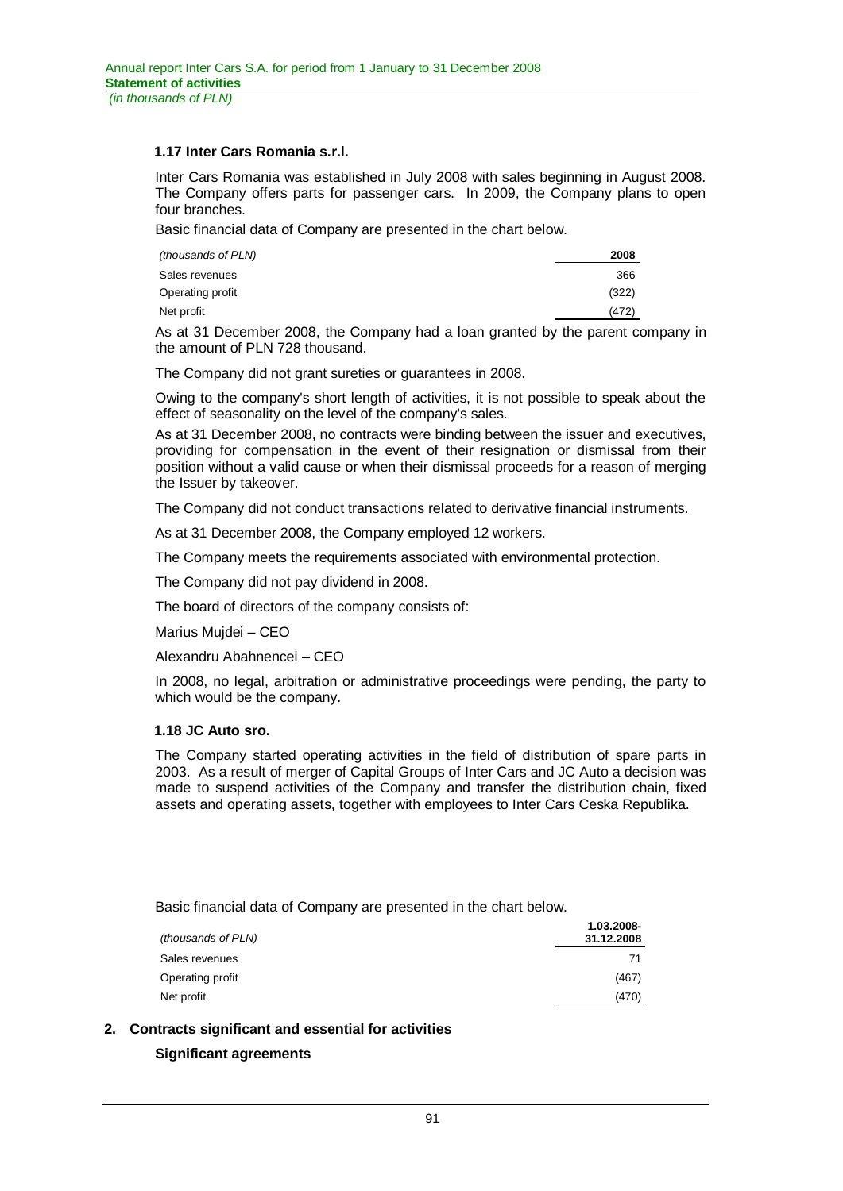### **1.17 Inter Cars Romania s.r.l.**

Inter Cars Romania was established in July 2008 with sales beginning in August 2008. The Company offers parts for passenger cars. In 2009, the Company plans to open four branches.

Basic financial data of Company are presented in the chart below.

| 2008  |
|-------|
| 366   |
| (322) |
| (472) |
|       |

As at 31 December 2008, the Company had a loan granted by the parent company in the amount of PLN 728 thousand.

The Company did not grant sureties or guarantees in 2008.

Owing to the company's short length of activities, it is not possible to speak about the effect of seasonality on the level of the company's sales.

As at 31 December 2008, no contracts were binding between the issuer and executives, providing for compensation in the event of their resignation or dismissal from their position without a valid cause or when their dismissal proceeds for a reason of merging the Issuer by takeover.

The Company did not conduct transactions related to derivative financial instruments.

As at 31 December 2008, the Company employed 12 workers.

The Company meets the requirements associated with environmental protection.

The Company did not pay dividend in 2008.

The board of directors of the company consists of:

Marius Mujdei – CEO

Alexandru Abahnencei – CEO

In 2008, no legal, arbitration or administrative proceedings were pending, the party to which would be the company.

# **1.18 JC Auto sro.**

The Company started operating activities in the field of distribution of spare parts in 2003. As a result of merger of Capital Groups of Inter Cars and JC Auto a decision was made to suspend activities of the Company and transfer the distribution chain, fixed assets and operating assets, together with employees to Inter Cars Ceska Republika.

Basic financial data of Company are presented in the chart below.

| (thousands of PLN) | 1.03.2008-<br>31.12.2008 |
|--------------------|--------------------------|
| Sales revenues     | 71                       |
| Operating profit   | (467)                    |
| Net profit         | (470)                    |

**2. Contracts significant and essential for activities** 

# **Significant agreements**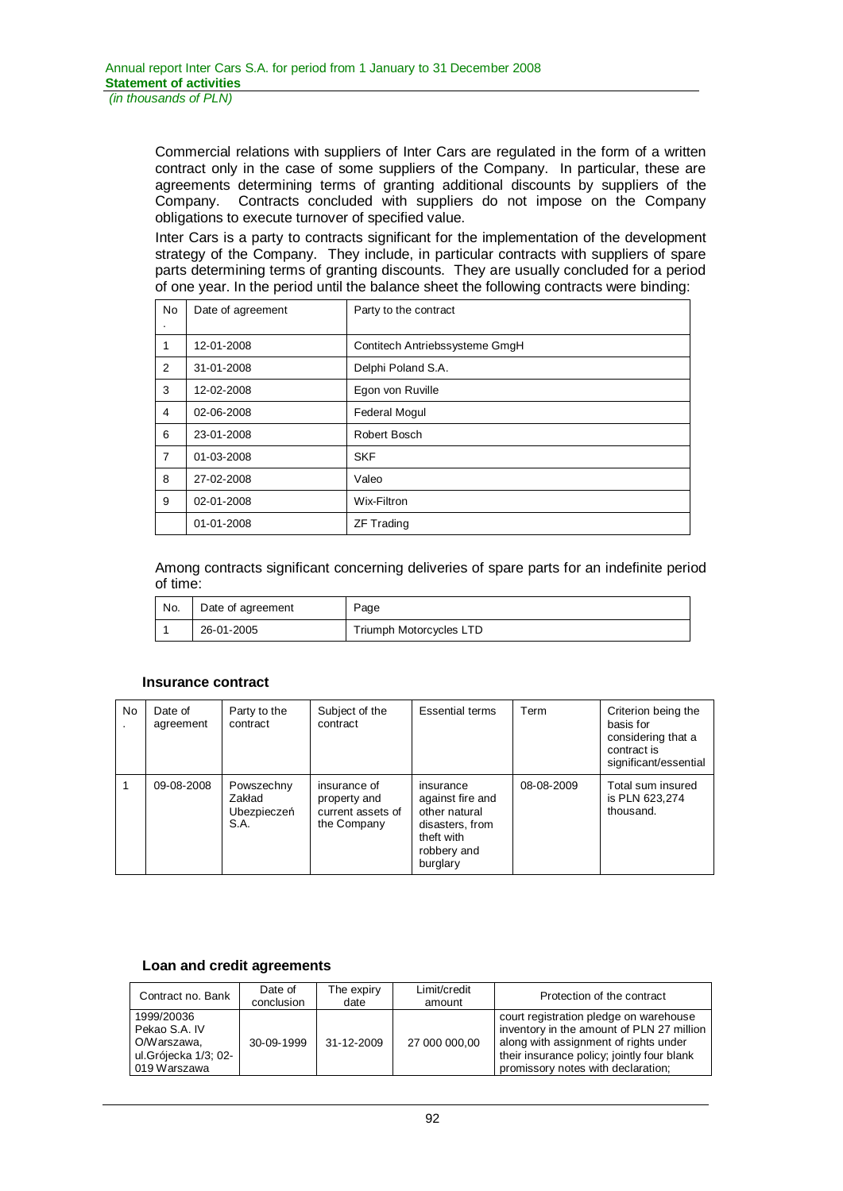Commercial relations with suppliers of Inter Cars are regulated in the form of a written contract only in the case of some suppliers of the Company. In particular, these are agreements determining terms of granting additional discounts by suppliers of the Company. Contracts concluded with suppliers do not impose on the Company obligations to execute turnover of specified value.

Inter Cars is a party to contracts significant for the implementation of the development strategy of the Company. They include, in particular contracts with suppliers of spare parts determining terms of granting discounts. They are usually concluded for a period of one year. In the period until the balance sheet the following contracts were binding:

| <b>No</b>      | Date of agreement | Party to the contract          |
|----------------|-------------------|--------------------------------|
| 1              | 12-01-2008        | Contitech Antriebssysteme GmgH |
| 2              | 31-01-2008        | Delphi Poland S.A.             |
| 3              | 12-02-2008        | Egon von Ruville               |
| 4              | 02-06-2008        | <b>Federal Mogul</b>           |
| 6              | 23-01-2008        | Robert Bosch                   |
| $\overline{7}$ | 01-03-2008        | <b>SKF</b>                     |
| 8              | 27-02-2008        | Valeo                          |
| 9              | 02-01-2008        | Wix-Filtron                    |
|                | 01-01-2008        | <b>ZF Trading</b>              |

Among contracts significant concerning deliveries of spare parts for an indefinite period of time:

| No. | Date of agreement | Page                    |
|-----|-------------------|-------------------------|
|     | 26-01-2005        | Triumph Motorcycles LTD |

### **Insurance contract**

| No | Date of<br>agreement | Party to the<br>contract                    | Subject of the<br>contract                                       | <b>Essential terms</b>                                                                                     | Term       | Criterion being the<br>basis for<br>considering that a<br>contract is<br>significant/essential |
|----|----------------------|---------------------------------------------|------------------------------------------------------------------|------------------------------------------------------------------------------------------------------------|------------|------------------------------------------------------------------------------------------------|
|    | 09-08-2008           | Powszechny<br>Zakład<br>Ubezpieczeń<br>S.A. | insurance of<br>property and<br>current assets of<br>the Company | insurance<br>against fire and<br>other natural<br>disasters, from<br>theft with<br>robbery and<br>burglary | 08-08-2009 | Total sum insured<br>is PLN 623,274<br>thousand.                                               |

### **Loan and credit agreements**

| Contract no. Bank                                                                  | Date of<br>conclusion | The expiry<br>date | Limit/credit<br>amount | Protection of the contract                                                                                                                                                                                       |
|------------------------------------------------------------------------------------|-----------------------|--------------------|------------------------|------------------------------------------------------------------------------------------------------------------------------------------------------------------------------------------------------------------|
| 1999/20036<br>Pekao S.A. IV<br>O/Warszawa.<br>ul.Grójecka 1/3; 02-<br>019 Warszawa | 30-09-1999            | 31-12-2009         | 27 000 000,00          | court registration pledge on warehouse<br>inventory in the amount of PLN 27 million<br>along with assignment of rights under<br>their insurance policy; jointly four blank<br>promissory notes with declaration; |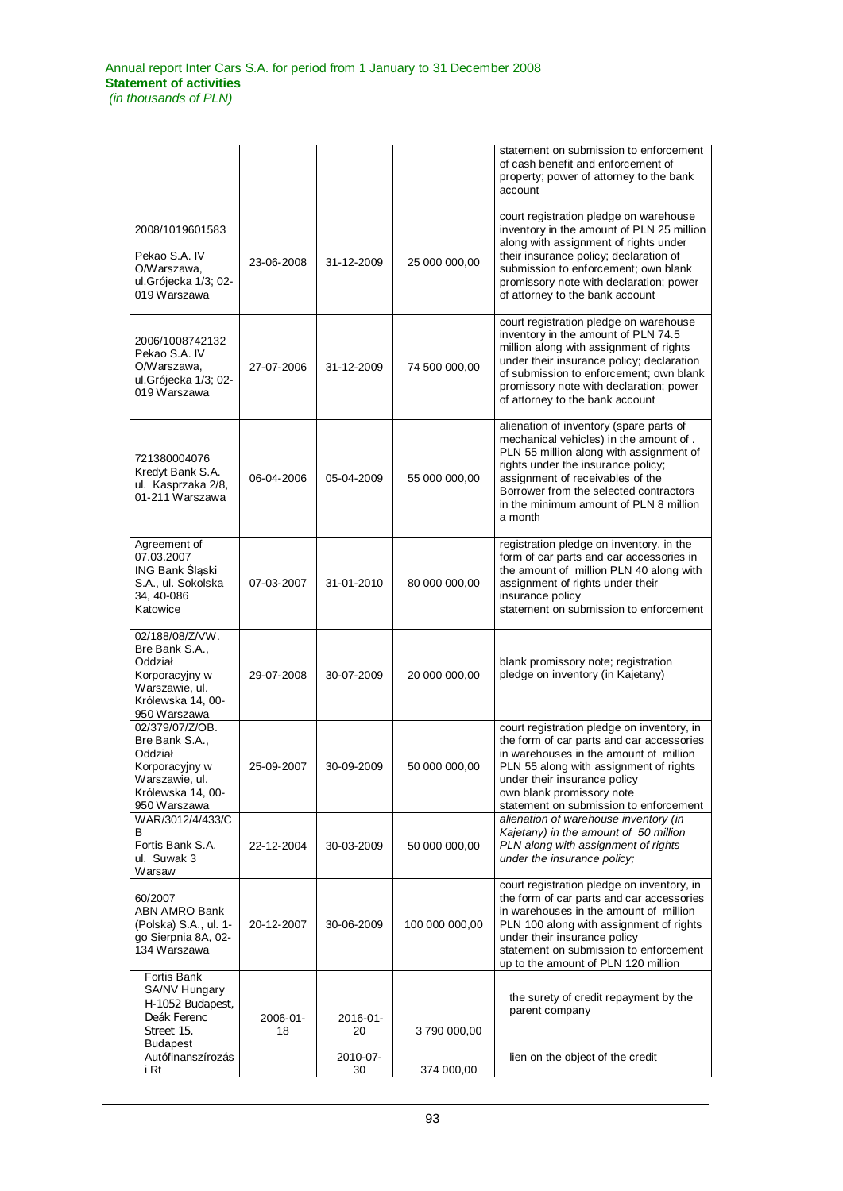*(in thousands of PLN)*

|                                                                                                                       |                |                |                | statement on submission to enforcement<br>of cash benefit and enforcement of<br>property; power of attorney to the bank<br>account                                                                                                                                                                    |
|-----------------------------------------------------------------------------------------------------------------------|----------------|----------------|----------------|-------------------------------------------------------------------------------------------------------------------------------------------------------------------------------------------------------------------------------------------------------------------------------------------------------|
| 2008/1019601583<br>Pekao S.A. IV<br>O/Warszawa,<br>ul.Grójecka 1/3; 02-<br>019 Warszawa                               | 23-06-2008     | 31-12-2009     | 25 000 000,00  | court registration pledge on warehouse<br>inventory in the amount of PLN 25 million<br>along with assignment of rights under<br>their insurance policy; declaration of<br>submission to enforcement; own blank<br>promissory note with declaration; power<br>of attorney to the bank account          |
| 2006/1008742132<br>Pekao S.A. IV<br>O/Warszawa,<br>ul.Grójecka 1/3; 02-<br>019 Warszawa                               | 27-07-2006     | 31-12-2009     | 74 500 000,00  | court registration pledge on warehouse<br>inventory in the amount of PLN 74.5<br>million along with assignment of rights<br>under their insurance policy; declaration<br>of submission to enforcement; own blank<br>promissory note with declaration; power<br>of attorney to the bank account        |
| 721380004076<br>Kredyt Bank S.A.<br>ul. Kasprzaka 2/8,<br>01-211 Warszawa                                             | 06-04-2006     | 05-04-2009     | 55 000 000,00  | alienation of inventory (spare parts of<br>mechanical vehicles) in the amount of.<br>PLN 55 million along with assignment of<br>rights under the insurance policy;<br>assignment of receivables of the<br>Borrower from the selected contractors<br>in the minimum amount of PLN 8 million<br>a month |
| Agreement of<br>07.03.2007<br>ING Bank Śląski<br>S.A., ul. Sokolska<br>34, 40-086<br>Katowice                         | 07-03-2007     | 31-01-2010     | 80 000 000,00  | registration pledge on inventory, in the<br>form of car parts and car accessories in<br>the amount of million PLN 40 along with<br>assignment of rights under their<br>insurance policy<br>statement on submission to enforcement                                                                     |
| 02/188/08/Z/VW.<br>Bre Bank S.A.,<br>Oddział<br>Korporacyjny w<br>Warszawie, ul.<br>Królewska 14, 00-<br>950 Warszawa | 29-07-2008     | 30-07-2009     | 20 000 000,00  | blank promissory note; registration<br>pledge on inventory (in Kajetany)                                                                                                                                                                                                                              |
| 02/379/07/Z/OB.<br>Bre Bank S.A<br>Oddział<br>Korporacyjny w<br>Warszawie, ul.<br>Królewska 14, 00-<br>950 Warszawa   | 25-09-2007     | 30-09-2009     | 50 000 000,00  | court registration pledge on inventory, in<br>the form of car parts and car accessories<br>in warehouses in the amount of million<br>PLN 55 along with assignment of rights<br>under their insurance policy<br>own blank promissory note<br>statement on submission to enforcement                    |
| WAR/3012/4/433/C<br>В<br>Fortis Bank S.A.<br>ul. Suwak 3<br>Warsaw                                                    | 22-12-2004     | 30-03-2009     | 50 000 000,00  | alienation of warehouse inventory (in<br>Kajetany) in the amount of 50 million<br>PLN along with assignment of rights<br>under the insurance policy;                                                                                                                                                  |
| 60/2007<br>ABN AMRO Bank<br>(Polska) S.A., ul. 1-<br>go Sierpnia 8A, 02-<br>134 Warszawa                              | 20-12-2007     | 30-06-2009     | 100 000 000,00 | court registration pledge on inventory, in<br>the form of car parts and car accessories<br>in warehouses in the amount of million<br>PLN 100 along with assignment of rights<br>under their insurance policy<br>statement on submission to enforcement<br>up to the amount of PLN 120 million         |
| Fortis Bank<br>SA/NV Hungary<br>H-1052 Budapest,<br>Deák Ferenc<br>Street 15.                                         | 2006-01-<br>18 | 2016-01-<br>20 | 3790 000,00    | the surety of credit repayment by the<br>parent company                                                                                                                                                                                                                                               |
| <b>Budapest</b><br>Autófinanszírozás<br>i Rt                                                                          |                | 2010-07-<br>30 | 374 000,00     | lien on the object of the credit                                                                                                                                                                                                                                                                      |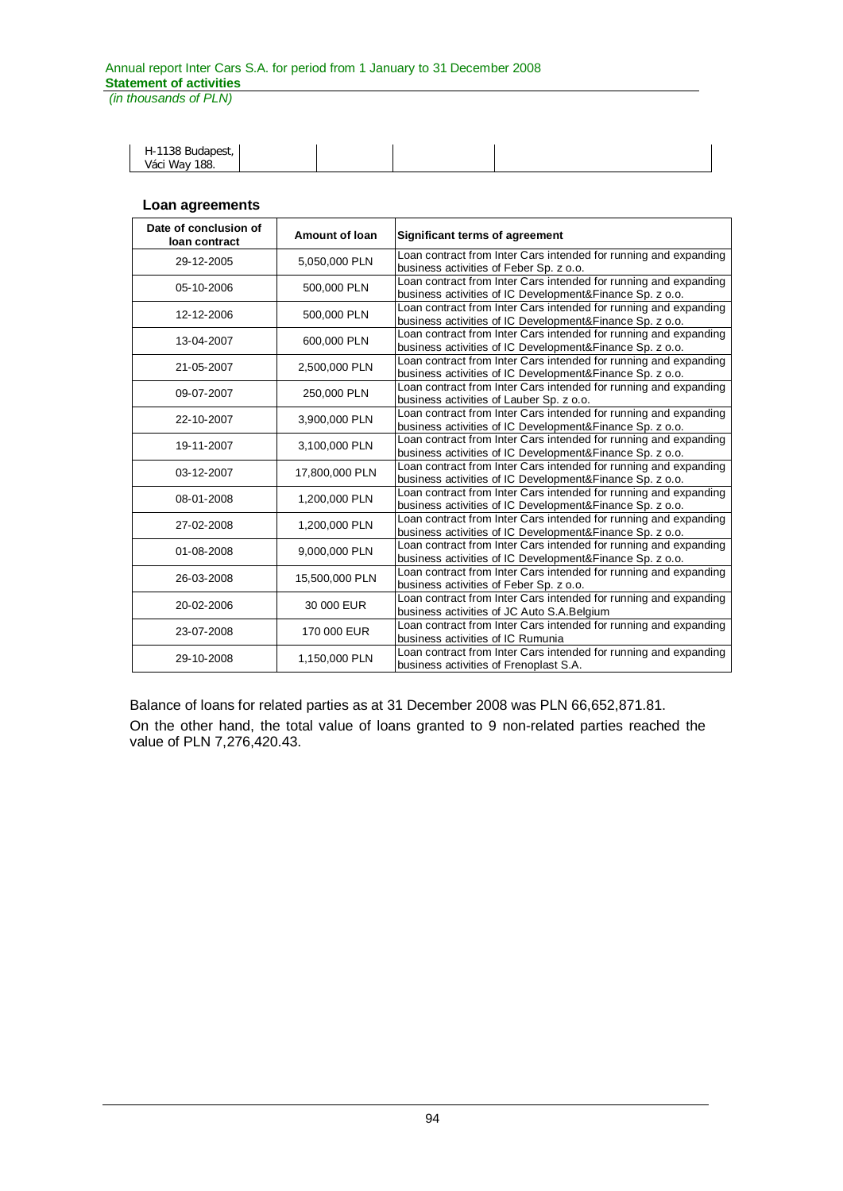| H-1138 Budapest, |  |  |  |
|------------------|--|--|--|
| Váci Way 188.    |  |  |  |
|                  |  |  |  |

### **Loan agreements**

| Date of conclusion of<br>loan contract | Amount of Ioan | <b>Significant terms of agreement</b>                                                                                         |
|----------------------------------------|----------------|-------------------------------------------------------------------------------------------------------------------------------|
| 29-12-2005                             | 5,050,000 PLN  | Loan contract from Inter Cars intended for running and expanding<br>business activities of Feber Sp. z o.o.                   |
| 05-10-2006                             | 500,000 PLN    | Loan contract from Inter Cars intended for running and expanding<br>business activities of IC Development&Finance Sp. z o.o.  |
| 12-12-2006                             | 500,000 PLN    | Loan contract from Inter Cars intended for running and expanding<br>business activities of IC Development&Finance Sp. z o.o.  |
| 13-04-2007                             | 600,000 PLN    | Loan contract from Inter Cars intended for running and expanding<br>business activities of IC Development&Finance Sp. z o.o.  |
| 21-05-2007                             | 2,500,000 PLN  | Loan contract from Inter Cars intended for running and expanding<br>business activities of IC Development&Finance Sp. z o.o.  |
| 09-07-2007                             | 250,000 PLN    | Loan contract from Inter Cars intended for running and expanding<br>business activities of Lauber Sp. z o.o.                  |
| 22-10-2007                             | 3,900,000 PLN  | Loan contract from Inter Cars intended for running and expanding<br>business activities of IC Development& Finance Sp. z o.o. |
| 19-11-2007                             | 3,100,000 PLN  | Loan contract from Inter Cars intended for running and expanding<br>business activities of IC Development&Finance Sp. z o.o.  |
| 03-12-2007                             | 17,800,000 PLN | Loan contract from Inter Cars intended for running and expanding<br>business activities of IC Development&Finance Sp. z o.o.  |
| 08-01-2008                             | 1,200,000 PLN  | Loan contract from Inter Cars intended for running and expanding<br>business activities of IC Development& Finance Sp. z o.o. |
| 27-02-2008                             | 1,200,000 PLN  | Loan contract from Inter Cars intended for running and expanding<br>business activities of IC Development&Finance Sp. z o.o.  |
| 01-08-2008                             | 9,000,000 PLN  | Loan contract from Inter Cars intended for running and expanding<br>business activities of IC Development&Finance Sp. z o.o.  |
| 26-03-2008                             | 15,500,000 PLN | Loan contract from Inter Cars intended for running and expanding<br>business activities of Feber Sp. z o.o.                   |
| 20-02-2006                             | 30 000 EUR     | Loan contract from Inter Cars intended for running and expanding<br>business activities of JC Auto S.A. Belgium               |
| 23-07-2008                             | 170 000 EUR    | Loan contract from Inter Cars intended for running and expanding<br>business activities of IC Rumunia                         |
| 29-10-2008                             | 1,150,000 PLN  | Loan contract from Inter Cars intended for running and expanding<br>business activities of Frenoplast S.A.                    |

Balance of loans for related parties as at 31 December 2008 was PLN 66,652,871.81. On the other hand, the total value of loans granted to 9 non-related parties reached the value of PLN 7,276,420.43.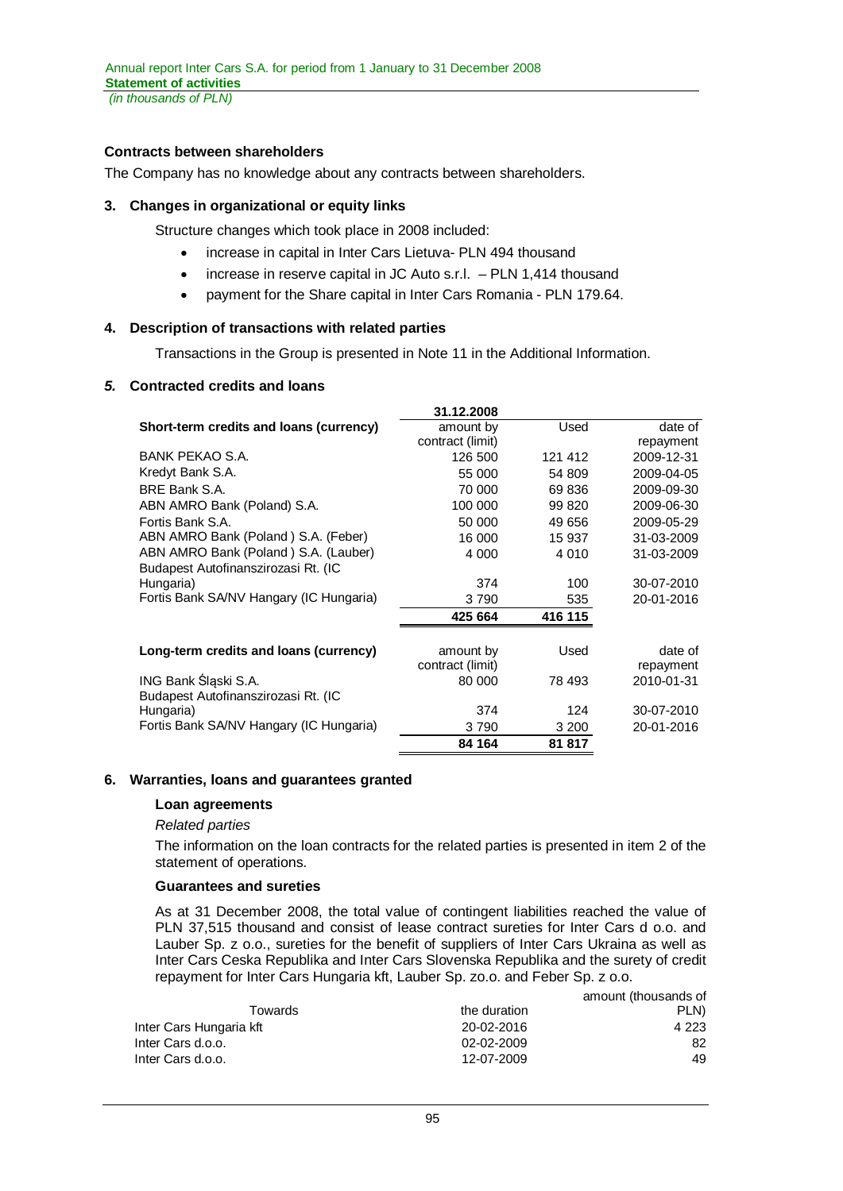*(in thousands of PLN)*

# **Contracts between shareholders**

The Company has no knowledge about any contracts between shareholders.

### **3. Changes in organizational or equity links**

Structure changes which took place in 2008 included:

- increase in capital in Inter Cars Lietuva- PLN 494 thousand
- increase in reserve capital in JC Auto s.r.l.  $-$  PLN 1,414 thousand
- payment for the Share capital in Inter Cars Romania PLN 179.64.

### **4. Description of transactions with related parties**

Transactions in the Group is presented in Note 11 in the Additional Information.

### *5.* **Contracted credits and loans**

|                                         | 31.12.2008       |         |            |
|-----------------------------------------|------------------|---------|------------|
| Short-term credits and loans (currency) | amount by        | Used    | date of    |
|                                         | contract (limit) |         | repayment  |
| BANK PEKAO S.A.                         | 126 500          | 121 412 | 2009-12-31 |
| Kredyt Bank S.A.                        | 55 000           | 54 809  | 2009-04-05 |
| BRE Bank S.A.                           | 70 000           | 69 836  | 2009-09-30 |
| ABN AMRO Bank (Poland) S.A.             | 100 000          | 99 820  | 2009-06-30 |
| Fortis Bank S.A.                        | 50 000           | 49 656  | 2009-05-29 |
| ABN AMRO Bank (Poland) S.A. (Feber)     | 16 000           | 15 937  | 31-03-2009 |
| ABN AMRO Bank (Poland) S.A. (Lauber)    | 4 0 0 0          | 4 0 1 0 | 31-03-2009 |
| Budapest Autofinanszirozasi Rt. (IC     |                  |         |            |
| Hungaria)                               | 374              | 100     | 30-07-2010 |
| Fortis Bank SA/NV Hangary (IC Hungaria) | 3790             | 535     | 20-01-2016 |
|                                         | 425 664          | 416 115 |            |
| Long-term credits and loans (currency)  | amount by        | Used    | date of    |
|                                         | contract (limit) |         | repayment  |
| ING Bank Śląski S.A.                    | 80 000           | 78 493  | 2010-01-31 |
| Budapest Autofinanszirozasi Rt. (IC     |                  |         |            |
| Hungaria)                               | 374              | 124     | 30-07-2010 |
| Fortis Bank SA/NV Hangary (IC Hungaria) | 3790             | 3 200   | 20-01-2016 |
|                                         | 84 164           | 81 817  |            |

### **6. Warranties, loans and guarantees granted**

### **Loan agreements**

### *Related parties*

The information on the loan contracts for the related parties is presented in item 2 of the statement of operations.

### **Guarantees and sureties**

As at 31 December 2008, the total value of contingent liabilities reached the value of PLN 37,515 thousand and consist of lease contract sureties for Inter Cars d o.o. and Lauber Sp. z o.o., sureties for the benefit of suppliers of Inter Cars Ukraina as well as Inter Cars Ceska Republika and Inter Cars Slovenska Republika and the surety of credit repayment for Inter Cars Hungaria kft, Lauber Sp. zo.o. and Feber Sp. z o.o.

|                         |              | amount (thousands of |
|-------------------------|--------------|----------------------|
| Towards                 | the duration | PLN)                 |
| Inter Cars Hungaria kft | 20-02-2016   | 4 2 2 3              |
| Inter Cars d.o.o.       | 02-02-2009   | 82                   |
| Inter Cars d.o.o.       | 12-07-2009   | 49                   |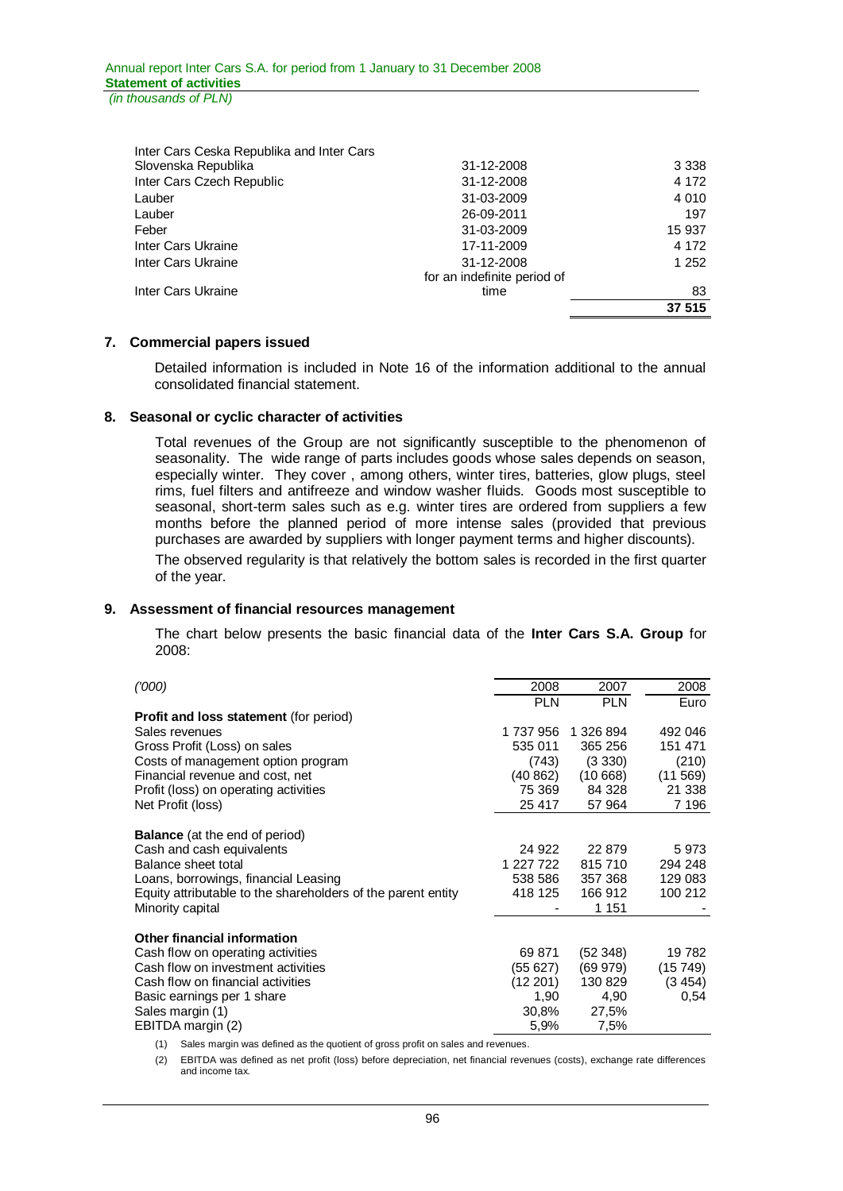| Inter Cars Ceska Republika and Inter Cars |                             |         |
|-------------------------------------------|-----------------------------|---------|
| Slovenska Republika                       | 31-12-2008                  | 3 3 3 8 |
| Inter Cars Czech Republic                 | 31-12-2008                  | 4 1 7 2 |
| Lauber                                    | 31-03-2009                  | 4 0 1 0 |
| Lauber                                    | 26-09-2011                  | 197     |
| Feber                                     | 31-03-2009                  | 15 937  |
| Inter Cars Ukraine                        | 17-11-2009                  | 4 1 7 2 |
| Inter Cars Ukraine                        | 31-12-2008                  | 1 2 5 2 |
|                                           | for an indefinite period of |         |
| Inter Cars Ukraine                        | time                        | 83      |
|                                           |                             | 37 515  |

### **7. Commercial papers issued**

Detailed information is included in Note 16 of the information additional to the annual consolidated financial statement.

### **8. Seasonal or cyclic character of activities**

Total revenues of the Group are not significantly susceptible to the phenomenon of seasonality. The wide range of parts includes goods whose sales depends on season, especially winter. They cover , among others, winter tires, batteries, glow plugs, steel rims, fuel filters and antifreeze and window washer fluids. Goods most susceptible to seasonal, short-term sales such as e.g. winter tires are ordered from suppliers a few months before the planned period of more intense sales (provided that previous purchases are awarded by suppliers with longer payment terms and higher discounts).

The observed regularity is that relatively the bottom sales is recorded in the first quarter of the year.

### **9. Assessment of financial resources management**

The chart below presents the basic financial data of the **Inter Cars S.A. Group** for 2008:

| (000)                                                        | 2008       | 2007       | 2008    |
|--------------------------------------------------------------|------------|------------|---------|
|                                                              | <b>PLN</b> | <b>PLN</b> | Euro    |
| <b>Profit and loss statement (for period)</b>                |            |            |         |
| Sales revenues                                               | 1 737 956  | 1 326 894  | 492 046 |
| Gross Profit (Loss) on sales                                 | 535 011    | 365 256    | 151 471 |
| Costs of management option program                           | (743)      | (3330)     | (210)   |
| Financial revenue and cost, net                              | (40 862)   | (10668)    | (11569) |
| Profit (loss) on operating activities                        | 75 369     | 84 328     | 21 338  |
| Net Profit (loss)                                            | 25 417     | 57 964     | 7 196   |
|                                                              |            |            |         |
| <b>Balance</b> (at the end of period)                        |            |            |         |
| Cash and cash equivalents                                    | 24 922     | 22 879     | 5973    |
| Balance sheet total                                          | 1 227 722  | 815710     | 294 248 |
| Loans, borrowings, financial Leasing                         | 538 586    | 357 368    | 129 083 |
| Equity attributable to the shareholders of the parent entity | 418 125    | 166 912    | 100 212 |
| Minority capital                                             |            | 1 151      |         |
|                                                              |            |            |         |
| <b>Other financial information</b>                           |            |            |         |
| Cash flow on operating activities                            | 69 871     | (52 348)   | 19782   |
| Cash flow on investment activities                           | (55 627)   | (69 979)   | (15749) |
| Cash flow on financial activities                            | (12 201)   | 130 829    | (3454)  |
| Basic earnings per 1 share                                   | 1,90       | 4,90       | 0.54    |
| Sales margin (1)                                             | 30,8%      | 27,5%      |         |
| EBITDA margin (2)                                            | 5,9%       | 7,5%       |         |

(1) Sales margin was defined as the quotient of gross profit on sales and revenues.

(2) EBITDA was defined as net profit (loss) before depreciation, net financial revenues (costs), exchange rate differences and income tax.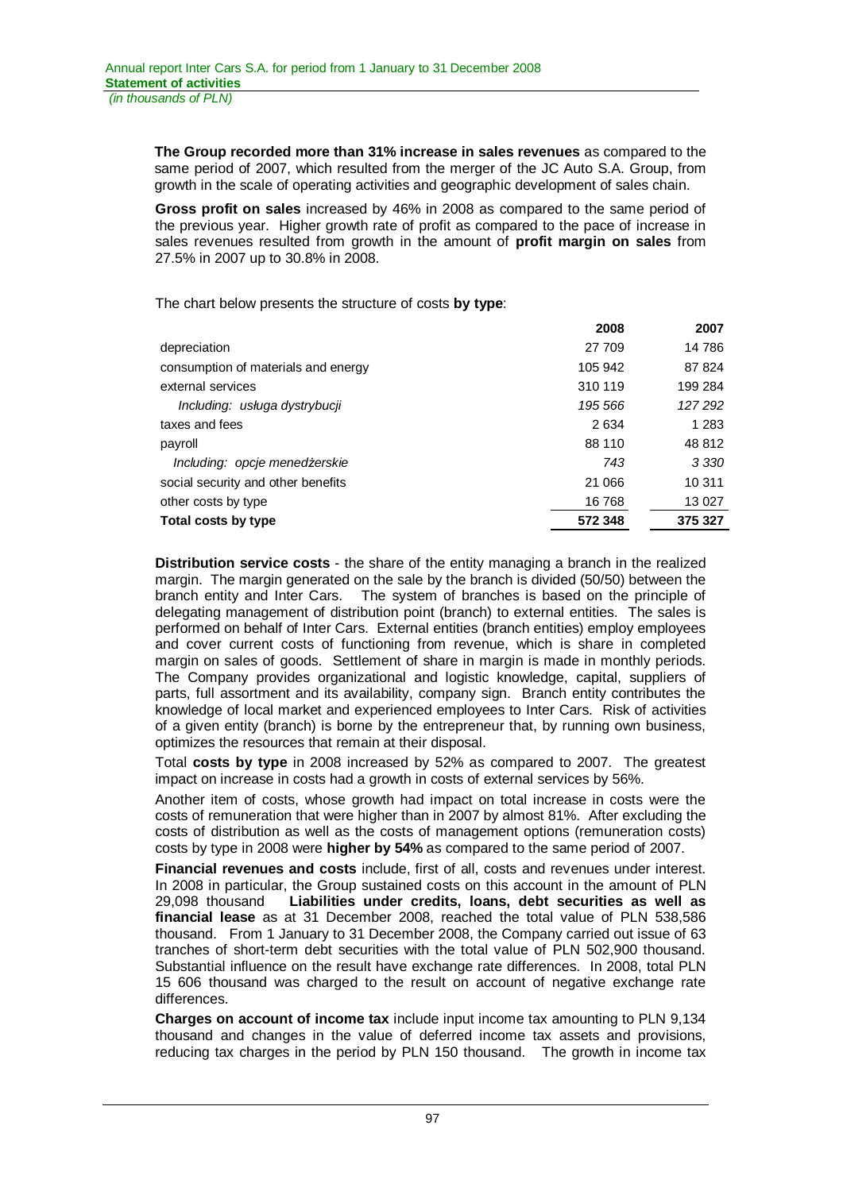**The Group recorded more than 31% increase in sales revenues** as compared to the same period of 2007, which resulted from the merger of the JC Auto S.A. Group, from growth in the scale of operating activities and geographic development of sales chain.

**Gross profit on sales** increased by 46% in 2008 as compared to the same period of the previous year. Higher growth rate of profit as compared to the pace of increase in sales revenues resulted from growth in the amount of **profit margin on sales** from 27.5% in 2007 up to 30.8% in 2008.

The chart below presents the structure of costs **by type**:

|                                     | 2008    | 2007    |
|-------------------------------------|---------|---------|
| depreciation                        | 27 709  | 14 786  |
| consumption of materials and energy | 105 942 | 87824   |
| external services                   | 310 119 | 199 284 |
| Including: usługa dystrybucji       | 195 566 | 127292  |
| taxes and fees                      | 2634    | 1 283   |
| payroll                             | 88 110  | 48 812  |
| Including: opcje menedżerskie       | 743     | 3 3 3 0 |
| social security and other benefits  | 21 066  | 10 311  |
| other costs by type                 | 16 768  | 13 0 27 |
| Total costs by type                 | 572 348 | 375 327 |

**Distribution service costs** - the share of the entity managing a branch in the realized margin. The margin generated on the sale by the branch is divided (50/50) between the branch entity and Inter Cars. The system of branches is based on the principle of delegating management of distribution point (branch) to external entities. The sales is performed on behalf of Inter Cars. External entities (branch entities) employ employees and cover current costs of functioning from revenue, which is share in completed margin on sales of goods. Settlement of share in margin is made in monthly periods. The Company provides organizational and logistic knowledge, capital, suppliers of parts, full assortment and its availability, company sign. Branch entity contributes the knowledge of local market and experienced employees to Inter Cars. Risk of activities of a given entity (branch) is borne by the entrepreneur that, by running own business, optimizes the resources that remain at their disposal.

Total **costs by type** in 2008 increased by 52% as compared to 2007. The greatest impact on increase in costs had a growth in costs of external services by 56%.

Another item of costs, whose growth had impact on total increase in costs were the costs of remuneration that were higher than in 2007 by almost 81%. After excluding the costs of distribution as well as the costs of management options (remuneration costs) costs by type in 2008 were **higher by 54%** as compared to the same period of 2007.

**Financial revenues and costs** include, first of all, costs and revenues under interest. In 2008 in particular, the Group sustained costs on this account in the amount of PLN 29,098 thousand **Liabilities under credits, loans, debt securities as well as financial lease** as at 31 December 2008, reached the total value of PLN 538,586 thousand. From 1 January to 31 December 2008, the Company carried out issue of 63 tranches of short-term debt securities with the total value of PLN 502,900 thousand. Substantial influence on the result have exchange rate differences. In 2008, total PLN 15 606 thousand was charged to the result on account of negative exchange rate differences.

**Charges on account of income tax** include input income tax amounting to PLN 9,134 thousand and changes in the value of deferred income tax assets and provisions, reducing tax charges in the period by PLN 150 thousand. The growth in income tax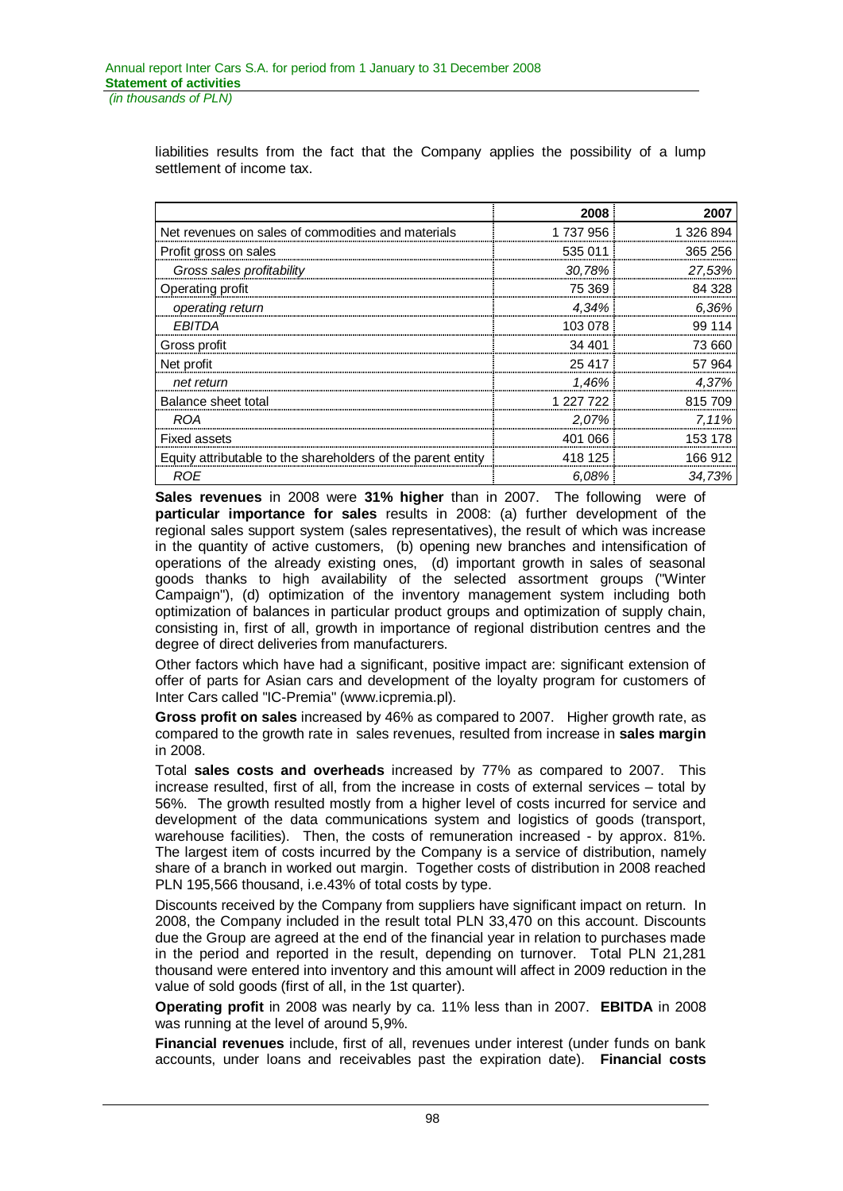liabilities results from the fact that the Company applies the possibility of a lump settlement of income tax.

|                                                              | 2008      | 2007      |
|--------------------------------------------------------------|-----------|-----------|
| Net revenues on sales of commodities and materials           | 1737956   | 1 326 894 |
| Profit gross on sales                                        | 535 011   | 365 256   |
| Gross sales profitability                                    | 30,78%    | 27,53%    |
| Operating profit                                             | 75 369    | 84 328    |
| operating return                                             | 4,34%     | 6.36%     |
| <b>EBITDA</b>                                                | 103 078   | 99 114    |
| Gross profit                                                 | 34 401    | 73 660    |
| Net profit                                                   | 25 417    | 57 964    |
| net return                                                   | 1,46%     | 4,37%     |
| Balance sheet total                                          | 1 227 722 | 815 709   |
| <b>ROA</b>                                                   | 2.07%     | 7.11%     |
| <b>Fixed assets</b>                                          | 401 066   | 153 178   |
| Equity attributable to the shareholders of the parent entity | 418 125   | 166 912   |
| ROE                                                          | 6.08%     | 34.73%    |

**Sales revenues** in 2008 were **31% higher** than in 2007. The following were of **particular importance for sales** results in 2008: (a) further development of the regional sales support system (sales representatives), the result of which was increase in the quantity of active customers, (b) opening new branches and intensification of operations of the already existing ones, (d) important growth in sales of seasonal goods thanks to high availability of the selected assortment groups ("Winter Campaign"), (d) optimization of the inventory management system including both optimization of balances in particular product groups and optimization of supply chain, consisting in, first of all, growth in importance of regional distribution centres and the degree of direct deliveries from manufacturers.

Other factors which have had a significant, positive impact are: significant extension of offer of parts for Asian cars and development of the loyalty program for customers of Inter Cars called "IC-Premia" (www.icpremia.pl).

**Gross profit on sales** increased by 46% as compared to 2007. Higher growth rate, as compared to the growth rate in sales revenues, resulted from increase in **sales margin** in 2008.

Total **sales costs and overheads** increased by 77% as compared to 2007. This increase resulted, first of all, from the increase in costs of external services – total by 56%. The growth resulted mostly from a higher level of costs incurred for service and development of the data communications system and logistics of goods (transport, warehouse facilities). Then, the costs of remuneration increased - by approx. 81%. The largest item of costs incurred by the Company is a service of distribution, namely share of a branch in worked out margin. Together costs of distribution in 2008 reached PLN 195,566 thousand, i.e.43% of total costs by type.

Discounts received by the Company from suppliers have significant impact on return. In 2008, the Company included in the result total PLN 33,470 on this account. Discounts due the Group are agreed at the end of the financial year in relation to purchases made in the period and reported in the result, depending on turnover. Total PLN 21,281 thousand were entered into inventory and this amount will affect in 2009 reduction in the value of sold goods (first of all, in the 1st quarter).

**Operating profit** in 2008 was nearly by ca. 11% less than in 2007. **EBITDA** in 2008 was running at the level of around 5,9%.

**Financial revenues** include, first of all, revenues under interest (under funds on bank accounts, under loans and receivables past the expiration date). **Financial costs**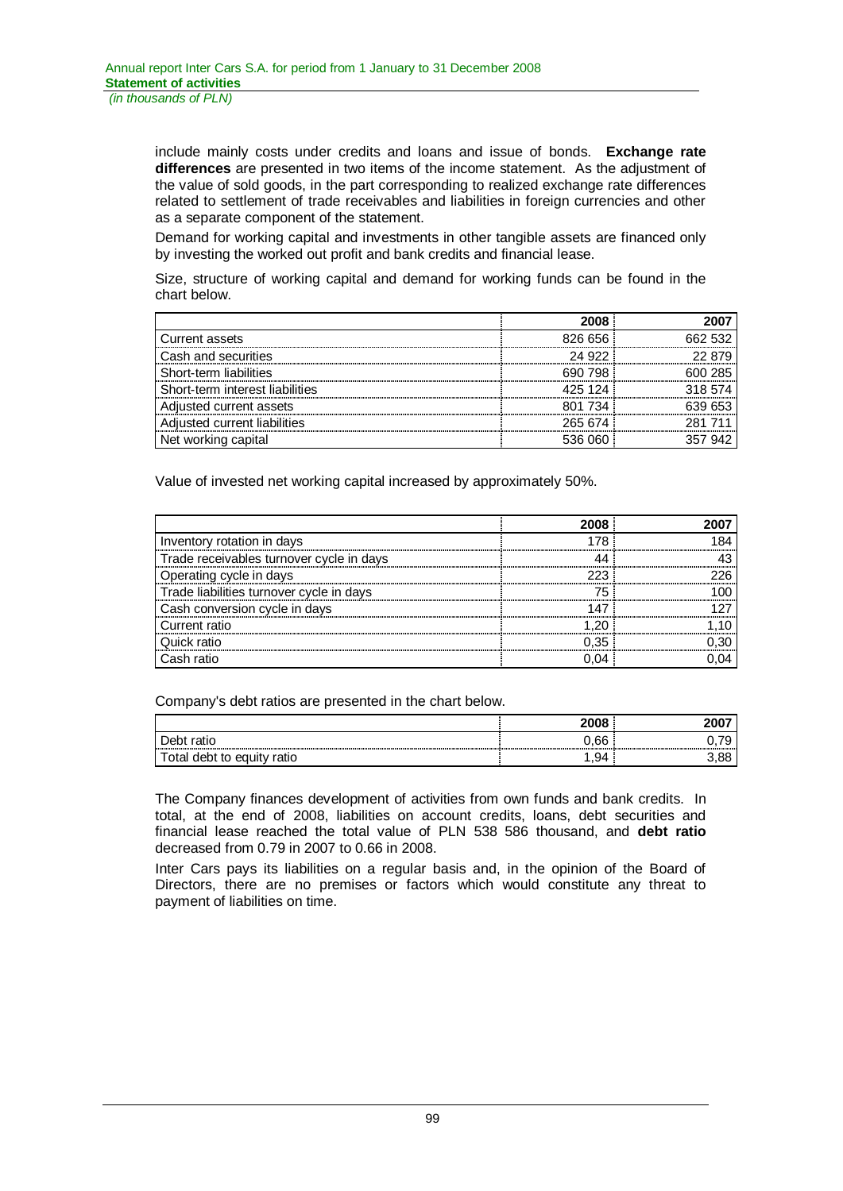include mainly costs under credits and loans and issue of bonds. **Exchange rate differences** are presented in two items of the income statement. As the adjustment of the value of sold goods, in the part corresponding to realized exchange rate differences related to settlement of trade receivables and liabilities in foreign currencies and other as a separate component of the statement.

Demand for working capital and investments in other tangible assets are financed only by investing the worked out profit and bank credits and financial lease.

Size, structure of working capital and demand for working funds can be found in the chart below.

|                                 | 2008    |         |
|---------------------------------|---------|---------|
| Current assets                  | 826 656 | 662.532 |
| Cash and securities             | 24.922  | 22.879  |
| Short-term liabilities          | 690 798 | 600 285 |
| Short-term interest liabilities | 425 124 | 318.574 |
| Adjusted current assets         | 801 734 | 639 653 |
| Adjusted current liabilities    | 265 674 | 281 711 |
| Net working capital             | 536.060 |         |

Value of invested net working capital increased by approximately 50%.

|                                          | 2008 |  |
|------------------------------------------|------|--|
| Inventory rotation in days               |      |  |
| Trade receivables turnover cycle in days |      |  |
| Operating cycle in days                  |      |  |
| Trade liabilities turnover cycle in days |      |  |
| Cash conversion cycle in days            |      |  |
| Current ratio                            |      |  |
| uick ratio                               | በ 35 |  |
| Cash ratio                               |      |  |

Company's debt ratios are presented in the chart below.

|                                         | 2008 |        |
|-----------------------------------------|------|--------|
| Debt<br>ratio                           | 0.66 | v. 1 J |
| debt to<br>otal<br>ea<br>ratio<br>.uitv | 1,94 | 3.88   |

The Company finances development of activities from own funds and bank credits. In total, at the end of 2008, liabilities on account credits, loans, debt securities and financial lease reached the total value of PLN 538 586 thousand, and **debt ratio** decreased from 0.79 in 2007 to 0.66 in 2008.

Inter Cars pays its liabilities on a regular basis and, in the opinion of the Board of Directors, there are no premises or factors which would constitute any threat to payment of liabilities on time.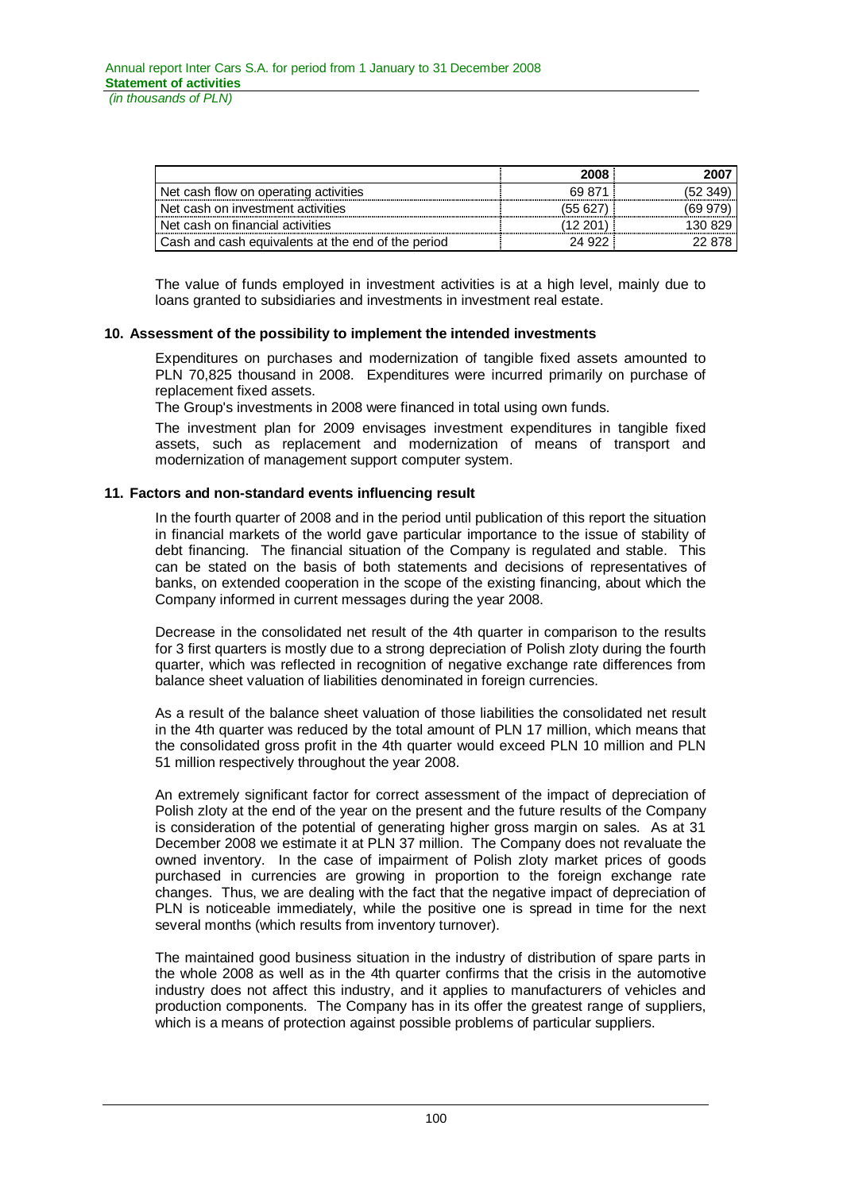|                                                    | 2008    | 2007     |
|----------------------------------------------------|---------|----------|
| Net cash flow on operating activities              | 69 871  | (52349)  |
| Net cash on investment activities                  | (55 627 | (69 979) |
| Net cash on financial activities                   | 12 201  | 130829   |
| Cash and cash equivalents at the end of the period | 24.922  | 22.878   |

The value of funds employed in investment activities is at a high level, mainly due to loans granted to subsidiaries and investments in investment real estate.

# **10. Assessment of the possibility to implement the intended investments**

Expenditures on purchases and modernization of tangible fixed assets amounted to PLN 70,825 thousand in 2008. Expenditures were incurred primarily on purchase of replacement fixed assets.

The Group's investments in 2008 were financed in total using own funds.

The investment plan for 2009 envisages investment expenditures in tangible fixed assets, such as replacement and modernization of means of transport and modernization of management support computer system.

### **11. Factors and non-standard events influencing result**

In the fourth quarter of 2008 and in the period until publication of this report the situation in financial markets of the world gave particular importance to the issue of stability of debt financing. The financial situation of the Company is regulated and stable. This can be stated on the basis of both statements and decisions of representatives of banks, on extended cooperation in the scope of the existing financing, about which the Company informed in current messages during the year 2008.

Decrease in the consolidated net result of the 4th quarter in comparison to the results for 3 first quarters is mostly due to a strong depreciation of Polish zloty during the fourth quarter, which was reflected in recognition of negative exchange rate differences from balance sheet valuation of liabilities denominated in foreign currencies.

As a result of the balance sheet valuation of those liabilities the consolidated net result in the 4th quarter was reduced by the total amount of PLN 17 million, which means that the consolidated gross profit in the 4th quarter would exceed PLN 10 million and PLN 51 million respectively throughout the year 2008.

An extremely significant factor for correct assessment of the impact of depreciation of Polish zloty at the end of the year on the present and the future results of the Company is consideration of the potential of generating higher gross margin on sales. As at 31 December 2008 we estimate it at PLN 37 million. The Company does not revaluate the owned inventory. In the case of impairment of Polish zloty market prices of goods purchased in currencies are growing in proportion to the foreign exchange rate changes. Thus, we are dealing with the fact that the negative impact of depreciation of PLN is noticeable immediately, while the positive one is spread in time for the next several months (which results from inventory turnover).

The maintained good business situation in the industry of distribution of spare parts in the whole 2008 as well as in the 4th quarter confirms that the crisis in the automotive industry does not affect this industry, and it applies to manufacturers of vehicles and production components. The Company has in its offer the greatest range of suppliers, which is a means of protection against possible problems of particular suppliers.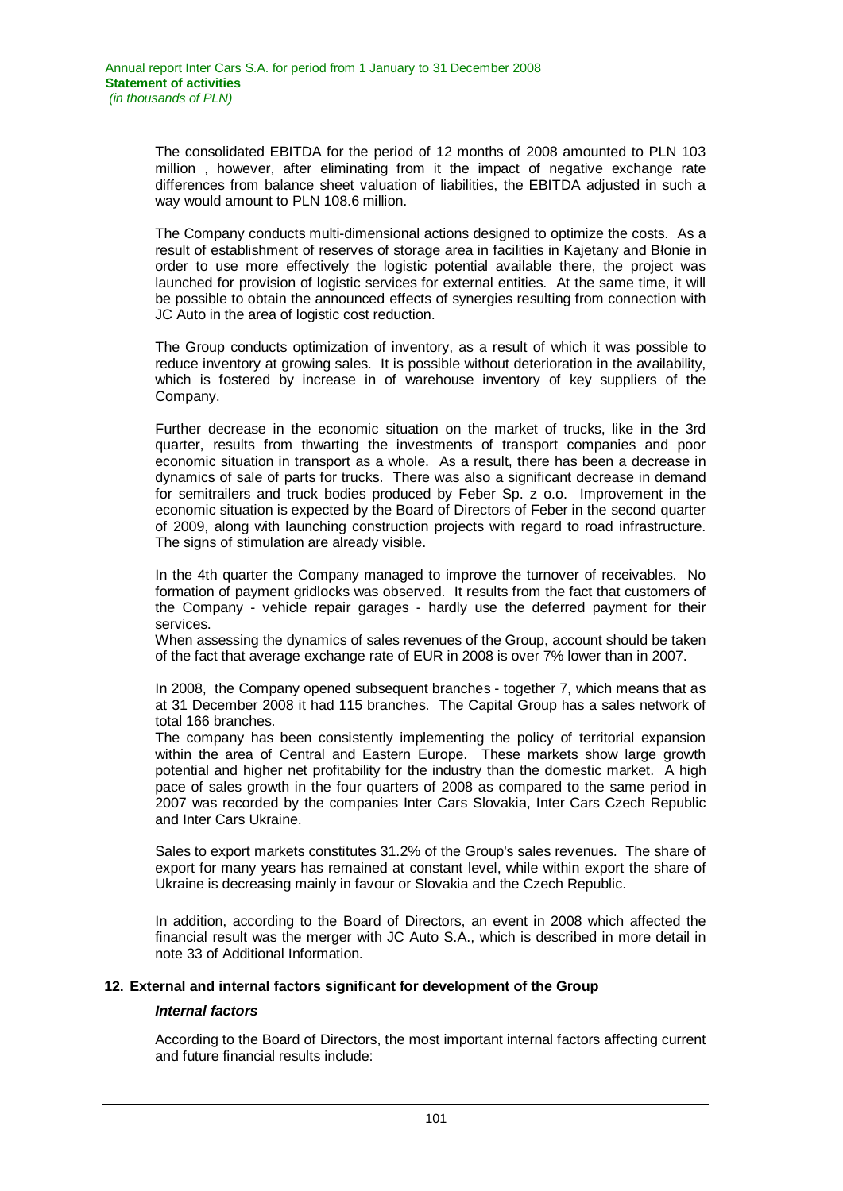The consolidated EBITDA for the period of 12 months of 2008 amounted to PLN 103 million , however, after eliminating from it the impact of negative exchange rate differences from balance sheet valuation of liabilities, the EBITDA adjusted in such a way would amount to PLN 108.6 million.

The Company conducts multi-dimensional actions designed to optimize the costs. As a result of establishment of reserves of storage area in facilities in Kajetany and Blonie in order to use more effectively the logistic potential available there, the project was launched for provision of logistic services for external entities. At the same time, it will be possible to obtain the announced effects of synergies resulting from connection with JC Auto in the area of logistic cost reduction.

The Group conducts optimization of inventory, as a result of which it was possible to reduce inventory at growing sales. It is possible without deterioration in the availability, which is fostered by increase in of warehouse inventory of key suppliers of the Company.

Further decrease in the economic situation on the market of trucks, like in the 3rd quarter, results from thwarting the investments of transport companies and poor economic situation in transport as a whole. As a result, there has been a decrease in dynamics of sale of parts for trucks. There was also a significant decrease in demand for semitrailers and truck bodies produced by Feber Sp. z o.o. Improvement in the economic situation is expected by the Board of Directors of Feber in the second quarter of 2009, along with launching construction projects with regard to road infrastructure. The signs of stimulation are already visible.

In the 4th quarter the Company managed to improve the turnover of receivables. No formation of payment gridlocks was observed. It results from the fact that customers of the Company - vehicle repair garages - hardly use the deferred payment for their services.

When assessing the dynamics of sales revenues of the Group, account should be taken of the fact that average exchange rate of EUR in 2008 is over 7% lower than in 2007.

In 2008, the Company opened subsequent branches - together 7, which means that as at 31 December 2008 it had 115 branches. The Capital Group has a sales network of total 166 branches.

The company has been consistently implementing the policy of territorial expansion within the area of Central and Eastern Europe. These markets show large growth potential and higher net profitability for the industry than the domestic market. A high pace of sales growth in the four quarters of 2008 as compared to the same period in 2007 was recorded by the companies Inter Cars Slovakia, Inter Cars Czech Republic and Inter Cars Ukraine.

Sales to export markets constitutes 31.2% of the Group's sales revenues. The share of export for many years has remained at constant level, while within export the share of Ukraine is decreasing mainly in favour or Slovakia and the Czech Republic.

In addition, according to the Board of Directors, an event in 2008 which affected the financial result was the merger with JC Auto S.A., which is described in more detail in note 33 of Additional Information.

# **12. External and internal factors significant for development of the Group**

### *Internal factors*

According to the Board of Directors, the most important internal factors affecting current and future financial results include: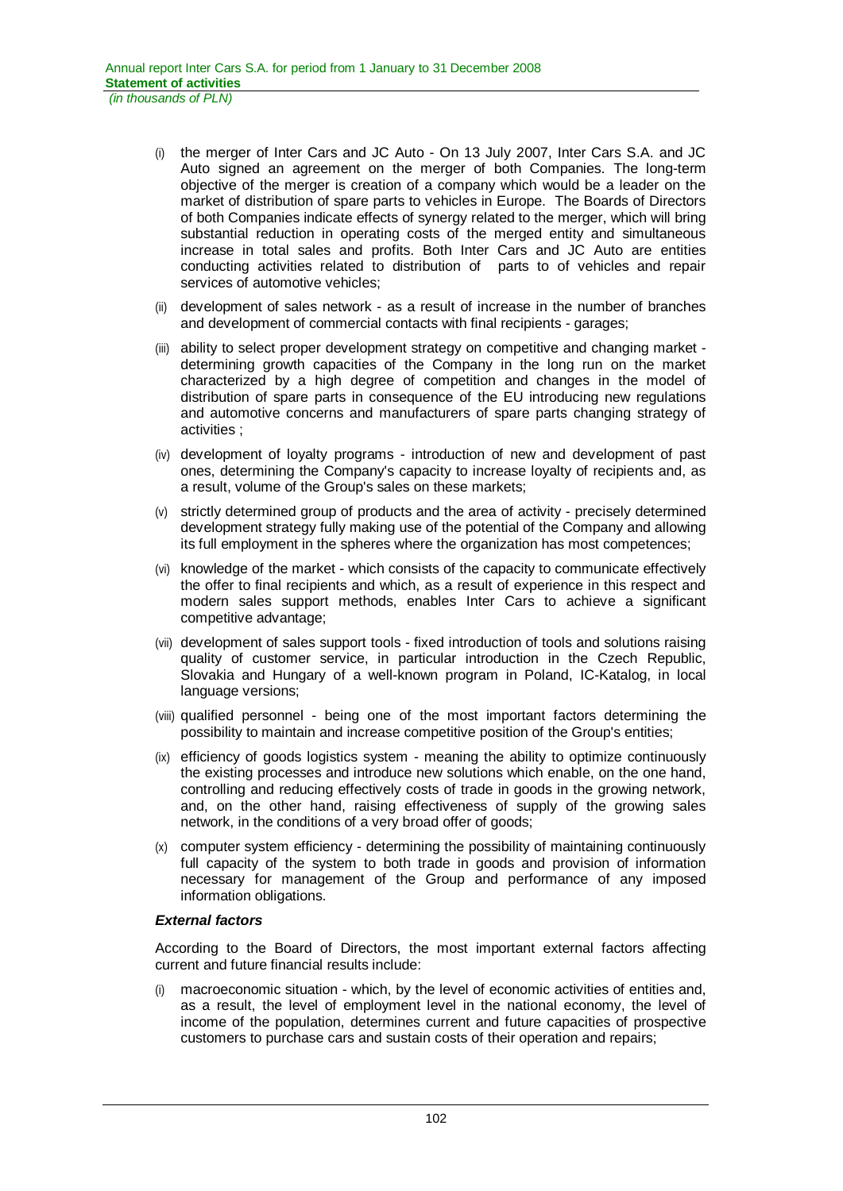- (i) the merger of Inter Cars and JC Auto On 13 July 2007, Inter Cars S.A. and JC Auto signed an agreement on the merger of both Companies. The long-term objective of the merger is creation of a company which would be a leader on the market of distribution of spare parts to vehicles in Europe. The Boards of Directors of both Companies indicate effects of synergy related to the merger, which will bring substantial reduction in operating costs of the merged entity and simultaneous increase in total sales and profits. Both Inter Cars and JC Auto are entities conducting activities related to distribution of parts to of vehicles and repair services of automotive vehicles;
- (ii) development of sales network as a result of increase in the number of branches and development of commercial contacts with final recipients - garages;
- (iii) ability to select proper development strategy on competitive and changing market determining growth capacities of the Company in the long run on the market characterized by a high degree of competition and changes in the model of distribution of spare parts in consequence of the EU introducing new regulations and automotive concerns and manufacturers of spare parts changing strategy of activities ;
- (iv) development of loyalty programs introduction of new and development of past ones, determining the Company's capacity to increase loyalty of recipients and, as a result, volume of the Group's sales on these markets;
- (v) strictly determined group of products and the area of activity precisely determined development strategy fully making use of the potential of the Company and allowing its full employment in the spheres where the organization has most competences;
- (vi) knowledge of the market which consists of the capacity to communicate effectively the offer to final recipients and which, as a result of experience in this respect and modern sales support methods, enables Inter Cars to achieve a significant competitive advantage;
- (vii) development of sales support tools fixed introduction of tools and solutions raising quality of customer service, in particular introduction in the Czech Republic, Slovakia and Hungary of a well-known program in Poland, IC-Katalog, in local language versions;
- (viii) qualified personnel being one of the most important factors determining the possibility to maintain and increase competitive position of the Group's entities;
- (ix) efficiency of goods logistics system meaning the ability to optimize continuously the existing processes and introduce new solutions which enable, on the one hand, controlling and reducing effectively costs of trade in goods in the growing network, and, on the other hand, raising effectiveness of supply of the growing sales network, in the conditions of a very broad offer of goods;
- (x) computer system efficiency determining the possibility of maintaining continuously full capacity of the system to both trade in goods and provision of information necessary for management of the Group and performance of any imposed information obligations.

# *External factors*

According to the Board of Directors, the most important external factors affecting current and future financial results include:

(i) macroeconomic situation - which, by the level of economic activities of entities and, as a result, the level of employment level in the national economy, the level of income of the population, determines current and future capacities of prospective customers to purchase cars and sustain costs of their operation and repairs;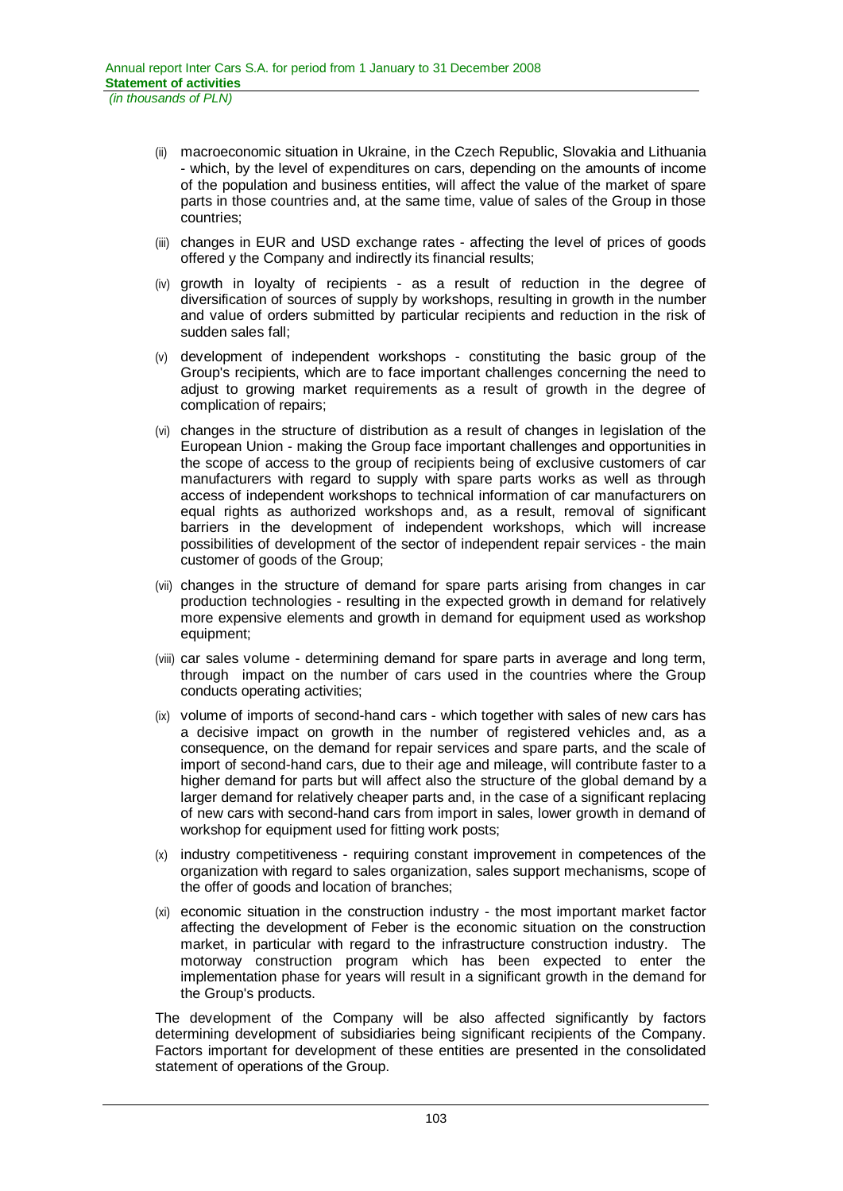- (ii) macroeconomic situation in Ukraine, in the Czech Republic, Slovakia and Lithuania - which, by the level of expenditures on cars, depending on the amounts of income of the population and business entities, will affect the value of the market of spare parts in those countries and, at the same time, value of sales of the Group in those countries;
- (iii) changes in EUR and USD exchange rates affecting the level of prices of goods offered y the Company and indirectly its financial results;
- (iv) growth in loyalty of recipients as a result of reduction in the degree of diversification of sources of supply by workshops, resulting in growth in the number and value of orders submitted by particular recipients and reduction in the risk of sudden sales fall;
- (v) development of independent workshops constituting the basic group of the Group's recipients, which are to face important challenges concerning the need to adjust to growing market requirements as a result of growth in the degree of complication of repairs;
- (vi) changes in the structure of distribution as a result of changes in legislation of the European Union - making the Group face important challenges and opportunities in the scope of access to the group of recipients being of exclusive customers of car manufacturers with regard to supply with spare parts works as well as through access of independent workshops to technical information of car manufacturers on equal rights as authorized workshops and, as a result, removal of significant barriers in the development of independent workshops, which will increase possibilities of development of the sector of independent repair services - the main customer of goods of the Group;
- (vii) changes in the structure of demand for spare parts arising from changes in car production technologies - resulting in the expected growth in demand for relatively more expensive elements and growth in demand for equipment used as workshop equipment;
- (viii) car sales volume determining demand for spare parts in average and long term, through impact on the number of cars used in the countries where the Group conducts operating activities;
- (ix) volume of imports of second-hand cars which together with sales of new cars has a decisive impact on growth in the number of registered vehicles and, as a consequence, on the demand for repair services and spare parts, and the scale of import of second-hand cars, due to their age and mileage, will contribute faster to a higher demand for parts but will affect also the structure of the global demand by a larger demand for relatively cheaper parts and, in the case of a significant replacing of new cars with second-hand cars from import in sales, lower growth in demand of workshop for equipment used for fitting work posts;
- (x) industry competitiveness requiring constant improvement in competences of the organization with regard to sales organization, sales support mechanisms, scope of the offer of goods and location of branches;
- (xi) economic situation in the construction industry the most important market factor affecting the development of Feber is the economic situation on the construction market, in particular with regard to the infrastructure construction industry. The motorway construction program which has been expected to enter the implementation phase for years will result in a significant growth in the demand for the Group's products.

The development of the Company will be also affected significantly by factors determining development of subsidiaries being significant recipients of the Company. Factors important for development of these entities are presented in the consolidated statement of operations of the Group.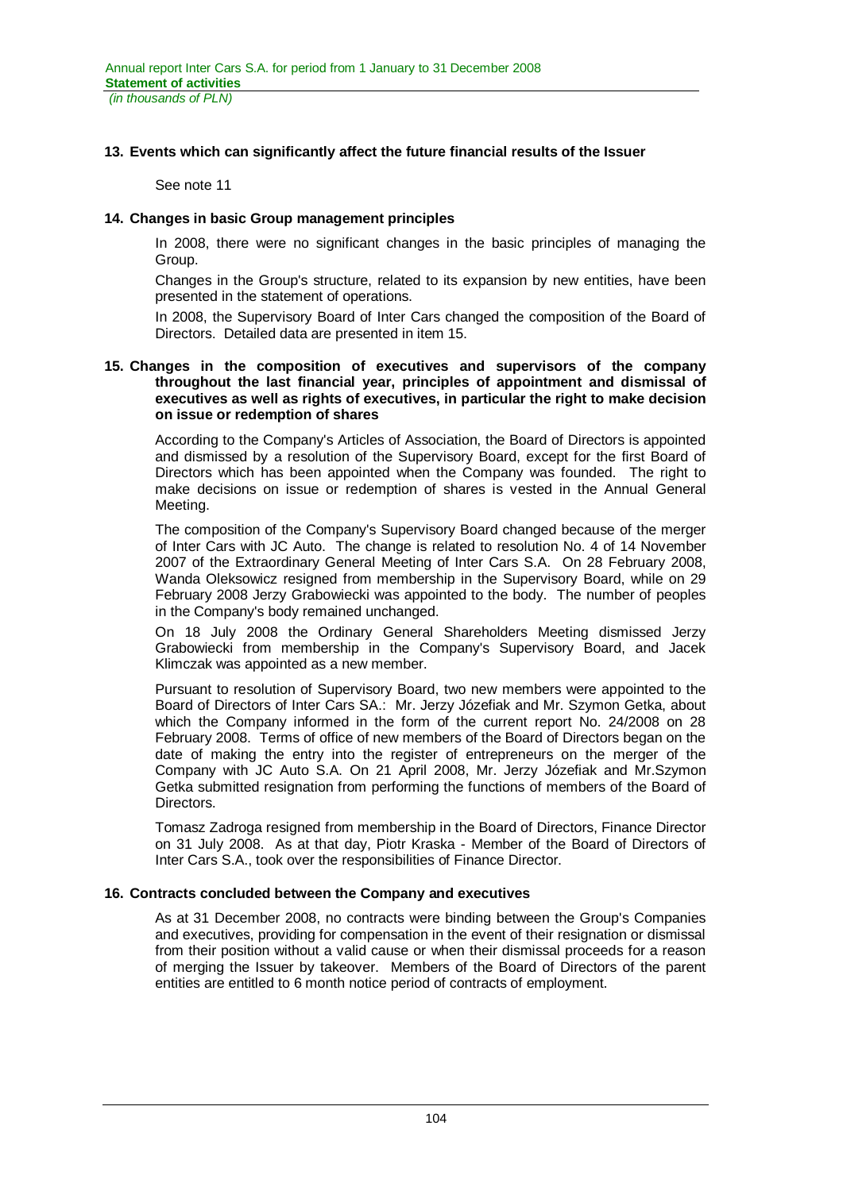*(in thousands of PLN)*

### **13. Events which can significantly affect the future financial results of the Issuer**

See note 11

### **14. Changes in basic Group management principles**

In 2008, there were no significant changes in the basic principles of managing the Group.

Changes in the Group's structure, related to its expansion by new entities, have been presented in the statement of operations.

In 2008, the Supervisory Board of Inter Cars changed the composition of the Board of Directors. Detailed data are presented in item 15.

### **15. Changes in the composition of executives and supervisors of the company throughout the last financial year, principles of appointment and dismissal of executives as well as rights of executives, in particular the right to make decision on issue or redemption of shares**

According to the Company's Articles of Association, the Board of Directors is appointed and dismissed by a resolution of the Supervisory Board, except for the first Board of Directors which has been appointed when the Company was founded. The right to make decisions on issue or redemption of shares is vested in the Annual General Meeting.

The composition of the Company's Supervisory Board changed because of the merger of Inter Cars with JC Auto. The change is related to resolution No. 4 of 14 November 2007 of the Extraordinary General Meeting of Inter Cars S.A. On 28 February 2008, Wanda Oleksowicz resigned from membership in the Supervisory Board, while on 29 February 2008 Jerzy Grabowiecki was appointed to the body. The number of peoples in the Company's body remained unchanged.

On 18 July 2008 the Ordinary General Shareholders Meeting dismissed Jerzy Grabowiecki from membership in the Company's Supervisory Board, and Jacek Klimczak was appointed as a new member.

Pursuant to resolution of Supervisory Board, two new members were appointed to the Board of Directors of Inter Cars SA.: Mr. Jerzy Józefiak and Mr. Szymon Getka, about which the Company informed in the form of the current report No. 24/2008 on 28 February 2008. Terms of office of new members of the Board of Directors began on the date of making the entry into the register of entrepreneurs on the merger of the Company with JC Auto S.A. On 21 April 2008, Mr. Jerzy Józefiak and Mr.Szymon Getka submitted resignation from performing the functions of members of the Board of Directors.

Tomasz Zadroga resigned from membership in the Board of Directors, Finance Director on 31 July 2008. As at that day, Piotr Kraska - Member of the Board of Directors of Inter Cars S.A., took over the responsibilities of Finance Director.

### **16. Contracts concluded between the Company and executives**

As at 31 December 2008, no contracts were binding between the Group's Companies and executives, providing for compensation in the event of their resignation or dismissal from their position without a valid cause or when their dismissal proceeds for a reason of merging the Issuer by takeover. Members of the Board of Directors of the parent entities are entitled to 6 month notice period of contracts of employment.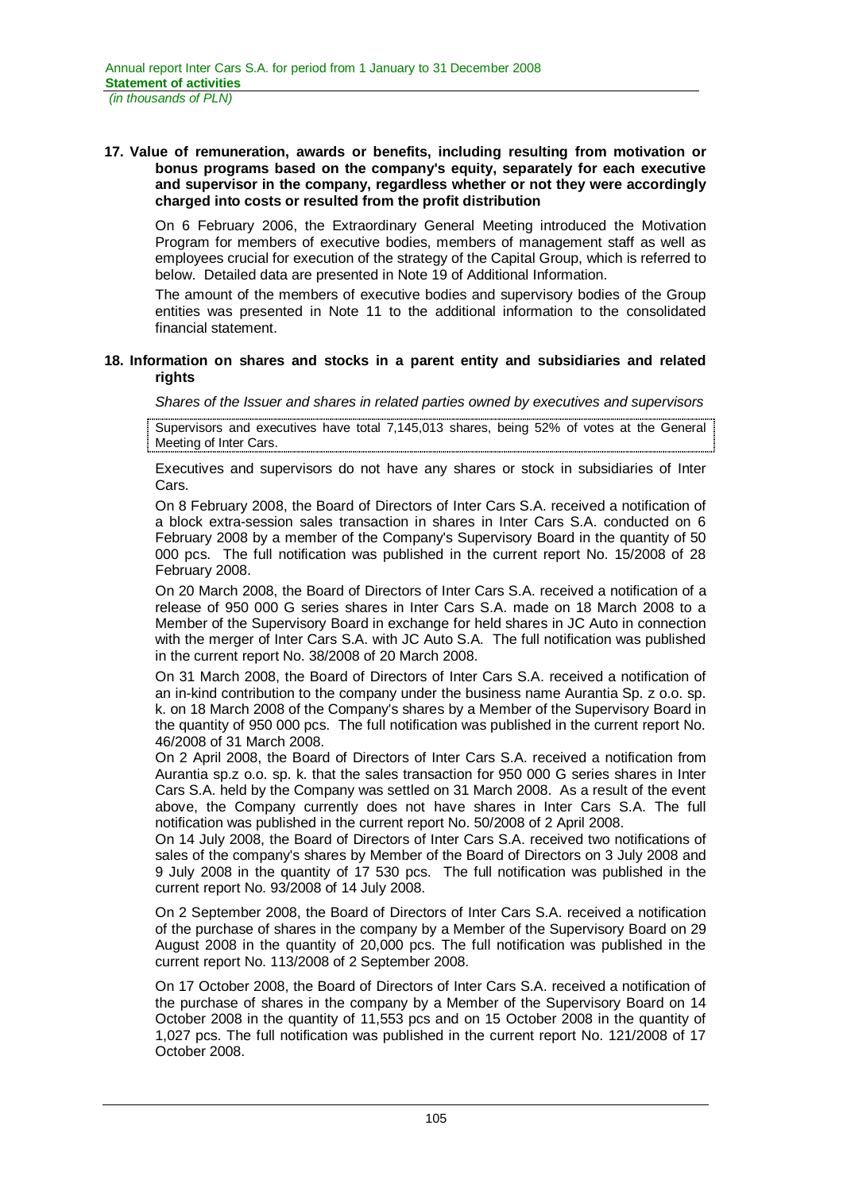### **17. Value of remuneration, awards or benefits, including resulting from motivation or bonus programs based on the company's equity, separately for each executive and supervisor in the company, regardless whether or not they were accordingly charged into costs or resulted from the profit distribution**

On 6 February 2006, the Extraordinary General Meeting introduced the Motivation Program for members of executive bodies, members of management staff as well as employees crucial for execution of the strategy of the Capital Group, which is referred to below. Detailed data are presented in Note 19 of Additional Information.

The amount of the members of executive bodies and supervisory bodies of the Group entities was presented in Note 11 to the additional information to the consolidated financial statement.

### **18. Information on shares and stocks in a parent entity and subsidiaries and related rights**

*Shares of the Issuer and shares in related parties owned by executives and supervisors* 

Supervisors and executives have total 7,145,013 shares, being 52% of votes at the General Meeting of Inter Cars.

Executives and supervisors do not have any shares or stock in subsidiaries of Inter Cars.

On 8 February 2008, the Board of Directors of Inter Cars S.A. received a notification of a block extra-session sales transaction in shares in Inter Cars S.A. conducted on 6 February 2008 by a member of the Company's Supervisory Board in the quantity of 50 000 pcs. The full notification was published in the current report No. 15/2008 of 28 February 2008.

On 20 March 2008, the Board of Directors of Inter Cars S.A. received a notification of a release of 950 000 G series shares in Inter Cars S.A. made on 18 March 2008 to a Member of the Supervisory Board in exchange for held shares in JC Auto in connection with the merger of Inter Cars S.A. with JC Auto S.A. The full notification was published in the current report No. 38/2008 of 20 March 2008.

On 31 March 2008, the Board of Directors of Inter Cars S.A. received a notification of an in-kind contribution to the company under the business name Aurantia Sp. z o.o. sp. k. on 18 March 2008 of the Company's shares by a Member of the Supervisory Board in the quantity of 950 000 pcs. The full notification was published in the current report No. 46/2008 of 31 March 2008.

On 2 April 2008, the Board of Directors of Inter Cars S.A. received a notification from Aurantia sp.z o.o. sp. k. that the sales transaction for 950 000 G series shares in Inter Cars S.A. held by the Company was settled on 31 March 2008. As a result of the event above, the Company currently does not have shares in Inter Cars S.A. The full notification was published in the current report No. 50/2008 of 2 April 2008.

On 14 July 2008, the Board of Directors of Inter Cars S.A. received two notifications of sales of the company's shares by Member of the Board of Directors on 3 July 2008 and 9 July 2008 in the quantity of 17 530 pcs. The full notification was published in the current report No. 93/2008 of 14 July 2008.

On 2 September 2008, the Board of Directors of Inter Cars S.A. received a notification of the purchase of shares in the company by a Member of the Supervisory Board on 29 August 2008 in the quantity of 20,000 pcs. The full notification was published in the current report No. 113/2008 of 2 September 2008.

On 17 October 2008, the Board of Directors of Inter Cars S.A. received a notification of the purchase of shares in the company by a Member of the Supervisory Board on 14 October 2008 in the quantity of 11,553 pcs and on 15 October 2008 in the quantity of 1,027 pcs. The full notification was published in the current report No. 121/2008 of 17 October 2008.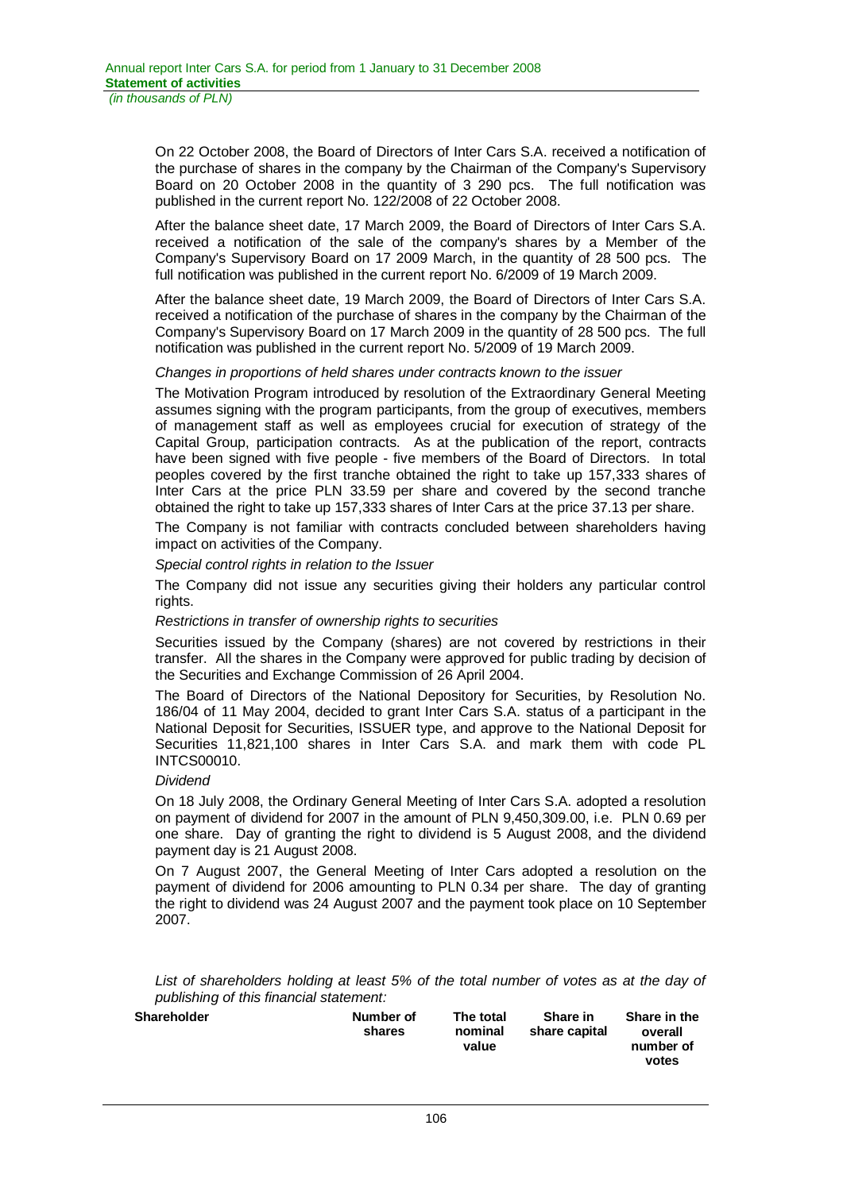On 22 October 2008, the Board of Directors of Inter Cars S.A. received a notification of the purchase of shares in the company by the Chairman of the Company's Supervisory Board on 20 October 2008 in the quantity of 3 290 pcs. The full notification was published in the current report No. 122/2008 of 22 October 2008.

After the balance sheet date, 17 March 2009, the Board of Directors of Inter Cars S.A. received a notification of the sale of the company's shares by a Member of the Company's Supervisory Board on 17 2009 March, in the quantity of 28 500 pcs. The full notification was published in the current report No. 6/2009 of 19 March 2009.

After the balance sheet date, 19 March 2009, the Board of Directors of Inter Cars S.A. received a notification of the purchase of shares in the company by the Chairman of the Company's Supervisory Board on 17 March 2009 in the quantity of 28 500 pcs. The full notification was published in the current report No. 5/2009 of 19 March 2009.

### *Changes in proportions of held shares under contracts known to the issuer*

The Motivation Program introduced by resolution of the Extraordinary General Meeting assumes signing with the program participants, from the group of executives, members of management staff as well as employees crucial for execution of strategy of the Capital Group, participation contracts. As at the publication of the report, contracts have been signed with five people - five members of the Board of Directors. In total peoples covered by the first tranche obtained the right to take up 157,333 shares of Inter Cars at the price PLN 33.59 per share and covered by the second tranche obtained the right to take up 157,333 shares of Inter Cars at the price 37.13 per share.

The Company is not familiar with contracts concluded between shareholders having impact on activities of the Company.

*Special control rights in relation to the Issuer* 

The Company did not issue any securities giving their holders any particular control rights.

### *Restrictions in transfer of ownership rights to securities*

Securities issued by the Company (shares) are not covered by restrictions in their transfer. All the shares in the Company were approved for public trading by decision of the Securities and Exchange Commission of 26 April 2004.

The Board of Directors of the National Depository for Securities, by Resolution No. 186/04 of 11 May 2004, decided to grant Inter Cars S.A. status of a participant in the National Deposit for Securities, ISSUER type, and approve to the National Deposit for Securities 11,821,100 shares in Inter Cars S.A. and mark them with code PL INTCS00010.

### *Dividend*

On 18 July 2008, the Ordinary General Meeting of Inter Cars S.A. adopted a resolution on payment of dividend for 2007 in the amount of PLN 9,450,309.00, i.e. PLN 0.69 per one share. Day of granting the right to dividend is 5 August 2008, and the dividend payment day is 21 August 2008.

On 7 August 2007, the General Meeting of Inter Cars adopted a resolution on the payment of dividend for 2006 amounting to PLN 0.34 per share. The day of granting the right to dividend was 24 August 2007 and the payment took place on 10 September 2007.

List of shareholders holding at least 5% of the total number of votes as at the day of *publishing of this financial statement:* 

| <b>Shareholder</b> | Number of<br>shares | The total<br>nominal<br>value | Share in<br>share capital | Share in the<br>overall<br>number of<br>votes |
|--------------------|---------------------|-------------------------------|---------------------------|-----------------------------------------------|
|                    |                     |                               |                           |                                               |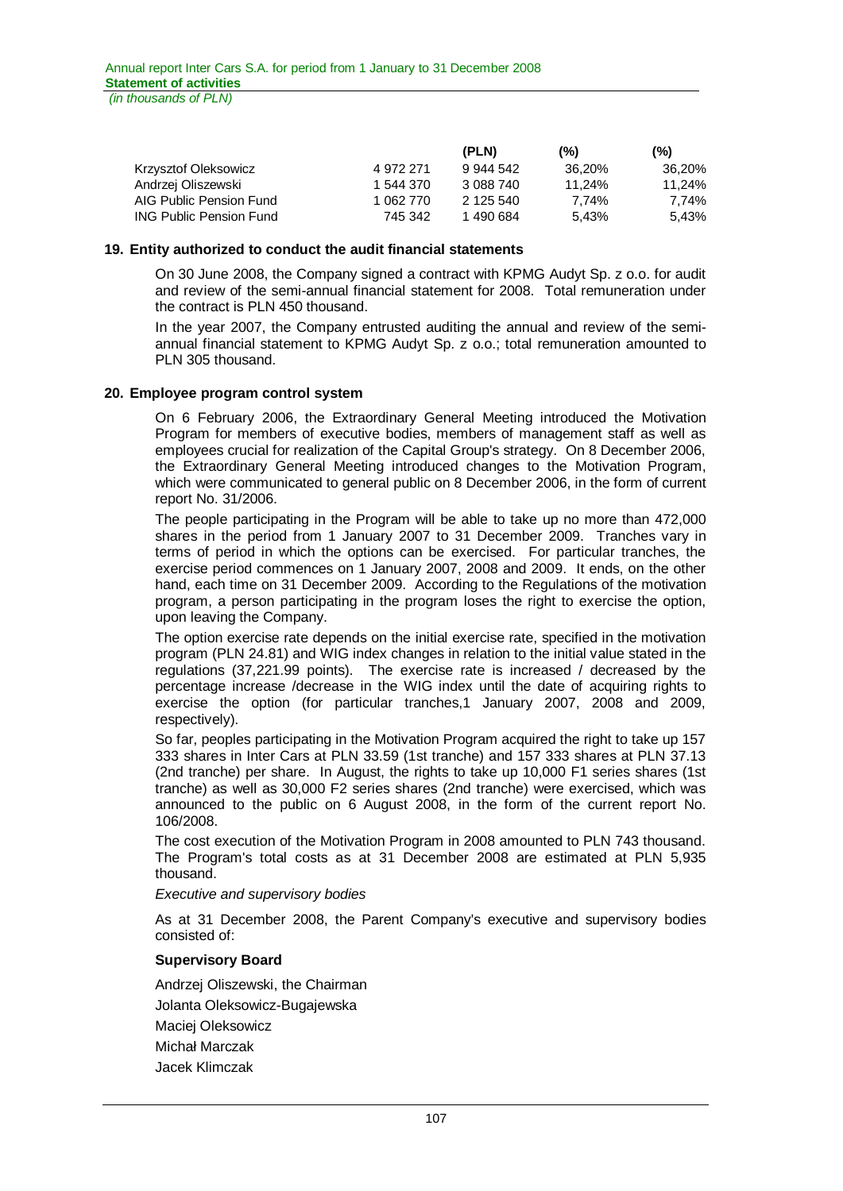*(in thousands of PLN)*

|                                |           | (PLN)     | (%)    | $(\% )$ |
|--------------------------------|-----------|-----------|--------|---------|
| Krzysztof Oleksowicz           | 4 972 271 | 9 944 542 | 36.20% | 36.20%  |
| Andrzej Oliszewski             | 1 544 370 | 3 088 740 | 11.24% | 11.24%  |
| AIG Public Pension Fund        | 1 062 770 | 2 125 540 | 7.74%  | 7.74%   |
| <b>ING Public Pension Fund</b> | 745 342   | 1 490 684 | 5.43%  | 5.43%   |

#### **19. Entity authorized to conduct the audit financial statements**

On 30 June 2008, the Company signed a contract with KPMG Audyt Sp. z o.o. for audit and review of the semi-annual financial statement for 2008. Total remuneration under the contract is PLN 450 thousand.

In the year 2007, the Company entrusted auditing the annual and review of the semiannual financial statement to KPMG Audyt Sp. z o.o.; total remuneration amounted to PLN 305 thousand.

### **20. Employee program control system**

On 6 February 2006, the Extraordinary General Meeting introduced the Motivation Program for members of executive bodies, members of management staff as well as employees crucial for realization of the Capital Group's strategy. On 8 December 2006, the Extraordinary General Meeting introduced changes to the Motivation Program, which were communicated to general public on 8 December 2006, in the form of current report No. 31/2006.

The people participating in the Program will be able to take up no more than 472,000 shares in the period from 1 January 2007 to 31 December 2009. Tranches vary in terms of period in which the options can be exercised. For particular tranches, the exercise period commences on 1 January 2007, 2008 and 2009. It ends, on the other hand, each time on 31 December 2009. According to the Regulations of the motivation program, a person participating in the program loses the right to exercise the option, upon leaving the Company.

The option exercise rate depends on the initial exercise rate, specified in the motivation program (PLN 24.81) and WIG index changes in relation to the initial value stated in the regulations (37,221.99 points). The exercise rate is increased / decreased by the percentage increase /decrease in the WIG index until the date of acquiring rights to exercise the option (for particular tranches,1 January 2007, 2008 and 2009, respectively).

So far, peoples participating in the Motivation Program acquired the right to take up 157 333 shares in Inter Cars at PLN 33.59 (1st tranche) and 157 333 shares at PLN 37.13 (2nd tranche) per share. In August, the rights to take up 10,000 F1 series shares (1st tranche) as well as 30,000 F2 series shares (2nd tranche) were exercised, which was announced to the public on 6 August 2008, in the form of the current report No. 106/2008.

The cost execution of the Motivation Program in 2008 amounted to PLN 743 thousand. The Program's total costs as at 31 December 2008 are estimated at PLN 5,935 thousand.

*Executive and supervisory bodies* 

As at 31 December 2008, the Parent Company's executive and supervisory bodies consisted of:

### **Supervisory Board**

Andrzej Oliszewski, the Chairman Jolanta Oleksowicz-Bugajewska Maciej Oleksowicz Michał Marczak Jacek Klimczak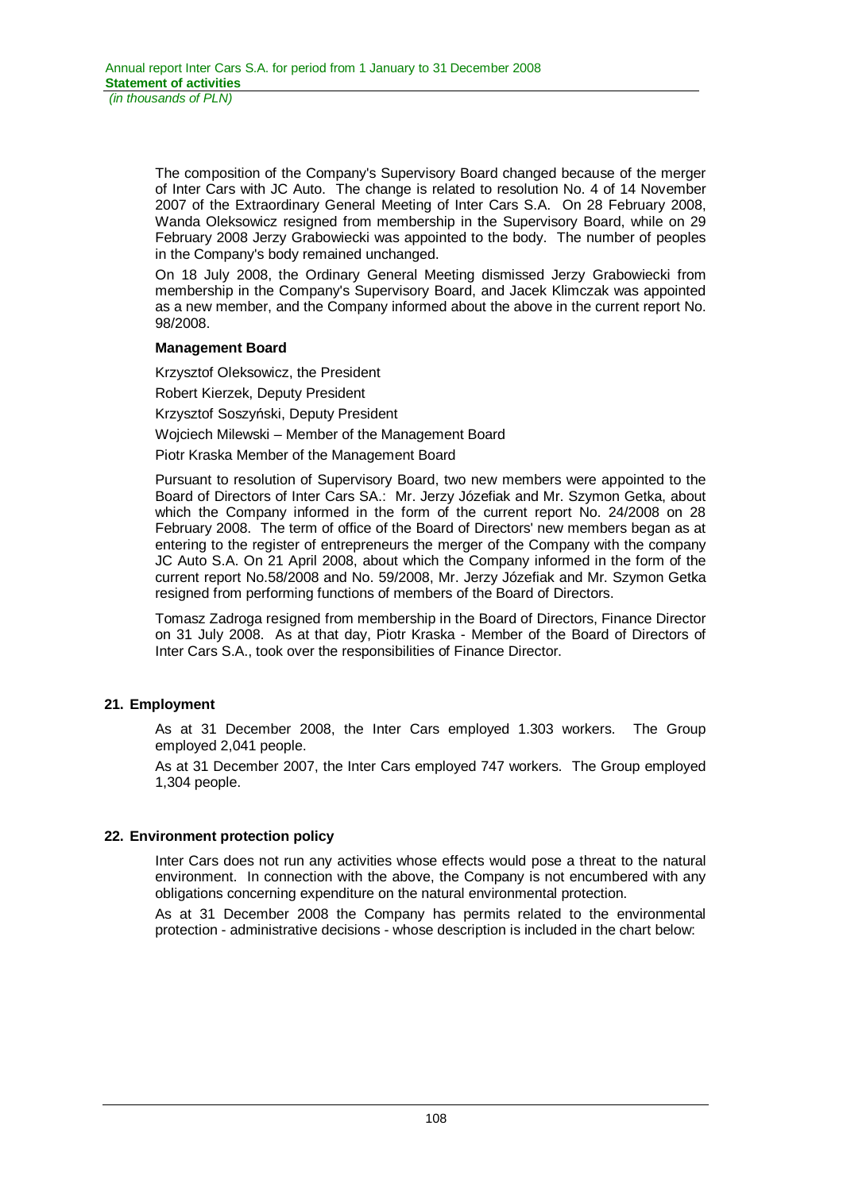The composition of the Company's Supervisory Board changed because of the merger of Inter Cars with JC Auto. The change is related to resolution No. 4 of 14 November 2007 of the Extraordinary General Meeting of Inter Cars S.A. On 28 February 2008, Wanda Oleksowicz resigned from membership in the Supervisory Board, while on 29 February 2008 Jerzy Grabowiecki was appointed to the body. The number of peoples in the Company's body remained unchanged.

On 18 July 2008, the Ordinary General Meeting dismissed Jerzy Grabowiecki from membership in the Company's Supervisory Board, and Jacek Klimczak was appointed as a new member, and the Company informed about the above in the current report No. 98/2008.

### **Management Board**

Krzysztof Oleksowicz, the President

Robert Kierzek, Deputy President

Krzysztof Soszyński, Deputy President

Wojciech Milewski – Member of the Management Board

Piotr Kraska Member of the Management Board

Pursuant to resolution of Supervisory Board, two new members were appointed to the Board of Directors of Inter Cars SA.: Mr. Jerzy Józefiak and Mr. Szymon Getka, about which the Company informed in the form of the current report No. 24/2008 on 28 February 2008. The term of office of the Board of Directors' new members began as at entering to the register of entrepreneurs the merger of the Company with the company JC Auto S.A. On 21 April 2008, about which the Company informed in the form of the current report No.58/2008 and No. 59/2008, Mr. Jerzy Józefiak and Mr. Szymon Getka resigned from performing functions of members of the Board of Directors.

Tomasz Zadroga resigned from membership in the Board of Directors, Finance Director on 31 July 2008. As at that day, Piotr Kraska - Member of the Board of Directors of Inter Cars S.A., took over the responsibilities of Finance Director.

# **21. Employment**

As at 31 December 2008, the Inter Cars employed 1.303 workers. The Group employed 2,041 people.

As at 31 December 2007, the Inter Cars employed 747 workers. The Group employed 1,304 people.

# **22. Environment protection policy**

Inter Cars does not run any activities whose effects would pose a threat to the natural environment. In connection with the above, the Company is not encumbered with any obligations concerning expenditure on the natural environmental protection.

As at 31 December 2008 the Company has permits related to the environmental protection - administrative decisions - whose description is included in the chart below: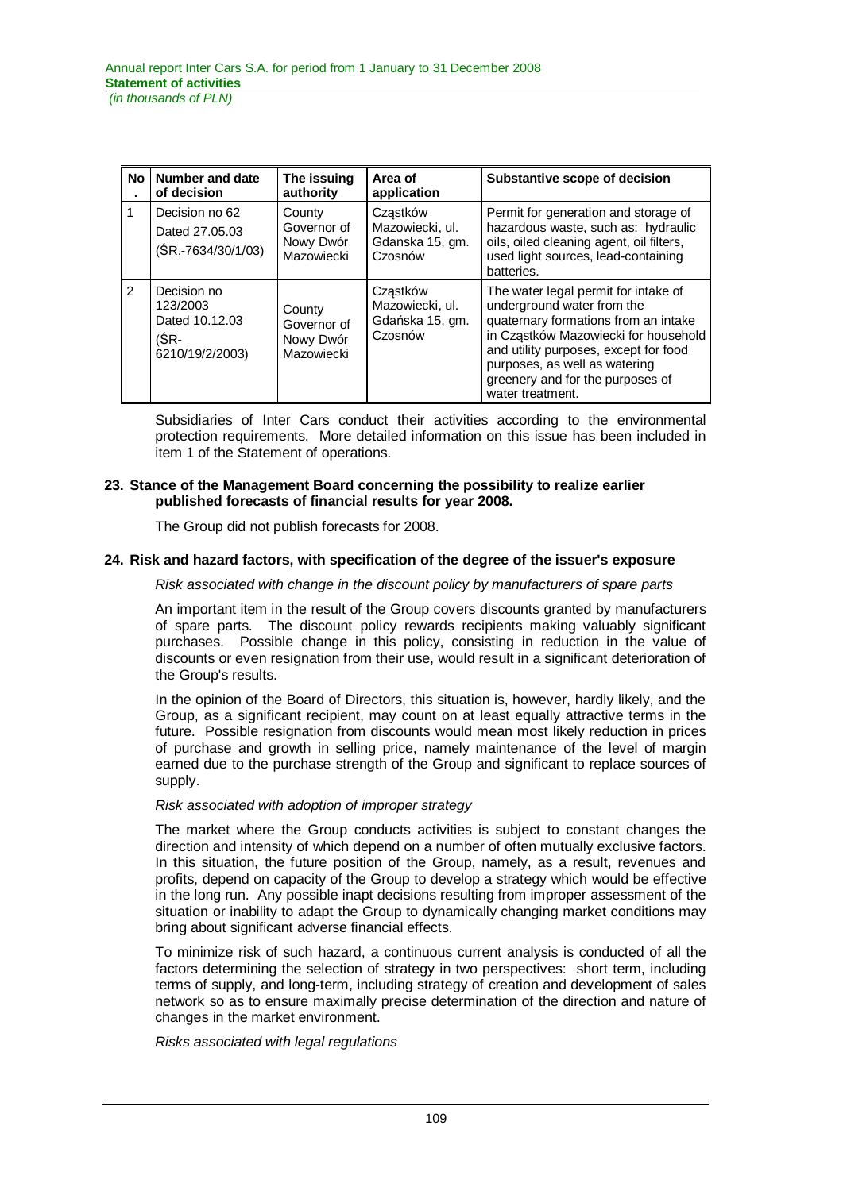| <b>No</b>     | Number and date<br>of decision                                       | The issuing<br>authority                         | Area of<br>application                                    | Substantive scope of decision                                                                                                                                                                                                                                                        |
|---------------|----------------------------------------------------------------------|--------------------------------------------------|-----------------------------------------------------------|--------------------------------------------------------------------------------------------------------------------------------------------------------------------------------------------------------------------------------------------------------------------------------------|
| 1             | Decision no 62<br>Dated 27,05,03<br>(ŚR.-7634/30/1/03)               | County<br>Governor of<br>Nowy Dwór<br>Mazowiecki | Czastków<br>Mazowiecki, ul.<br>Gdanska 15, gm.<br>Czosnów | Permit for generation and storage of<br>hazardous waste, such as: hydraulic<br>oils, oiled cleaning agent, oil filters,<br>used light sources, lead-containing<br>batteries.                                                                                                         |
| $\mathcal{P}$ | Decision no<br>123/2003<br>Dated 10.12.03<br>(ŚR-<br>6210/19/2/2003) | County<br>Governor of<br>Nowy Dwór<br>Mazowiecki | Czastków<br>Mazowiecki, ul.<br>Gdańska 15, gm.<br>Czosnów | The water legal permit for intake of<br>underground water from the<br>quaternary formations from an intake<br>in Cząstków Mazowiecki for household<br>and utility purposes, except for food<br>purposes, as well as watering<br>greenery and for the purposes of<br>water treatment. |

Subsidiaries of Inter Cars conduct their activities according to the environmental protection requirements. More detailed information on this issue has been included in item 1 of the Statement of operations.

### **23. Stance of the Management Board concerning the possibility to realize earlier published forecasts of financial results for year 2008.**

The Group did not publish forecasts for 2008.

#### **24. Risk and hazard factors, with specification of the degree of the issuer's exposure**

*Risk associated with change in the discount policy by manufacturers of spare parts* 

An important item in the result of the Group covers discounts granted by manufacturers of spare parts. The discount policy rewards recipients making valuably significant purchases. Possible change in this policy, consisting in reduction in the value of discounts or even resignation from their use, would result in a significant deterioration of the Group's results.

In the opinion of the Board of Directors, this situation is, however, hardly likely, and the Group, as a significant recipient, may count on at least equally attractive terms in the future. Possible resignation from discounts would mean most likely reduction in prices of purchase and growth in selling price, namely maintenance of the level of margin earned due to the purchase strength of the Group and significant to replace sources of supply.

#### *Risk associated with adoption of improper strategy*

The market where the Group conducts activities is subject to constant changes the direction and intensity of which depend on a number of often mutually exclusive factors. In this situation, the future position of the Group, namely, as a result, revenues and profits, depend on capacity of the Group to develop a strategy which would be effective in the long run. Any possible inapt decisions resulting from improper assessment of the situation or inability to adapt the Group to dynamically changing market conditions may bring about significant adverse financial effects.

To minimize risk of such hazard, a continuous current analysis is conducted of all the factors determining the selection of strategy in two perspectives: short term, including terms of supply, and long-term, including strategy of creation and development of sales network so as to ensure maximally precise determination of the direction and nature of changes in the market environment.

*Risks associated with legal regulations*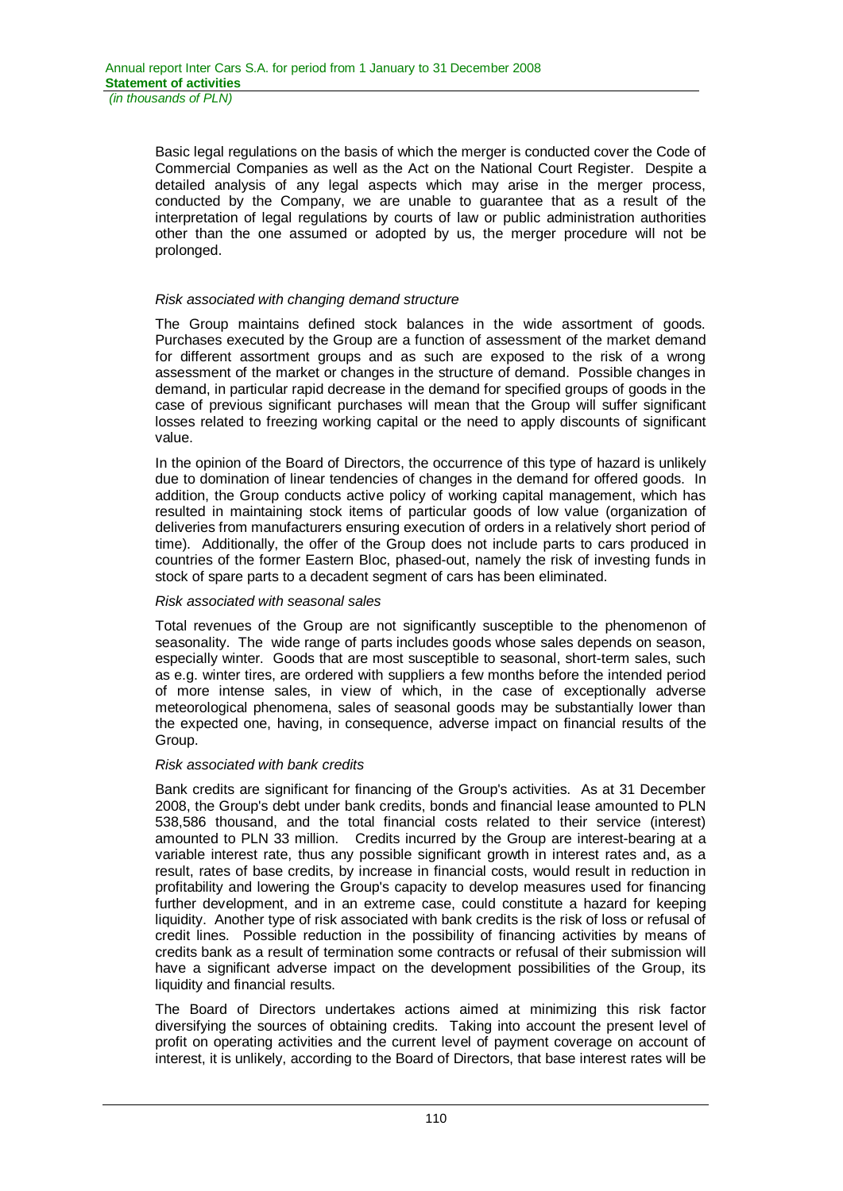Basic legal regulations on the basis of which the merger is conducted cover the Code of Commercial Companies as well as the Act on the National Court Register. Despite a detailed analysis of any legal aspects which may arise in the merger process, conducted by the Company, we are unable to guarantee that as a result of the interpretation of legal regulations by courts of law or public administration authorities other than the one assumed or adopted by us, the merger procedure will not be prolonged.

### *Risk associated with changing demand structure*

The Group maintains defined stock balances in the wide assortment of goods. Purchases executed by the Group are a function of assessment of the market demand for different assortment groups and as such are exposed to the risk of a wrong assessment of the market or changes in the structure of demand. Possible changes in demand, in particular rapid decrease in the demand for specified groups of goods in the case of previous significant purchases will mean that the Group will suffer significant losses related to freezing working capital or the need to apply discounts of significant value.

In the opinion of the Board of Directors, the occurrence of this type of hazard is unlikely due to domination of linear tendencies of changes in the demand for offered goods. In addition, the Group conducts active policy of working capital management, which has resulted in maintaining stock items of particular goods of low value (organization of deliveries from manufacturers ensuring execution of orders in a relatively short period of time). Additionally, the offer of the Group does not include parts to cars produced in countries of the former Eastern Bloc, phased-out, namely the risk of investing funds in stock of spare parts to a decadent segment of cars has been eliminated.

### *Risk associated with seasonal sales*

Total revenues of the Group are not significantly susceptible to the phenomenon of seasonality. The wide range of parts includes goods whose sales depends on season, especially winter. Goods that are most susceptible to seasonal, short-term sales, such as e.g. winter tires, are ordered with suppliers a few months before the intended period of more intense sales, in view of which, in the case of exceptionally adverse meteorological phenomena, sales of seasonal goods may be substantially lower than the expected one, having, in consequence, adverse impact on financial results of the Group.

#### *Risk associated with bank credits*

Bank credits are significant for financing of the Group's activities. As at 31 December 2008, the Group's debt under bank credits, bonds and financial lease amounted to PLN 538,586 thousand, and the total financial costs related to their service (interest) amounted to PLN 33 million. Credits incurred by the Group are interest-bearing at a variable interest rate, thus any possible significant growth in interest rates and, as a result, rates of base credits, by increase in financial costs, would result in reduction in profitability and lowering the Group's capacity to develop measures used for financing further development, and in an extreme case, could constitute a hazard for keeping liquidity. Another type of risk associated with bank credits is the risk of loss or refusal of credit lines. Possible reduction in the possibility of financing activities by means of credits bank as a result of termination some contracts or refusal of their submission will have a significant adverse impact on the development possibilities of the Group, its liquidity and financial results.

The Board of Directors undertakes actions aimed at minimizing this risk factor diversifying the sources of obtaining credits. Taking into account the present level of profit on operating activities and the current level of payment coverage on account of interest, it is unlikely, according to the Board of Directors, that base interest rates will be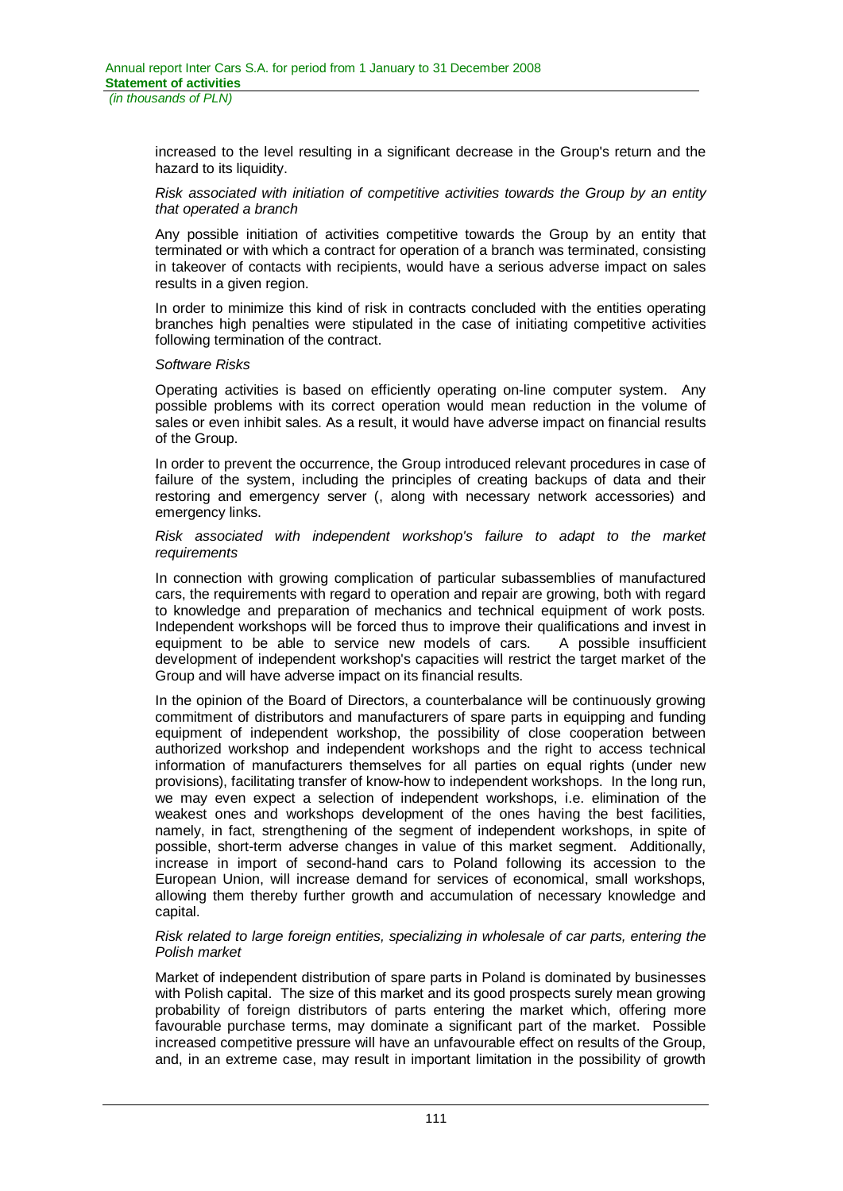increased to the level resulting in a significant decrease in the Group's return and the hazard to its liquidity.

#### *Risk associated with initiation of competitive activities towards the Group by an entity that operated a branch*

Any possible initiation of activities competitive towards the Group by an entity that terminated or with which a contract for operation of a branch was terminated, consisting in takeover of contacts with recipients, would have a serious adverse impact on sales results in a given region.

In order to minimize this kind of risk in contracts concluded with the entities operating branches high penalties were stipulated in the case of initiating competitive activities following termination of the contract.

#### *Software Risks*

Operating activities is based on efficiently operating on-line computer system. Any possible problems with its correct operation would mean reduction in the volume of sales or even inhibit sales. As a result, it would have adverse impact on financial results of the Group.

In order to prevent the occurrence, the Group introduced relevant procedures in case of failure of the system, including the principles of creating backups of data and their restoring and emergency server (, along with necessary network accessories) and emergency links.

#### *Risk associated with independent workshop's failure to adapt to the market requirements*

In connection with growing complication of particular subassemblies of manufactured cars, the requirements with regard to operation and repair are growing, both with regard to knowledge and preparation of mechanics and technical equipment of work posts. Independent workshops will be forced thus to improve their qualifications and invest in equipment to be able to service new models of cars. A possible insufficient development of independent workshop's capacities will restrict the target market of the Group and will have adverse impact on its financial results.

In the opinion of the Board of Directors, a counterbalance will be continuously growing commitment of distributors and manufacturers of spare parts in equipping and funding equipment of independent workshop, the possibility of close cooperation between authorized workshop and independent workshops and the right to access technical information of manufacturers themselves for all parties on equal rights (under new provisions), facilitating transfer of know-how to independent workshops. In the long run, we may even expect a selection of independent workshops, i.e. elimination of the weakest ones and workshops development of the ones having the best facilities, namely, in fact, strengthening of the segment of independent workshops, in spite of possible, short-term adverse changes in value of this market segment. Additionally, increase in import of second-hand cars to Poland following its accession to the European Union, will increase demand for services of economical, small workshops, allowing them thereby further growth and accumulation of necessary knowledge and capital.

#### *Risk related to large foreign entities, specializing in wholesale of car parts, entering the Polish market*

Market of independent distribution of spare parts in Poland is dominated by businesses with Polish capital. The size of this market and its good prospects surely mean growing probability of foreign distributors of parts entering the market which, offering more favourable purchase terms, may dominate a significant part of the market. Possible increased competitive pressure will have an unfavourable effect on results of the Group, and, in an extreme case, may result in important limitation in the possibility of growth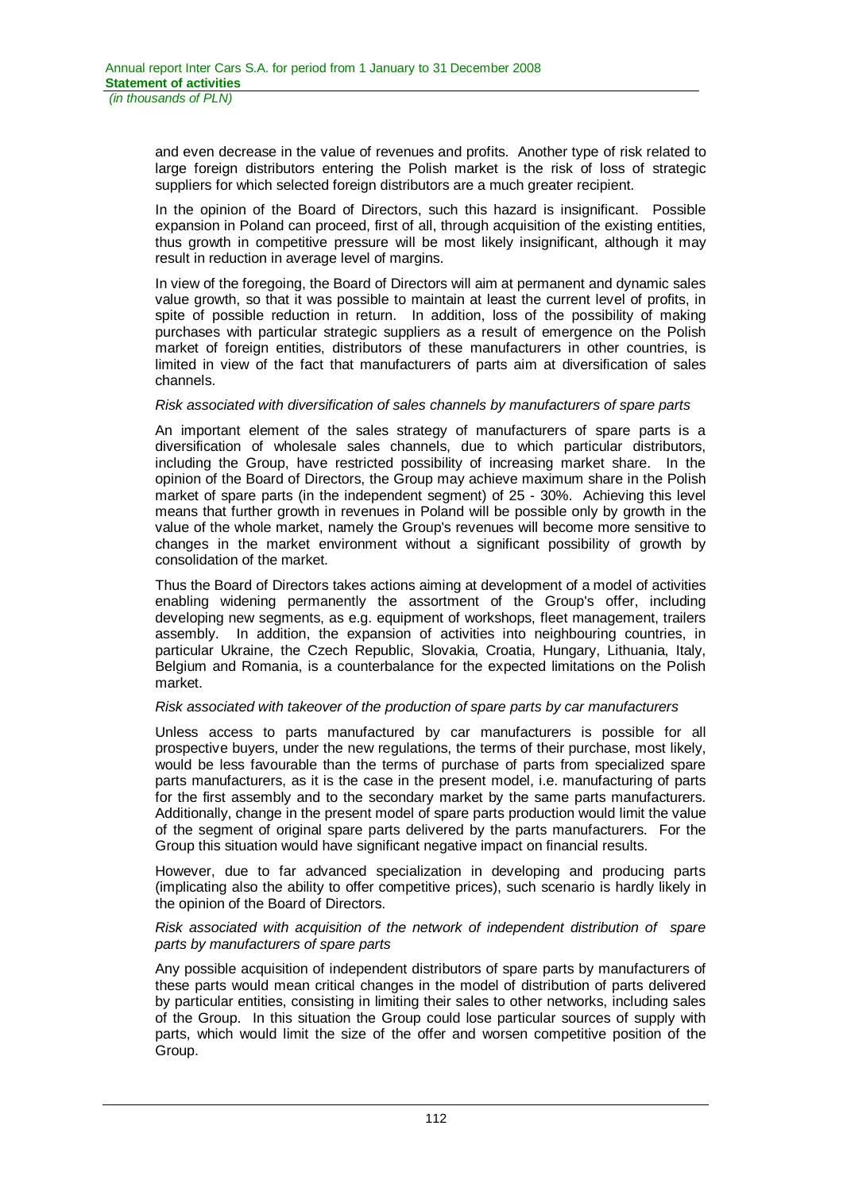and even decrease in the value of revenues and profits. Another type of risk related to large foreign distributors entering the Polish market is the risk of loss of strategic suppliers for which selected foreign distributors are a much greater recipient.

In the opinion of the Board of Directors, such this hazard is insignificant. Possible expansion in Poland can proceed, first of all, through acquisition of the existing entities, thus growth in competitive pressure will be most likely insignificant, although it may result in reduction in average level of margins.

In view of the foregoing, the Board of Directors will aim at permanent and dynamic sales value growth, so that it was possible to maintain at least the current level of profits, in spite of possible reduction in return. In addition, loss of the possibility of making purchases with particular strategic suppliers as a result of emergence on the Polish market of foreign entities, distributors of these manufacturers in other countries, is limited in view of the fact that manufacturers of parts aim at diversification of sales channels.

#### *Risk associated with diversification of sales channels by manufacturers of spare parts*

An important element of the sales strategy of manufacturers of spare parts is a diversification of wholesale sales channels, due to which particular distributors, including the Group, have restricted possibility of increasing market share. In the opinion of the Board of Directors, the Group may achieve maximum share in the Polish market of spare parts (in the independent segment) of 25 - 30%. Achieving this level means that further growth in revenues in Poland will be possible only by growth in the value of the whole market, namely the Group's revenues will become more sensitive to changes in the market environment without a significant possibility of growth by consolidation of the market.

Thus the Board of Directors takes actions aiming at development of a model of activities enabling widening permanently the assortment of the Group's offer, including developing new segments, as e.g. equipment of workshops, fleet management, trailers assembly. In addition, the expansion of activities into neighbouring countries, in particular Ukraine, the Czech Republic, Slovakia, Croatia, Hungary, Lithuania, Italy, Belgium and Romania, is a counterbalance for the expected limitations on the Polish market.

#### *Risk associated with takeover of the production of spare parts by car manufacturers*

Unless access to parts manufactured by car manufacturers is possible for all prospective buyers, under the new regulations, the terms of their purchase, most likely, would be less favourable than the terms of purchase of parts from specialized spare parts manufacturers, as it is the case in the present model, i.e. manufacturing of parts for the first assembly and to the secondary market by the same parts manufacturers. Additionally, change in the present model of spare parts production would limit the value of the segment of original spare parts delivered by the parts manufacturers. For the Group this situation would have significant negative impact on financial results.

However, due to far advanced specialization in developing and producing parts (implicating also the ability to offer competitive prices), such scenario is hardly likely in the opinion of the Board of Directors.

#### *Risk associated with acquisition of the network of independent distribution of spare parts by manufacturers of spare parts*

Any possible acquisition of independent distributors of spare parts by manufacturers of these parts would mean critical changes in the model of distribution of parts delivered by particular entities, consisting in limiting their sales to other networks, including sales of the Group. In this situation the Group could lose particular sources of supply with parts, which would limit the size of the offer and worsen competitive position of the Group.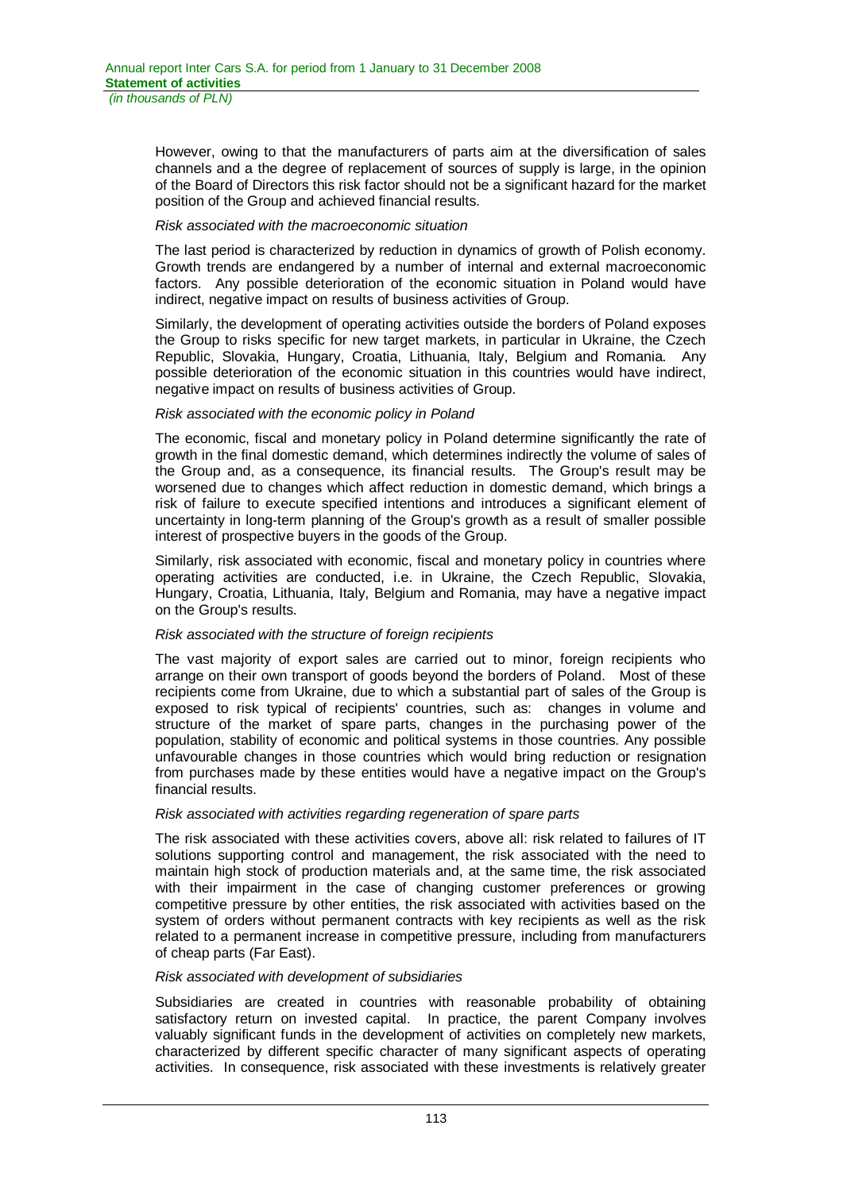However, owing to that the manufacturers of parts aim at the diversification of sales channels and a the degree of replacement of sources of supply is large, in the opinion of the Board of Directors this risk factor should not be a significant hazard for the market position of the Group and achieved financial results.

#### *Risk associated with the macroeconomic situation*

The last period is characterized by reduction in dynamics of growth of Polish economy. Growth trends are endangered by a number of internal and external macroeconomic factors. Any possible deterioration of the economic situation in Poland would have indirect, negative impact on results of business activities of Group.

Similarly, the development of operating activities outside the borders of Poland exposes the Group to risks specific for new target markets, in particular in Ukraine, the Czech Republic, Slovakia, Hungary, Croatia, Lithuania, Italy, Belgium and Romania. Any possible deterioration of the economic situation in this countries would have indirect, negative impact on results of business activities of Group.

#### *Risk associated with the economic policy in Poland*

The economic, fiscal and monetary policy in Poland determine significantly the rate of growth in the final domestic demand, which determines indirectly the volume of sales of the Group and, as a consequence, its financial results. The Group's result may be worsened due to changes which affect reduction in domestic demand, which brings a risk of failure to execute specified intentions and introduces a significant element of uncertainty in long-term planning of the Group's growth as a result of smaller possible interest of prospective buyers in the goods of the Group.

Similarly, risk associated with economic, fiscal and monetary policy in countries where operating activities are conducted, i.e. in Ukraine, the Czech Republic, Slovakia, Hungary, Croatia, Lithuania, Italy, Belgium and Romania, may have a negative impact on the Group's results.

### *Risk associated with the structure of foreign recipients*

The vast majority of export sales are carried out to minor, foreign recipients who arrange on their own transport of goods beyond the borders of Poland. Most of these recipients come from Ukraine, due to which a substantial part of sales of the Group is exposed to risk typical of recipients' countries, such as: changes in volume and structure of the market of spare parts, changes in the purchasing power of the population, stability of economic and political systems in those countries. Any possible unfavourable changes in those countries which would bring reduction or resignation from purchases made by these entities would have a negative impact on the Group's financial results.

### *Risk associated with activities regarding regeneration of spare parts*

The risk associated with these activities covers, above all: risk related to failures of IT solutions supporting control and management, the risk associated with the need to maintain high stock of production materials and, at the same time, the risk associated with their impairment in the case of changing customer preferences or growing competitive pressure by other entities, the risk associated with activities based on the system of orders without permanent contracts with key recipients as well as the risk related to a permanent increase in competitive pressure, including from manufacturers of cheap parts (Far East).

#### *Risk associated with development of subsidiaries*

Subsidiaries are created in countries with reasonable probability of obtaining satisfactory return on invested capital. In practice, the parent Company involves valuably significant funds in the development of activities on completely new markets, characterized by different specific character of many significant aspects of operating activities. In consequence, risk associated with these investments is relatively greater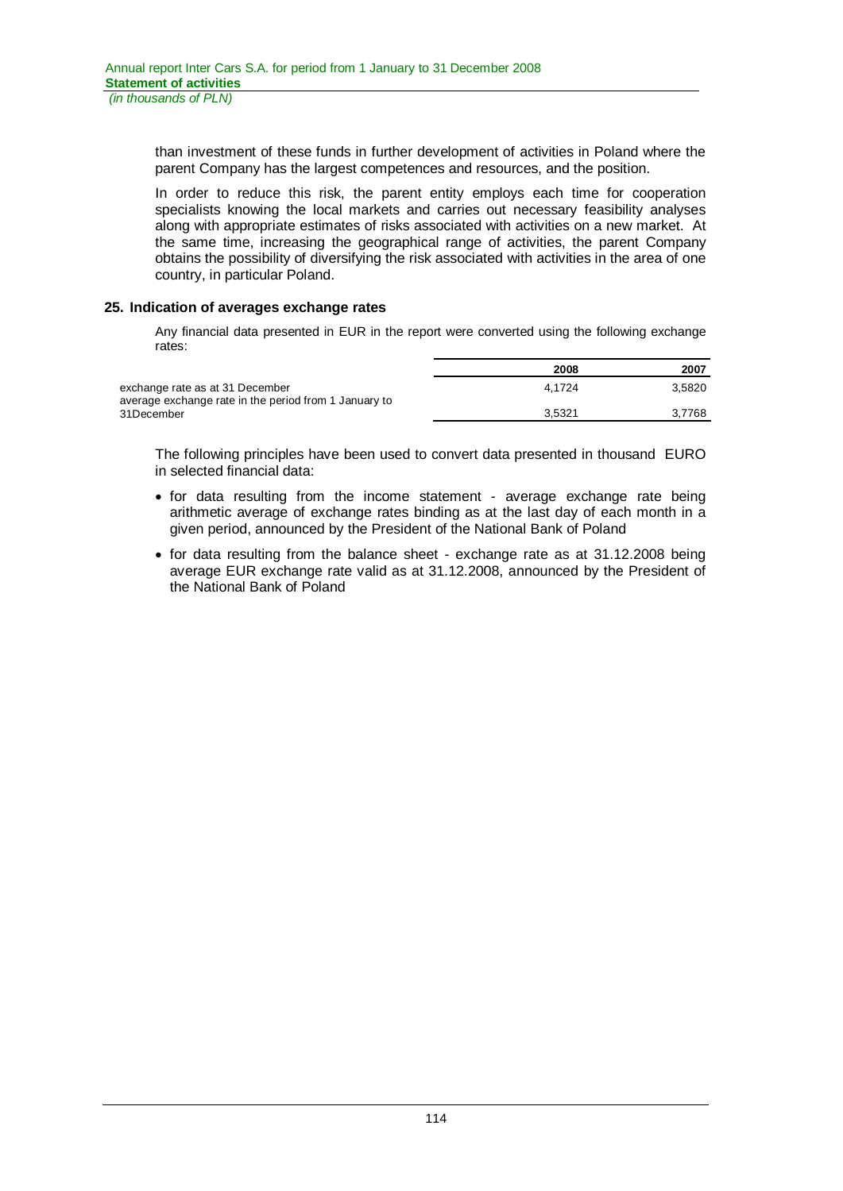than investment of these funds in further development of activities in Poland where the parent Company has the largest competences and resources, and the position.

In order to reduce this risk, the parent entity employs each time for cooperation specialists knowing the local markets and carries out necessary feasibility analyses along with appropriate estimates of risks associated with activities on a new market. At the same time, increasing the geographical range of activities, the parent Company obtains the possibility of diversifying the risk associated with activities in the area of one country, in particular Poland.

#### **25. Indication of averages exchange rates**

Any financial data presented in EUR in the report were converted using the following exchange rates:

|                                                                                          | 2008   | 2007   |
|------------------------------------------------------------------------------------------|--------|--------|
| exchange rate as at 31 December<br>average exchange rate in the period from 1 January to | 4.1724 | 3.5820 |
| 31December                                                                               | 3.5321 | 3.7768 |

The following principles have been used to convert data presented in thousand EURO in selected financial data:

- for data resulting from the income statement average exchange rate being arithmetic average of exchange rates binding as at the last day of each month in a given period, announced by the President of the National Bank of Poland
- for data resulting from the balance sheet exchange rate as at 31.12.2008 being average EUR exchange rate valid as at 31.12.2008, announced by the President of the National Bank of Poland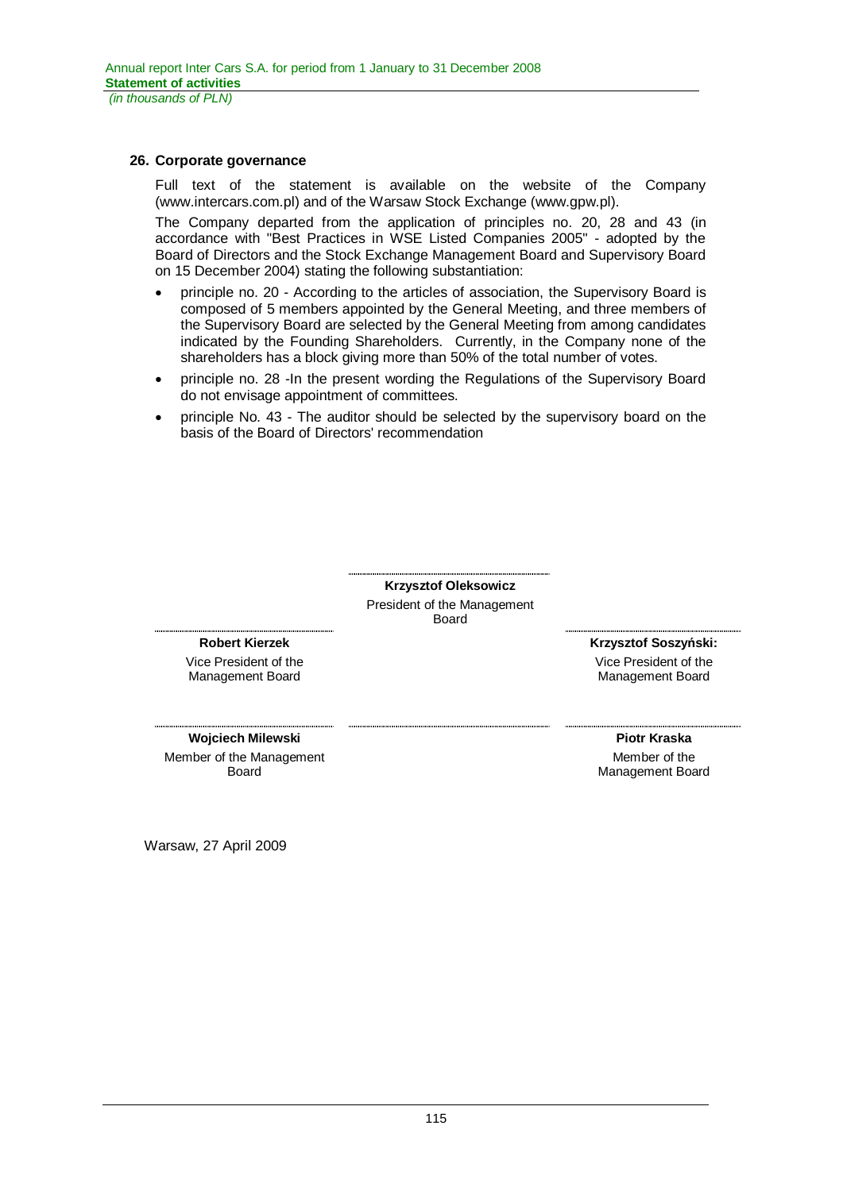#### **26. Corporate governance**

Full text of the statement is available on the website of the Company (www.intercars.com.pl) and of the Warsaw Stock Exchange (www.gpw.pl).

The Company departed from the application of principles no. 20, 28 and 43 (in accordance with "Best Practices in WSE Listed Companies 2005" - adopted by the Board of Directors and the Stock Exchange Management Board and Supervisory Board on 15 December 2004) stating the following substantiation:

- principle no. 20 According to the articles of association, the Supervisory Board is composed of 5 members appointed by the General Meeting, and three members of the Supervisory Board are selected by the General Meeting from among candidates indicated by the Founding Shareholders. Currently, in the Company none of the shareholders has a block giving more than 50% of the total number of votes.
- principle no. 28 -In the present wording the Regulations of the Supervisory Board do not envisage appointment of committees.
- x principle No. 43 The auditor should be selected by the supervisory board on the basis of the Board of Directors' recommendation

**Krzysztof Oleksowicz**  President of the Management Board

#### **Robert Kierzek**

Vice President of the Management Board

**Krzysztof Soszyński:** 

Vice President of the Management Board

**Wojciech Milewski** Member of the Management Board

**Piotr Kraska**  Member of the Management Board

Warsaw, 27 April 2009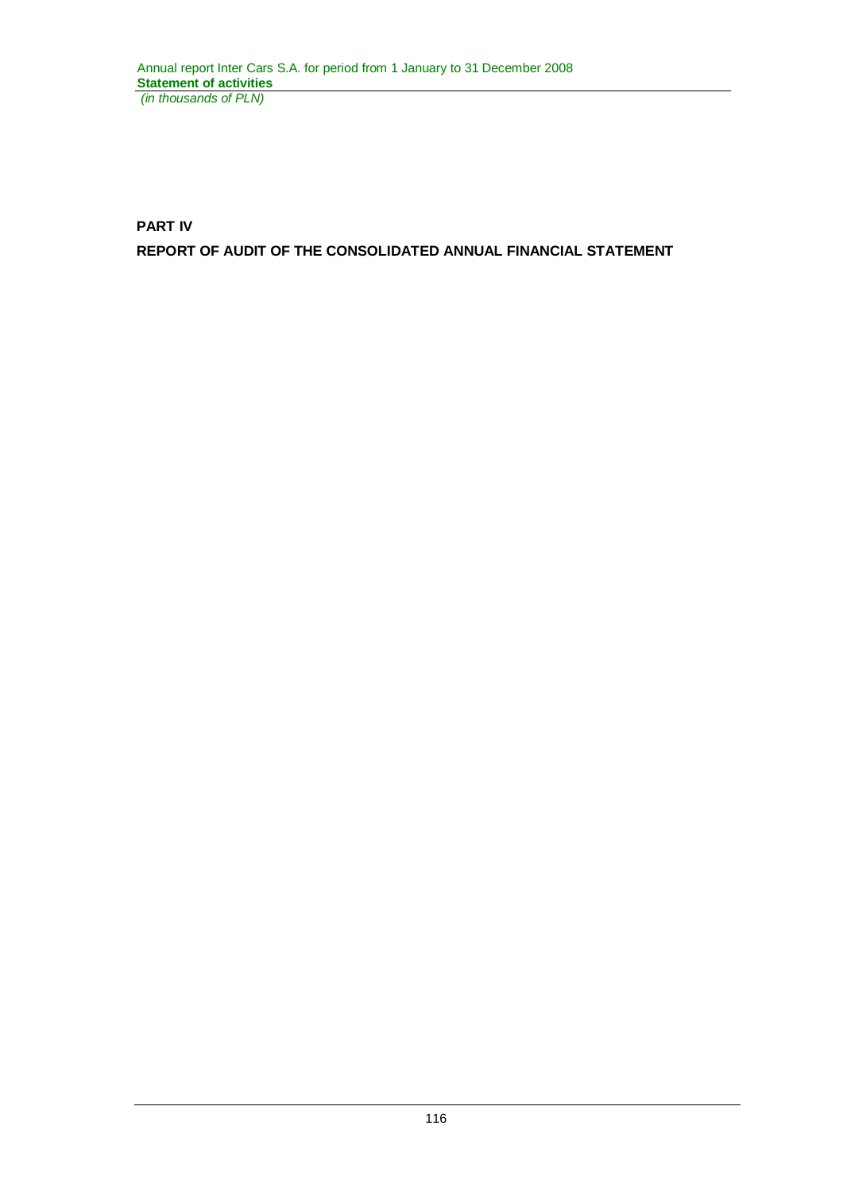**PART IV REPORT OF AUDIT OF THE CONSOLIDATED ANNUAL FINANCIAL STATEMENT**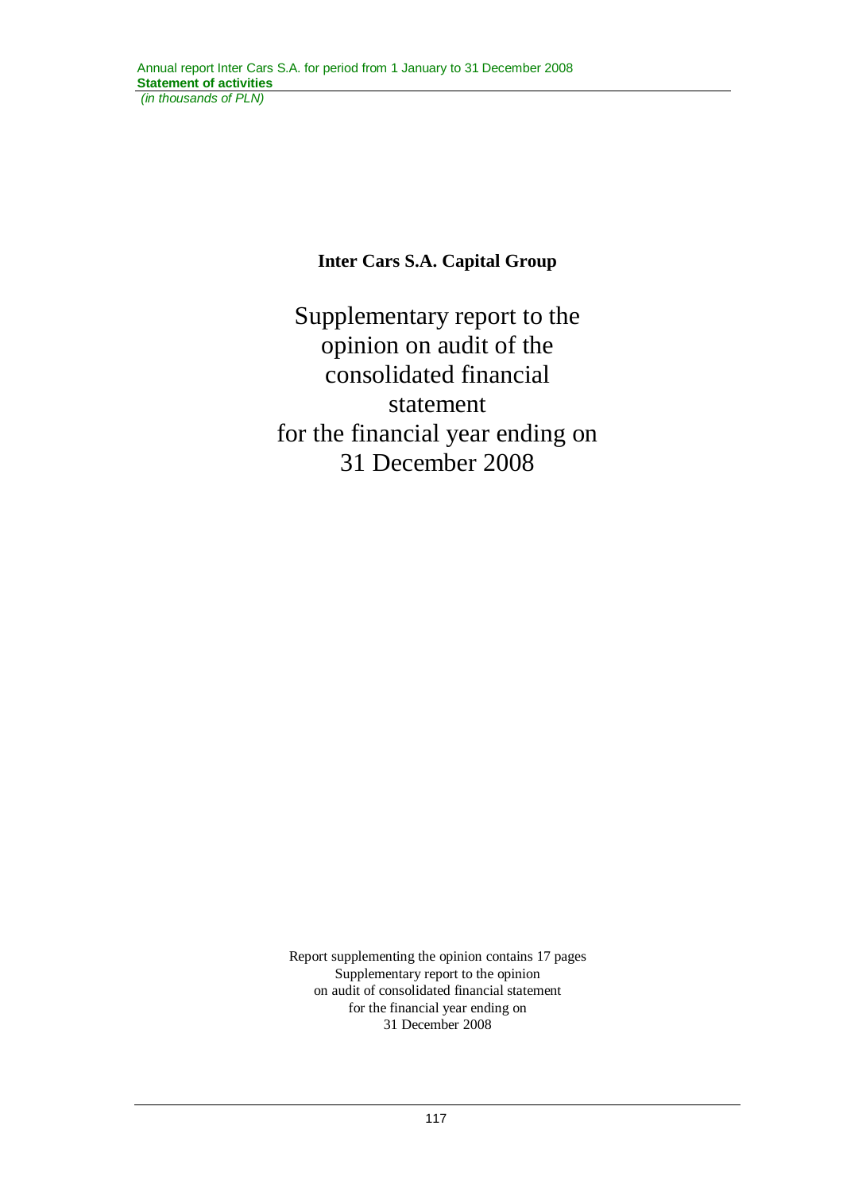# **Inter Cars S.A. Capital Group**

Supplementary report to the opinion on audit of the consolidated financial statement for the financial year ending on 31 December 2008

Report supplementing the opinion contains 17 pages Supplementary report to the opinion on audit of consolidated financial statement for the financial year ending on 31 December 2008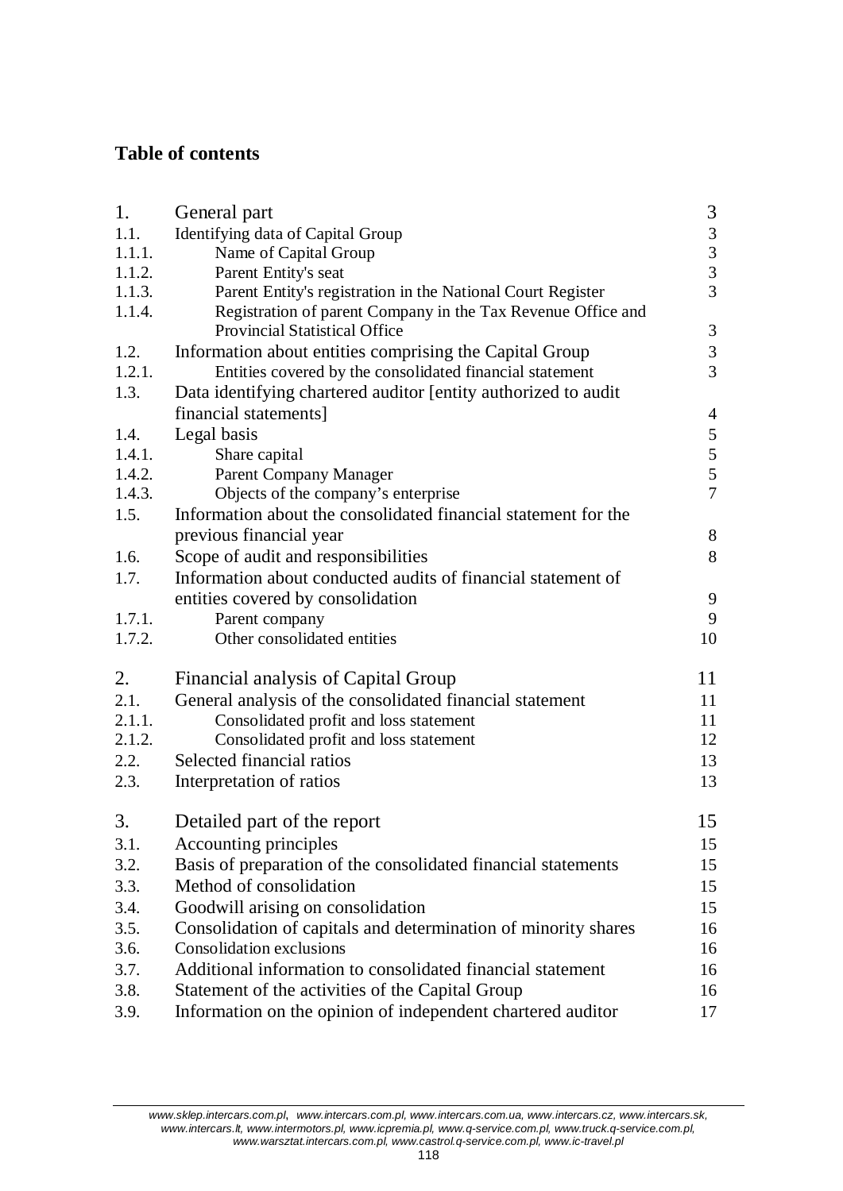# **Table of contents**

| 1.     | General part                                                   | 3                                          |
|--------|----------------------------------------------------------------|--------------------------------------------|
| 1.1.   | Identifying data of Capital Group                              |                                            |
| 1.1.1. | Name of Capital Group                                          |                                            |
| 1.1.2. | Parent Entity's seat                                           | $\begin{array}{c} 3 \\ 3 \\ 3 \end{array}$ |
| 1.1.3. | Parent Entity's registration in the National Court Register    |                                            |
| 1.1.4. | Registration of parent Company in the Tax Revenue Office and   |                                            |
|        | <b>Provincial Statistical Office</b>                           | $\mathfrak{Z}$                             |
| 1.2.   | Information about entities comprising the Capital Group        | $\mathfrak{Z}$                             |
| 1.2.1. | Entities covered by the consolidated financial statement       | $\overline{3}$                             |
| 1.3.   | Data identifying chartered auditor [entity authorized to audit |                                            |
|        | financial statements]                                          | $\overline{4}$                             |
| 1.4.   | Legal basis                                                    | $\overline{5}$                             |
| 1.4.1. | Share capital                                                  |                                            |
| 1.4.2. | Parent Company Manager                                         | $\begin{array}{c} 5 \\ 5 \\ 7 \end{array}$ |
| 1.4.3. | Objects of the company's enterprise                            |                                            |
| 1.5.   | Information about the consolidated financial statement for the |                                            |
|        | previous financial year                                        | 8                                          |
| 1.6.   | Scope of audit and responsibilities                            | 8                                          |
| 1.7.   | Information about conducted audits of financial statement of   |                                            |
|        | entities covered by consolidation                              | 9                                          |
| 1.7.1. | Parent company                                                 | 9                                          |
| 1.7.2. | Other consolidated entities                                    | 10                                         |
|        |                                                                |                                            |
| 2.     | Financial analysis of Capital Group                            | 11                                         |
| 2.1.   | General analysis of the consolidated financial statement       | 11                                         |
| 2.1.1. | Consolidated profit and loss statement                         | 11                                         |
| 2.1.2. | Consolidated profit and loss statement                         | 12                                         |
| 2.2.   | Selected financial ratios                                      | 13                                         |
| 2.3.   | Interpretation of ratios                                       | 13                                         |
|        |                                                                |                                            |
| 3.     | Detailed part of the report                                    | 15                                         |
| 3.1.   | Accounting principles                                          | 15                                         |
| 3.2.   | Basis of preparation of the consolidated financial statements  | 15                                         |
| 3.3.   | Method of consolidation                                        | 15                                         |
| 3.4.   | Goodwill arising on consolidation                              | 15                                         |
| 3.5.   | Consolidation of capitals and determination of minority shares | 16                                         |
| 3.6.   | <b>Consolidation exclusions</b>                                | 16                                         |
| 3.7.   | Additional information to consolidated financial statement     | 16                                         |
| 3.8.   | Statement of the activities of the Capital Group               | 16                                         |
| 3.9.   | Information on the opinion of independent chartered auditor    | 17                                         |
|        |                                                                |                                            |

*www.sklep.intercars.com.pl*, *www.intercars.com.pl, www.intercars.com.ua, www.intercars.cz, www.intercars.sk, www.intercars.lt, www.intermotors.pl, www.icpremia.pl, www.q-service.com.pl, www.truck.q-service.com.pl, www.warsztat.intercars.com.pl, www.castrol.q-service.com.pl, www.ic-travel.pl*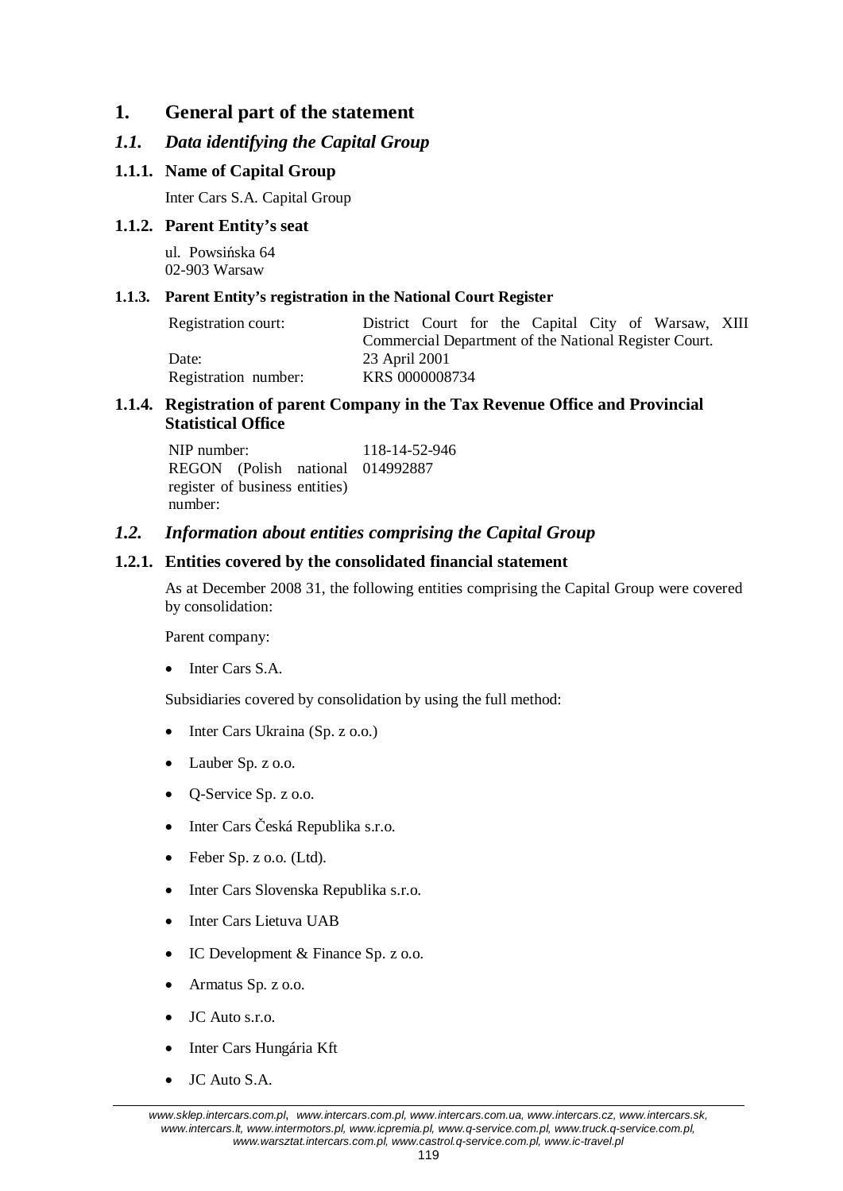### **1. General part of the statement**

### *1.1. Data identifying the Capital Group*

### **1.1.1. Name of Capital Group**

Inter Cars S.A. Capital Group

### **1.1.2. Parent Entity's seat**

ul. Powsińska 64 02-903 Warsaw

### **1.1.3. Parent Entity's registration in the National Court Register**

| Registration court:  | District Court for the Capital City of Warsaw, XIII   |
|----------------------|-------------------------------------------------------|
|                      | Commercial Department of the National Register Court. |
| Date:                | 23 April 2001                                         |
| Registration number: | KRS 0000008734                                        |

### **1.1.4. Registration of parent Company in the Tax Revenue Office and Provincial Statistical Office**

NIP number: 118-14-52-946 REGON (Polish national 014992887 register of business entities) number:

### *1.2. Information about entities comprising the Capital Group*

### **1.2.1. Entities covered by the consolidated financial statement**

As at December 2008 31, the following entities comprising the Capital Group were covered by consolidation:

Parent company:

Inter Cars S.A.

Subsidiaries covered by consolidation by using the full method:

- Inter Cars Ukraina (Sp. z o.o.)
- Lauber Sp. z o.o.
- $\bullet$  Q-Service Sp. z o.o.
- Inter Cars Česká Republika s.r.o.
- $\bullet$  Feber Sp. z o.o. (Ltd).
- Inter Cars Slovenska Republika s.r.o.
- Inter Cars Lietuva UAB
- $\bullet$  IC Development & Finance Sp. z o.o.
- $\bullet$  Armatus Sp. z o.o.
- JC Auto s.r.o.
- Inter Cars Hungária Kft
- $\bullet$  JC Auto S.A.

*www.sklep.intercars.com.pl*, *www.intercars.com.pl, www.intercars.com.ua, www.intercars.cz, www.intercars.sk, www.intercars.lt, www.intermotors.pl, www.icpremia.pl, www.q-service.com.pl, www.truck.q-service.com.pl, www.warsztat.intercars.com.pl, www.castrol.q-service.com.pl, www.ic-travel.pl*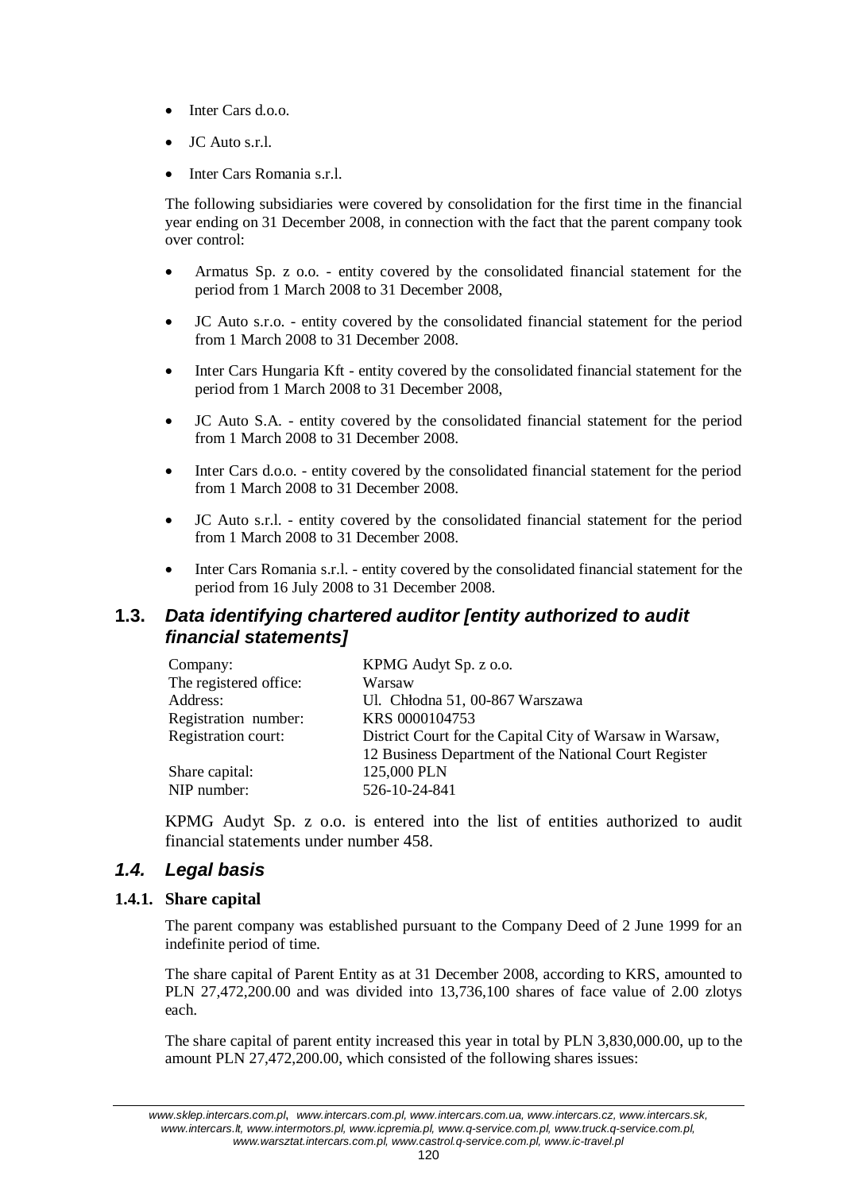- Inter Cars d.o.o.
- JC Auto s.r.l.
- Inter Cars Romania s.r.l.

The following subsidiaries were covered by consolidation for the first time in the financial year ending on 31 December 2008, in connection with the fact that the parent company took over control:

- x Armatus Sp. z o.o. entity covered by the consolidated financial statement for the period from 1 March 2008 to 31 December 2008,
- JC Auto s.r.o. entity covered by the consolidated financial statement for the period from 1 March 2008 to 31 December 2008.
- x Inter Cars Hungaria Kft entity covered by the consolidated financial statement for the period from 1 March 2008 to 31 December 2008,
- x JC Auto S.A. entity covered by the consolidated financial statement for the period from 1 March 2008 to 31 December 2008.
- Inter Cars d.o.o. entity covered by the consolidated financial statement for the period from 1 March 2008 to 31 December 2008.
- JC Auto s.r.l. entity covered by the consolidated financial statement for the period from 1 March 2008 to 31 December 2008.
- Inter Cars Romania s.r.l. entity covered by the consolidated financial statement for the period from 16 July 2008 to 31 December 2008.

### **1.3.** *Data identifying chartered auditor [entity authorized to audit financial statements]*

| Company:               | KPMG Audyt Sp. z o.o.                                    |
|------------------------|----------------------------------------------------------|
| The registered office: | Warsaw                                                   |
| Address:               | Ul. Chłodna 51, 00-867 Warszawa                          |
| Registration number:   | KRS 0000104753                                           |
| Registration court:    | District Court for the Capital City of Warsaw in Warsaw, |
|                        | 12 Business Department of the National Court Register    |
| Share capital:         | 125,000 PLN                                              |
| NIP number:            | 526-10-24-841                                            |

KPMG Audyt Sp. z o.o. is entered into the list of entities authorized to audit financial statements under number 458.

### *1.4. Legal basis*

### **1.4.1. Share capital**

The parent company was established pursuant to the Company Deed of 2 June 1999 for an indefinite period of time.

The share capital of Parent Entity as at 31 December 2008, according to KRS, amounted to PLN 27,472,200.00 and was divided into 13,736,100 shares of face value of 2.00 zlotys each.

The share capital of parent entity increased this year in total by PLN 3,830,000.00, up to the amount PLN 27,472,200.00, which consisted of the following shares issues:

*www.sklep.intercars.com.pl*, *www.intercars.com.pl, www.intercars.com.ua, www.intercars.cz, www.intercars.sk, www.intercars.lt, www.intermotors.pl, www.icpremia.pl, www.q-service.com.pl, www.truck.q-service.com.pl, www.warsztat.intercars.com.pl, www.castrol.q-service.com.pl, www.ic-travel.pl*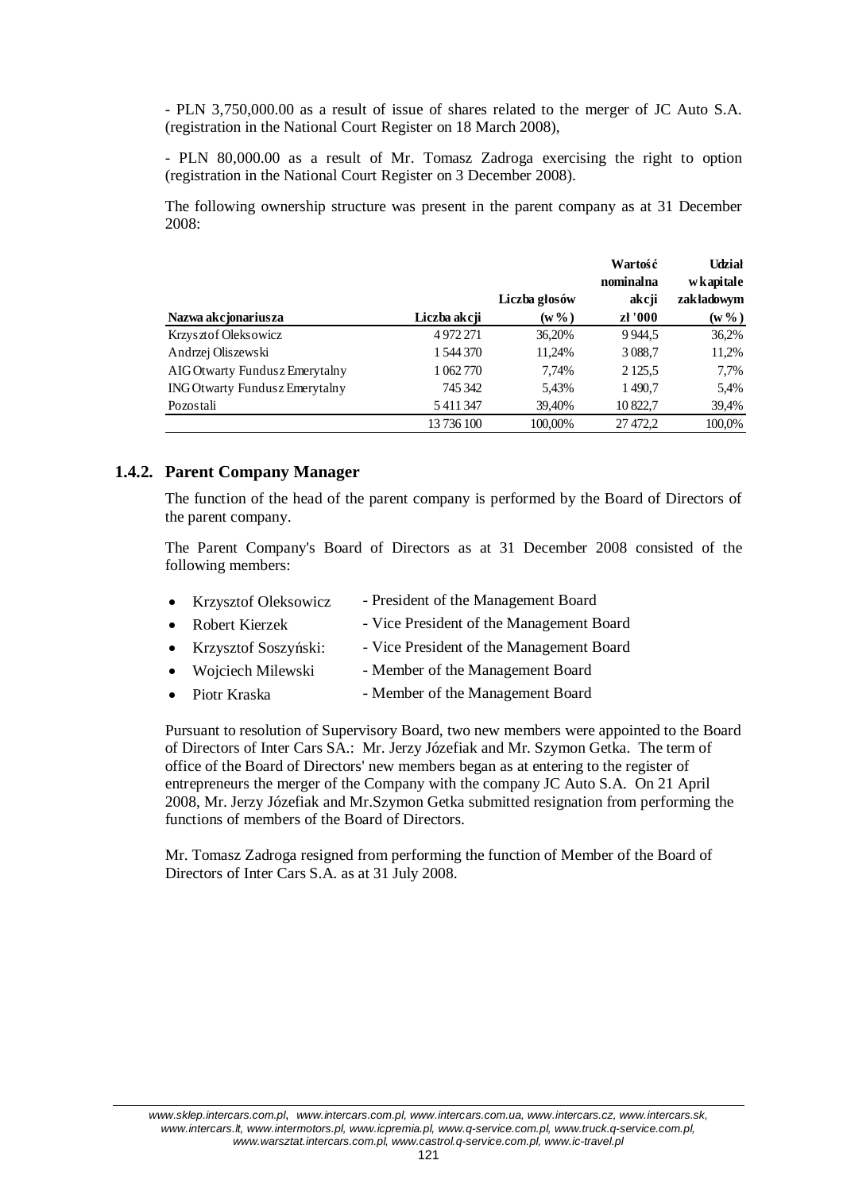- PLN 3,750,000.00 as a result of issue of shares related to the merger of JC Auto S.A. (registration in the National Court Register on 18 March 2008),

- PLN 80,000.00 as a result of Mr. Tomasz Zadroga exercising the right to option (registration in the National Court Register on 3 December 2008).

The following ownership structure was present in the parent company as at 31 December 2008:

|                                       |              |               | Wartość    | <b>Udział</b> |
|---------------------------------------|--------------|---------------|------------|---------------|
|                                       |              |               | nominalna  | wkapitale     |
|                                       |              | Liczba głosów | akcji      | zakładowym    |
| Nazwa akcjonariusza                   | Liczba akcji | $(w\% )$      | zł '000    | $(w\% )$      |
| Krzysztof Oleksowicz                  | 4972271      | 36,20%        | 9944,5     | 36,2%         |
| Andrzej Oliszewski                    | 1 544 370    | 11,24%        | 3 0 8 8 7  | 11,2%         |
| AIG Otwarty Fundusz Emerytalny        | 1 062 770    | 7.74%         | 2 1 2 5 .5 | 7,7%          |
| <b>ING Otwarty Fundusz Emerytalny</b> | 745 342      | 5,43%         | 1490,7     | 5,4%          |
| Pozostali                             | 5411347      | 39,40%        | 10 822,7   | 39,4%         |
|                                       | 13 736 100   | 100,00%       | 27 472,2   | 100,0%        |

### **1.4.2. Parent Company Manager**

The function of the head of the parent company is performed by the Board of Directors of the parent company.

The Parent Company's Board of Directors as at 31 December 2008 consisted of the following members:

| • Krzysztof Oleksowicz | - President of the Management Board      |
|------------------------|------------------------------------------|
| • Robert Kierzek       | - Vice President of the Management Board |
| • Krzysztof Soszyński: | - Vice President of the Management Board |
| • Wojciech Milewski    | - Member of the Management Board         |
| • Piotr Kraska         | - Member of the Management Board         |

Pursuant to resolution of Supervisory Board, two new members were appointed to the Board of Directors of Inter Cars SA.: Mr. Jerzy Józefiak and Mr. Szymon Getka. The term of office of the Board of Directors' new members began as at entering to the register of entrepreneurs the merger of the Company with the company JC Auto S.A. On 21 April 2008, Mr. Jerzy Józefiak and Mr.Szymon Getka submitted resignation from performing the functions of members of the Board of Directors.

Mr. Tomasz Zadroga resigned from performing the function of Member of the Board of Directors of Inter Cars S.A. as at 31 July 2008.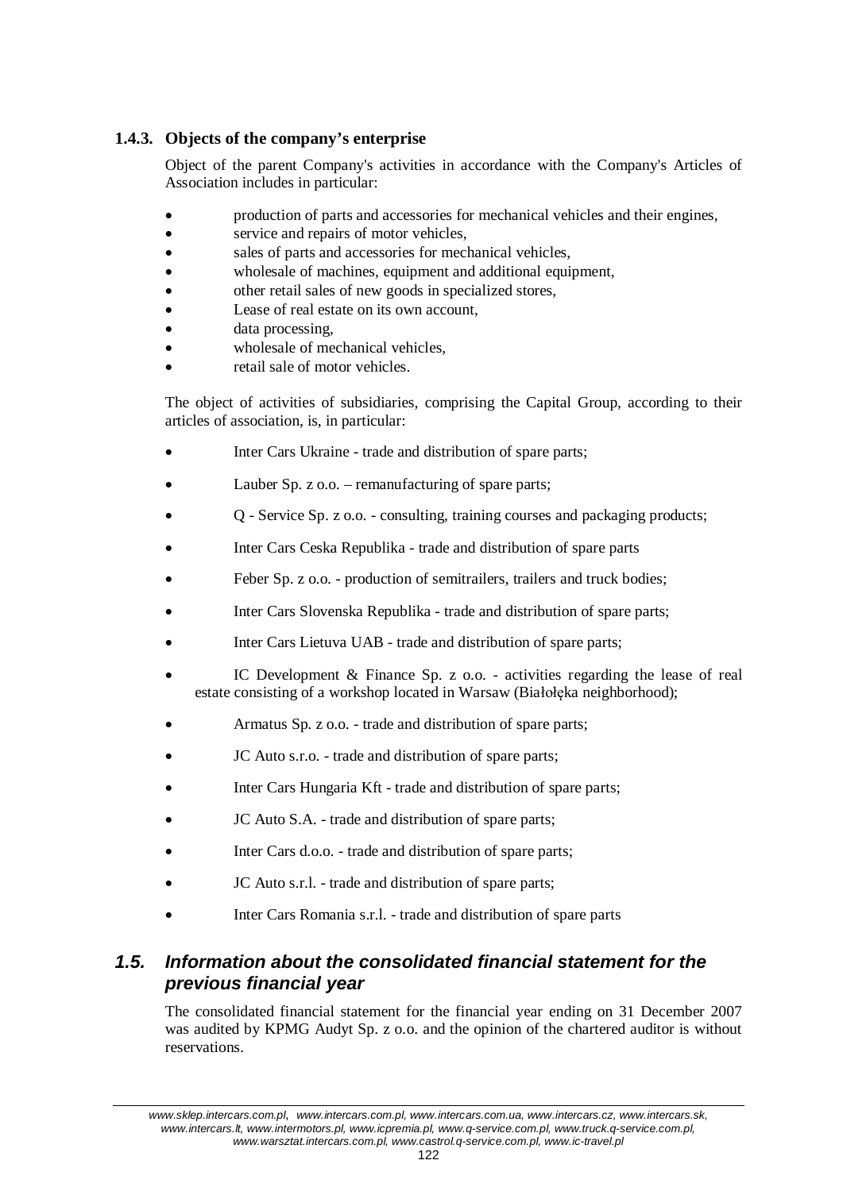### **1.4.3. Objects of the company's enterprise**

Object of the parent Company's activities in accordance with the Company's Articles of Association includes in particular:

- x production of parts and accessories for mechanical vehicles and their engines,
- service and repairs of motor vehicles,
- sales of parts and accessories for mechanical vehicles,
- wholesale of machines, equipment and additional equipment,
- other retail sales of new goods in specialized stores,
- Lease of real estate on its own account,
- data processing,
- wholesale of mechanical vehicles,
- retail sale of motor vehicles.

The object of activities of subsidiaries, comprising the Capital Group, according to their articles of association, is, in particular:

- Inter Cars Ukraine trade and distribution of spare parts;
- Lauber Sp.  $z$  o.o. remanufacturing of spare parts;
- x Q Service Sp. z o.o. consulting, training courses and packaging products;
- Inter Cars Ceska Republika trade and distribution of spare parts
- Feber Sp. z o.o. production of semitrailers, trailers and truck bodies;
- Inter Cars Slovenska Republika trade and distribution of spare parts;
- Inter Cars Lietuva UAB trade and distribution of spare parts;
- IC Development  $\&$  Finance Sp. z o.o. activities regarding the lease of real estate consisting of a workshop located in Warsaw (Białołęka neighborhood);
- Armatus Sp. z o.o. trade and distribution of spare parts;
- JC Auto s.r.o. trade and distribution of spare parts;
- Inter Cars Hungaria Kft trade and distribution of spare parts;
- JC Auto S.A. trade and distribution of spare parts;
- Inter Cars d.o.o. trade and distribution of spare parts;
- JC Auto s.r.l. trade and distribution of spare parts;
- Inter Cars Romania s.r.l. trade and distribution of spare parts

# *1.5. Information about the consolidated financial statement for the previous financial year*

The consolidated financial statement for the financial year ending on 31 December 2007 was audited by KPMG Audyt Sp. z o.o. and the opinion of the chartered auditor is without reservations.

*www.sklep.intercars.com.pl*, *www.intercars.com.pl, www.intercars.com.ua, www.intercars.cz, www.intercars.sk, www.intercars.lt, www.intermotors.pl, www.icpremia.pl, www.q-service.com.pl, www.truck.q-service.com.pl, www.warsztat.intercars.com.pl, www.castrol.q-service.com.pl, www.ic-travel.pl*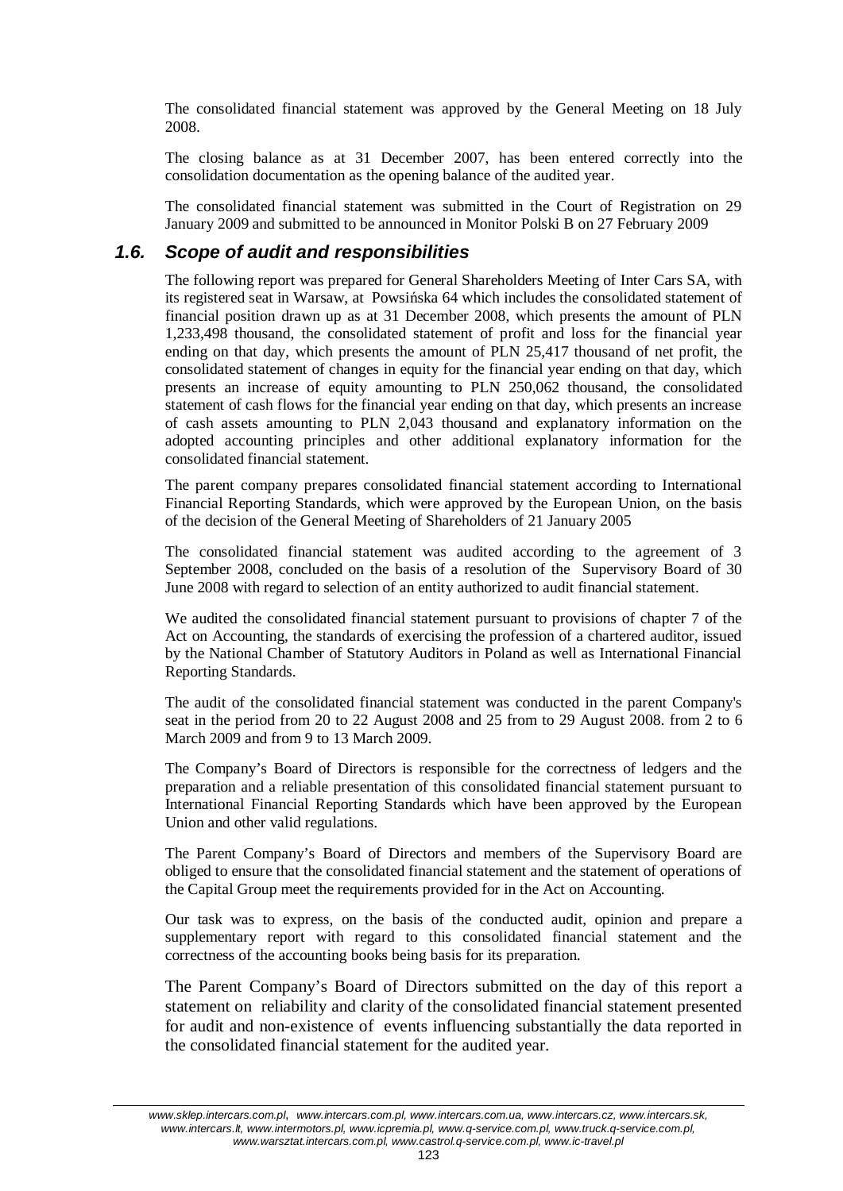The consolidated financial statement was approved by the General Meeting on 18 July 2008.

The closing balance as at 31 December 2007, has been entered correctly into the consolidation documentation as the opening balance of the audited year.

The consolidated financial statement was submitted in the Court of Registration on 29 January 2009 and submitted to be announced in Monitor Polski B on 27 February 2009

### *1.6. Scope of audit and responsibilities*

The following report was prepared for General Shareholders Meeting of Inter Cars SA, with its registered seat in Warsaw, at Powsińska 64 which includes the consolidated statement of financial position drawn up as at 31 December 2008, which presents the amount of PLN 1,233,498 thousand, the consolidated statement of profit and loss for the financial year ending on that day, which presents the amount of PLN 25,417 thousand of net profit, the consolidated statement of changes in equity for the financial year ending on that day, which presents an increase of equity amounting to PLN 250,062 thousand, the consolidated statement of cash flows for the financial year ending on that day, which presents an increase of cash assets amounting to PLN 2,043 thousand and explanatory information on the adopted accounting principles and other additional explanatory information for the consolidated financial statement.

The parent company prepares consolidated financial statement according to International Financial Reporting Standards, which were approved by the European Union, on the basis of the decision of the General Meeting of Shareholders of 21 January 2005

The consolidated financial statement was audited according to the agreement of 3 September 2008, concluded on the basis of a resolution of the Supervisory Board of 30 June 2008 with regard to selection of an entity authorized to audit financial statement.

We audited the consolidated financial statement pursuant to provisions of chapter 7 of the Act on Accounting, the standards of exercising the profession of a chartered auditor, issued by the National Chamber of Statutory Auditors in Poland as well as International Financial Reporting Standards.

The audit of the consolidated financial statement was conducted in the parent Company's seat in the period from 20 to 22 August 2008 and 25 from to 29 August 2008. from 2 to 6 March 2009 and from 9 to 13 March 2009.

The Company's Board of Directors is responsible for the correctness of ledgers and the preparation and a reliable presentation of this consolidated financial statement pursuant to International Financial Reporting Standards which have been approved by the European Union and other valid regulations.

The Parent Company's Board of Directors and members of the Supervisory Board are obliged to ensure that the consolidated financial statement and the statement of operations of the Capital Group meet the requirements provided for in the Act on Accounting.

Our task was to express, on the basis of the conducted audit, opinion and prepare a supplementary report with regard to this consolidated financial statement and the correctness of the accounting books being basis for its preparation.

The Parent Company's Board of Directors submitted on the day of this report a statement on reliability and clarity of the consolidated financial statement presented for audit and non-existence of events influencing substantially the data reported in the consolidated financial statement for the audited year.

*www.sklep.intercars.com.pl*, *www.intercars.com.pl, www.intercars.com.ua, www.intercars.cz, www.intercars.sk, www.intercars.lt, www.intermotors.pl, www.icpremia.pl, www.q-service.com.pl, www.truck.q-service.com.pl, www.warsztat.intercars.com.pl, www.castrol.q-service.com.pl, www.ic-travel.pl*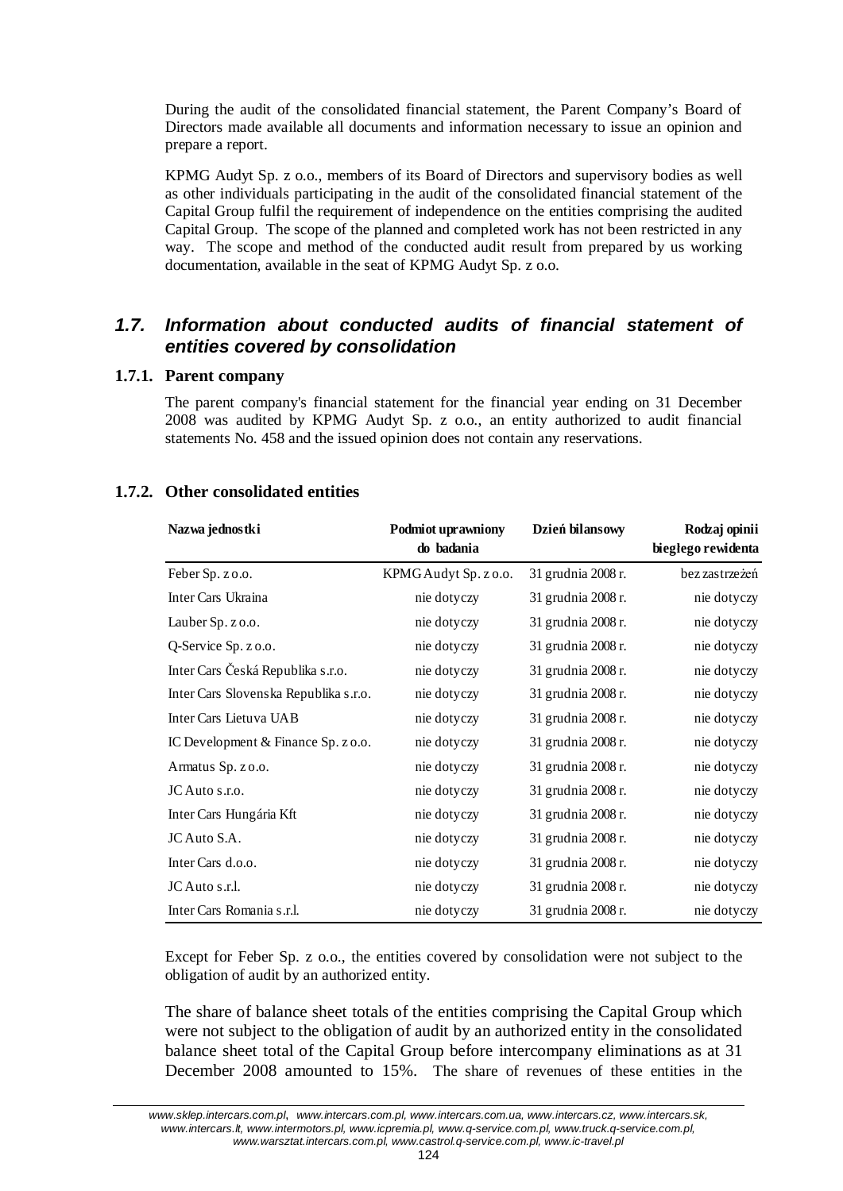During the audit of the consolidated financial statement, the Parent Company's Board of Directors made available all documents and information necessary to issue an opinion and prepare a report.

KPMG Audyt Sp. z o.o., members of its Board of Directors and supervisory bodies as well as other individuals participating in the audit of the consolidated financial statement of the Capital Group fulfil the requirement of independence on the entities comprising the audited Capital Group. The scope of the planned and completed work has not been restricted in any way. The scope and method of the conducted audit result from prepared by us working documentation, available in the seat of KPMG Audyt Sp. z o.o.

## *1.7. Information about conducted audits of financial statement of entities covered by consolidation*

### **1.7.1. Parent company**

The parent company's financial statement for the financial year ending on 31 December 2008 was audited by KPMG Audyt Sp. z o.o., an entity authorized to audit financial statements No. 458 and the issued opinion does not contain any reservations.

### **1.7.2. Other consolidated entities**

| Nazwa jednostki                       | Podmiot uprawniony<br>do badania | Dzień bilansowy    | Rodzaj opinii<br>biegłego rewidenta |
|---------------------------------------|----------------------------------|--------------------|-------------------------------------|
| Feber Sp. z o.o.                      | KPMGAudyt Sp. z o.o.             | 31 grudnia 2008 r. | bez zastrzeżeń                      |
| Inter Cars Ukraina                    | nie dotyczy                      | 31 grudnia 2008 r. | nie dotyczy                         |
| Lauber Sp. z o.o.                     | nie dotyczy                      | 31 grudnia 2008 r. | nie dotyczy                         |
| Q-Service Sp. z o.o.                  | nie dotyczy                      | 31 grudnia 2008 r. | nie dotyczy                         |
| Inter Cars Česká Republika s.r.o.     | nie dotyczy                      | 31 grudnia 2008 r. | nie dotyczy                         |
| Inter Cars Slovenska Republika s.r.o. | nie dotyczy                      | 31 grudnia 2008 r. | nie dotyczy                         |
| Inter Cars Lietuva UAB                | nie dotyczy                      | 31 grudnia 2008 r. | nie dotyczy                         |
| IC Development & Finance Sp. z o.o.   | nie dotyczy                      | 31 grudnia 2008 r. | nie dotyczy                         |
| Armatus Sp. zo.o.                     | nie dotyczy                      | 31 grudnia 2008 r. | nie dotyczy                         |
| JC Auto s.r.o.                        | nie dotyczy                      | 31 grudnia 2008 r. | nie dotyczy                         |
| Inter Cars Hungária Kft               | nie dotyczy                      | 31 grudnia 2008 r. | nie dotyczy                         |
| JC Auto S.A.                          | nie dotyczy                      | 31 grudnia 2008 r. | nie dotyczy                         |
| Inter Cars d.o.o.                     | nie dotyczy                      | 31 grudnia 2008 r. | nie dotyczy                         |
| JC Auto s.r.l.                        | nie dotyczy                      | 31 grudnia 2008 r. | nie dotyczy                         |
| Inter Cars Romania s.r.l.             | nie dotyczy                      | 31 grudnia 2008 r. | nie dotyczy                         |

Except for Feber Sp. z o.o., the entities covered by consolidation were not subject to the obligation of audit by an authorized entity.

The share of balance sheet totals of the entities comprising the Capital Group which were not subject to the obligation of audit by an authorized entity in the consolidated balance sheet total of the Capital Group before intercompany eliminations as at 31 December 2008 amounted to 15%. The share of revenues of these entities in the

*www.sklep.intercars.com.pl*, *www.intercars.com.pl, www.intercars.com.ua, www.intercars.cz, www.intercars.sk, www.intercars.lt, www.intermotors.pl, www.icpremia.pl, www.q-service.com.pl, www.truck.q-service.com.pl, www.warsztat.intercars.com.pl, www.castrol.q-service.com.pl, www.ic-travel.pl*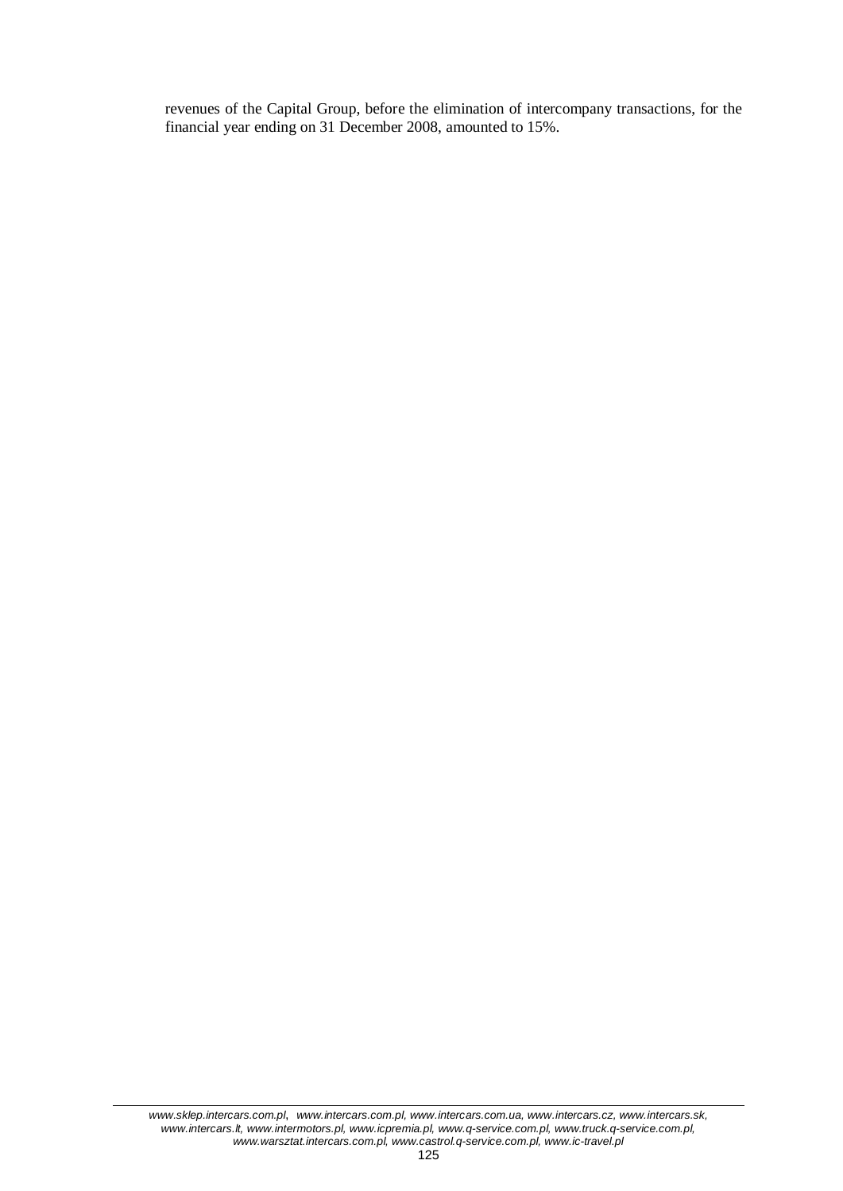revenues of the Capital Group, before the elimination of intercompany transactions, for the financial year ending on 31 December 2008, amounted to 15%.

#### *www.sklep.intercars.com.pl*, *www.intercars.com.pl, www.intercars.com.ua, www.intercars.cz, www.intercars.sk, www.intercars.lt, www.intermotors.pl, www.icpremia.pl, www.q-service.com.pl, www.truck.q-service.com.pl, www.warsztat.intercars.com.pl, www.castrol.q-service.com.pl, www.ic-travel.pl*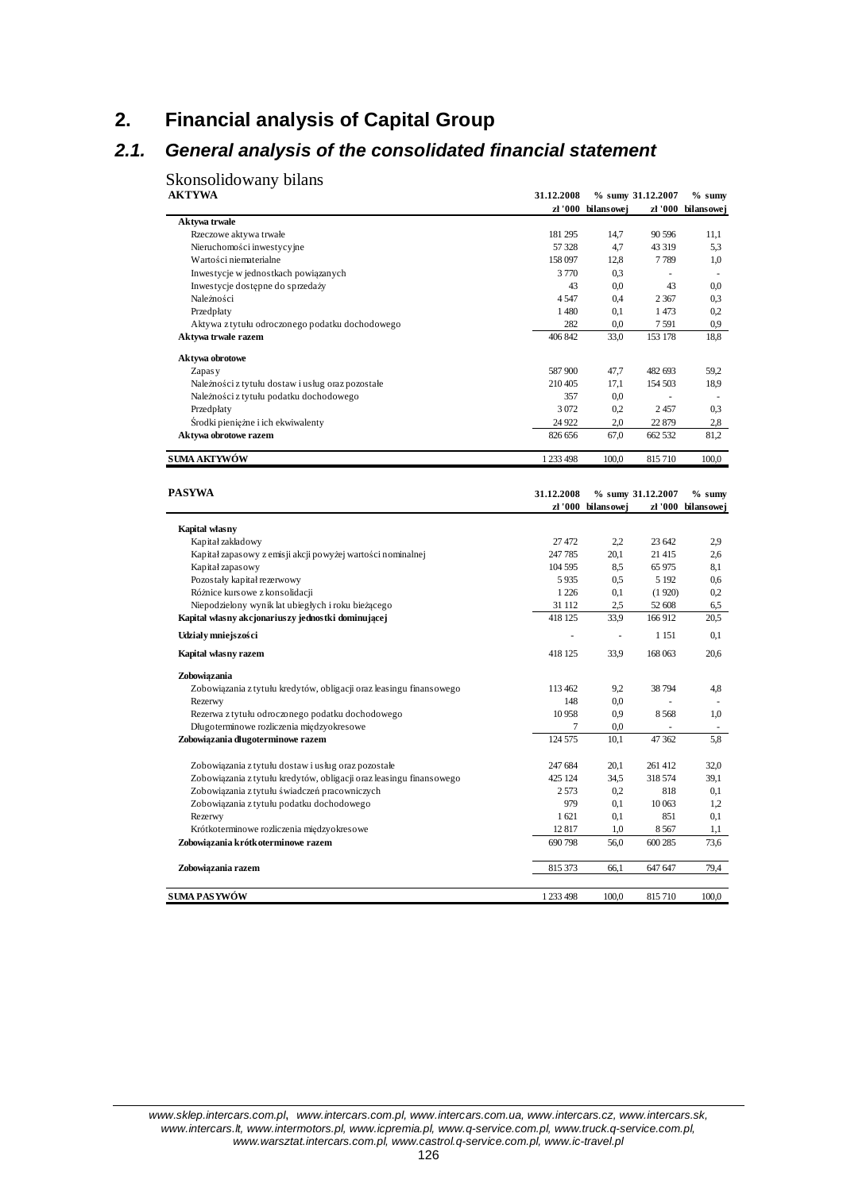# **2. Financial analysis of Capital Group**

# *2.1. General analysis of the consolidated financial statement*

Skonsolidowany bilans

| <b>AKTYWA</b>                                                       | 31.12.2008 | zł '000 bilansowej       | % sumy 31.12.2007 | $%$ sumy<br>zł '000 bilansowej |
|---------------------------------------------------------------------|------------|--------------------------|-------------------|--------------------------------|
| Aktywa trwałe                                                       |            |                          |                   |                                |
| Rzeczowe aktywa trwałe                                              | 181 295    | 14,7                     | 90 596            | 11,1                           |
| Nieruchomości inwestycyjne                                          | 57 328     | 4,7                      | 43 319            | 5.3                            |
| Wartości niematerialne                                              | 158 097    | 12,8                     | 7789              | 1,0                            |
| Inwestycje w jednostkach powiązanych                                | 3770       | 0.3                      |                   | $\sim$                         |
| Inwestycje dostępne do sprzedaży                                    | 43         | 0.0                      | 43                | 0.0                            |
| Należności                                                          | 4547       | 0,4                      | 2 3 6 7           | 0.3                            |
| Przedpłaty                                                          | 1 4 8 0    | 0,1                      | 1473              | 0.2                            |
| Aktywa z tytułu odroczonego podatku dochodowego                     | 282        | 0.0                      | 7591              | 0.9                            |
| Aktywa trwałe razem                                                 | 406 842    | 33,0                     | 153 178           | 18,8                           |
| Aktywa obrotowe                                                     |            |                          |                   |                                |
| Zapas y                                                             | 587 900    | 47,7                     | 482 693           | 59,2                           |
| Należności z tytułu dostaw i usług oraz pozostałe                   | 210 405    | 17.1                     | 154 503           | 18,9                           |
| Należności z tytułu podatku dochodowego                             | 357        | 0.0                      |                   |                                |
| Przedpłaty                                                          | 3 0 7 2    | 0.2                      | 2457              | 0.3                            |
| Środki pieniężne i ich ekwiwalenty                                  | 24 9 22    | 2,0                      | 22 879            | 2,8                            |
| Aktywa obrotowe razem                                               | 826 656    | 67,0                     | 662 532           | 81,2                           |
| <b>SUMA AKTYWÓW</b>                                                 | 1 233 498  | 100,0                    | 815 710           | 100,0                          |
|                                                                     |            |                          |                   |                                |
| PASYWA                                                              | 31.12.2008 |                          | % sumy 31.12.2007 | $%$ sumy                       |
|                                                                     |            | zł '000 bilansowej       |                   | zł '000 bilansowej             |
| Kapital własny                                                      |            |                          |                   |                                |
| Kapitał zakładowy                                                   | 27 472     | 2.2                      | 23 642            | 2.9                            |
| Kapitał zapasowy z emisji akcji powyżej wartości nominalnej         | 247 785    | 20,1                     | 21 415            | 2.6                            |
| Kapitał zapasowy                                                    | 104 595    | 8,5                      | 65 975            | 8,1                            |
| Pozostały kapitał rezerwowy                                         | 5935       | 0.5                      | 5 1 9 2           | 0.6                            |
| Różnice kursowe z konsolidacji                                      | 1 2 2 6    | 0,1                      | (1920)            | 0.2                            |
| Niepodzielony wynik lat ubiegłych i roku bieżącego                  | 31 112     | 2,5                      | 52 608            | 6,5                            |
| Kapitał własny akcjonariuszy jednostki dominującej                  | 418 125    | 33.9                     | 166912            | 20,5                           |
| Udziały mniejszości                                                 |            | $\overline{\phantom{a}}$ | 1 1 5 1           | 0,1                            |
| Kapital własny razem                                                | 418 125    | 33.9                     | 168 063           | 20,6                           |
| Zobowiązania                                                        |            |                          |                   |                                |
| Zobowiązania z tytułu kredytów, obligacji oraz leasingu finansowego | 113 462    | 9.2                      | 38 794            | 4,8                            |
| Rezerwy                                                             | 148        | 0.0                      |                   |                                |
| Rezerwa z tytułu odroczonego podatku dochodowego                    | 10 958     | 0.9                      | 8568              | 1,0                            |
| Długoterminowe rozliczenia międzyokresowe                           | 7          | 0.0                      |                   |                                |
| Zobowiązania długoterminowe razem                                   | 124 575    | 10,1                     | 47 362            | 5,8                            |
|                                                                     |            |                          |                   |                                |
| Zobowiązania z tytułu dostaw i usług oraz pozostałe                 | 247 684    | 20,1                     | 261 412           | 32,0                           |
| Zobowiązania z tytułu kredytów, obligacji oraz leasingu finansowego | 425 124    | 34,5                     | 318 574           | 39,1                           |
| Zobowiązania z tytułu świadczeń pracowniczych                       | 2 5 7 3    | 0.2                      | 818               | 0,1                            |
| Zobowiązania z tytułu podatku dochodowego                           | 979        | 0,1                      | 10 063            | 1.2                            |
| Rezerwy                                                             | 1621       | 0,1                      | 851               | 0,1                            |
| Krótkoterminowe rozliczenia międzyokresowe                          | 12817      | 1,0                      | 8567              | 1,1                            |
| Zobowiązania krótkoterminowe razem                                  | 690 798    | 56,0                     | 600 285           | 73,6                           |
| Zobowiązania razem                                                  | 815 373    | 66,1                     | 647 647           | 79.4                           |
| SUMA PASYWÓW                                                        | 1 233 498  | 100.0                    | 815710            | 100.0                          |

*www.sklep.intercars.com.pl*, *www.intercars.com.pl, www.intercars.com.ua, www.intercars.cz, www.intercars.sk, www.intercars.lt, www.intermotors.pl, www.icpremia.pl, www.q-service.com.pl, www.truck.q-service.com.pl, www.warsztat.intercars.com.pl, www.castrol.q-service.com.pl, www.ic-travel.pl*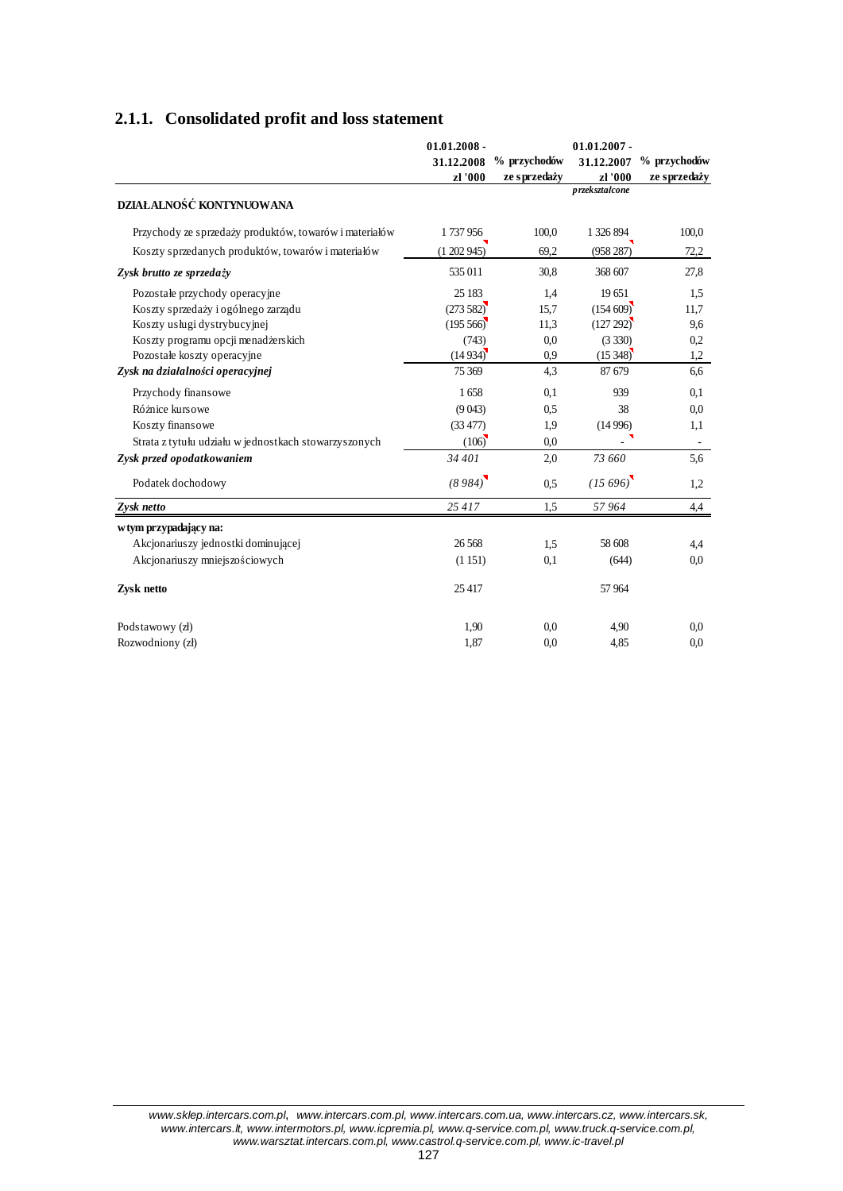### **2.1.1. Consolidated profit and loss statement**

|                                                        | $01.01.2008 -$ |               | $01.01.2007 -$ |                          |
|--------------------------------------------------------|----------------|---------------|----------------|--------------------------|
|                                                        | 31.12.2008     | % przychodów  | 31.12.2007     | % przychodów             |
|                                                        | zł '000        | ze s przedaży | zł '000        | ze sprzedaży             |
| DZIAŁALNOŚĆ KONTYNUOWANA                               |                |               | przekształcone |                          |
| Przychody ze sprzedaży produktów, towarów i materiałów | 1737956        | 100,0         | 1 326 894      | 100,0                    |
| Koszty sprzedanych produktów, towarów i materiałów     | (1202945)      | 69,2          | (958 287)      | 72,2                     |
| Zysk brutto ze sprzedaży                               | 535 011        | 30,8          | 368 607        | 27,8                     |
| Pozostałe przychody operacyjne                         | 25 183         | 1,4           | 19651          | 1,5                      |
| Koszty sprzedaży i ogólnego zarządu                    | (273582)       | 15,7          | (154609)       | 11,7                     |
| Koszty usługi dystrybucyjnej                           | (195, 566)     | 11,3          | (127 292)      | 9,6                      |
| Koszty programu opcji menadżerskich                    | (743)          | 0.0           | (3330)         | 0,2                      |
| Pozostałe koszty operacyjne                            | (14934)        | 0.9           | (15348)        | 1,2                      |
| Zysk na działalności operacyjnej                       | 75 369         | 4,3           | 87 679         | 6,6                      |
| Przychody finansowe                                    | 1658           | 0,1           | 939            | 0.1                      |
| Różnice kursowe                                        | (9043)         | 0,5           | 38             | 0,0                      |
| Koszty finansowe                                       | (33 477)       | 1,9           | (14996)        | 1,1                      |
| Strata z tytułu udziału w jednostkach stowarzyszonych  | (106)          | 0.0           |                | $\overline{\phantom{a}}$ |
| Zysk przed opodatkowaniem                              | 34 401         | 2,0           | 73 660         | 5,6                      |
| Podatek dochodowy                                      | (8984)         | 0,5           | (15696)        | 1,2                      |
| Zysk netto                                             | 25417          | 1,5           | 57 964         | 4,4                      |
| w tym przypadający na:                                 |                |               |                |                          |
| Akcjonariuszy jednostki dominującej                    | 26 5 68        | 1.5           | 58 608         | 4,4                      |
| Akcjonariuszy mniejszościowych                         | (1151)         | 0,1           | (644)          | 0.0                      |
| Zysk netto                                             | 25 417         |               | 57 964         |                          |
| Podstawowy (zł)                                        | 1,90           | 0.0           | 4,90           | 0.0                      |
| Rozwodniony (zł)                                       | 1,87           | 0.0           | 4,85           | 0.0                      |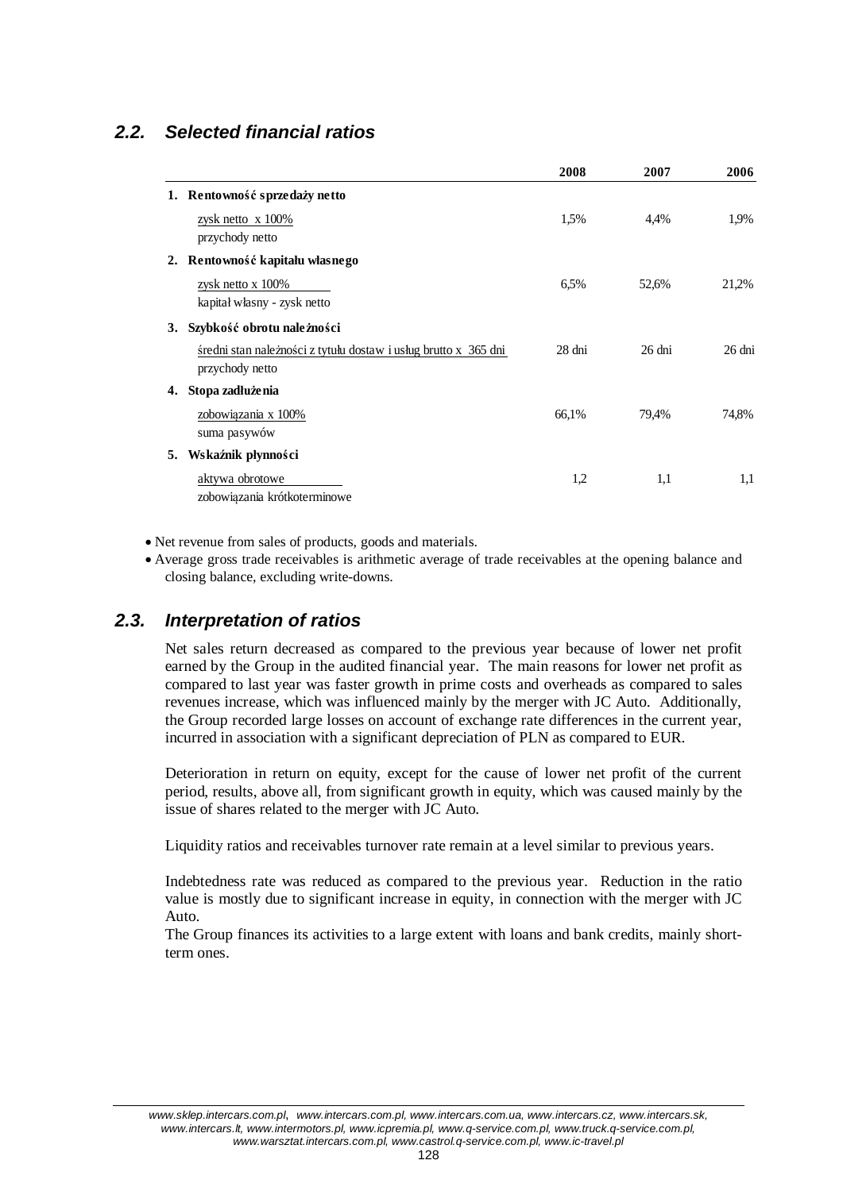# *2.2. Selected financial ratios*

|    |                                                                                    | 2008   | 2007             | 2006             |
|----|------------------------------------------------------------------------------------|--------|------------------|------------------|
| 1. | Rentowność sprzedaży netto                                                         |        |                  |                  |
|    | zysk netto x $100\%$<br>przychody netto                                            | 1.5%   | 4,4%             | 1.9%             |
| 2. | Rentowność kapitału własnego                                                       |        |                  |                  |
|    | zysk netto x $100\%$<br>kapitał własny - zysk netto                                | 6.5%   | 52,6%            | 21,2%            |
| 3. | Szybkość obrotu należności                                                         |        |                  |                  |
|    | średni stan należności z tytułu dostaw i usług brutto x 365 dni<br>przychody netto | 28 dni | $26 \text{ dni}$ | $26 \text{ dni}$ |
| 4. | Stopa zadłużenia                                                                   |        |                  |                  |
|    | zobowiązania x 100%<br>suma pasywów                                                | 66,1%  | 79,4%            | 74,8%            |
| 5. | Wskaźnik płynności                                                                 |        |                  |                  |
|    | aktywa obrotowe<br>zobowiązania krótkoterminowe                                    | 1,2    | 1,1              | 1,1              |

• Net revenue from sales of products, goods and materials.

x Average gross trade receivables is arithmetic average of trade receivables at the opening balance and closing balance, excluding write-downs.

### *2.3. Interpretation of ratios*

Net sales return decreased as compared to the previous year because of lower net profit earned by the Group in the audited financial year. The main reasons for lower net profit as compared to last year was faster growth in prime costs and overheads as compared to sales revenues increase, which was influenced mainly by the merger with JC Auto. Additionally, the Group recorded large losses on account of exchange rate differences in the current year, incurred in association with a significant depreciation of PLN as compared to EUR.

Deterioration in return on equity, except for the cause of lower net profit of the current period, results, above all, from significant growth in equity, which was caused mainly by the issue of shares related to the merger with JC Auto.

Liquidity ratios and receivables turnover rate remain at a level similar to previous years.

Indebtedness rate was reduced as compared to the previous year. Reduction in the ratio value is mostly due to significant increase in equity, in connection with the merger with JC Auto.

The Group finances its activities to a large extent with loans and bank credits, mainly shortterm ones.

*www.sklep.intercars.com.pl*, *www.intercars.com.pl, www.intercars.com.ua, www.intercars.cz, www.intercars.sk, www.intercars.lt, www.intermotors.pl, www.icpremia.pl, www.q-service.com.pl, www.truck.q-service.com.pl, www.warsztat.intercars.com.pl, www.castrol.q-service.com.pl, www.ic-travel.pl*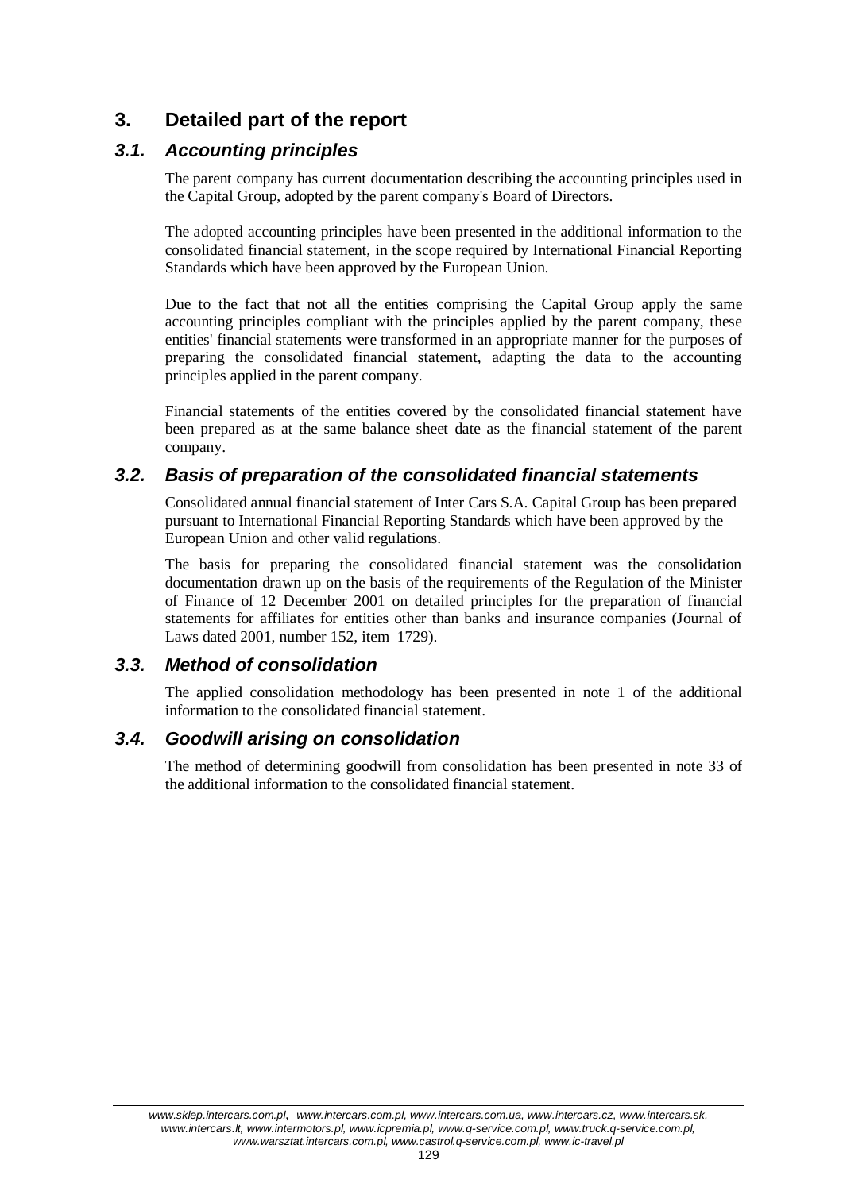# **3. Detailed part of the report**

# *3.1. Accounting principles*

The parent company has current documentation describing the accounting principles used in the Capital Group, adopted by the parent company's Board of Directors.

The adopted accounting principles have been presented in the additional information to the consolidated financial statement, in the scope required by International Financial Reporting Standards which have been approved by the European Union.

Due to the fact that not all the entities comprising the Capital Group apply the same accounting principles compliant with the principles applied by the parent company, these entities' financial statements were transformed in an appropriate manner for the purposes of preparing the consolidated financial statement, adapting the data to the accounting principles applied in the parent company.

Financial statements of the entities covered by the consolidated financial statement have been prepared as at the same balance sheet date as the financial statement of the parent company.

# *3.2. Basis of preparation of the consolidated financial statements*

Consolidated annual financial statement of Inter Cars S.A. Capital Group has been prepared pursuant to International Financial Reporting Standards which have been approved by the European Union and other valid regulations.

The basis for preparing the consolidated financial statement was the consolidation documentation drawn up on the basis of the requirements of the Regulation of the Minister of Finance of 12 December 2001 on detailed principles for the preparation of financial statements for affiliates for entities other than banks and insurance companies (Journal of Laws dated 2001, number 152, item 1729).

## *3.3. Method of consolidation*

The applied consolidation methodology has been presented in note 1 of the additional information to the consolidated financial statement.

## *3.4. Goodwill arising on consolidation*

The method of determining goodwill from consolidation has been presented in note 33 of the additional information to the consolidated financial statement.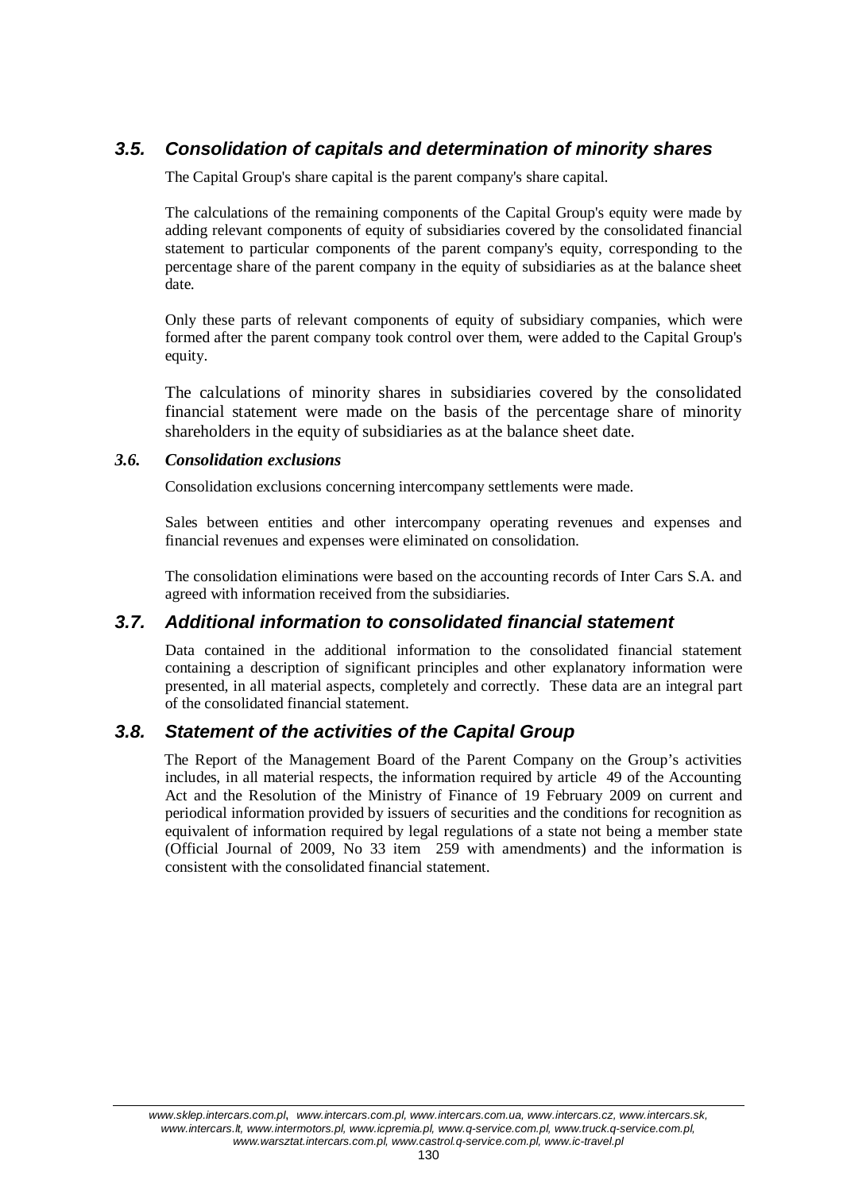# *3.5. Consolidation of capitals and determination of minority shares*

The Capital Group's share capital is the parent company's share capital.

The calculations of the remaining components of the Capital Group's equity were made by adding relevant components of equity of subsidiaries covered by the consolidated financial statement to particular components of the parent company's equity, corresponding to the percentage share of the parent company in the equity of subsidiaries as at the balance sheet date.

Only these parts of relevant components of equity of subsidiary companies, which were formed after the parent company took control over them, were added to the Capital Group's equity.

The calculations of minority shares in subsidiaries covered by the consolidated financial statement were made on the basis of the percentage share of minority shareholders in the equity of subsidiaries as at the balance sheet date.

### *3.6. Consolidation exclusions*

Consolidation exclusions concerning intercompany settlements were made.

Sales between entities and other intercompany operating revenues and expenses and financial revenues and expenses were eliminated on consolidation.

The consolidation eliminations were based on the accounting records of Inter Cars S.A. and agreed with information received from the subsidiaries.

## *3.7. Additional information to consolidated financial statement*

Data contained in the additional information to the consolidated financial statement containing a description of significant principles and other explanatory information were presented, in all material aspects, completely and correctly. These data are an integral part of the consolidated financial statement.

## *3.8. Statement of the activities of the Capital Group*

The Report of the Management Board of the Parent Company on the Group's activities includes, in all material respects, the information required by article 49 of the Accounting Act and the Resolution of the Ministry of Finance of 19 February 2009 on current and periodical information provided by issuers of securities and the conditions for recognition as equivalent of information required by legal regulations of a state not being a member state (Official Journal of 2009, No 33 item  $259$  with amendments) and the information is consistent with the consolidated financial statement.